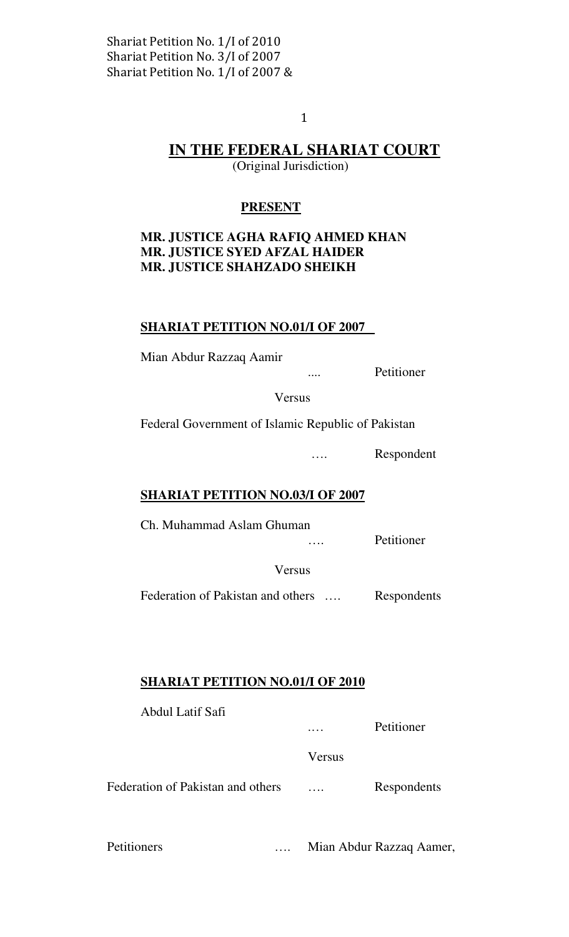$\mathbf{1}$ 

# IN THE FEDERAL SHARIAT COURT

(Original Jurisdiction)

# PRESENT

# MR. JUSTICE AGHA RAFIQ AHMED KHAN MR. JUSTICE SYED AFZAL HAIDER MR. JUSTICE SHAHZADO SHEIKH

# SHARIAT PETITION NO.01/I OF 2007

Mian Abdur Razzaq Aamir

.... Petitioner

Versus

Federal Government of Islamic Republic of Pakistan

…. Respondent

#### SHARIAT PETITION NO.03/I OF 2007

Ch. Muhammad Aslam Ghuman

…. Petitioner

Versus

Federation of Pakistan and others .... Respondents

#### SHARIAT PETITION NO.01/I OF 2010

| Abdul Latif Safi                  | $\cdots$ | Petitioner  |
|-----------------------------------|----------|-------------|
|                                   | Versus   |             |
| Federation of Pakistan and others | $\cdots$ | Respondents |
|                                   |          |             |

Petitioners …. Mian Abdur Razzaq Aamer,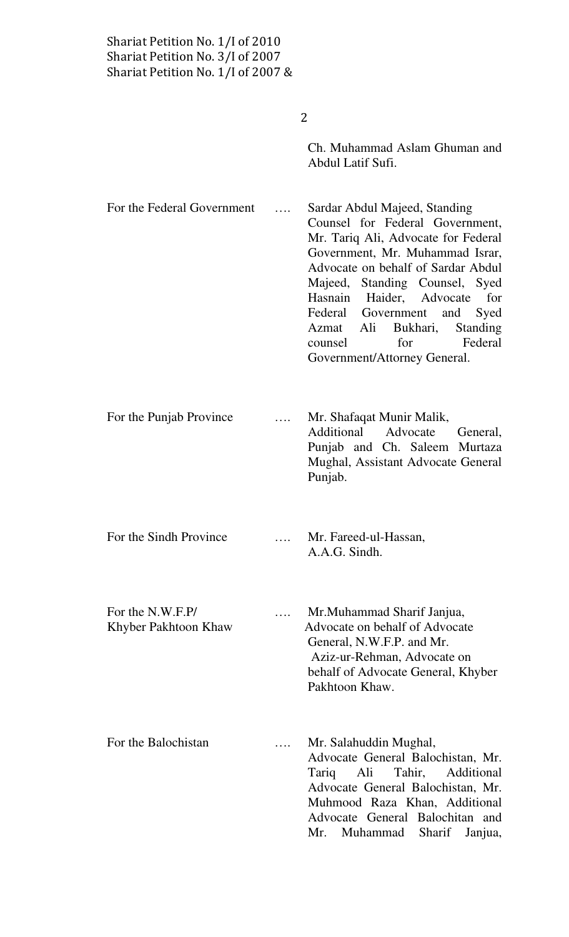| Shariat Petition No. 1/I of 2010<br>Shariat Petition No. 3/I of 2007<br>Shariat Petition No. $1/I$ of 2007 & |                                                                                                                                                                                                                                                                                                                                                                                               |  |
|--------------------------------------------------------------------------------------------------------------|-----------------------------------------------------------------------------------------------------------------------------------------------------------------------------------------------------------------------------------------------------------------------------------------------------------------------------------------------------------------------------------------------|--|
|                                                                                                              | 2                                                                                                                                                                                                                                                                                                                                                                                             |  |
|                                                                                                              | Ch. Muhammad Aslam Ghuman and<br>Abdul Latif Sufi.                                                                                                                                                                                                                                                                                                                                            |  |
| For the Federal Government                                                                                   | Sardar Abdul Majeed, Standing<br>Counsel for Federal Government,<br>Mr. Tariq Ali, Advocate for Federal<br>Government, Mr. Muhammad Israr,<br>Advocate on behalf of Sardar Abdul<br>Majeed, Standing Counsel, Syed<br>Hasnain Haider, Advocate<br>for<br>Federal Government and<br>Syed<br>Azmat Ali Bukhari,<br><b>Standing</b><br>Federal<br>for<br>counsel<br>Government/Attorney General. |  |
| For the Punjab Province                                                                                      | Mr. Shafaqat Munir Malik,<br>Additional Advocate<br>General,<br>Punjab and Ch. Saleem Murtaza<br>Mughal, Assistant Advocate General<br>Punjab.                                                                                                                                                                                                                                                |  |
| For the Sindh Province                                                                                       | Mr. Fareed-ul-Hassan,<br>A.A.G. Sindh.                                                                                                                                                                                                                                                                                                                                                        |  |
| For the N.W.F.P/<br>Khyber Pakhtoon Khaw                                                                     | Mr. Muhammad Sharif Janjua,<br>Advocate on behalf of Advocate<br>General, N.W.F.P. and Mr.<br>Aziz-ur-Rehman, Advocate on<br>behalf of Advocate General, Khyber<br>Pakhtoon Khaw.                                                                                                                                                                                                             |  |
| For the Balochistan                                                                                          | Mr. Salahuddin Mughal,<br>Advocate General Balochistan, Mr.<br>Ali<br>Tahir,<br>Additional<br>Tariq<br>Advocate General Balochistan, Mr.<br>Muhmood Raza Khan, Additional<br>Advocate General Balochitan and<br>Muhammad<br>Sharif<br>Mr.<br>Janjua,                                                                                                                                          |  |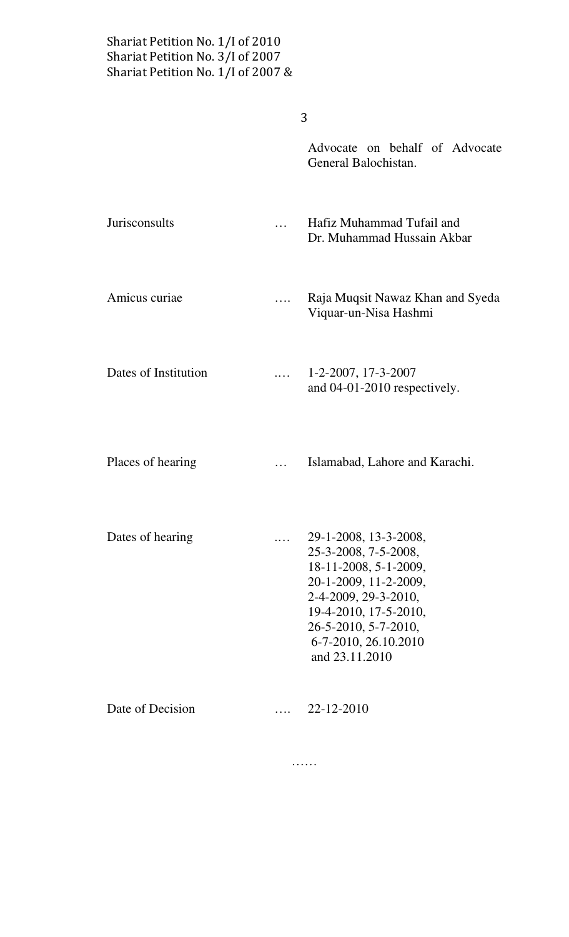$\overline{3}$ 

|                      |   | Advocate on behalf of Advocate<br>General Balochistan.                                                                                                                                                             |
|----------------------|---|--------------------------------------------------------------------------------------------------------------------------------------------------------------------------------------------------------------------|
| Jurisconsults        |   | Hafiz Muhammad Tufail and<br>Dr. Muhammad Hussain Akbar                                                                                                                                                            |
| Amicus curiae        |   | Raja Muqsit Nawaz Khan and Syeda<br>Viquar-un-Nisa Hashmi                                                                                                                                                          |
| Dates of Institution |   | $1-2-2007$ , $17-3-2007$<br>and 04-01-2010 respectively.                                                                                                                                                           |
| Places of hearing    |   | Islamabad, Lahore and Karachi.                                                                                                                                                                                     |
| Dates of hearing     | . | 29-1-2008, 13-3-2008,<br>25-3-2008, 7-5-2008,<br>18-11-2008, 5-1-2009,<br>20-1-2009, 11-2-2009,<br>2-4-2009, 29-3-2010,<br>19-4-2010, 17-5-2010,<br>26-5-2010, 5-7-2010,<br>6-7-2010, 26.10.2010<br>and 23.11.2010 |
| Date of Decision     |   | 22-12-2010                                                                                                                                                                                                         |

……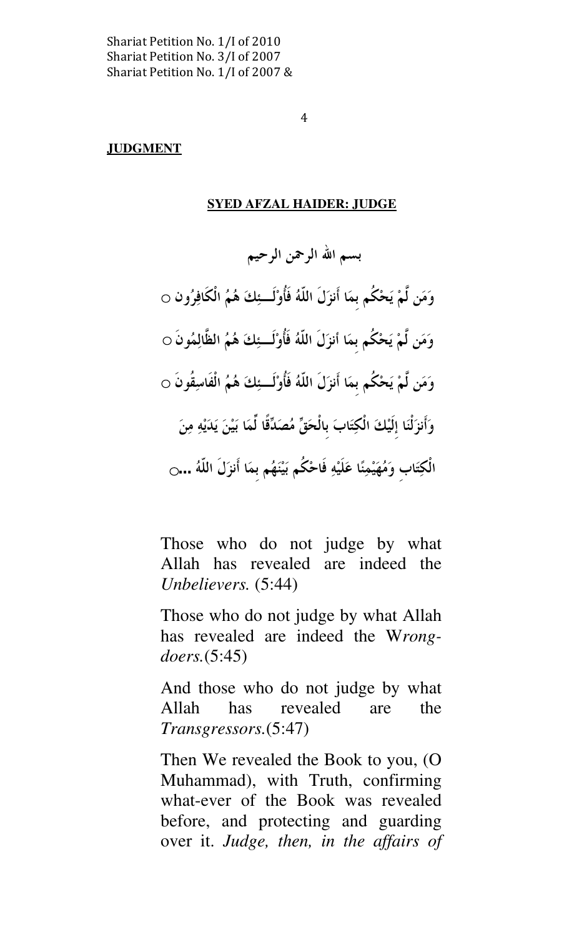$\overline{4}$ 

# **JUDGMENT**

# SYED AFZAL HAIDER: JUDGE

بسم الله الرحمن الرحيم وَمَن لَّمْ يَحْكُم بمَا أَنزَلَ اللّهُ فَأُوْلَــئِكَ هُمُ الْكَافِرُون ○  $\circ$ وَمَن لَّمْ يَحْكُم بمَا أنزَلَ اللَّهُ فَأُوْلَــئِكَ هُمُ الظَّالِمُونَ وَمَن لَّمْ يَحْكُم بمَا أَنزَلَ اللَّهُ فَأُوْلَــئِكَ هُمُ الْفَاسِقُونَ ۞ وَأَنزَلْنَا إِلَيْكَ الْكِتَابَ بِالْحَقِّ مُصَدِّقًا لَمَا بَيْنَ يَدَيْهِ مِنَ الْكِتَابِ وَمُهَيْمِنًا عَلَيْهِ فَاحْكُم بَيْنَهُم بِمَا أَنْزَلُ اللَّهُ ...ٯ

Those who do not judge by what Allah has revealed are indeed the Unbelievers. (5:44)

Those who do not judge by what Allah has revealed are indeed the Wrongdoers.(5:45)

And those who do not judge by what Allah has revealed are the Transgressors.(5:47)

Then We revealed the Book to you, (O Muhammad), with Truth, confirming what-ever of the Book was revealed before, and protecting and guarding over it. Judge, then, in the affairs of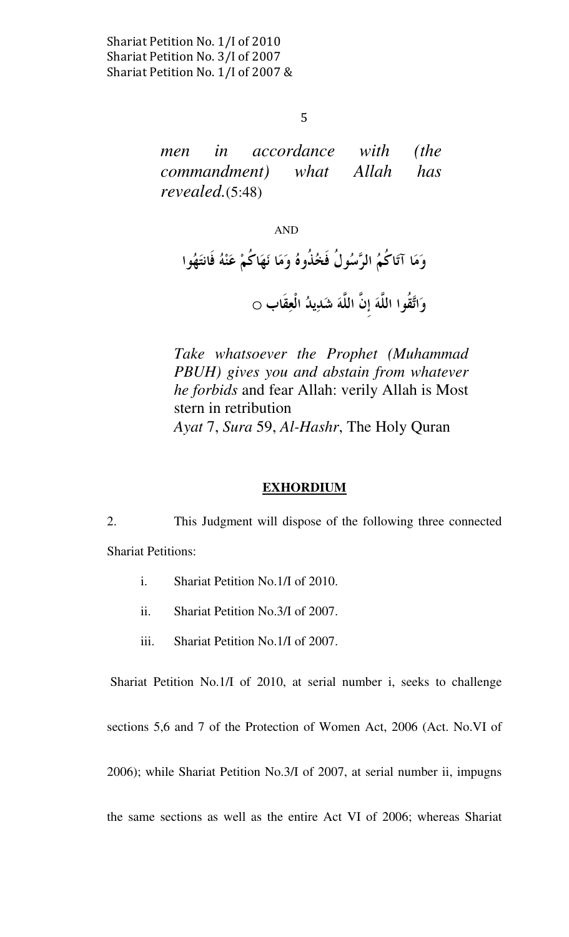5

men in accordance with (the commandment) what Allah has revealed.(5:48)

# AND

وَمَا آتَاكُمُ الرَّسُولُ فَخُذُوهُ وَمَا نَهَاكُمْ عَنْهُ فَانتَهُوا وَاتَّقُوا اللَّهَ إنَّ اللَّهَ شَدِيدُ الْعِقَابِ ○

Take whatsoever the Prophet (Muhammad PBUH) gives you and abstain from whatever he forbids and fear Allah: verily Allah is Most stern in retribution Ayat 7, Sura 59, Al-Hashr, The Holy Quran

#### EXHORDIUM

2. This Judgment will dispose of the following three connected Shariat Petitions:

- i. Shariat Petition No.1/I of 2010.
- ii. Shariat Petition No.3/I of 2007.
- iii. Shariat Petition No.1/I of 2007.

Shariat Petition No.1/I of 2010, at serial number i, seeks to challenge

sections 5,6 and 7 of the Protection of Women Act, 2006 (Act. No.VI of

2006); while Shariat Petition No.3/I of 2007, at serial number ii, impugns

the same sections as well as the entire Act VI of 2006; whereas Shariat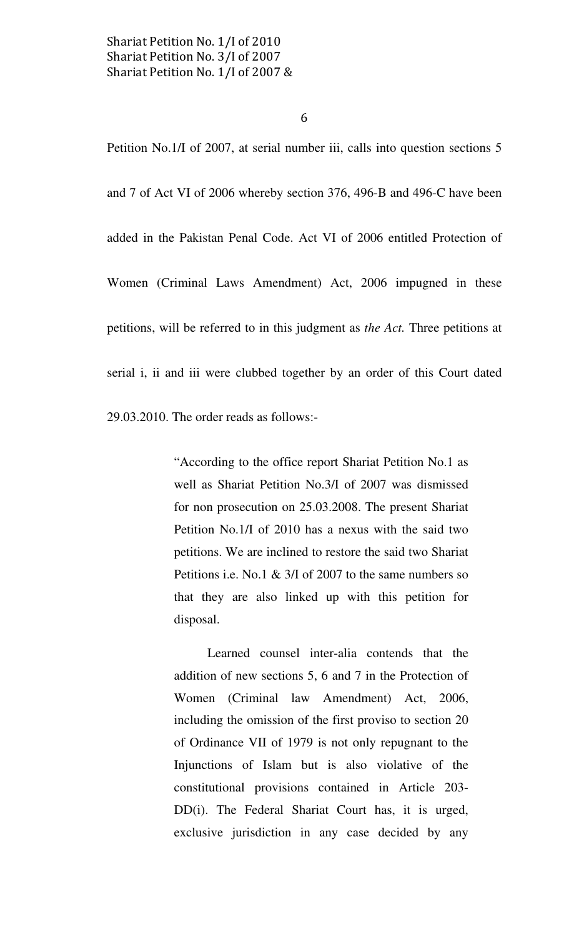6

Petition No.1/I of 2007, at serial number iii, calls into question sections 5 and 7 of Act VI of 2006 whereby section 376, 496-B and 496-C have been added in the Pakistan Penal Code. Act VI of 2006 entitled Protection of Women (Criminal Laws Amendment) Act, 2006 impugned in these petitions, will be referred to in this judgment as the Act. Three petitions at serial i, ii and iii were clubbed together by an order of this Court dated

29.03.2010. The order reads as follows:-

"According to the office report Shariat Petition No.1 as well as Shariat Petition No.3/I of 2007 was dismissed for non prosecution on 25.03.2008. The present Shariat Petition No.1/I of 2010 has a nexus with the said two petitions. We are inclined to restore the said two Shariat Petitions i.e. No.1 & 3/I of 2007 to the same numbers so that they are also linked up with this petition for disposal.

 Learned counsel inter-alia contends that the addition of new sections 5, 6 and 7 in the Protection of Women (Criminal law Amendment) Act, 2006, including the omission of the first proviso to section 20 of Ordinance VII of 1979 is not only repugnant to the Injunctions of Islam but is also violative of the constitutional provisions contained in Article 203- DD(i). The Federal Shariat Court has, it is urged, exclusive jurisdiction in any case decided by any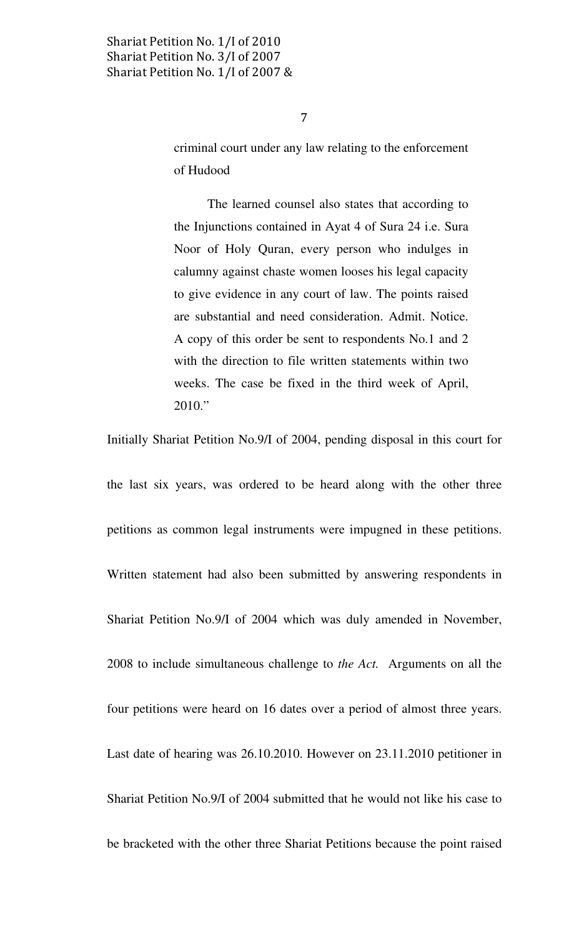$\overline{7}$ 

criminal court under any law relating to the enforcement of Hudood

 The learned counsel also states that according to the Injunctions contained in Ayat 4 of Sura 24 i.e. Sura Noor of Holy Quran, every person who indulges in calumny against chaste women looses his legal capacity to give evidence in any court of law. The points raised are substantial and need consideration. Admit. Notice. A copy of this order be sent to respondents No.1 and 2 with the direction to file written statements within two weeks. The case be fixed in the third week of April, 2010."

Initially Shariat Petition No.9/I of 2004, pending disposal in this court for

the last six years, was ordered to be heard along with the other three petitions as common legal instruments were impugned in these petitions. Written statement had also been submitted by answering respondents in Shariat Petition No.9/I of 2004 which was duly amended in November, 2008 to include simultaneous challenge to the Act. Arguments on all the four petitions were heard on 16 dates over a period of almost three years. Last date of hearing was 26.10.2010. However on 23.11.2010 petitioner in Shariat Petition No.9/I of 2004 submitted that he would not like his case to be bracketed with the other three Shariat Petitions because the point raised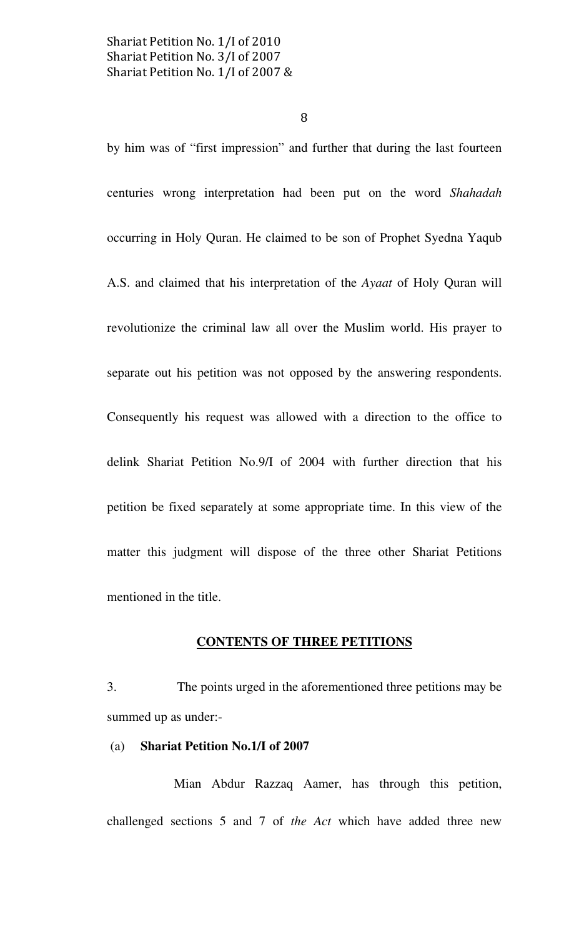8

by him was of "first impression" and further that during the last fourteen centuries wrong interpretation had been put on the word Shahadah occurring in Holy Quran. He claimed to be son of Prophet Syedna Yaqub A.S. and claimed that his interpretation of the Ayaat of Holy Quran will revolutionize the criminal law all over the Muslim world. His prayer to separate out his petition was not opposed by the answering respondents. Consequently his request was allowed with a direction to the office to delink Shariat Petition No.9/I of 2004 with further direction that his petition be fixed separately at some appropriate time. In this view of the matter this judgment will dispose of the three other Shariat Petitions mentioned in the title.

# CONTENTS OF THREE PETITIONS

3. The points urged in the aforementioned three petitions may be summed up as under:-

#### (a) Shariat Petition No.1/I of 2007

 Mian Abdur Razzaq Aamer, has through this petition, challenged sections 5 and 7 of the Act which have added three new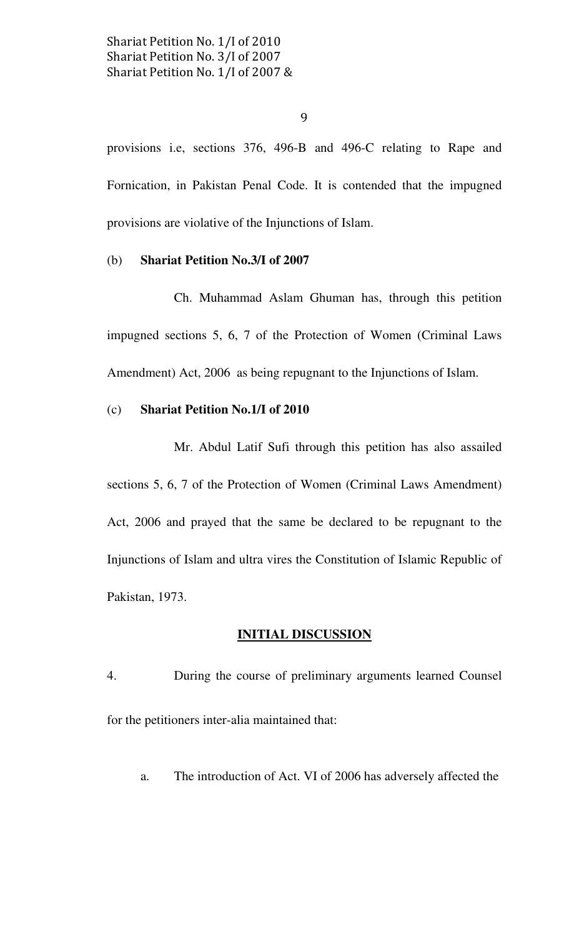9

provisions i.e, sections 376, 496-B and 496-C relating to Rape and Fornication, in Pakistan Penal Code. It is contended that the impugned provisions are violative of the Injunctions of Islam.

# (b) Shariat Petition No.3/I of 2007

 Ch. Muhammad Aslam Ghuman has, through this petition impugned sections 5, 6, 7 of the Protection of Women (Criminal Laws Amendment) Act, 2006 as being repugnant to the Injunctions of Islam.

#### (c) Shariat Petition No.1/I of 2010

 Mr. Abdul Latif Sufi through this petition has also assailed sections 5, 6, 7 of the Protection of Women (Criminal Laws Amendment) Act, 2006 and prayed that the same be declared to be repugnant to the Injunctions of Islam and ultra vires the Constitution of Islamic Republic of Pakistan, 1973.

#### INITIAL DISCUSSION

- 4. During the course of preliminary arguments learned Counsel for the petitioners inter-alia maintained that:
	- a. The introduction of Act. VI of 2006 has adversely affected the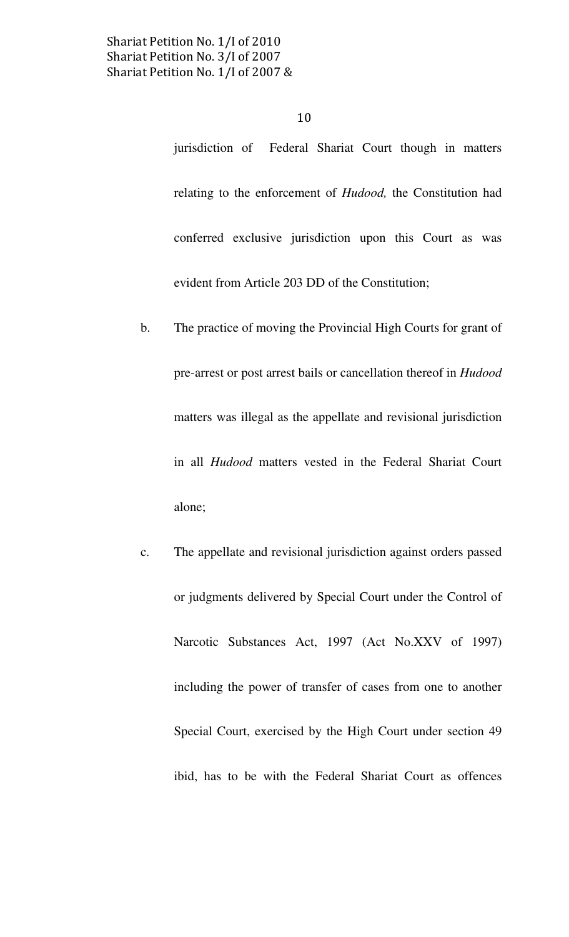jurisdiction of Federal Shariat Court though in matters relating to the enforcement of Hudood, the Constitution had conferred exclusive jurisdiction upon this Court as was evident from Article 203 DD of the Constitution;

- b. The practice of moving the Provincial High Courts for grant of pre-arrest or post arrest bails or cancellation thereof in Hudood matters was illegal as the appellate and revisional jurisdiction in all Hudood matters vested in the Federal Shariat Court alone;
- c. The appellate and revisional jurisdiction against orders passed or judgments delivered by Special Court under the Control of Narcotic Substances Act, 1997 (Act No.XXV of 1997) including the power of transfer of cases from one to another Special Court, exercised by the High Court under section 49 ibid, has to be with the Federal Shariat Court as offences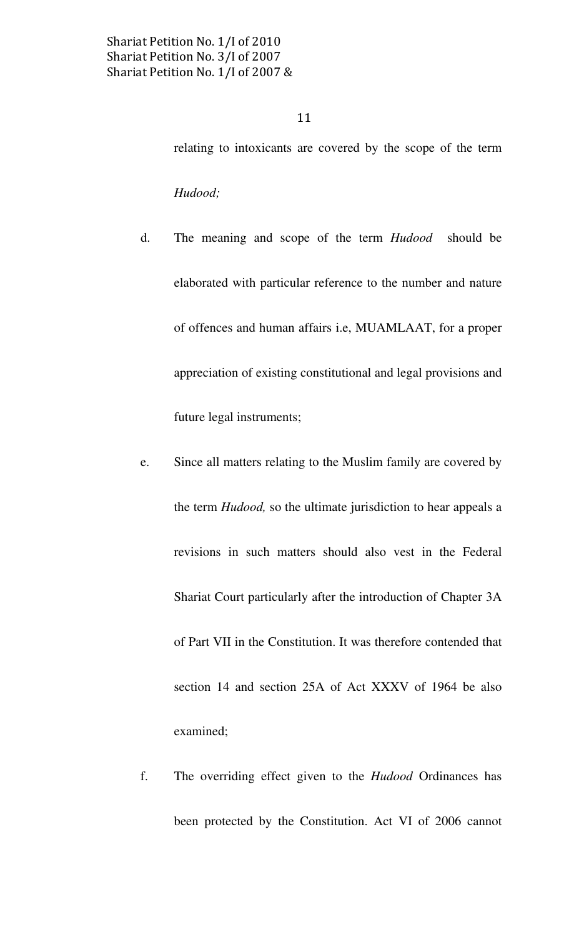relating to intoxicants are covered by the scope of the term Hudood;

- d. The meaning and scope of the term Hudood should be elaborated with particular reference to the number and nature of offences and human affairs i.e, MUAMLAAT, for a proper appreciation of existing constitutional and legal provisions and future legal instruments;
- e. Since all matters relating to the Muslim family are covered by the term *Hudood*, so the ultimate jurisdiction to hear appeals a revisions in such matters should also vest in the Federal Shariat Court particularly after the introduction of Chapter 3A of Part VII in the Constitution. It was therefore contended that section 14 and section 25A of Act XXXV of 1964 be also examined;
- f. The overriding effect given to the Hudood Ordinances has been protected by the Constitution. Act VI of 2006 cannot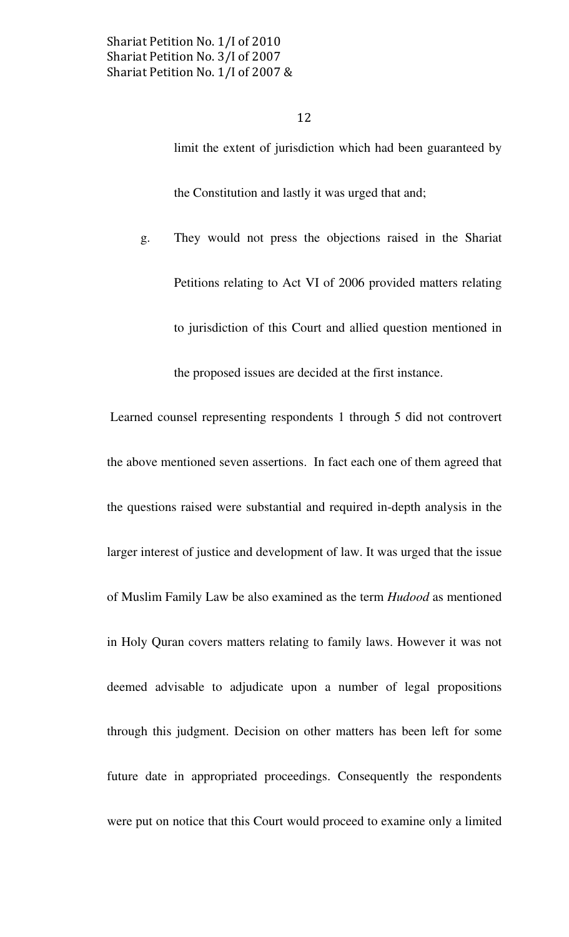limit the extent of jurisdiction which had been guaranteed by the Constitution and lastly it was urged that and;

g. They would not press the objections raised in the Shariat Petitions relating to Act VI of 2006 provided matters relating to jurisdiction of this Court and allied question mentioned in

the proposed issues are decided at the first instance.

 Learned counsel representing respondents 1 through 5 did not controvert the above mentioned seven assertions. In fact each one of them agreed that the questions raised were substantial and required in-depth analysis in the larger interest of justice and development of law. It was urged that the issue of Muslim Family Law be also examined as the term Hudood as mentioned in Holy Quran covers matters relating to family laws. However it was not deemed advisable to adjudicate upon a number of legal propositions through this judgment. Decision on other matters has been left for some future date in appropriated proceedings. Consequently the respondents were put on notice that this Court would proceed to examine only a limited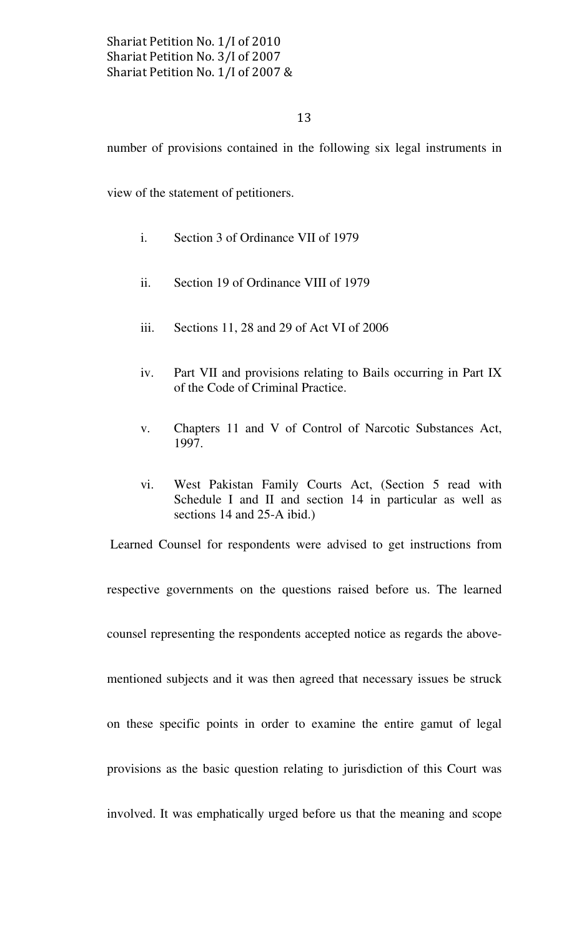number of provisions contained in the following six legal instruments in

view of the statement of petitioners.

- i. Section 3 of Ordinance VII of 1979
- ii. Section 19 of Ordinance VIII of 1979
- iii. Sections 11, 28 and 29 of Act VI of 2006
- iv. Part VII and provisions relating to Bails occurring in Part IX of the Code of Criminal Practice.
- v. Chapters 11 and V of Control of Narcotic Substances Act, 1997.
- vi. West Pakistan Family Courts Act, (Section 5 read with Schedule I and II and section 14 in particular as well as sections 14 and 25-A ibid.)

Learned Counsel for respondents were advised to get instructions from

respective governments on the questions raised before us. The learned

counsel representing the respondents accepted notice as regards the above-

mentioned subjects and it was then agreed that necessary issues be struck

on these specific points in order to examine the entire gamut of legal

provisions as the basic question relating to jurisdiction of this Court was

involved. It was emphatically urged before us that the meaning and scope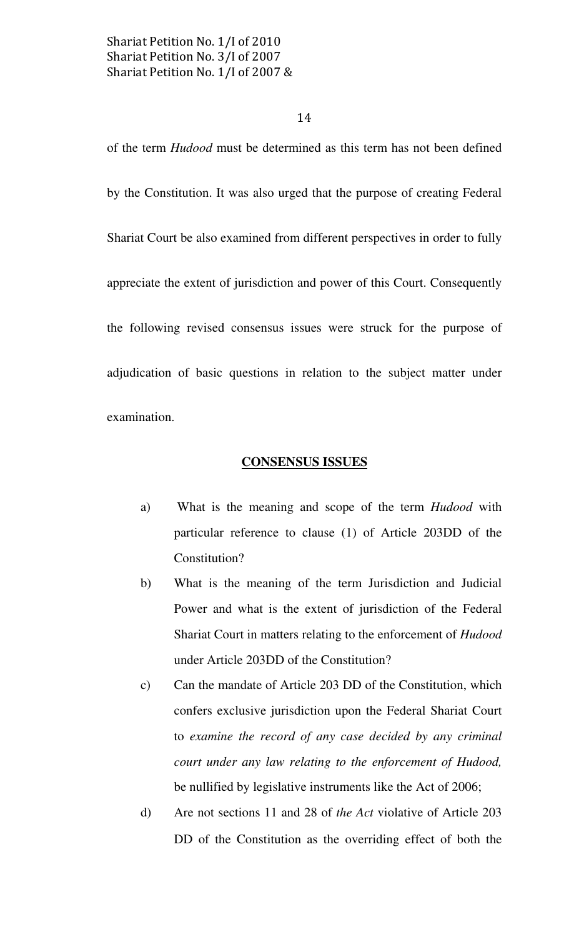#### 14

of the term Hudood must be determined as this term has not been defined by the Constitution. It was also urged that the purpose of creating Federal Shariat Court be also examined from different perspectives in order to fully appreciate the extent of jurisdiction and power of this Court. Consequently the following revised consensus issues were struck for the purpose of adjudication of basic questions in relation to the subject matter under examination.

#### CONSENSUS ISSUES

- a) What is the meaning and scope of the term Hudood with particular reference to clause (1) of Article 203DD of the Constitution?
- b) What is the meaning of the term Jurisdiction and Judicial Power and what is the extent of jurisdiction of the Federal Shariat Court in matters relating to the enforcement of Hudood under Article 203DD of the Constitution?
- c) Can the mandate of Article 203 DD of the Constitution, which confers exclusive jurisdiction upon the Federal Shariat Court to examine the record of any case decided by any criminal court under any law relating to the enforcement of Hudood, be nullified by legislative instruments like the Act of 2006;
- d) Are not sections 11 and 28 of the Act violative of Article 203 DD of the Constitution as the overriding effect of both the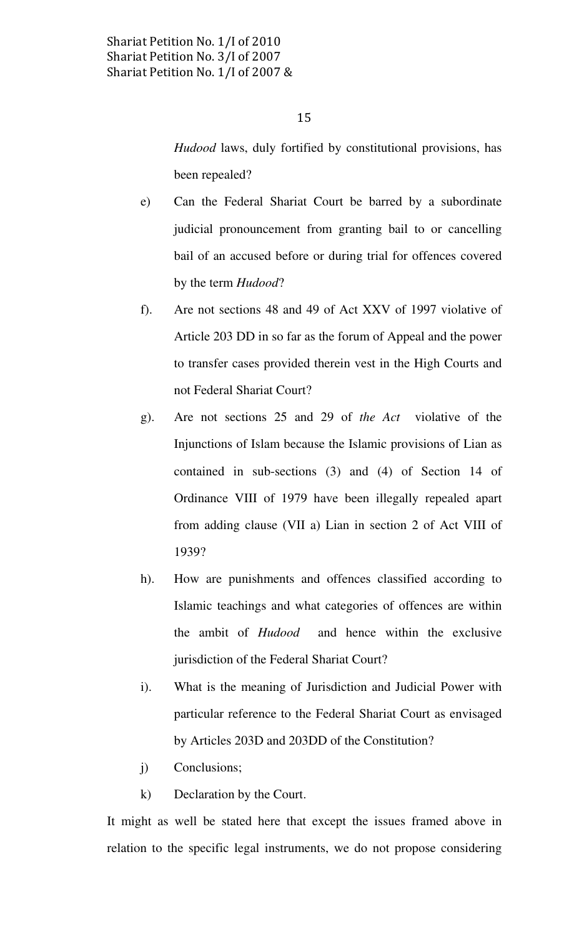Hudood laws, duly fortified by constitutional provisions, has been repealed?

- e) Can the Federal Shariat Court be barred by a subordinate judicial pronouncement from granting bail to or cancelling bail of an accused before or during trial for offences covered by the term Hudood?
- f). Are not sections 48 and 49 of Act XXV of 1997 violative of Article 203 DD in so far as the forum of Appeal and the power to transfer cases provided therein vest in the High Courts and not Federal Shariat Court?
- g). Are not sections 25 and 29 of the Act violative of the Injunctions of Islam because the Islamic provisions of Lian as contained in sub-sections (3) and (4) of Section 14 of Ordinance VIII of 1979 have been illegally repealed apart from adding clause (VII a) Lian in section 2 of Act VIII of 1939?
- h). How are punishments and offences classified according to Islamic teachings and what categories of offences are within the ambit of Hudood and hence within the exclusive jurisdiction of the Federal Shariat Court?
- i). What is the meaning of Jurisdiction and Judicial Power with particular reference to the Federal Shariat Court as envisaged by Articles 203D and 203DD of the Constitution?
- j) Conclusions;
- k) Declaration by the Court.

It might as well be stated here that except the issues framed above in relation to the specific legal instruments, we do not propose considering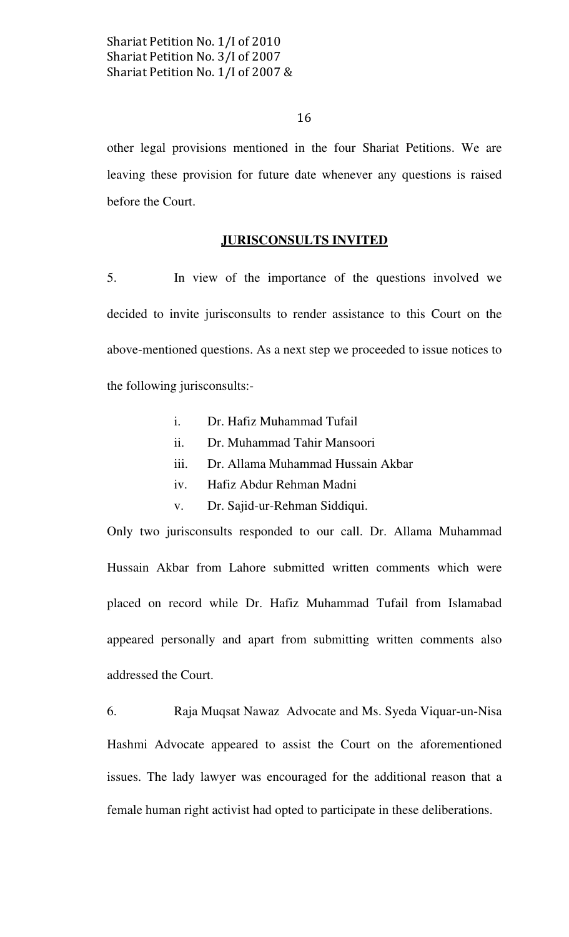16

other legal provisions mentioned in the four Shariat Petitions. We are leaving these provision for future date whenever any questions is raised before the Court.

#### JURISCONSULTS INVITED

5. In view of the importance of the questions involved we decided to invite jurisconsults to render assistance to this Court on the above-mentioned questions. As a next step we proceeded to issue notices to the following jurisconsults:-

- i. Dr. Hafiz Muhammad Tufail
- ii. Dr. Muhammad Tahir Mansoori
- iii. Dr. Allama Muhammad Hussain Akbar
- iv. Hafiz Abdur Rehman Madni
- v. Dr. Sajid-ur-Rehman Siddiqui.

Only two jurisconsults responded to our call. Dr. Allama Muhammad Hussain Akbar from Lahore submitted written comments which were placed on record while Dr. Hafiz Muhammad Tufail from Islamabad appeared personally and apart from submitting written comments also addressed the Court.

6. Raja Muqsat Nawaz Advocate and Ms. Syeda Viquar-un-Nisa Hashmi Advocate appeared to assist the Court on the aforementioned issues. The lady lawyer was encouraged for the additional reason that a female human right activist had opted to participate in these deliberations.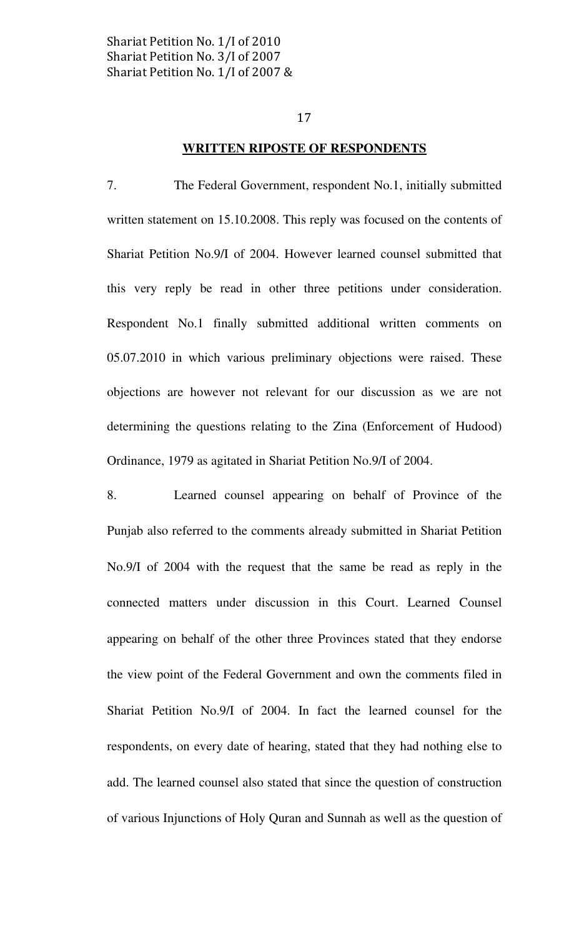#### WRITTEN RIPOSTE OF RESPONDENTS

7. The Federal Government, respondent No.1, initially submitted written statement on 15.10.2008. This reply was focused on the contents of Shariat Petition No.9/I of 2004. However learned counsel submitted that this very reply be read in other three petitions under consideration. Respondent No.1 finally submitted additional written comments on 05.07.2010 in which various preliminary objections were raised. These objections are however not relevant for our discussion as we are not determining the questions relating to the Zina (Enforcement of Hudood) Ordinance, 1979 as agitated in Shariat Petition No.9/I of 2004.

8. Learned counsel appearing on behalf of Province of the Punjab also referred to the comments already submitted in Shariat Petition No.9/I of 2004 with the request that the same be read as reply in the connected matters under discussion in this Court. Learned Counsel appearing on behalf of the other three Provinces stated that they endorse the view point of the Federal Government and own the comments filed in Shariat Petition No.9/I of 2004. In fact the learned counsel for the respondents, on every date of hearing, stated that they had nothing else to add. The learned counsel also stated that since the question of construction of various Injunctions of Holy Quran and Sunnah as well as the question of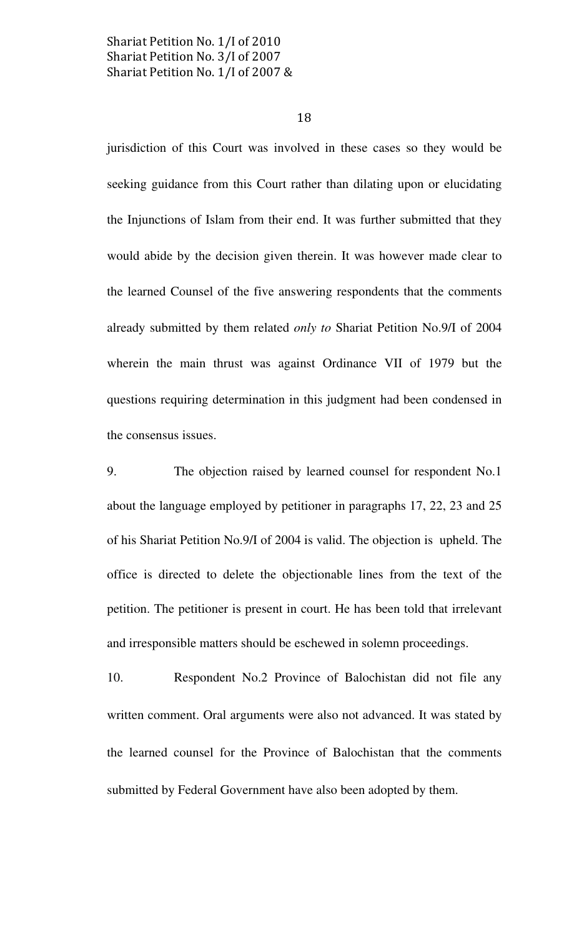18

jurisdiction of this Court was involved in these cases so they would be seeking guidance from this Court rather than dilating upon or elucidating the Injunctions of Islam from their end. It was further submitted that they would abide by the decision given therein. It was however made clear to the learned Counsel of the five answering respondents that the comments already submitted by them related only to Shariat Petition No.9/I of 2004 wherein the main thrust was against Ordinance VII of 1979 but the questions requiring determination in this judgment had been condensed in the consensus issues.

9. The objection raised by learned counsel for respondent No.1 about the language employed by petitioner in paragraphs 17, 22, 23 and 25 of his Shariat Petition No.9/I of 2004 is valid. The objection is upheld. The office is directed to delete the objectionable lines from the text of the petition. The petitioner is present in court. He has been told that irrelevant and irresponsible matters should be eschewed in solemn proceedings.

10. Respondent No.2 Province of Balochistan did not file any written comment. Oral arguments were also not advanced. It was stated by the learned counsel for the Province of Balochistan that the comments submitted by Federal Government have also been adopted by them.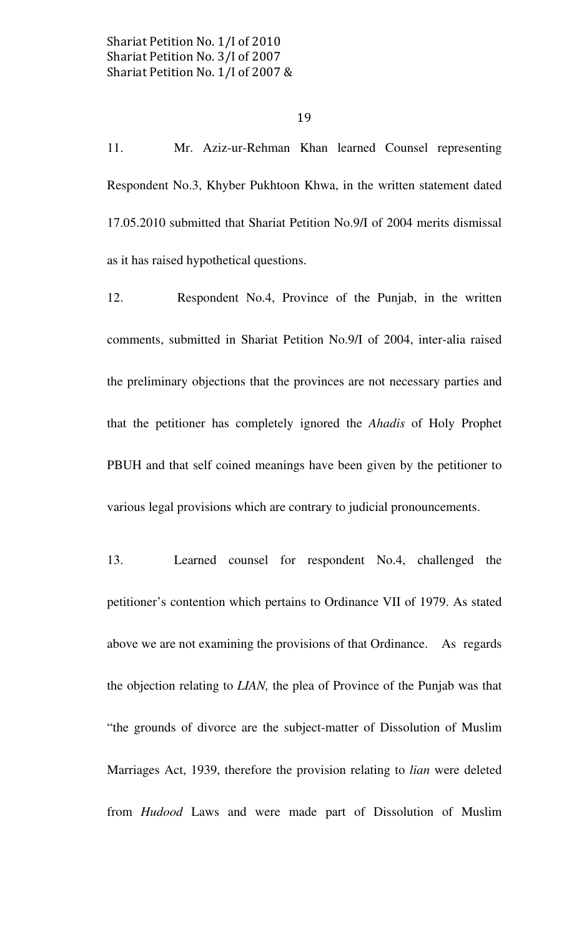11. Mr. Aziz-ur-Rehman Khan learned Counsel representing Respondent No.3, Khyber Pukhtoon Khwa, in the written statement dated 17.05.2010 submitted that Shariat Petition No.9/I of 2004 merits dismissal as it has raised hypothetical questions.

12. Respondent No.4, Province of the Punjab, in the written comments, submitted in Shariat Petition No.9/I of 2004, inter-alia raised the preliminary objections that the provinces are not necessary parties and that the petitioner has completely ignored the Ahadis of Holy Prophet PBUH and that self coined meanings have been given by the petitioner to various legal provisions which are contrary to judicial pronouncements.

13. Learned counsel for respondent No.4, challenged the petitioner's contention which pertains to Ordinance VII of 1979. As stated above we are not examining the provisions of that Ordinance. As regards the objection relating to LIAN, the plea of Province of the Punjab was that "the grounds of divorce are the subject-matter of Dissolution of Muslim Marriages Act, 1939, therefore the provision relating to lian were deleted from Hudood Laws and were made part of Dissolution of Muslim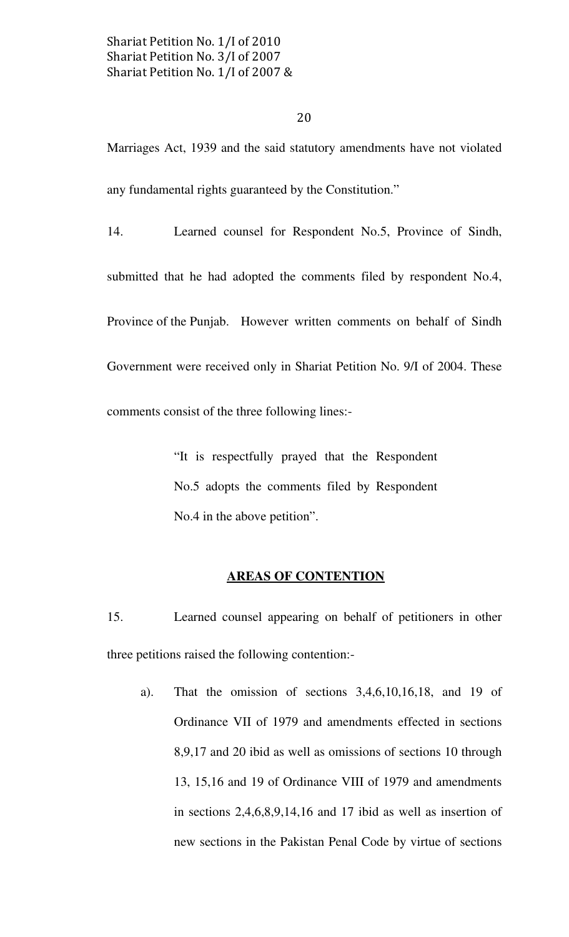20

Marriages Act, 1939 and the said statutory amendments have not violated any fundamental rights guaranteed by the Constitution."

14. Learned counsel for Respondent No.5, Province of Sindh, submitted that he had adopted the comments filed by respondent No.4, Province of the Punjab. However written comments on behalf of Sindh Government were received only in Shariat Petition No. 9/I of 2004. These comments consist of the three following lines:-

> "It is respectfully prayed that the Respondent No.5 adopts the comments filed by Respondent No.4 in the above petition".

# AREAS OF CONTENTION

15. Learned counsel appearing on behalf of petitioners in other three petitions raised the following contention:-

a). That the omission of sections 3,4,6,10,16,18, and 19 of Ordinance VII of 1979 and amendments effected in sections 8,9,17 and 20 ibid as well as omissions of sections 10 through 13, 15,16 and 19 of Ordinance VIII of 1979 and amendments in sections 2,4,6,8,9,14,16 and 17 ibid as well as insertion of new sections in the Pakistan Penal Code by virtue of sections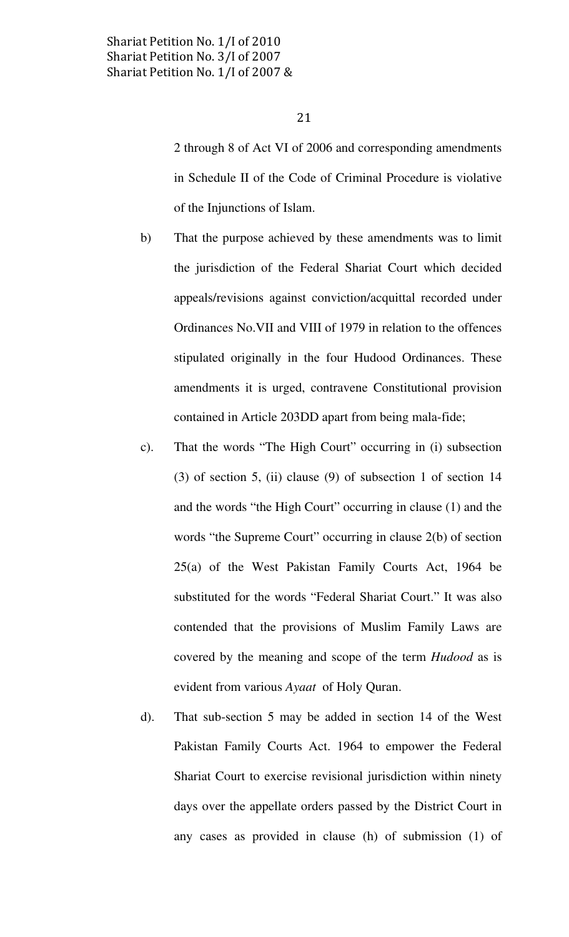2 through 8 of Act VI of 2006 and corresponding amendments in Schedule II of the Code of Criminal Procedure is violative of the Injunctions of Islam.

- b) That the purpose achieved by these amendments was to limit the jurisdiction of the Federal Shariat Court which decided appeals/revisions against conviction/acquittal recorded under Ordinances No.VII and VIII of 1979 in relation to the offences stipulated originally in the four Hudood Ordinances. These amendments it is urged, contravene Constitutional provision contained in Article 203DD apart from being mala-fide;
- c). That the words "The High Court" occurring in (i) subsection (3) of section 5, (ii) clause (9) of subsection 1 of section 14 and the words "the High Court" occurring in clause (1) and the words "the Supreme Court" occurring in clause 2(b) of section 25(a) of the West Pakistan Family Courts Act, 1964 be substituted for the words "Federal Shariat Court." It was also contended that the provisions of Muslim Family Laws are covered by the meaning and scope of the term Hudood as is evident from various Ayaat of Holy Quran.
- d). That sub-section 5 may be added in section 14 of the West Pakistan Family Courts Act. 1964 to empower the Federal Shariat Court to exercise revisional jurisdiction within ninety days over the appellate orders passed by the District Court in any cases as provided in clause (h) of submission (1) of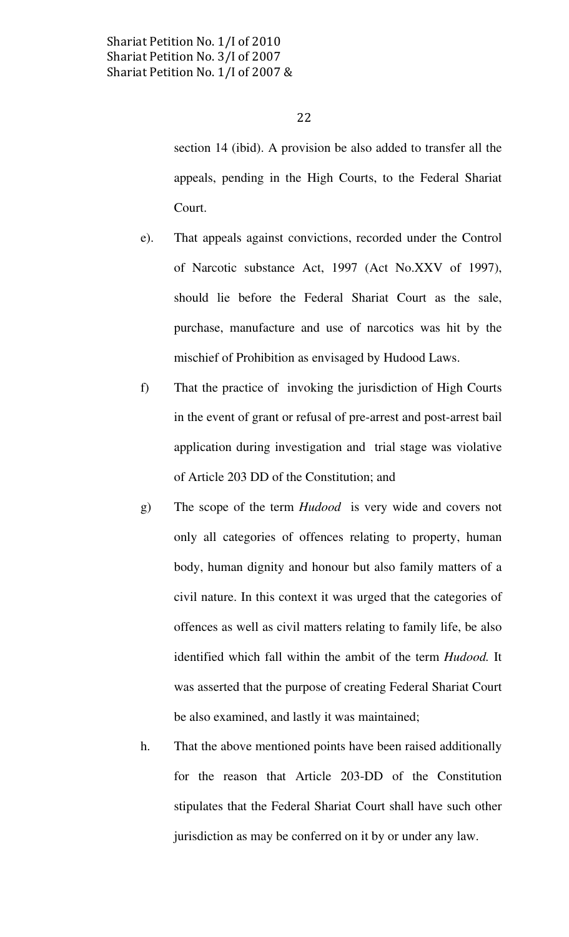section 14 (ibid). A provision be also added to transfer all the appeals, pending in the High Courts, to the Federal Shariat Court.

- e). That appeals against convictions, recorded under the Control of Narcotic substance Act, 1997 (Act No.XXV of 1997), should lie before the Federal Shariat Court as the sale, purchase, manufacture and use of narcotics was hit by the mischief of Prohibition as envisaged by Hudood Laws.
- f) That the practice of invoking the jurisdiction of High Courts in the event of grant or refusal of pre-arrest and post-arrest bail application during investigation and trial stage was violative of Article 203 DD of the Constitution; and
- g) The scope of the term Hudood is very wide and covers not only all categories of offences relating to property, human body, human dignity and honour but also family matters of a civil nature. In this context it was urged that the categories of offences as well as civil matters relating to family life, be also identified which fall within the ambit of the term *Hudood*. It was asserted that the purpose of creating Federal Shariat Court be also examined, and lastly it was maintained;
- h. That the above mentioned points have been raised additionally for the reason that Article 203-DD of the Constitution stipulates that the Federal Shariat Court shall have such other jurisdiction as may be conferred on it by or under any law.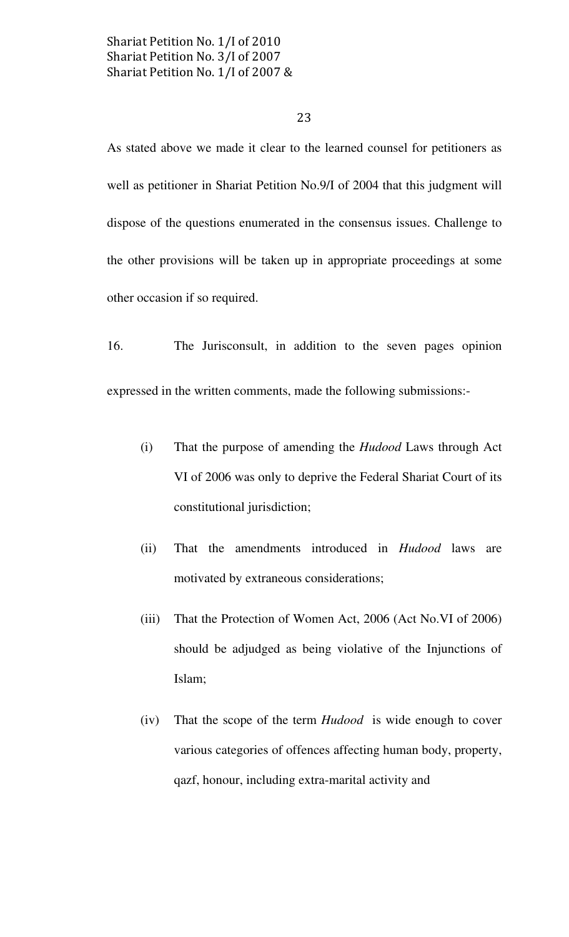# 23

As stated above we made it clear to the learned counsel for petitioners as well as petitioner in Shariat Petition No.9/I of 2004 that this judgment will dispose of the questions enumerated in the consensus issues. Challenge to the other provisions will be taken up in appropriate proceedings at some other occasion if so required.

16. The Jurisconsult, in addition to the seven pages opinion expressed in the written comments, made the following submissions:-

- (i) That the purpose of amending the Hudood Laws through Act VI of 2006 was only to deprive the Federal Shariat Court of its constitutional jurisdiction;
- (ii) That the amendments introduced in Hudood laws are motivated by extraneous considerations;
- (iii) That the Protection of Women Act, 2006 (Act No.VI of 2006) should be adjudged as being violative of the Injunctions of Islam;
- (iv) That the scope of the term Hudood is wide enough to cover various categories of offences affecting human body, property, qazf, honour, including extra-marital activity and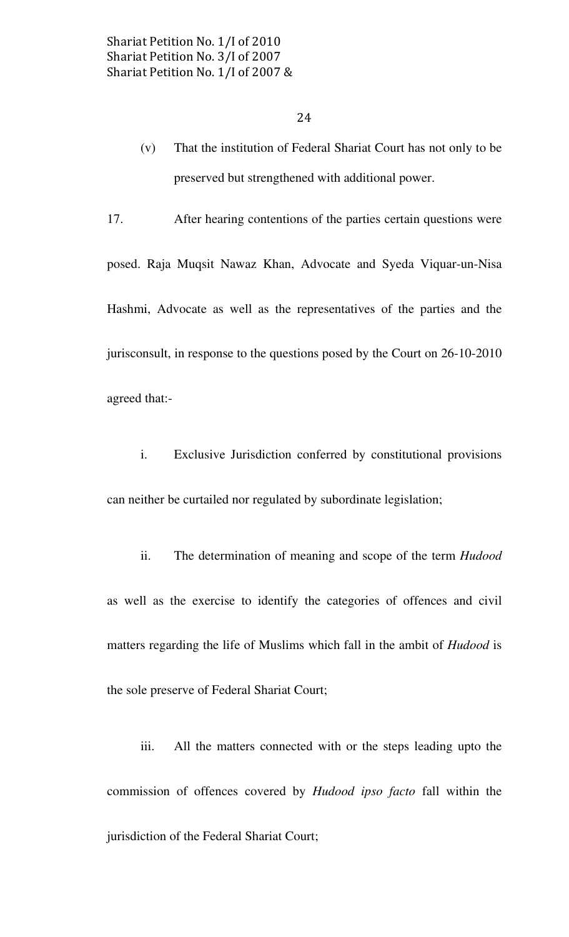- (v) That the institution of Federal Shariat Court has not only to be preserved but strengthened with additional power.
- 17. After hearing contentions of the parties certain questions were

posed. Raja Muqsit Nawaz Khan, Advocate and Syeda Viquar-un-Nisa Hashmi, Advocate as well as the representatives of the parties and the jurisconsult, in response to the questions posed by the Court on 26-10-2010 agreed that:-

 i. Exclusive Jurisdiction conferred by constitutional provisions can neither be curtailed nor regulated by subordinate legislation;

ii. The determination of meaning and scope of the term *Hudood* as well as the exercise to identify the categories of offences and civil matters regarding the life of Muslims which fall in the ambit of Hudood is the sole preserve of Federal Shariat Court;

 iii. All the matters connected with or the steps leading upto the commission of offences covered by Hudood ipso facto fall within the jurisdiction of the Federal Shariat Court;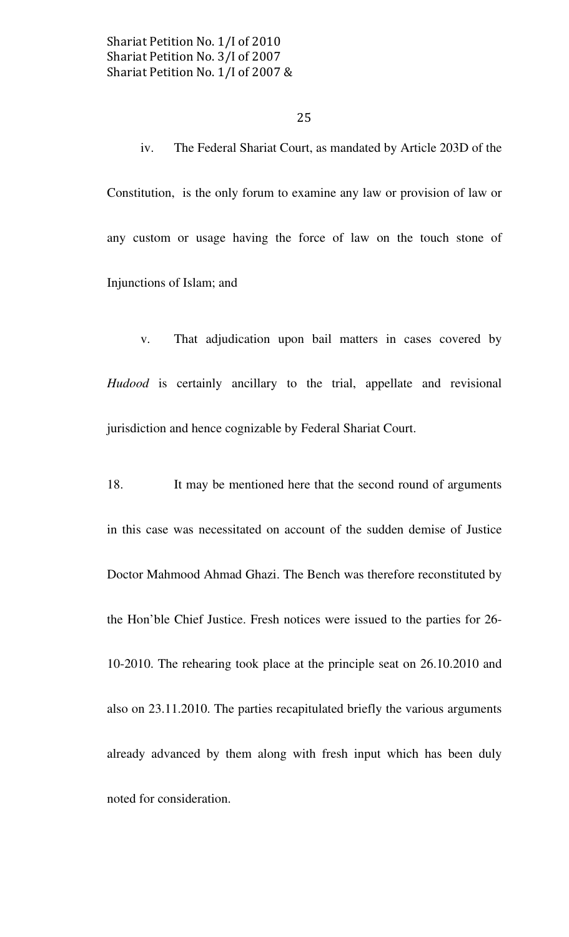iv. The Federal Shariat Court, as mandated by Article 203D of the Constitution, is the only forum to examine any law or provision of law or any custom or usage having the force of law on the touch stone of Injunctions of Islam; and

 v. That adjudication upon bail matters in cases covered by Hudood is certainly ancillary to the trial, appellate and revisional jurisdiction and hence cognizable by Federal Shariat Court.

18. It may be mentioned here that the second round of arguments in this case was necessitated on account of the sudden demise of Justice Doctor Mahmood Ahmad Ghazi. The Bench was therefore reconstituted by the Hon'ble Chief Justice. Fresh notices were issued to the parties for 26- 10-2010. The rehearing took place at the principle seat on 26.10.2010 and also on 23.11.2010. The parties recapitulated briefly the various arguments already advanced by them along with fresh input which has been duly noted for consideration.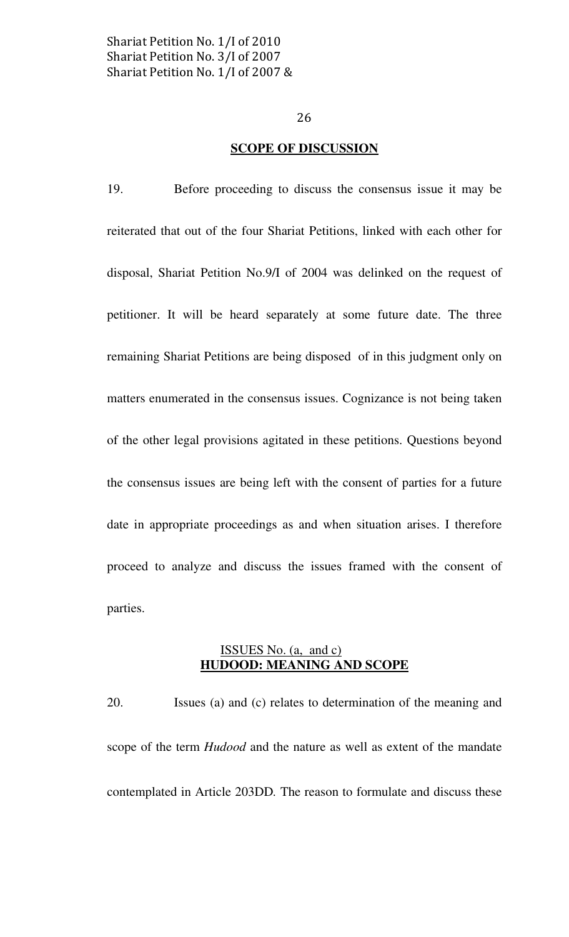#### SCOPE OF DISCUSSION

19. Before proceeding to discuss the consensus issue it may be reiterated that out of the four Shariat Petitions, linked with each other for disposal, Shariat Petition No.9/I of 2004 was delinked on the request of petitioner. It will be heard separately at some future date. The three remaining Shariat Petitions are being disposed of in this judgment only on matters enumerated in the consensus issues. Cognizance is not being taken of the other legal provisions agitated in these petitions. Questions beyond the consensus issues are being left with the consent of parties for a future date in appropriate proceedings as and when situation arises. I therefore proceed to analyze and discuss the issues framed with the consent of parties.

#### ISSUES No. (a, and c) HUDOOD: MEANING AND SCOPE

20. Issues (a) and (c) relates to determination of the meaning and scope of the term Hudood and the nature as well as extent of the mandate contemplated in Article 203DD. The reason to formulate and discuss these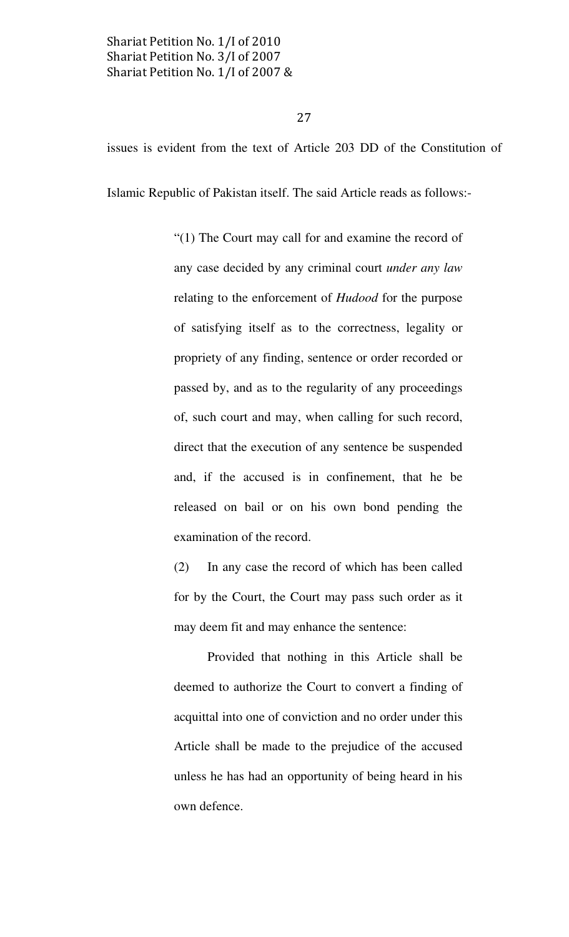27

issues is evident from the text of Article 203 DD of the Constitution of

Islamic Republic of Pakistan itself. The said Article reads as follows:-

"(1) The Court may call for and examine the record of any case decided by any criminal court *under any law* relating to the enforcement of Hudood for the purpose of satisfying itself as to the correctness, legality or propriety of any finding, sentence or order recorded or passed by, and as to the regularity of any proceedings of, such court and may, when calling for such record, direct that the execution of any sentence be suspended and, if the accused is in confinement, that he be released on bail or on his own bond pending the examination of the record.

(2) In any case the record of which has been called for by the Court, the Court may pass such order as it may deem fit and may enhance the sentence:

 Provided that nothing in this Article shall be deemed to authorize the Court to convert a finding of acquittal into one of conviction and no order under this Article shall be made to the prejudice of the accused unless he has had an opportunity of being heard in his own defence.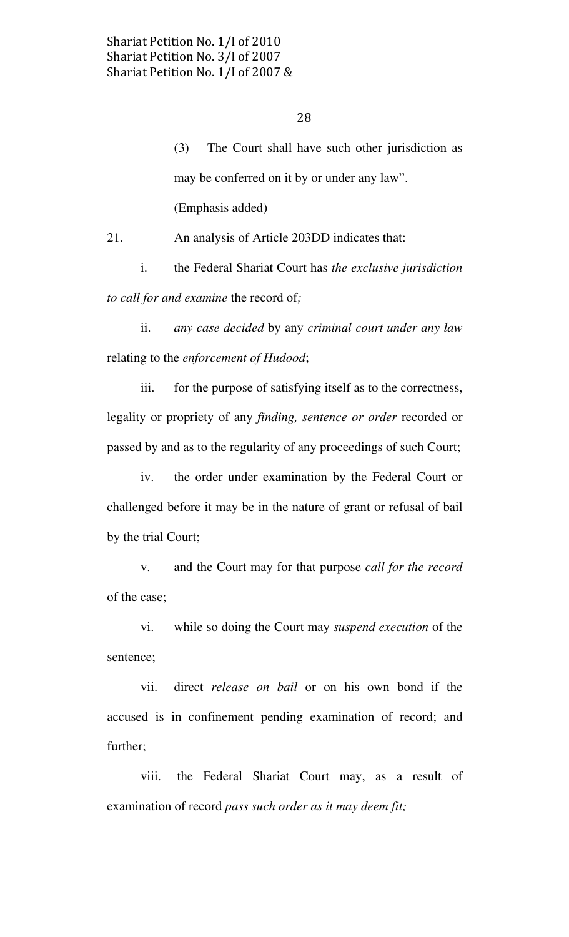(3) The Court shall have such other jurisdiction as may be conferred on it by or under any law". (Emphasis added)

21. An analysis of Article 203DD indicates that:

 i. the Federal Shariat Court has the exclusive jurisdiction to call for and examine the record of;

ii. any case decided by any criminal court under any law relating to the enforcement of Hudood;

 iii. for the purpose of satisfying itself as to the correctness, legality or propriety of any finding, sentence or order recorded or passed by and as to the regularity of any proceedings of such Court;

 iv. the order under examination by the Federal Court or challenged before it may be in the nature of grant or refusal of bail by the trial Court;

 v. and the Court may for that purpose call for the record of the case;

vi. while so doing the Court may suspend execution of the sentence;

vii. direct release on bail or on his own bond if the accused is in confinement pending examination of record; and further;

viii. the Federal Shariat Court may, as a result of examination of record pass such order as it may deem fit;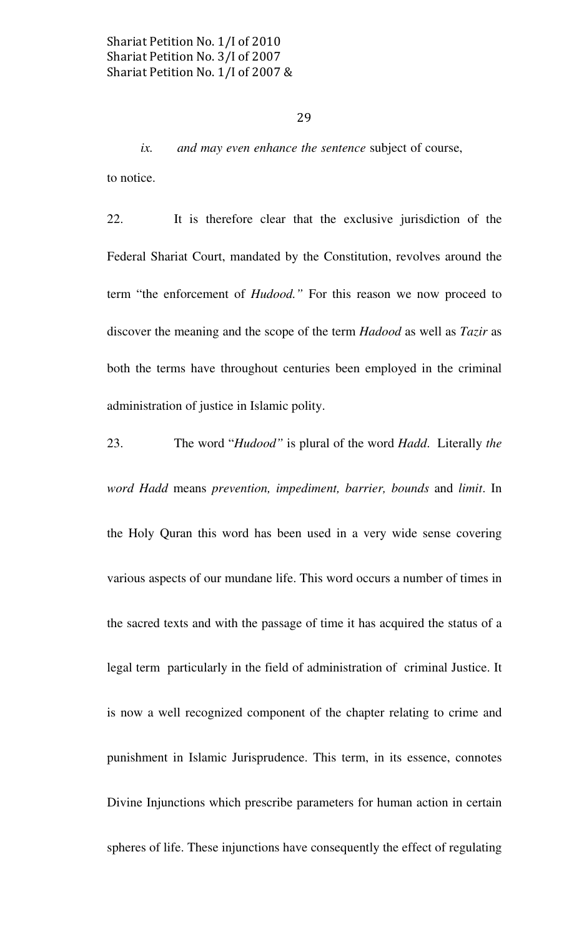ix. and may even enhance the sentence subject of course, to notice.

22. It is therefore clear that the exclusive jurisdiction of the Federal Shariat Court, mandated by the Constitution, revolves around the term "the enforcement of Hudood." For this reason we now proceed to discover the meaning and the scope of the term *Hadood* as well as *Tazir* as both the terms have throughout centuries been employed in the criminal administration of justice in Islamic polity.

23. The word "Hudood" is plural of the word Hadd. Literally the word Hadd means prevention, impediment, barrier, bounds and limit. In the Holy Quran this word has been used in a very wide sense covering various aspects of our mundane life. This word occurs a number of times in the sacred texts and with the passage of time it has acquired the status of a legal term particularly in the field of administration of criminal Justice. It is now a well recognized component of the chapter relating to crime and punishment in Islamic Jurisprudence. This term, in its essence, connotes Divine Injunctions which prescribe parameters for human action in certain spheres of life. These injunctions have consequently the effect of regulating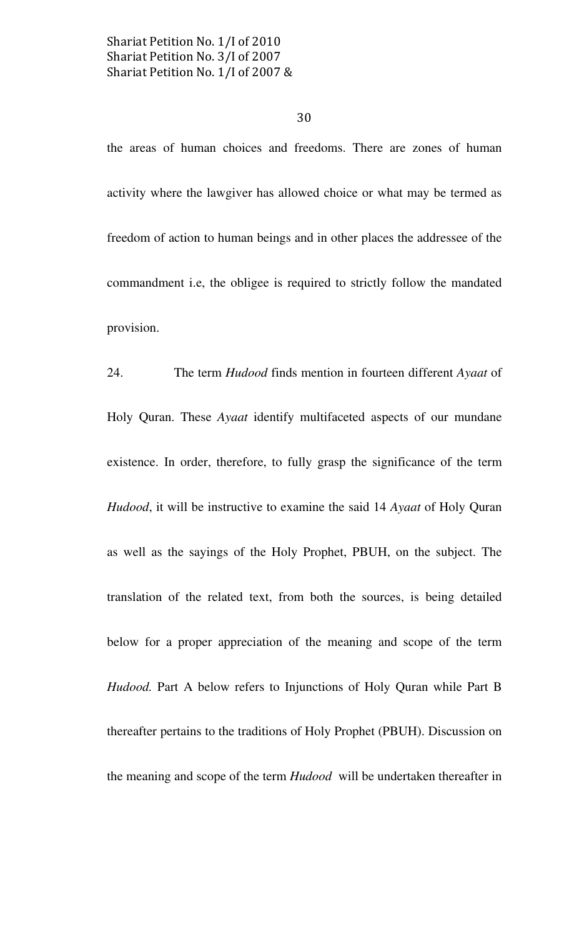30

the areas of human choices and freedoms. There are zones of human activity where the lawgiver has allowed choice or what may be termed as freedom of action to human beings and in other places the addressee of the commandment i.e, the obligee is required to strictly follow the mandated provision.

24. The term *Hudood* finds mention in fourteen different Ayaat of Holy Quran. These Ayaat identify multifaceted aspects of our mundane existence. In order, therefore, to fully grasp the significance of the term Hudood, it will be instructive to examine the said 14 Ayaat of Holy Quran as well as the sayings of the Holy Prophet, PBUH, on the subject. The translation of the related text, from both the sources, is being detailed below for a proper appreciation of the meaning and scope of the term Hudood. Part A below refers to Injunctions of Holy Quran while Part B thereafter pertains to the traditions of Holy Prophet (PBUH). Discussion on the meaning and scope of the term Hudood will be undertaken thereafter in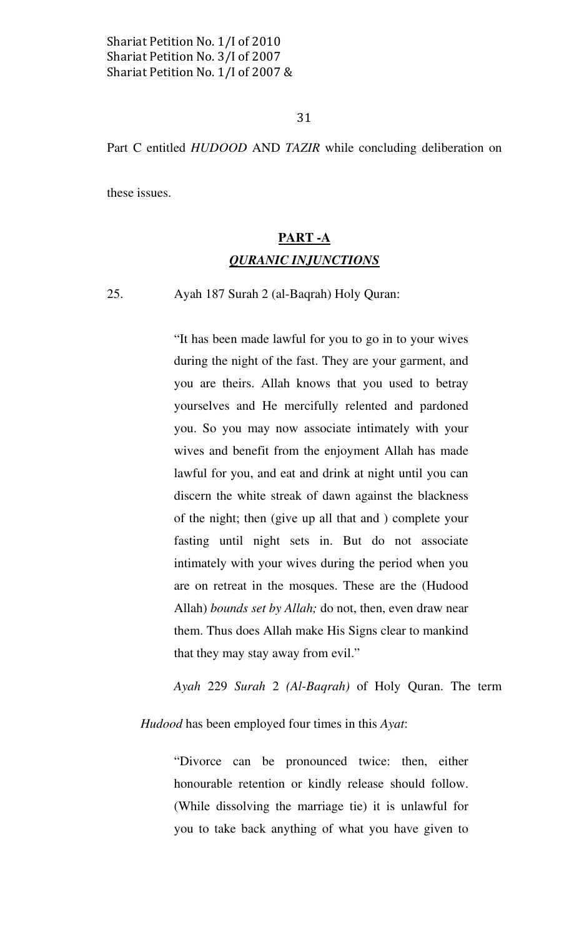# 31

Part C entitled HUDOOD AND TAZIR while concluding deliberation on

these issues.

# PART -A QURANIC INJUNCTIONS

25. Ayah 187 Surah 2 (al-Baqrah) Holy Quran:

"It has been made lawful for you to go in to your wives during the night of the fast. They are your garment, and you are theirs. Allah knows that you used to betray yourselves and He mercifully relented and pardoned you. So you may now associate intimately with your wives and benefit from the enjoyment Allah has made lawful for you, and eat and drink at night until you can discern the white streak of dawn against the blackness of the night; then (give up all that and ) complete your fasting until night sets in. But do not associate intimately with your wives during the period when you are on retreat in the mosques. These are the (Hudood Allah) bounds set by Allah; do not, then, even draw near them. Thus does Allah make His Signs clear to mankind that they may stay away from evil."

Ayah 229 Surah 2 (Al-Baqrah) of Holy Quran. The term

Hudood has been employed four times in this Ayat:

"Divorce can be pronounced twice: then, either honourable retention or kindly release should follow. (While dissolving the marriage tie) it is unlawful for you to take back anything of what you have given to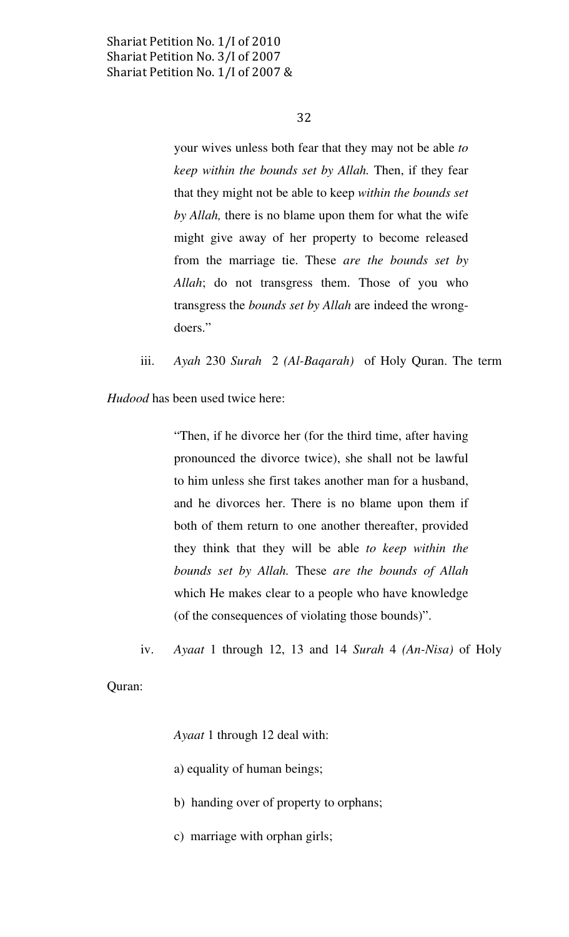32

your wives unless both fear that they may not be able to keep within the bounds set by Allah. Then, if they fear that they might not be able to keep within the bounds set by *Allah*, there is no blame upon them for what the wife might give away of her property to become released from the marriage tie. These are the bounds set by Allah; do not transgress them. Those of you who transgress the bounds set by Allah are indeed the wrongdoers."

iii. Ayah 230 Surah 2 (Al-Baqarah) of Holy Quran. The term

Hudood has been used twice here:

"Then, if he divorce her (for the third time, after having pronounced the divorce twice), she shall not be lawful to him unless she first takes another man for a husband, and he divorces her. There is no blame upon them if both of them return to one another thereafter, provided they think that they will be able to keep within the bounds set by Allah. These are the bounds of Allah which He makes clear to a people who have knowledge (of the consequences of violating those bounds)".

iv. Ayaat 1 through 12, 13 and 14 Surah 4 (An-Nisa) of Holy

Quran:

Ayaat 1 through 12 deal with:

- a) equality of human beings;
- b) handing over of property to orphans;
- c) marriage with orphan girls;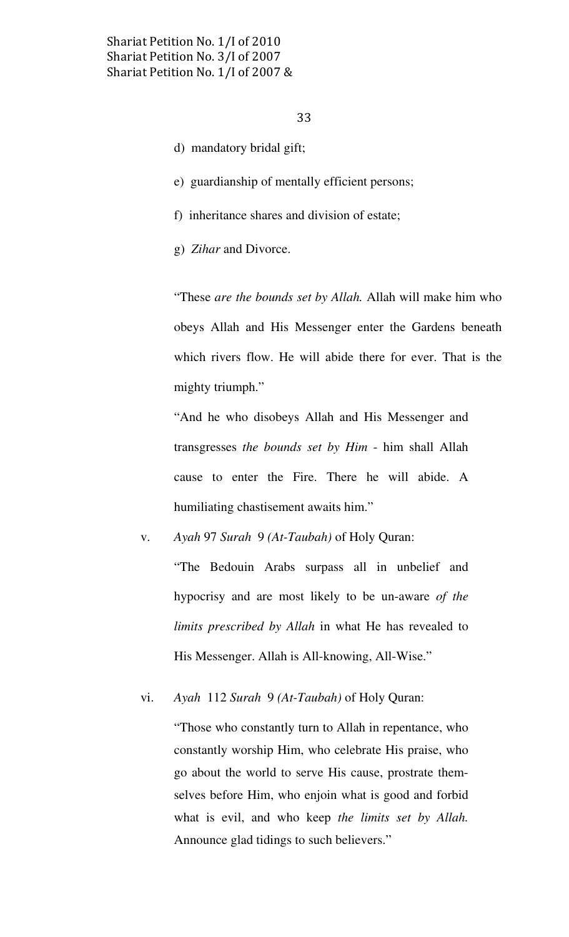- d) mandatory bridal gift;
- e) guardianship of mentally efficient persons;
- f) inheritance shares and division of estate;
- g) Zihar and Divorce.

"These are the bounds set by Allah. Allah will make him who obeys Allah and His Messenger enter the Gardens beneath which rivers flow. He will abide there for ever. That is the mighty triumph."

"And he who disobeys Allah and His Messenger and transgresses the bounds set by Him - him shall Allah cause to enter the Fire. There he will abide. A humiliating chastisement awaits him."

v. Ayah 97 Surah 9 (At-Taubah) of Holy Quran:

"The Bedouin Arabs surpass all in unbelief and hypocrisy and are most likely to be un-aware of the limits prescribed by Allah in what He has revealed to His Messenger. Allah is All-knowing, All-Wise."

vi. Ayah 112 Surah 9 (At-Taubah) of Holy Quran:

"Those who constantly turn to Allah in repentance, who constantly worship Him, who celebrate His praise, who go about the world to serve His cause, prostrate themselves before Him, who enjoin what is good and forbid what is evil, and who keep the limits set by Allah. Announce glad tidings to such believers."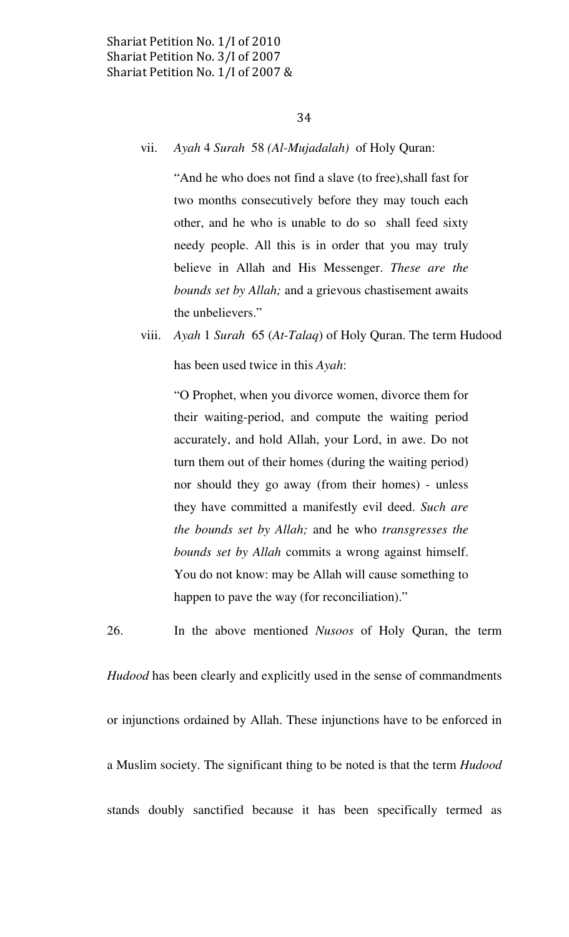#### vii. Ayah 4 Surah 58 (Al-Mujadalah) of Holy Quran:

"And he who does not find a slave (to free),shall fast for two months consecutively before they may touch each other, and he who is unable to do so shall feed sixty needy people. All this is in order that you may truly believe in Allah and His Messenger. These are the bounds set by Allah; and a grievous chastisement awaits the unbelievers."

viii. Ayah 1 Surah 65 (At-Talaq) of Holy Quran. The term Hudood has been used twice in this Ayah:

"O Prophet, when you divorce women, divorce them for their waiting-period, and compute the waiting period accurately, and hold Allah, your Lord, in awe. Do not turn them out of their homes (during the waiting period) nor should they go away (from their homes) - unless they have committed a manifestly evil deed. Such are the bounds set by Allah; and he who transgresses the bounds set by Allah commits a wrong against himself. You do not know: may be Allah will cause something to happen to pave the way (for reconciliation)."

Hudood has been clearly and explicitly used in the sense of commandments or injunctions ordained by Allah. These injunctions have to be enforced in a Muslim society. The significant thing to be noted is that the term Hudood stands doubly sanctified because it has been specifically termed as

26. In the above mentioned Nusoos of Holy Quran, the term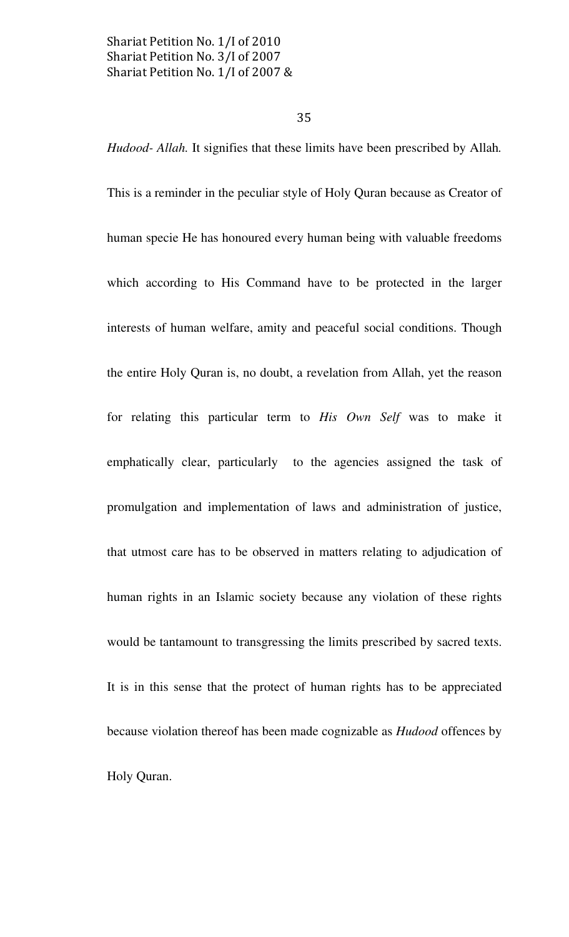#### 35

Hudood- Allah. It signifies that these limits have been prescribed by Allah. This is a reminder in the peculiar style of Holy Quran because as Creator of human specie He has honoured every human being with valuable freedoms which according to His Command have to be protected in the larger interests of human welfare, amity and peaceful social conditions. Though the entire Holy Quran is, no doubt, a revelation from Allah, yet the reason for relating this particular term to His Own Self was to make it emphatically clear, particularly to the agencies assigned the task of promulgation and implementation of laws and administration of justice, that utmost care has to be observed in matters relating to adjudication of human rights in an Islamic society because any violation of these rights would be tantamount to transgressing the limits prescribed by sacred texts. It is in this sense that the protect of human rights has to be appreciated because violation thereof has been made cognizable as Hudood offences by Holy Quran.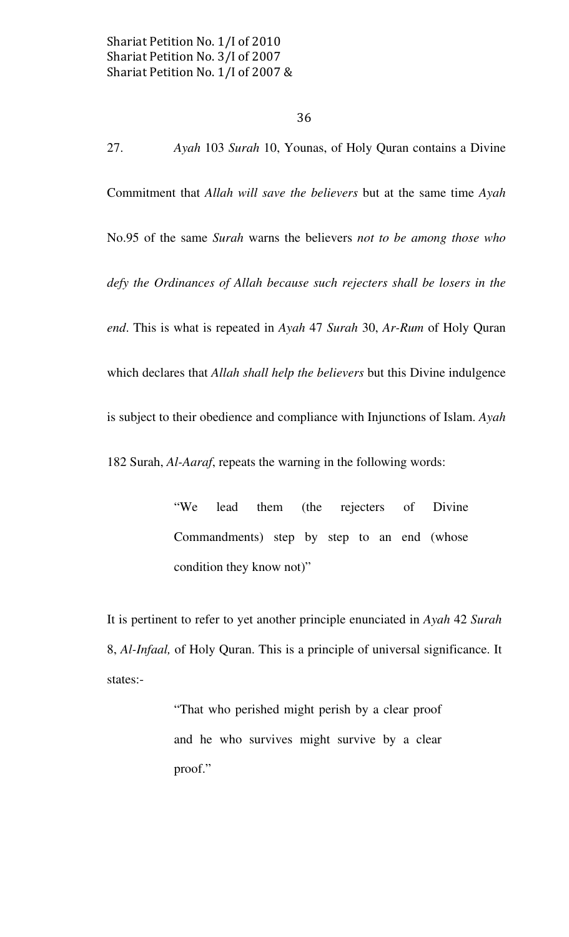27. Ayah 103 Surah 10, Younas, of Holy Quran contains a Divine Commitment that Allah will save the believers but at the same time Ayah No.95 of the same Surah warns the believers not to be among those who defy the Ordinances of Allah because such rejecters shall be losers in the end. This is what is repeated in Ayah 47 Surah 30, Ar-Rum of Holy Quran which declares that Allah shall help the believers but this Divine indulgence is subject to their obedience and compliance with Injunctions of Islam. Ayah 182 Surah, Al-Aaraf, repeats the warning in the following words:

> "We lead them (the rejecters of Divine Commandments) step by step to an end (whose condition they know not)"

It is pertinent to refer to yet another principle enunciated in Ayah 42 Surah 8, Al-Infaal, of Holy Quran. This is a principle of universal significance. It states:-

> "That who perished might perish by a clear proof and he who survives might survive by a clear proof."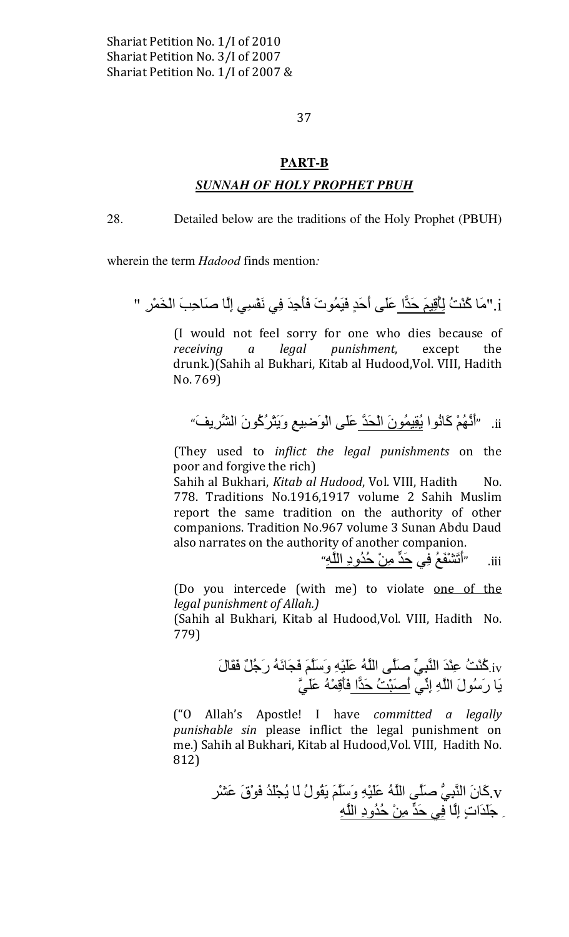37

## **PART-B**

## **SUNNAH OF HOLY PROPHET PBUH**

28. Detailed below are the traditions of the Holy Prophet (PBUH)

wherein the term *Hadood* finds mention:

i .''مَا كُنْتُ لِأَقِيمَ حَدًّا عَلَى أَحَدٍ فَيَمُوتَ فَأَجِدَ فِي نَفْسِي إِلَّا صَاحِبَ الْخَمْرِ. ''

(I would not feel sorry for one who dies because of legal punishment, receiving except the  $\boldsymbol{a}$ drunk.)(Sahih al Bukhari, Kitab al Hudood, Vol. VIII, Hadith No. 769)

"أَنَّهُمْ كَانُوا يُقِيمُونَ الْحَدَّ عَلَى الْوَضِيعِ وَيَتْرُكُونَ الشَّرِيفَ"  $\overline{\mathbf{u}}$ 

(They used to inflict the legal punishments on the poor and forgive the rich)

Sahih al Bukhari, Kitab al Hudood, Vol. VIII, Hadith  $No.$ 778. Traditions No.1916,1917 volume 2 Sahih Muslim report the same tradition on the authority of other companions. Tradition No.967 volume 3 Sunan Abdu Daud also narrates on the authority of another companion.<br>"أَتَشْفَعُ فِي حَدٍّ مِنْ حُذُودِ اللَّهِ"

.iii

(Do you intercede (with me) to violate one of the legal punishment of Allah.)

(Sahih al Bukhari, Kitab al Hudood, Vol. VIII, Hadith No. 779)

iv.كُنْتُ عِنْدَ النَّبِيِّ صلَّى اللَّهُ عَلَيْهِ وَسَلَّمَ فَجَانَهُ رَجُلٌ فَقَالَ<br>يَا رَسُولَ اللَّهِ إِنِّي أَصَبْتُ حَدًّا فَأَقِمْهُ عَلَىَّ

("O Allah's Apostle! I have committed a legally punishable sin please inflict the legal punishment on me.) Sahih al Bukhari, Kitab al Hudood, Vol. VIII, Hadith No. 812)

> y كَانَ النَّبِيُّ صَلَّى اللَّهُ عَلَيْهِ وَسَلَّمَ يَقُولُ لَا يُجْلُدُ فَوْقَ عَشْر ِ جَلّدَاتٍ إِلَّا فِي حَدٍّ مِنْ حُدُودِ اللَّهِ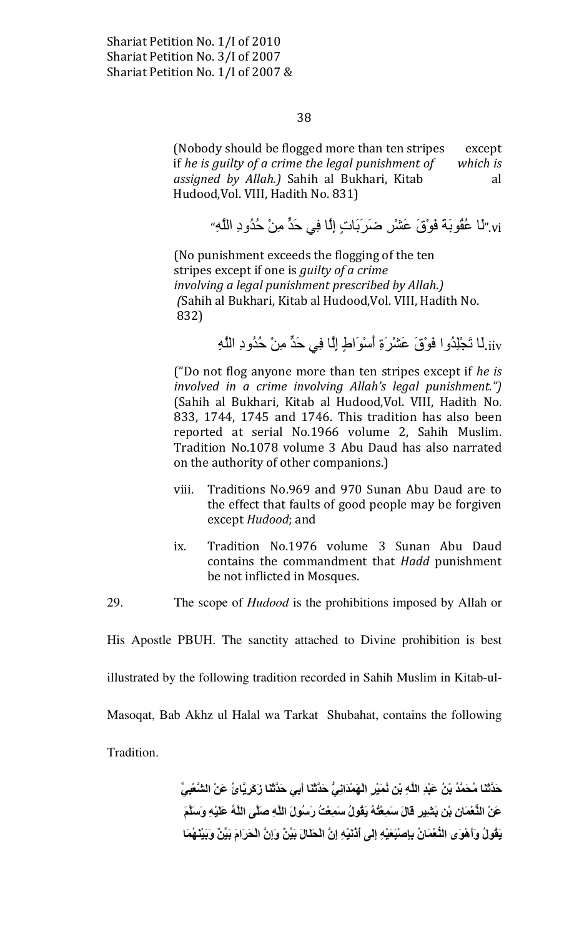38

(Nobody should be flogged more than ten stripes except if he is guilty of a crime the legal punishment of which is assigned by Allah.) Sahih al Bukhari, Kitab al Hudood, Vol. VIII, Hadith No. 831)

vi. "لَمْ عُقُوبَهْ فَوْقَ عَشْرٍ ضَرَبَاتٍ إِلَّا فِي حَدٍّ مِنْ حُدُودِ اللَّهِ"

(No punishment exceeds the flogging of the ten stripes except if one is *guilty of a crime* involving a legal punishment prescribed by Allah.) (Sahih al Bukhari, Kitab al Hudood, Vol. VIII, Hadith No. 832)

iiv.لَا تَجْلِدُوا فَوْقَ عَشْرَةِ أَسْوَاطِ إِلَّا فِي حَدٍّ مِنْ حُدُودِ اللَّهِ

("Do not flog anyone more than ten stripes except if he is involved in a crime involving Allah's legal punishment.") (Sahih al Bukhari, Kitab al Hudood, Vol. VIII, Hadith No. 833, 1744, 1745 and 1746. This tradition has also been reported at serial No.1966 volume 2, Sahih Muslim. Tradition No.1078 volume 3 Abu Daud has also narrated on the authority of other companions.)

- Traditions No.969 and 970 Sunan Abu Daud are to viii. the effect that faults of good people may be forgiven except Hudood; and
- Tradition No.1976 volume 3 Sunan Abu Daud ix. contains the commandment that Hadd punishment be not inflicted in Mosques.
- 29. The scope of *Hudood* is the prohibitions imposed by Allah or

His Apostle PBUH. The sanctity attached to Divine prohibition is best

illustrated by the following tradition recorded in Sahih Muslim in Kitab-ul-

Masoqat, Bab Akhz ul Halal wa Tarkat Shubahat, contains the following

Tradition.

حَدَّثَنَا مُحَمَّدُ بْنُ عَبْدِ اللَّهِ بْنِ نُمَيْرِ الْهَمْدَانِيُّ حَدَّثَنَا أَبِي حَدَّثَنَا زَكَرِيَّائُ عَنْ الشَّعْبِيِّ عَنْ النُّعْمَانِ بْنِ بَشِيرٍ قَالَ سَمِعْتُهُ يَقُولُ سَمِعْتُ رَسُولَ اللَّهِ صلَّى اللَّهُ عَلَيْهِ وَسلَّمَ يَقُولُ وَأَهْوَى النُّعْمَانُ بِإِصْبَعَيْهِ إِلَى أَدْنَيْهِ إِنَّ الْحَلَالَ بَيِّنٌ وَإِنَّ الْحَرَامَ بَيِّنٌ وَبَيْنَهُمَا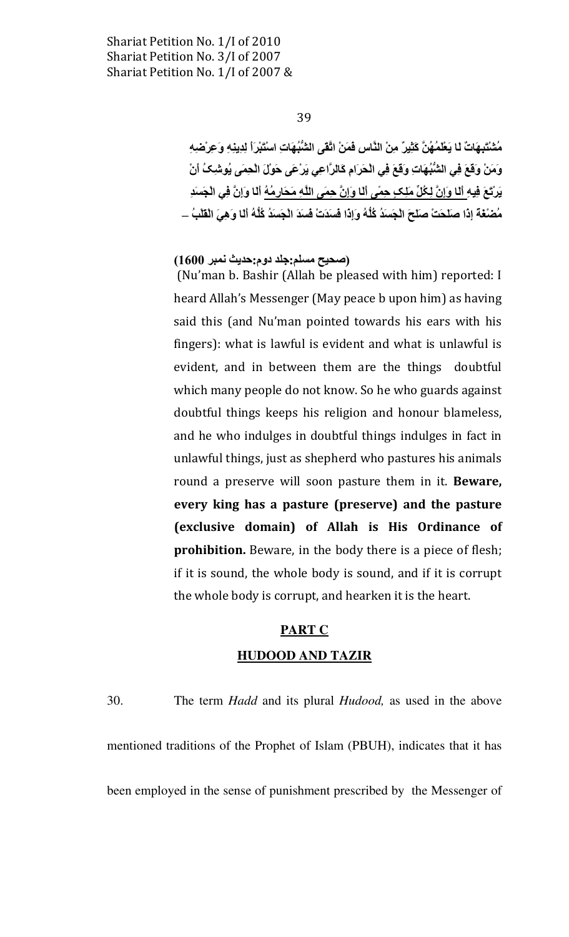#### 39

مُشْتَبِهَاتٌ لَا يَعْلَمُهُنَّ كَثِيرٌ مِنْ النَّاسِ فَمَنْ اتَّقَى الشُّبُهَاتِ اسْتَبْرِاً لِدِينِهِ وَعِرْضه وَمَنْ وَقِعَ فِي الشُّبُهَاتِ وَقِعَ فِي الْحَرَامِ كَالرَّاعِي يَرْعَى حَوْلَ الْحِمَى يُوشِكُ أَنْ يَرْتَعَ فِيهِ أَلَـا وَإِنَّ لِكُلِّ مَلِـكٍ حِمَّى أَلَـا وَإِنَّ حِمَى اللَّهِ مَحَارِمُهُ أَلَـا وَإِنَّ فِي الْجَسَدِ مُصْنْعَةَ إِذَا صَلَحَتْ صَلَحَ الْجَسَدُ كُلُّهُ وَإِذَا فَسَدَتْ فَسَدَ الْجَسَدُ كُلُّهُ أَلَـا وَهِيَ الْقَلْبُ \_

## (صحيح مسلم:جلد دوم:حديث نمبر 1600)

(Nu'man b. Bashir (Allah be pleased with him) reported: I heard Allah's Messenger (May peace b upon him) as having said this (and Nu'man pointed towards his ears with his fingers): what is lawful is evident and what is unlawful is evident, and in between them are the things doubtful which many people do not know. So he who guards against doubtful things keeps his religion and honour blameless, and he who indulges in doubtful things indulges in fact in unlawful things, just as shepherd who pastures his animals round a preserve will soon pasture them in it. Beware, every king has a pasture (preserve) and the pasture (exclusive domain) of Allah is His Ordinance of prohibition. Beware, in the body there is a piece of flesh; if it is sound, the whole body is sound, and if it is corrupt the whole body is corrupt, and hearken it is the heart.

# **PART C**

#### **HUDOOD AND TAZIR**

30. The term *Hadd* and its plural *Hudood*, as used in the above mentioned traditions of the Prophet of Islam (PBUH), indicates that it has been employed in the sense of punishment prescribed by the Messenger of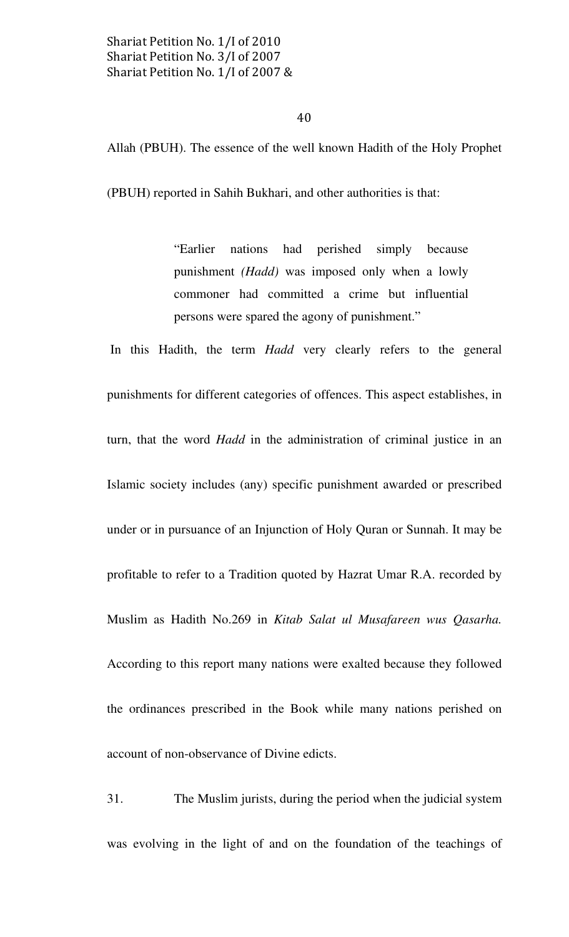40

Allah (PBUH). The essence of the well known Hadith of the Holy Prophet

(PBUH) reported in Sahih Bukhari, and other authorities is that:

"Earlier nations had perished simply because punishment (Hadd) was imposed only when a lowly commoner had committed a crime but influential persons were spared the agony of punishment."

In this Hadith, the term Hadd very clearly refers to the general punishments for different categories of offences. This aspect establishes, in turn, that the word *Hadd* in the administration of criminal justice in an Islamic society includes (any) specific punishment awarded or prescribed under or in pursuance of an Injunction of Holy Quran or Sunnah. It may be profitable to refer to a Tradition quoted by Hazrat Umar R.A. recorded by Muslim as Hadith No.269 in Kitab Salat ul Musafareen wus Qasarha. According to this report many nations were exalted because they followed the ordinances prescribed in the Book while many nations perished on account of non-observance of Divine edicts.

31. The Muslim jurists, during the period when the judicial system was evolving in the light of and on the foundation of the teachings of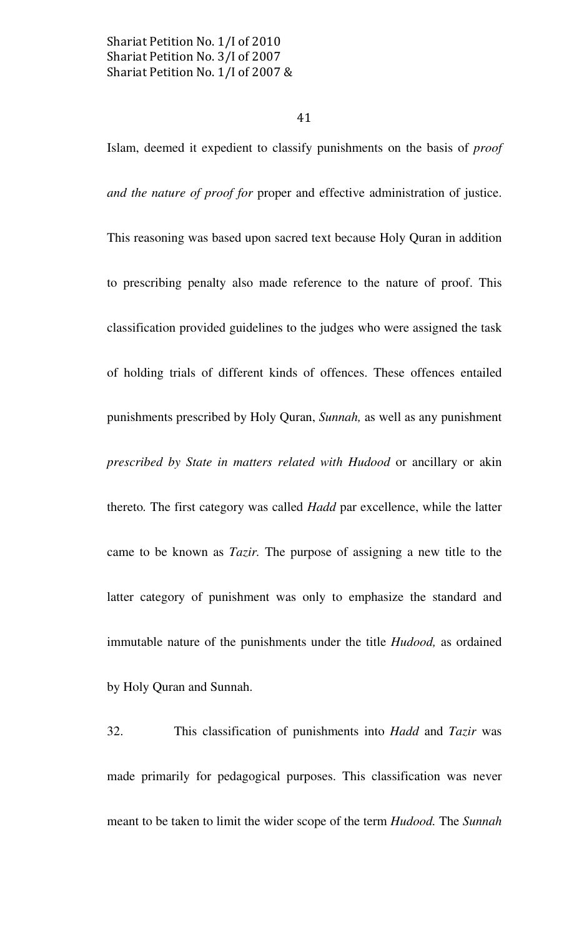41

Islam, deemed it expedient to classify punishments on the basis of proof and the nature of proof for proper and effective administration of justice. This reasoning was based upon sacred text because Holy Quran in addition to prescribing penalty also made reference to the nature of proof. This classification provided guidelines to the judges who were assigned the task of holding trials of different kinds of offences. These offences entailed punishments prescribed by Holy Quran, Sunnah, as well as any punishment prescribed by State in matters related with Hudood or ancillary or akin thereto. The first category was called Hadd par excellence, while the latter came to be known as Tazir. The purpose of assigning a new title to the latter category of punishment was only to emphasize the standard and immutable nature of the punishments under the title Hudood, as ordained by Holy Quran and Sunnah.

32. This classification of punishments into Hadd and Tazir was made primarily for pedagogical purposes. This classification was never meant to be taken to limit the wider scope of the term Hudood. The Sunnah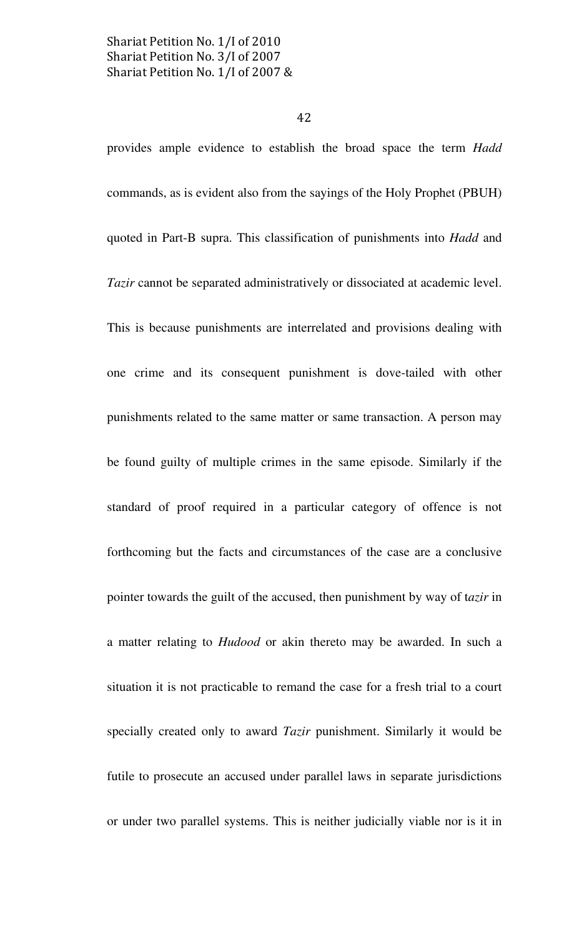provides ample evidence to establish the broad space the term Hadd commands, as is evident also from the sayings of the Holy Prophet (PBUH) quoted in Part-B supra. This classification of punishments into Hadd and Tazir cannot be separated administratively or dissociated at academic level. This is because punishments are interrelated and provisions dealing with one crime and its consequent punishment is dove-tailed with other punishments related to the same matter or same transaction. A person may be found guilty of multiple crimes in the same episode. Similarly if the standard of proof required in a particular category of offence is not forthcoming but the facts and circumstances of the case are a conclusive pointer towards the guilt of the accused, then punishment by way of tazir in a matter relating to Hudood or akin thereto may be awarded. In such a situation it is not practicable to remand the case for a fresh trial to a court specially created only to award *Tazir* punishment. Similarly it would be futile to prosecute an accused under parallel laws in separate jurisdictions or under two parallel systems. This is neither judicially viable nor is it in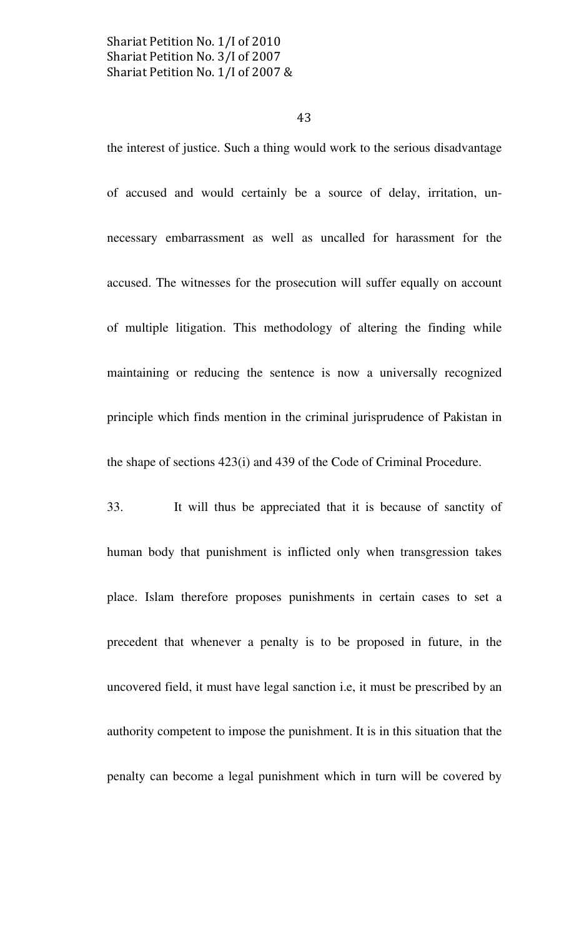#### 43

the interest of justice. Such a thing would work to the serious disadvantage of accused and would certainly be a source of delay, irritation, unnecessary embarrassment as well as uncalled for harassment for the accused. The witnesses for the prosecution will suffer equally on account of multiple litigation. This methodology of altering the finding while maintaining or reducing the sentence is now a universally recognized principle which finds mention in the criminal jurisprudence of Pakistan in the shape of sections 423(i) and 439 of the Code of Criminal Procedure.

33. It will thus be appreciated that it is because of sanctity of human body that punishment is inflicted only when transgression takes place. Islam therefore proposes punishments in certain cases to set a precedent that whenever a penalty is to be proposed in future, in the uncovered field, it must have legal sanction i.e, it must be prescribed by an authority competent to impose the punishment. It is in this situation that the penalty can become a legal punishment which in turn will be covered by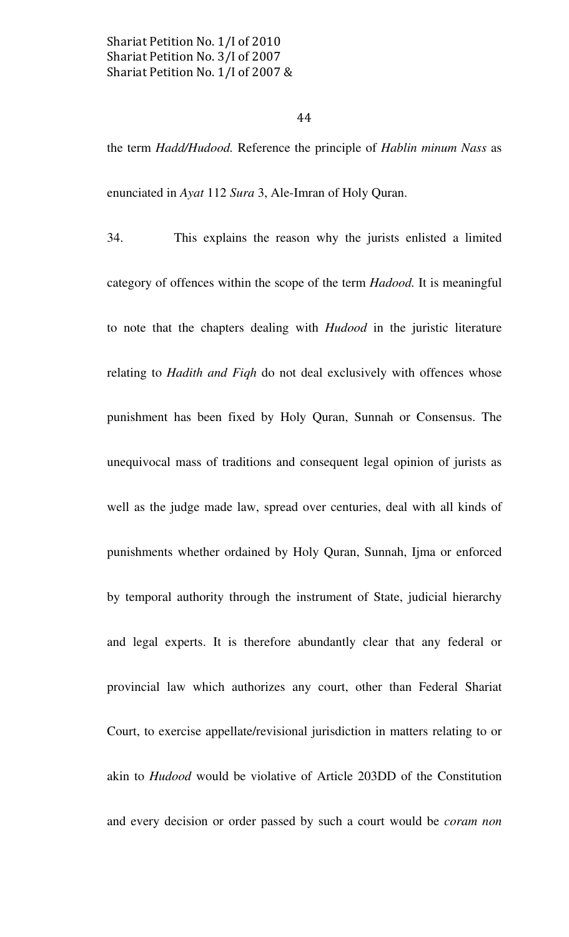#### 44

the term Hadd/Hudood. Reference the principle of Hablin minum Nass as enunciated in Ayat 112 Sura 3, Ale-Imran of Holy Quran.

34. This explains the reason why the jurists enlisted a limited category of offences within the scope of the term Hadood. It is meaningful to note that the chapters dealing with Hudood in the juristic literature relating to *Hadith and Fiqh* do not deal exclusively with offences whose punishment has been fixed by Holy Quran, Sunnah or Consensus. The unequivocal mass of traditions and consequent legal opinion of jurists as well as the judge made law, spread over centuries, deal with all kinds of punishments whether ordained by Holy Quran, Sunnah, Ijma or enforced by temporal authority through the instrument of State, judicial hierarchy and legal experts. It is therefore abundantly clear that any federal or provincial law which authorizes any court, other than Federal Shariat Court, to exercise appellate/revisional jurisdiction in matters relating to or akin to Hudood would be violative of Article 203DD of the Constitution and every decision or order passed by such a court would be *coram non*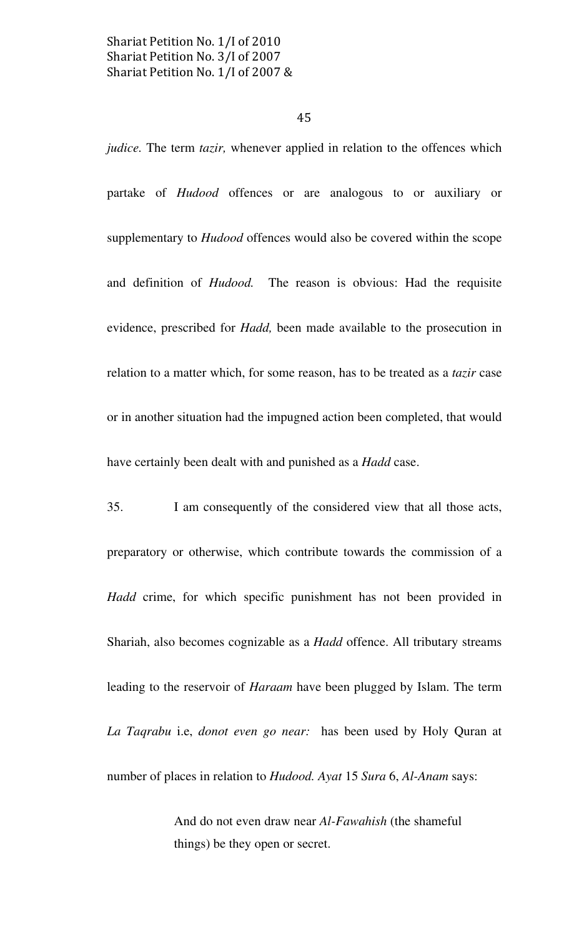45

judice. The term tazir, whenever applied in relation to the offences which partake of Hudood offences or are analogous to or auxiliary or supplementary to *Hudood* offences would also be covered within the scope and definition of Hudood. The reason is obvious: Had the requisite evidence, prescribed for Hadd, been made available to the prosecution in relation to a matter which, for some reason, has to be treated as a tazir case or in another situation had the impugned action been completed, that would have certainly been dealt with and punished as a *Hadd* case.

35. I am consequently of the considered view that all those acts, preparatory or otherwise, which contribute towards the commission of a Hadd crime, for which specific punishment has not been provided in Shariah, also becomes cognizable as a Hadd offence. All tributary streams leading to the reservoir of Haraam have been plugged by Islam. The term La Taqrabu i.e, donot even go near: has been used by Holy Quran at number of places in relation to Hudood. Ayat 15 Sura 6, Al-Anam says:

> And do not even draw near Al-Fawahish (the shameful things) be they open or secret.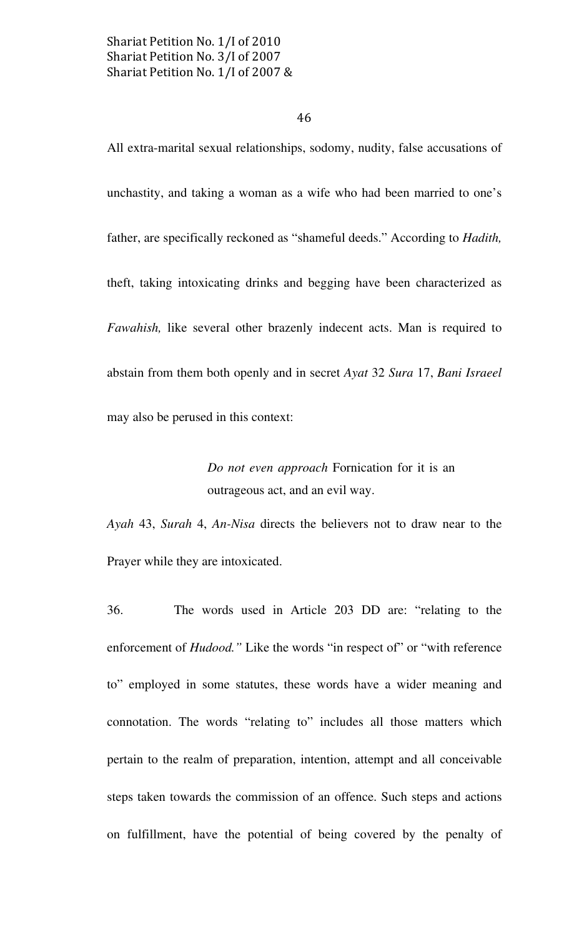#### 46

All extra-marital sexual relationships, sodomy, nudity, false accusations of unchastity, and taking a woman as a wife who had been married to one's father, are specifically reckoned as "shameful deeds." According to Hadith, theft, taking intoxicating drinks and begging have been characterized as Fawahish, like several other brazenly indecent acts. Man is required to abstain from them both openly and in secret Ayat 32 Sura 17, Bani Israeel may also be perused in this context:

> Do not even approach Fornication for it is an outrageous act, and an evil way.

Ayah 43, Surah 4, An-Nisa directs the believers not to draw near to the Prayer while they are intoxicated.

36. The words used in Article 203 DD are: "relating to the enforcement of *Hudood*." Like the words "in respect of" or "with reference to" employed in some statutes, these words have a wider meaning and connotation. The words "relating to" includes all those matters which pertain to the realm of preparation, intention, attempt and all conceivable steps taken towards the commission of an offence. Such steps and actions on fulfillment, have the potential of being covered by the penalty of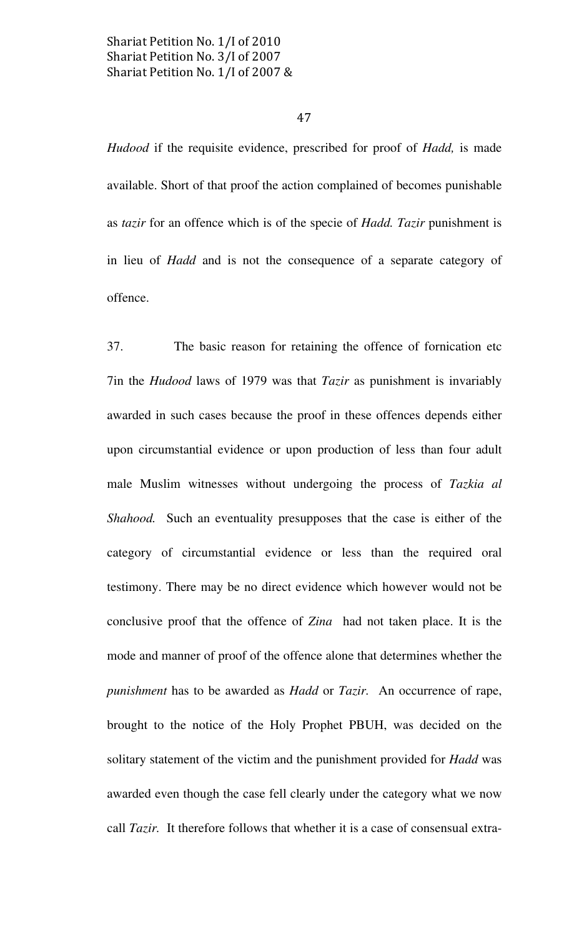#### 47

Hudood if the requisite evidence, prescribed for proof of Hadd, is made available. Short of that proof the action complained of becomes punishable as tazir for an offence which is of the specie of *Hadd*. Tazir punishment is in lieu of Hadd and is not the consequence of a separate category of offence.

37. The basic reason for retaining the offence of fornication etc 7in the Hudood laws of 1979 was that Tazir as punishment is invariably awarded in such cases because the proof in these offences depends either upon circumstantial evidence or upon production of less than four adult male Muslim witnesses without undergoing the process of Tazkia al Shahood. Such an eventuality presupposes that the case is either of the category of circumstantial evidence or less than the required oral testimony. There may be no direct evidence which however would not be conclusive proof that the offence of Zina had not taken place. It is the mode and manner of proof of the offence alone that determines whether the punishment has to be awarded as *Hadd* or *Tazir*. An occurrence of rape, brought to the notice of the Holy Prophet PBUH, was decided on the solitary statement of the victim and the punishment provided for Hadd was awarded even though the case fell clearly under the category what we now call Tazir. It therefore follows that whether it is a case of consensual extra-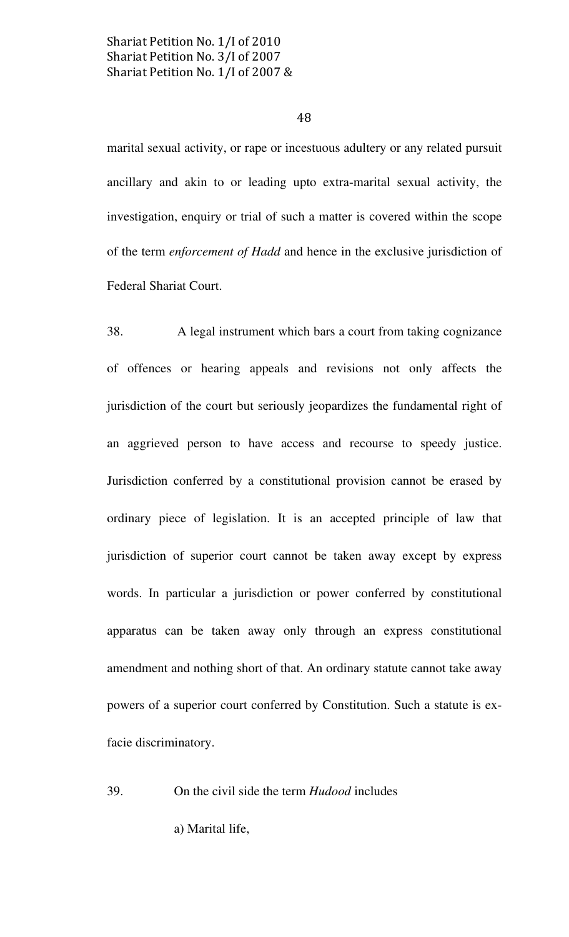48

marital sexual activity, or rape or incestuous adultery or any related pursuit ancillary and akin to or leading upto extra-marital sexual activity, the investigation, enquiry or trial of such a matter is covered within the scope of the term enforcement of Hadd and hence in the exclusive jurisdiction of Federal Shariat Court.

38. A legal instrument which bars a court from taking cognizance of offences or hearing appeals and revisions not only affects the jurisdiction of the court but seriously jeopardizes the fundamental right of an aggrieved person to have access and recourse to speedy justice. Jurisdiction conferred by a constitutional provision cannot be erased by ordinary piece of legislation. It is an accepted principle of law that jurisdiction of superior court cannot be taken away except by express words. In particular a jurisdiction or power conferred by constitutional apparatus can be taken away only through an express constitutional amendment and nothing short of that. An ordinary statute cannot take away powers of a superior court conferred by Constitution. Such a statute is exfacie discriminatory.

39. On the civil side the term Hudood includes

a) Marital life,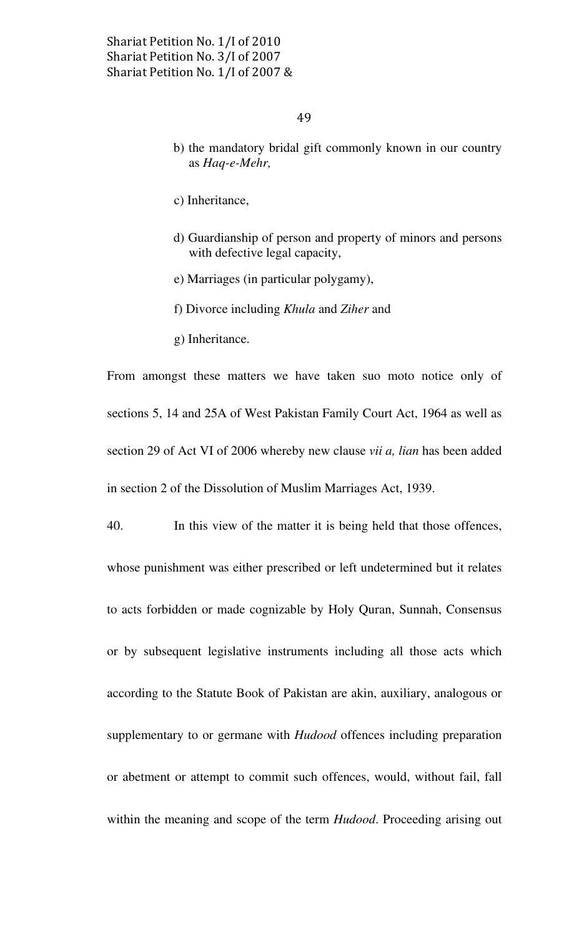- b) the mandatory bridal gift commonly known in our country as Haq-e-Mehr,
- c) Inheritance,
- d) Guardianship of person and property of minors and persons with defective legal capacity,
- e) Marriages (in particular polygamy),
- f) Divorce including Khula and Ziher and
- g) Inheritance.

From amongst these matters we have taken suo moto notice only of sections 5, 14 and 25A of West Pakistan Family Court Act, 1964 as well as section 29 of Act VI of 2006 whereby new clause *vii a, lian* has been added in section 2 of the Dissolution of Muslim Marriages Act, 1939.

40. In this view of the matter it is being held that those offences, whose punishment was either prescribed or left undetermined but it relates to acts forbidden or made cognizable by Holy Quran, Sunnah, Consensus or by subsequent legislative instruments including all those acts which according to the Statute Book of Pakistan are akin, auxiliary, analogous or supplementary to or germane with *Hudood* offences including preparation or abetment or attempt to commit such offences, would, without fail, fall within the meaning and scope of the term *Hudood*. Proceeding arising out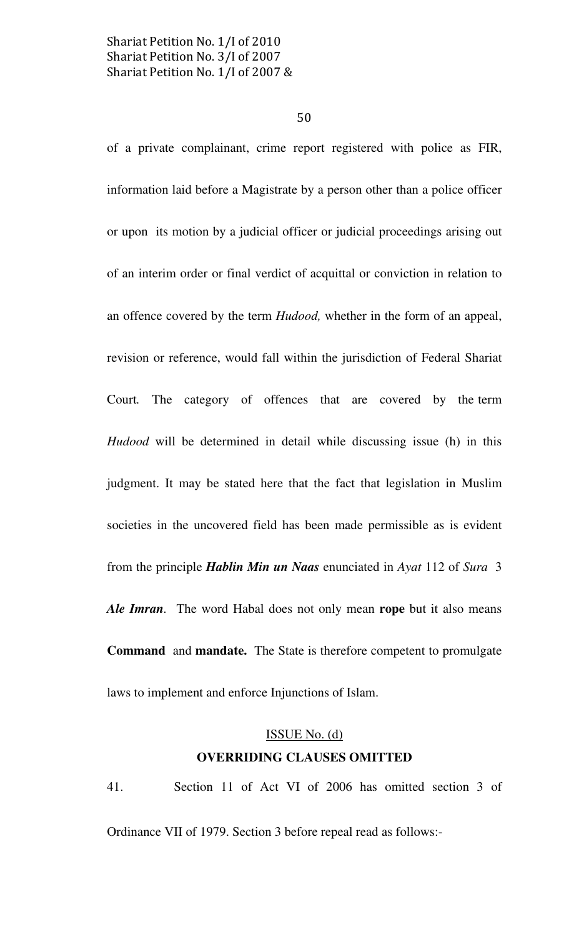50

of a private complainant, crime report registered with police as FIR, information laid before a Magistrate by a person other than a police officer or upon its motion by a judicial officer or judicial proceedings arising out of an interim order or final verdict of acquittal or conviction in relation to an offence covered by the term Hudood, whether in the form of an appeal, revision or reference, would fall within the jurisdiction of Federal Shariat Court. The category of offences that are covered by the term Hudood will be determined in detail while discussing issue (h) in this judgment. It may be stated here that the fact that legislation in Muslim societies in the uncovered field has been made permissible as is evident from the principle *Hablin Min un Naas* enunciated in Ayat 112 of Sura 3 Ale Imran. The word Habal does not only mean rope but it also means Command and mandate. The State is therefore competent to promulgate laws to implement and enforce Injunctions of Islam.

## ISSUE No. (d) OVERRIDING CLAUSES OMITTED

41. Section 11 of Act VI of 2006 has omitted section 3 of Ordinance VII of 1979. Section 3 before repeal read as follows:-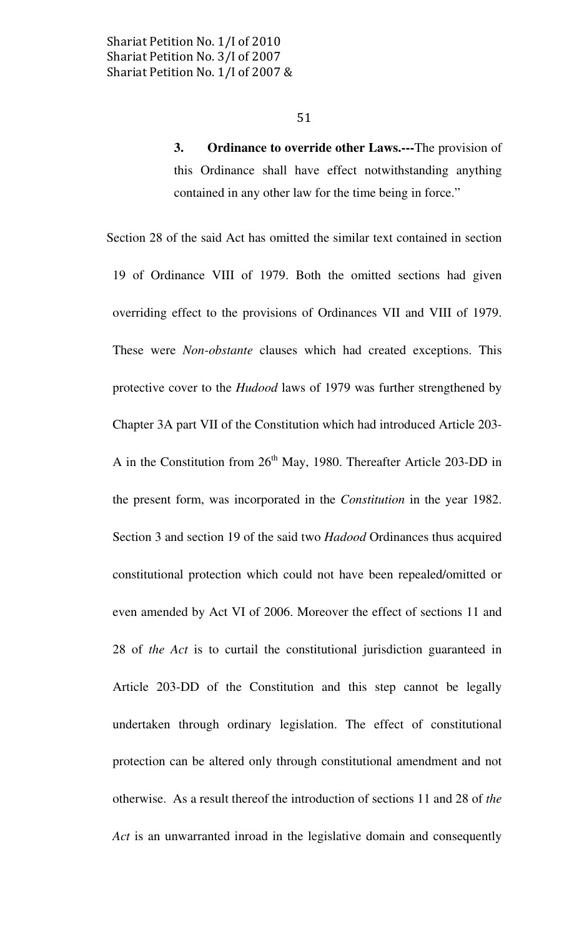3. Ordinance to override other Laws.---The provision of this Ordinance shall have effect notwithstanding anything contained in any other law for the time being in force."

 Section 28 of the said Act has omitted the similar text contained in section 19 of Ordinance VIII of 1979. Both the omitted sections had given overriding effect to the provisions of Ordinances VII and VIII of 1979. These were Non-obstante clauses which had created exceptions. This protective cover to the Hudood laws of 1979 was further strengthened by Chapter 3A part VII of the Constitution which had introduced Article 203- A in the Constitution from  $26<sup>th</sup>$  May, 1980. Thereafter Article 203-DD in the present form, was incorporated in the Constitution in the year 1982. Section 3 and section 19 of the said two Hadood Ordinances thus acquired constitutional protection which could not have been repealed/omitted or even amended by Act VI of 2006. Moreover the effect of sections 11 and 28 of the Act is to curtail the constitutional jurisdiction guaranteed in Article 203-DD of the Constitution and this step cannot be legally undertaken through ordinary legislation. The effect of constitutional protection can be altered only through constitutional amendment and not otherwise. As a result thereof the introduction of sections 11 and 28 of the Act is an unwarranted inroad in the legislative domain and consequently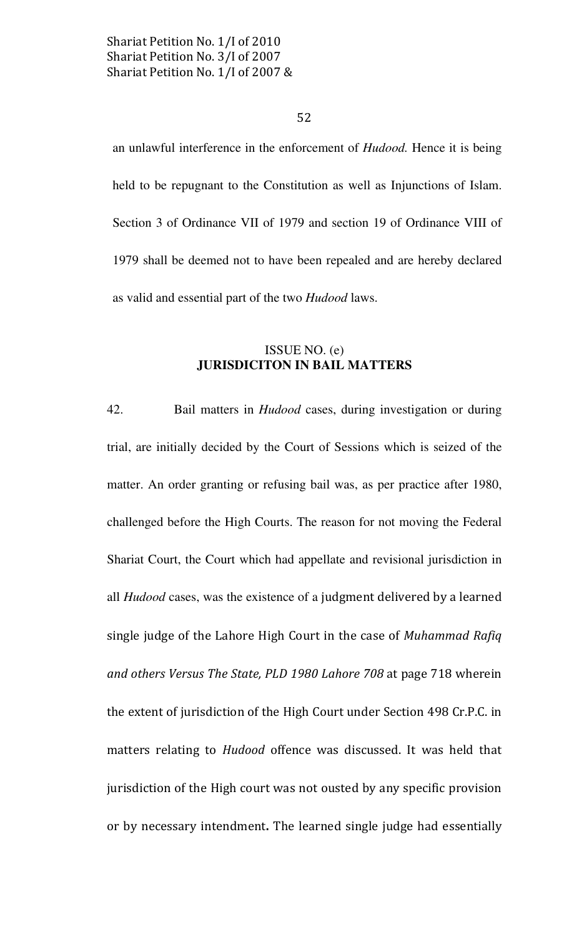52

an unlawful interference in the enforcement of Hudood. Hence it is being held to be repugnant to the Constitution as well as Injunctions of Islam. Section 3 of Ordinance VII of 1979 and section 19 of Ordinance VIII of 1979 shall be deemed not to have been repealed and are hereby declared as valid and essential part of the two *Hudood* laws.

## ISSUE NO.  $(e)$ **JURISDICITON IN BAIL MATTERS**

Bail matters in *Hudood* cases, during investigation or during 42. trial, are initially decided by the Court of Sessions which is seized of the matter. An order granting or refusing bail was, as per practice after 1980, challenged before the High Courts. The reason for not moving the Federal Shariat Court, the Court which had appellate and revisional jurisdiction in all *Hudood* cases, was the existence of a judgment delivered by a learned single judge of the Lahore High Court in the case of Muhammad Rafiq and others Versus The State, PLD 1980 Lahore 708 at page 718 wherein the extent of jurisdiction of the High Court under Section 498 Cr.P.C. in matters relating to *Hudood* offence was discussed. It was held that jurisdiction of the High court was not ousted by any specific provision or by necessary intendment. The learned single judge had essentially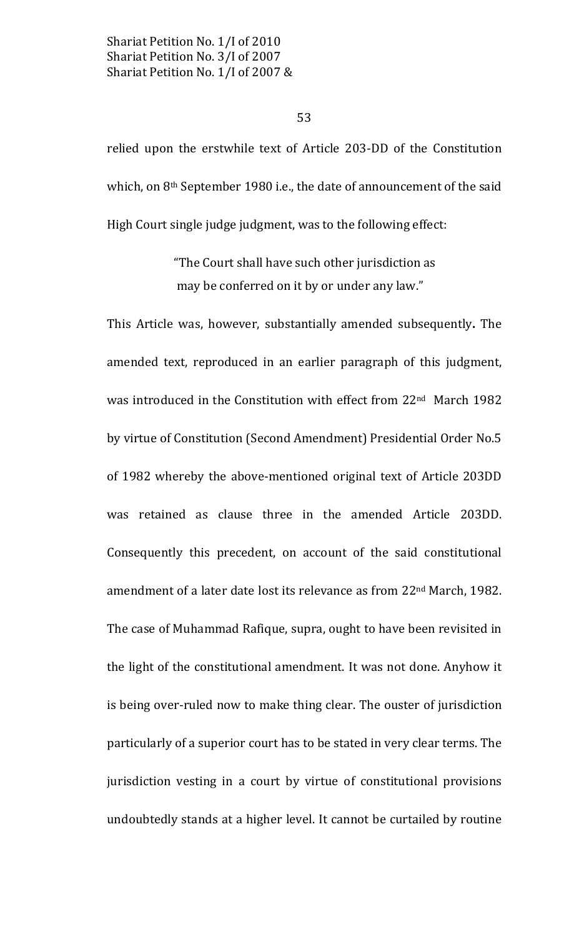53

relied upon the erstwhile text of Article 203-DD of the Constitution which, on 8<sup>th</sup> September 1980 i.e., the date of announcement of the said High Court single judge judgment, was to the following effect:

> "The Court shall have such other jurisdiction as may be conferred on it by or under any law."

This Article was, however, substantially amended subsequently. The amended text, reproduced in an earlier paragraph of this judgment, was introduced in the Constitution with effect from 22<sup>nd</sup> March 1982 by virtue of Constitution (Second Amendment) Presidential Order No.5 of 1982 whereby the above-mentioned original text of Article 203DD was retained as clause three in the amended Article 203DD. Consequently this precedent, on account of the said constitutional amendment of a later date lost its relevance as from 22<sup>nd</sup> March, 1982. The case of Muhammad Rafique, supra, ought to have been revisited in the light of the constitutional amendment. It was not done. Anyhow it is being over-ruled now to make thing clear. The ouster of jurisdiction particularly of a superior court has to be stated in very clear terms. The jurisdiction vesting in a court by virtue of constitutional provisions undoubtedly stands at a higher level. It cannot be curtailed by routine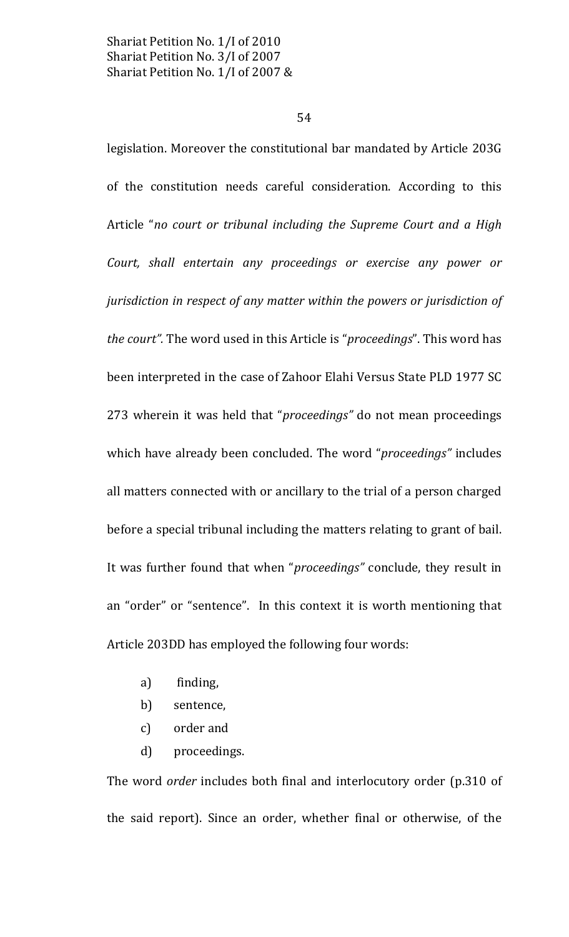54

legislation. Moreover the constitutional bar mandated by Article 203G of the constitution needs careful consideration. According to this Article "no court or tribunal including the Supreme Court and a High Court, shall entertain any proceedings or exercise any power or jurisdiction in respect of any matter within the powers or jurisdiction of the court". The word used in this Article is "proceedings". This word has been interpreted in the case of Zahoor Elahi Versus State PLD 1977 SC 273 wherein it was held that "proceedings" do not mean proceedings which have already been concluded. The word "proceedings" includes all matters connected with or ancillary to the trial of a person charged before a special tribunal including the matters relating to grant of bail. It was further found that when "proceedings" conclude, they result in an "order" or "sentence". In this context it is worth mentioning that Article 203DD has employed the following four words:

- a) finding,
- b) sentence,
- $\mathcal{C}$ order and
- $\mathbf{d}$ proceedings.

The word *order* includes both final and interlocutory order (p.310 of the said report). Since an order, whether final or otherwise, of the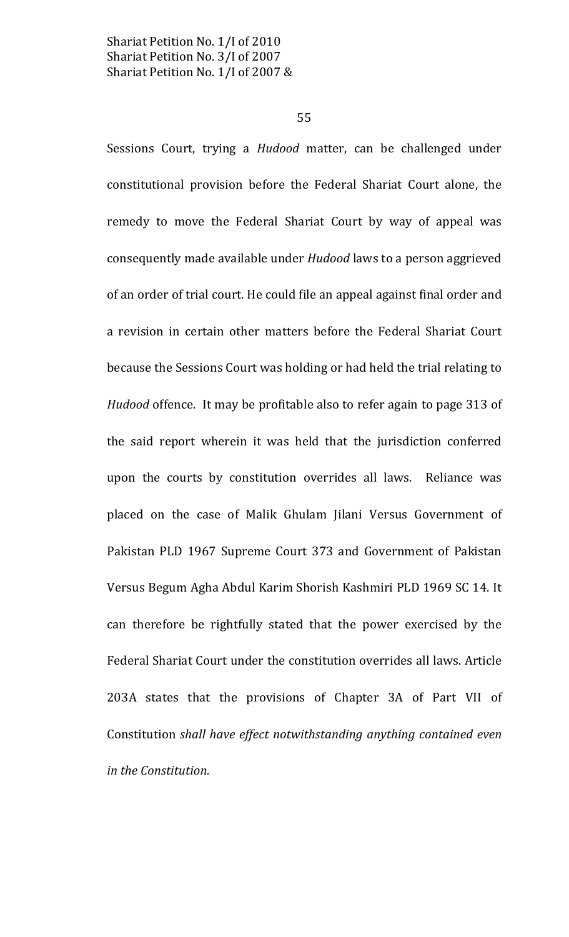55

Sessions Court, trying a Hudood matter, can be challenged under constitutional provision before the Federal Shariat Court alone, the remedy to move the Federal Shariat Court by way of appeal was consequently made available under Hudood laws to a person aggrieved of an order of trial court. He could file an appeal against final order and a revision in certain other matters before the Federal Shariat Court because the Sessions Court was holding or had held the trial relating to Hudood offence. It may be profitable also to refer again to page 313 of the said report wherein it was held that the jurisdiction conferred upon the courts by constitution overrides all laws. Reliance was placed on the case of Malik Ghulam Jilani Versus Government of Pakistan PLD 1967 Supreme Court 373 and Government of Pakistan Versus Begum Agha Abdul Karim Shorish Kashmiri PLD 1969 SC 14. It can therefore be rightfully stated that the power exercised by the Federal Shariat Court under the constitution overrides all laws. Article 203A states that the provisions of Chapter 3A of Part VII of Constitution shall have effect notwithstanding anything contained even in the Constitution.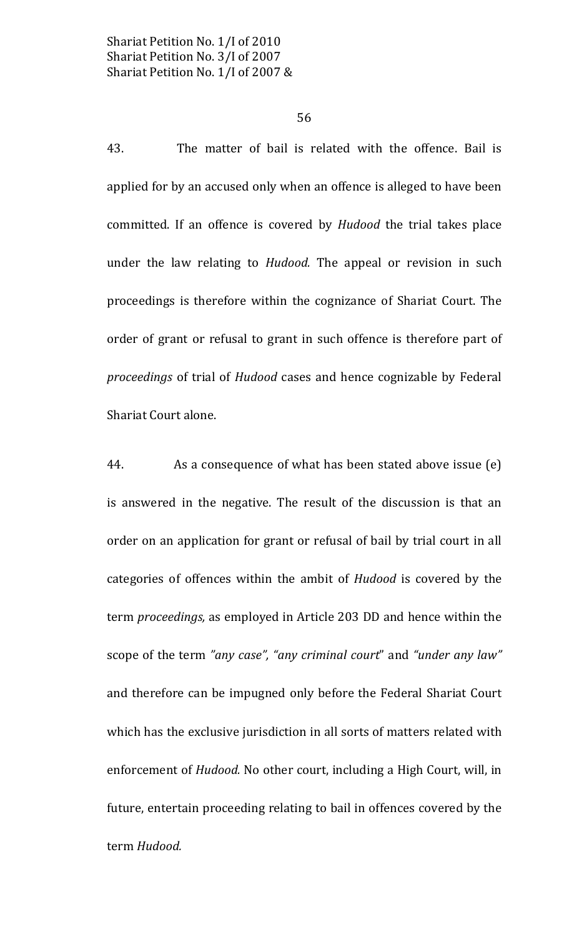56

43. The matter of bail is related with the offence. Bail is applied for by an accused only when an offence is alleged to have been committed. If an offence is covered by Hudood the trial takes place under the law relating to *Hudood*. The appeal or revision in such proceedings is therefore within the cognizance of Shariat Court. The order of grant or refusal to grant in such offence is therefore part of *proceedings* of trial of *Hudood* cases and hence cognizable by Federal Shariat Court alone.

44. As a consequence of what has been stated above issue (e) is answered in the negative. The result of the discussion is that an order on an application for grant or refusal of bail by trial court in all categories of offences within the ambit of *Hudood* is covered by the term *proceedings*, as employed in Article 203 DD and hence within the scope of the term "any case", "any criminal court" and "under any law" and therefore can be impugned only before the Federal Shariat Court which has the exclusive jurisdiction in all sorts of matters related with enforcement of *Hudood*. No other court, including a High Court, will, in future, entertain proceeding relating to bail in offences covered by the term Hudood.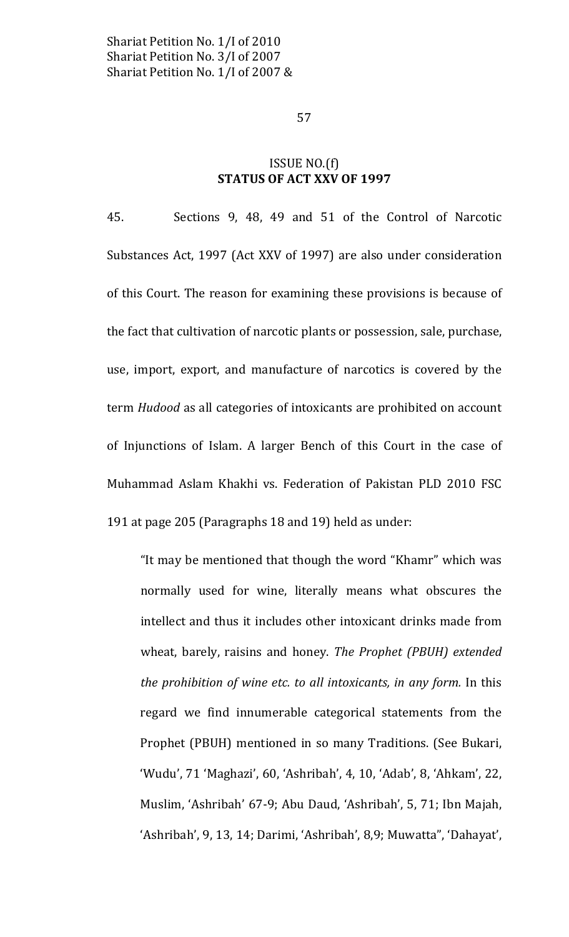## ISSUE NO.(f) **STATUS OF ACT XXV OF 1997**

Sections 9, 48, 49 and 51 of the Control of Narcotic 45. Substances Act, 1997 (Act XXV of 1997) are also under consideration of this Court. The reason for examining these provisions is because of the fact that cultivation of narcotic plants or possession, sale, purchase, use, import, export, and manufacture of narcotics is covered by the term Hudood as all categories of intoxicants are prohibited on account of Injunctions of Islam. A larger Bench of this Court in the case of Muhammad Aslam Khakhi vs. Federation of Pakistan PLD 2010 FSC 191 at page 205 (Paragraphs 18 and 19) held as under:

"It may be mentioned that though the word "Khamr" which was normally used for wine, literally means what obscures the intellect and thus it includes other intoxicant drinks made from wheat, barely, raisins and honey. The Prophet (PBUH) extended the prohibition of wine etc. to all intoxicants, in any form. In this regard we find innumerable categorical statements from the Prophet (PBUH) mentioned in so many Traditions. (See Bukari, 'Wudu', 71 'Maghazi', 60, 'Ashribah', 4, 10, 'Adab', 8, 'Ahkam', 22, Muslim, 'Ashribah' 67-9; Abu Daud, 'Ashribah', 5, 71; Ibn Majah, 'Ashribah', 9, 13, 14; Darimi, 'Ashribah', 8,9; Muwatta", 'Dahayat',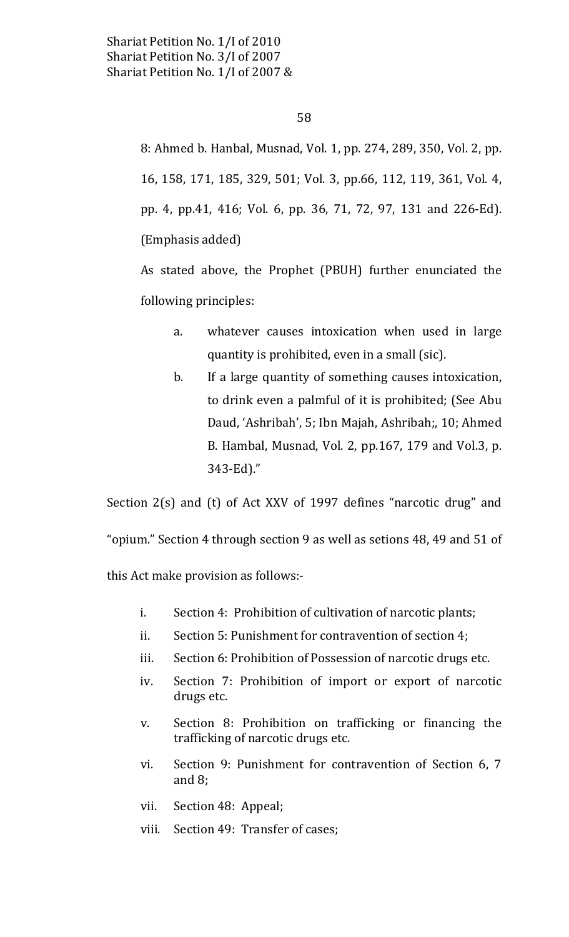## 58

8: Ahmed b. Hanbal, Musnad, Vol. 1, pp. 274, 289, 350, Vol. 2, pp. 16, 158, 171, 185, 329, 501; Vol. 3, pp.66, 112, 119, 361, Vol. 4, pp. 4, pp.41, 416; Vol. 6, pp. 36, 71, 72, 97, 131 and 226-Ed). (Emphasis added)

As stated above, the Prophet (PBUH) further enunciated the following principles:

- whatever causes intoxication when used in large  $\mathbf{a}$ . quantity is prohibited, even in a small (sic).
- $b$ . If a large quantity of something causes intoxication, to drink even a palmful of it is prohibited; (See Abu Daud, 'Ashribah', 5; Ibn Majah, Ashribah;, 10; Ahmed B. Hambal, Musnad, Vol. 2, pp.167, 179 and Vol.3, p. 343-Ed)."

Section 2(s) and (t) of Act XXV of 1997 defines "narcotic drug" and

"opium." Section 4 through section 9 as well as setions 48, 49 and 51 of

this Act make provision as follows:-

- $i$ . Section 4: Prohibition of cultivation of narcotic plants;
- ii. Section 5: Punishment for contravention of section 4;
- Section 6: Prohibition of Possession of narcotic drugs etc. iii.
- iv. Section 7: Prohibition of import or export of narcotic drugs etc.
- Section 8: Prohibition on trafficking or financing the V. trafficking of narcotic drugs etc.
- Section 9: Punishment for contravention of Section 6, 7 vi. and  $8$ ;
- Section 48: Appeal; vii.
- Section 49: Transfer of cases; viii.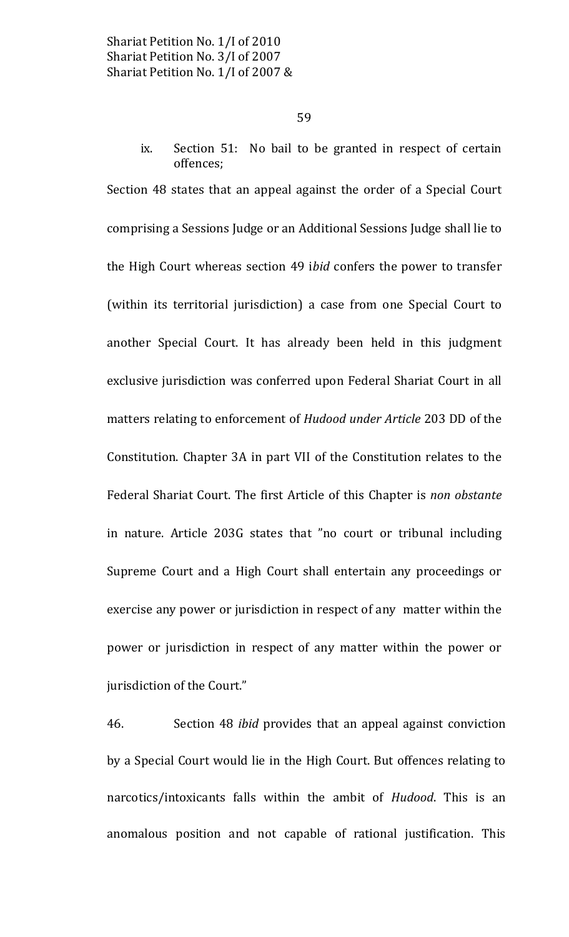Section 51: No bail to be granted in respect of certain ix. offences:

Section 48 states that an appeal against the order of a Special Court comprising a Sessions Judge or an Additional Sessions Judge shall lie to the High Court whereas section 49 ibid confers the power to transfer (within its territorial jurisdiction) a case from one Special Court to another Special Court. It has already been held in this judgment exclusive jurisdiction was conferred upon Federal Shariat Court in all matters relating to enforcement of Hudood under Article 203 DD of the Constitution. Chapter 3A in part VII of the Constitution relates to the Federal Shariat Court. The first Article of this Chapter is non obstante in nature. Article 203G states that "no court or tribunal including Supreme Court and a High Court shall entertain any proceedings or exercise any power or jurisdiction in respect of any matter within the power or jurisdiction in respect of any matter within the power or jurisdiction of the Court."

46. Section 48 *ibid* provides that an appeal against conviction by a Special Court would lie in the High Court. But offences relating to narcotics/intoxicants falls within the ambit of *Hudood*. This is an anomalous position and not capable of rational justification. This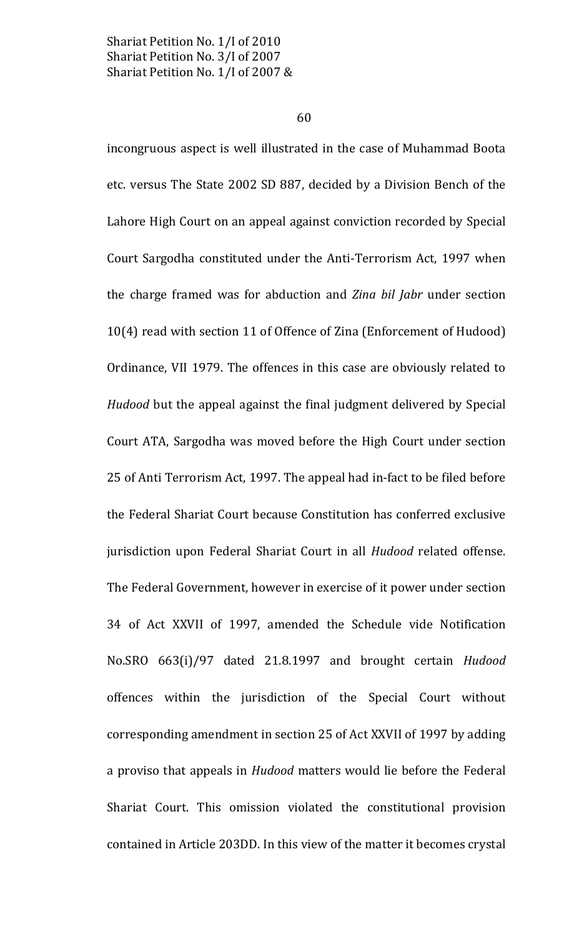60

incongruous aspect is well illustrated in the case of Muhammad Boota etc. versus The State 2002 SD 887, decided by a Division Bench of the Lahore High Court on an appeal against conviction recorded by Special Court Sargodha constituted under the Anti-Terrorism Act, 1997 when the charge framed was for abduction and Zina bil Jabr under section 10(4) read with section 11 of Offence of Zina (Enforcement of Hudood) Ordinance, VII 1979. The offences in this case are obviously related to *Hudood* but the appeal against the final judgment delivered by Special Court ATA, Sargodha was moved before the High Court under section 25 of Anti Terrorism Act, 1997. The appeal had in-fact to be filed before the Federal Shariat Court because Constitution has conferred exclusive jurisdiction upon Federal Shariat Court in all Hudood related offense. The Federal Government, however in exercise of it power under section 34 of Act XXVII of 1997, amended the Schedule vide Notification No.SRO 663(i)/97 dated 21.8.1997 and brought certain Hudood offences within the jurisdiction of the Special Court without corresponding amendment in section 25 of Act XXVII of 1997 by adding a proviso that appeals in *Hudood* matters would lie before the Federal Shariat Court. This omission violated the constitutional provision contained in Article 203DD. In this view of the matter it becomes crystal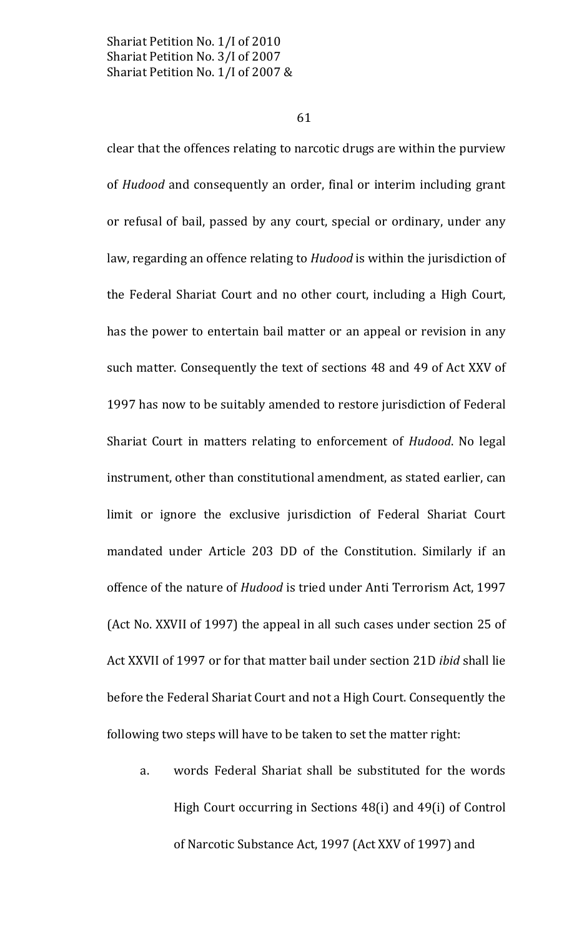61

clear that the offences relating to narcotic drugs are within the purview of Hudood and consequently an order, final or interim including grant or refusal of bail, passed by any court, special or ordinary, under any law, regarding an offence relating to Hudood is within the jurisdiction of the Federal Shariat Court and no other court, including a High Court, has the power to entertain bail matter or an appeal or revision in any such matter. Consequently the text of sections 48 and 49 of Act XXV of 1997 has now to be suitably amended to restore jurisdiction of Federal Shariat Court in matters relating to enforcement of *Hudood*. No legal instrument, other than constitutional amendment, as stated earlier, can limit or ignore the exclusive jurisdiction of Federal Shariat Court mandated under Article 203 DD of the Constitution. Similarly if an offence of the nature of *Hudood* is tried under Anti Terrorism Act, 1997 (Act No. XXVII of 1997) the appeal in all such cases under section 25 of Act XXVII of 1997 or for that matter bail under section 21D *ibid* shall lie before the Federal Shariat Court and not a High Court. Consequently the following two steps will have to be taken to set the matter right:

words Federal Shariat shall be substituted for the words a. High Court occurring in Sections 48(i) and 49(i) of Control of Narcotic Substance Act, 1997 (Act XXV of 1997) and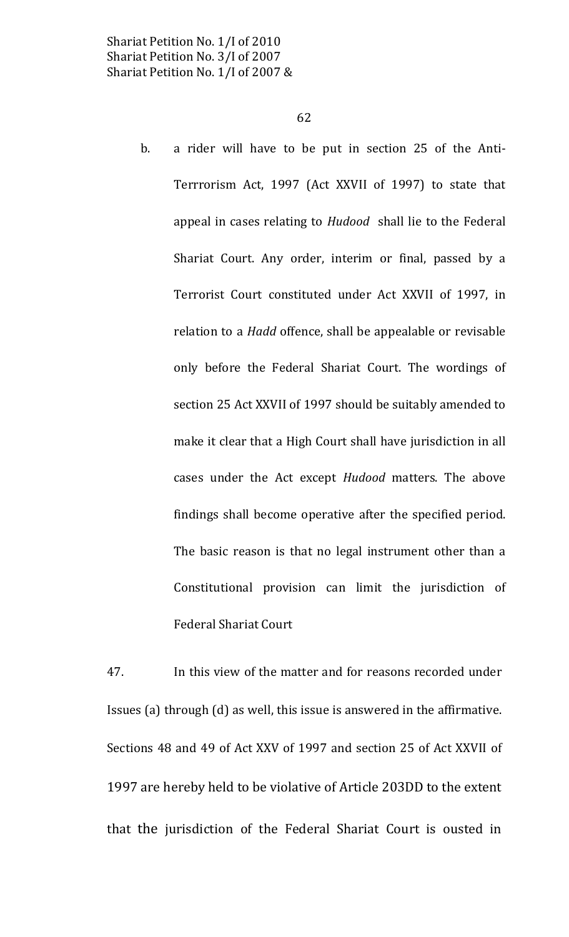a rider will have to be put in section 25 of the Anti- $\mathbf{b}$ . Terrrorism Act, 1997 (Act XXVII of 1997) to state that appeal in cases relating to Hudood shall lie to the Federal Shariat Court. Any order, interim or final, passed by a Terrorist Court constituted under Act XXVII of 1997, in relation to a *Hadd* offence, shall be appealable or revisable only before the Federal Shariat Court. The wordings of section 25 Act XXVII of 1997 should be suitably amended to make it clear that a High Court shall have jurisdiction in all cases under the Act except Hudood matters. The above findings shall become operative after the specified period. The basic reason is that no legal instrument other than a Constitutional provision can limit the jurisdiction of **Federal Shariat Court** 

In this view of the matter and for reasons recorded under 47. Issues (a) through (d) as well, this issue is answered in the affirmative. Sections 48 and 49 of Act XXV of 1997 and section 25 of Act XXVII of 1997 are hereby held to be violative of Article 203DD to the extent that the jurisdiction of the Federal Shariat Court is ousted in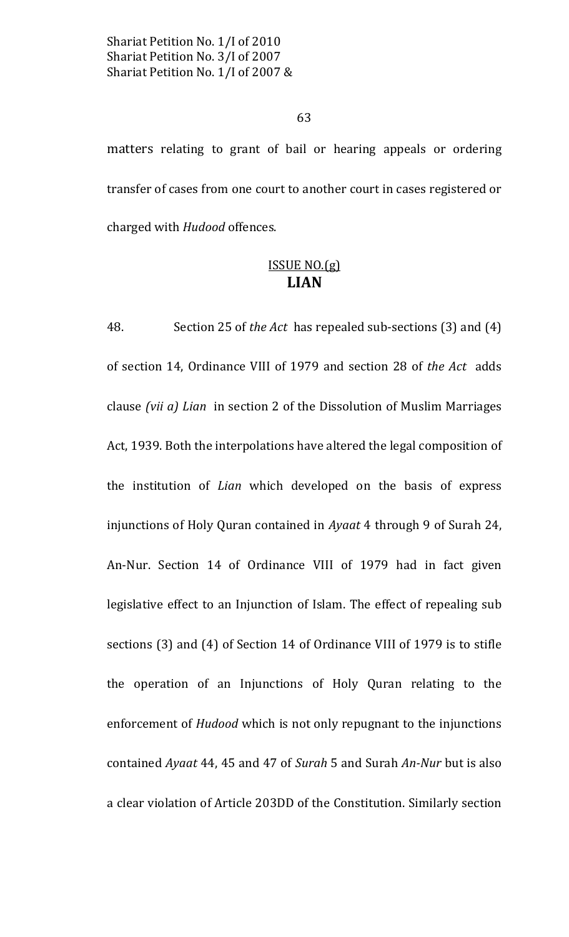63

matters relating to grant of bail or hearing appeals or ordering transfer of cases from one court to another court in cases registered or charged with *Hudood* offences.

## $ISSUEN0.(g)$ **LIAN**

48. Section 25 of the Act has repealed sub-sections (3) and (4) of section 14, Ordinance VIII of 1979 and section 28 of the Act adds clause (vii a) Lian in section 2 of the Dissolution of Muslim Marriages Act, 1939. Both the interpolations have altered the legal composition of the institution of Lian which developed on the basis of express injunctions of Holy Quran contained in Ayaat 4 through 9 of Surah 24, An-Nur. Section 14 of Ordinance VIII of 1979 had in fact given legislative effect to an Injunction of Islam. The effect of repealing sub sections (3) and (4) of Section 14 of Ordinance VIII of 1979 is to stifle the operation of an Injunctions of Holy Quran relating to the enforcement of *Hudood* which is not only repugnant to the injunctions contained Ayaat 44, 45 and 47 of Surah 5 and Surah An-Nur but is also a clear violation of Article 203DD of the Constitution. Similarly section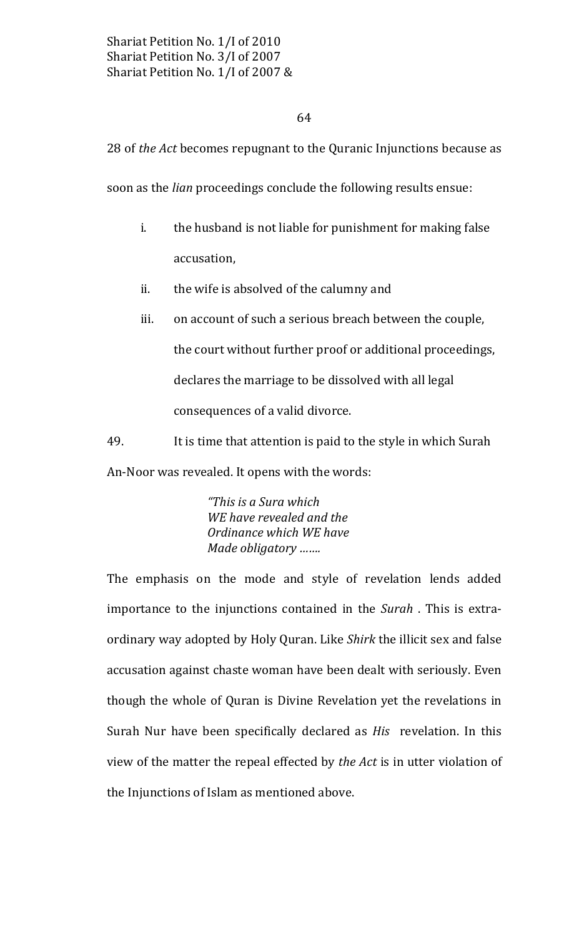## 64

28 of the Act becomes repugnant to the Quranic Injunctions because as

soon as the *lian* proceedings conclude the following results ensue:

- i. the husband is not liable for punishment for making false accusation,
- the wife is absolved of the calumny and ii.
- on account of such a serious breach between the couple, iii. the court without further proof or additional proceedings, declares the marriage to be dissolved with all legal consequences of a valid divorce.

49. It is time that attention is paid to the style in which Surah An-Noor was revealed. It opens with the words:

> "This is a Sura which WE have revealed and the Ordinance which WE have Made obligatory .......

The emphasis on the mode and style of revelation lends added importance to the injunctions contained in the Surah. This is extraordinary way adopted by Holy Quran. Like Shirk the illicit sex and false accusation against chaste woman have been dealt with seriously. Even though the whole of Quran is Divine Revelation yet the revelations in Surah Nur have been specifically declared as *His* revelation. In this view of the matter the repeal effected by the Act is in utter violation of the Injunctions of Islam as mentioned above.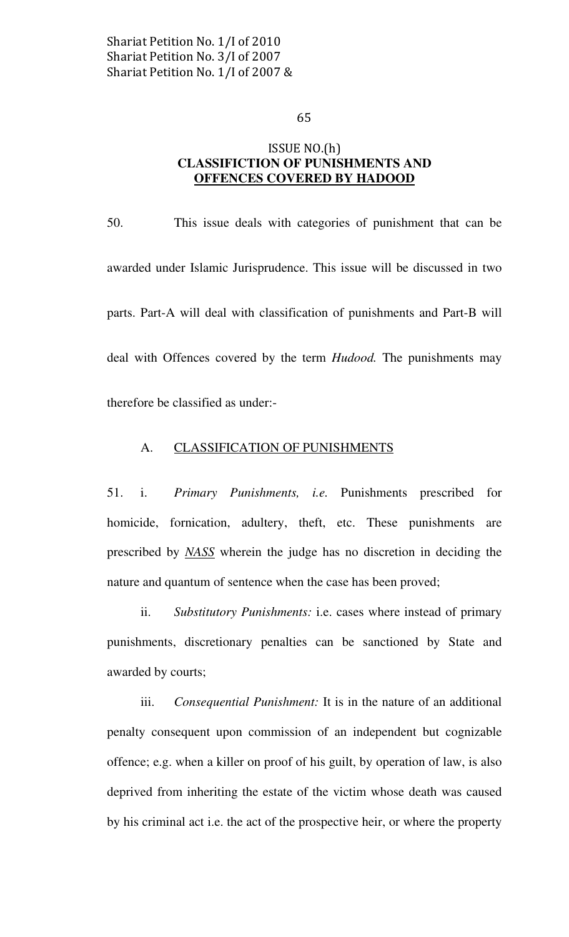## ISSUE NO.(h) CLASSIFICTION OF PUNISHMENTS AND OFFENCES COVERED BY HADOOD

50. This issue deals with categories of punishment that can be awarded under Islamic Jurisprudence. This issue will be discussed in two parts. Part-A will deal with classification of punishments and Part-B will deal with Offences covered by the term *Hudood*. The punishments may therefore be classified as under:-

## A. CLASSIFICATION OF PUNISHMENTS

51. i. Primary Punishments, i.e. Punishments prescribed for homicide, fornication, adultery, theft, etc. These punishments are prescribed by NASS wherein the judge has no discretion in deciding the nature and quantum of sentence when the case has been proved;

ii. Substitutory Punishments: i.e. cases where instead of primary punishments, discretionary penalties can be sanctioned by State and awarded by courts;

 iii. Consequential Punishment: It is in the nature of an additional penalty consequent upon commission of an independent but cognizable offence; e.g. when a killer on proof of his guilt, by operation of law, is also deprived from inheriting the estate of the victim whose death was caused by his criminal act i.e. the act of the prospective heir, or where the property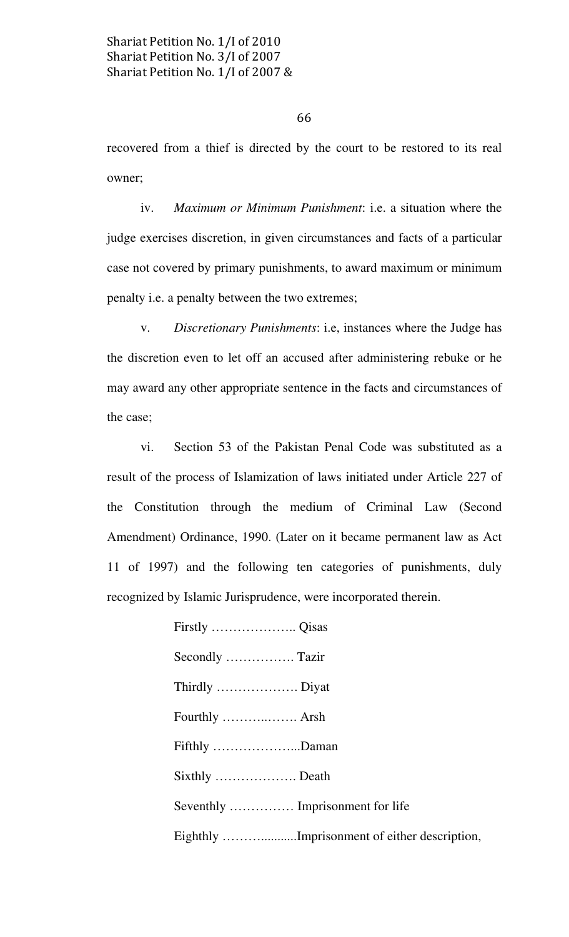recovered from a thief is directed by the court to be restored to its real owner;

 iv. Maximum or Minimum Punishment: i.e. a situation where the judge exercises discretion, in given circumstances and facts of a particular case not covered by primary punishments, to award maximum or minimum penalty i.e. a penalty between the two extremes;

 v. Discretionary Punishments: i.e, instances where the Judge has the discretion even to let off an accused after administering rebuke or he may award any other appropriate sentence in the facts and circumstances of the case;

 vi. Section 53 of the Pakistan Penal Code was substituted as a result of the process of Islamization of laws initiated under Article 227 of the Constitution through the medium of Criminal Law (Second Amendment) Ordinance, 1990. (Later on it became permanent law as Act 11 of 1997) and the following ten categories of punishments, duly recognized by Islamic Jurisprudence, were incorporated therein.

| Fifthly Daman                    |                                              |
|----------------------------------|----------------------------------------------|
|                                  |                                              |
| Seventhly  Imprisonment for life |                                              |
|                                  | Eighthly Imprisonment of either description, |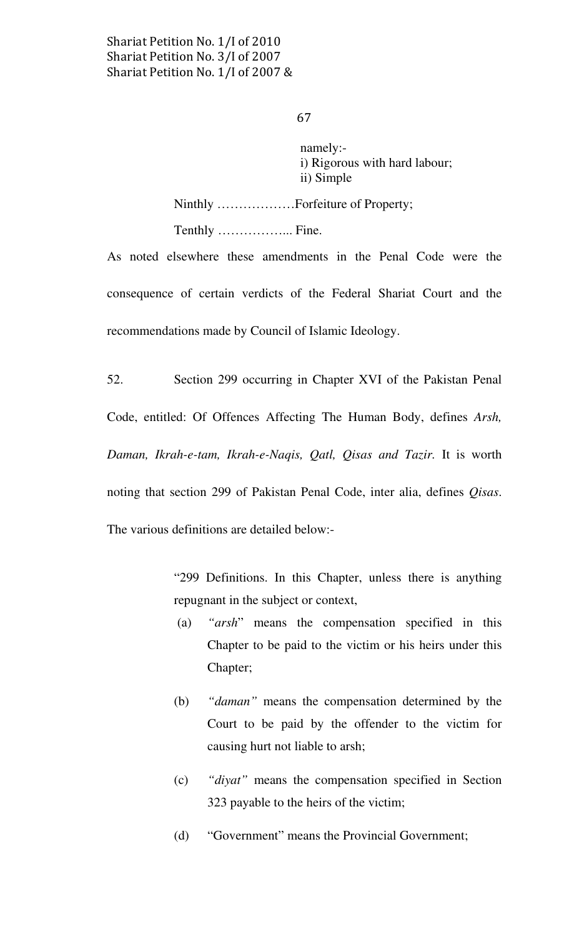#### 67

 namely: i) Rigorous with hard labour; ii) Simple

Ninthly ………………Forfeiture of Property; Tenthly ……………... Fine.

As noted elsewhere these amendments in the Penal Code were the consequence of certain verdicts of the Federal Shariat Court and the recommendations made by Council of Islamic Ideology.

52. Section 299 occurring in Chapter XVI of the Pakistan Penal Code, entitled: Of Offences Affecting The Human Body, defines Arsh, Daman, Ikrah-e-tam, Ikrah-e-Naqis, Qatl, Qisas and Tazir. It is worth noting that section 299 of Pakistan Penal Code, inter alia, defines Qisas. The various definitions are detailed below:-

> "299 Definitions. In this Chapter, unless there is anything repugnant in the subject or context,

- (a) "arsh" means the compensation specified in this Chapter to be paid to the victim or his heirs under this Chapter;
- (b) "daman" means the compensation determined by the Court to be paid by the offender to the victim for causing hurt not liable to arsh;
- (c) "diyat" means the compensation specified in Section 323 payable to the heirs of the victim;
- (d) "Government" means the Provincial Government;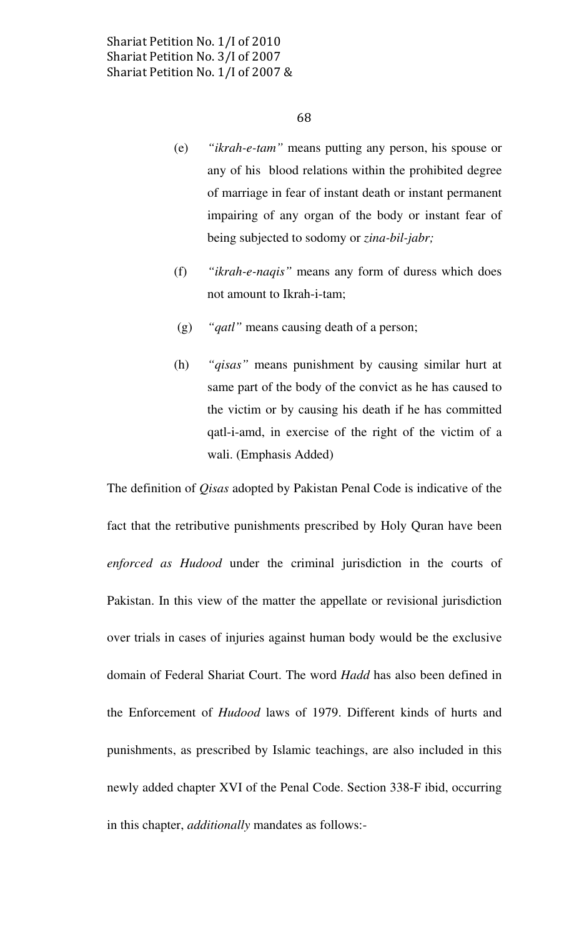- (e) "ikrah-e-tam" means putting any person, his spouse or any of his blood relations within the prohibited degree of marriage in fear of instant death or instant permanent impairing of any organ of the body or instant fear of being subjected to sodomy or zina-bil-jabr;
- (f) "ikrah-e-naqis" means any form of duress which does not amount to Ikrah-i-tam;
- (g) "qatl" means causing death of a person;
- (h) "qisas" means punishment by causing similar hurt at same part of the body of the convict as he has caused to the victim or by causing his death if he has committed qatl-i-amd, in exercise of the right of the victim of a wali. (Emphasis Added)

The definition of Qisas adopted by Pakistan Penal Code is indicative of the fact that the retributive punishments prescribed by Holy Quran have been enforced as Hudood under the criminal jurisdiction in the courts of Pakistan. In this view of the matter the appellate or revisional jurisdiction over trials in cases of injuries against human body would be the exclusive domain of Federal Shariat Court. The word Hadd has also been defined in the Enforcement of Hudood laws of 1979. Different kinds of hurts and punishments, as prescribed by Islamic teachings, are also included in this newly added chapter XVI of the Penal Code. Section 338-F ibid, occurring in this chapter, additionally mandates as follows:-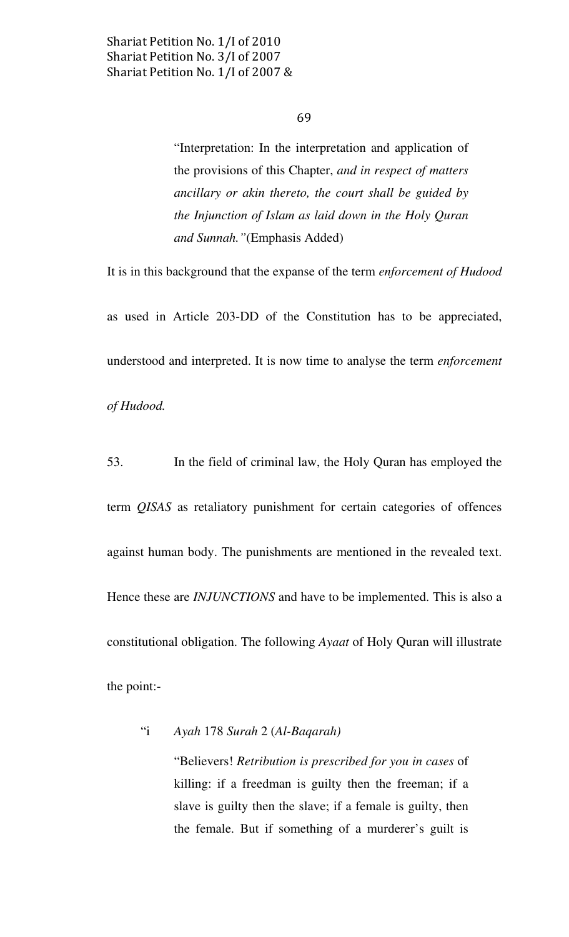"Interpretation: In the interpretation and application of the provisions of this Chapter, and in respect of matters ancillary or akin thereto, the court shall be guided by the Injunction of Islam as laid down in the Holy Quran and Sunnah."(Emphasis Added)

It is in this background that the expanse of the term enforcement of Hudood

as used in Article 203-DD of the Constitution has to be appreciated, understood and interpreted. It is now time to analyse the term enforcement of Hudood.

53. In the field of criminal law, the Holy Quran has employed the term QISAS as retaliatory punishment for certain categories of offences against human body. The punishments are mentioned in the revealed text. Hence these are *INJUNCTIONS* and have to be implemented. This is also a constitutional obligation. The following Ayaat of Holy Quran will illustrate the point:-

## "i Ayah 178 Surah 2 (Al-Baqarah)

"Believers! Retribution is prescribed for you in cases of killing: if a freedman is guilty then the freeman; if a slave is guilty then the slave; if a female is guilty, then the female. But if something of a murderer's guilt is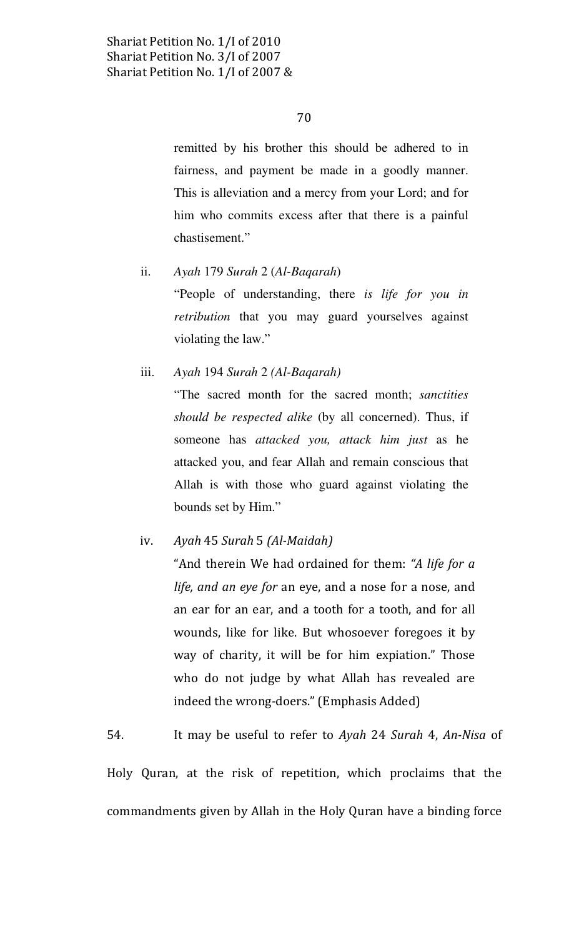remitted by his brother this should be adhered to in fairness, and payment be made in a goodly manner. This is alleviation and a mercy from your Lord; and for him who commits excess after that there is a painful chastisement."

- Ayah 179 Surah 2 (Al-Bagarah)  $ii.$ "People of understanding, there is life for you in retribution that you may guard yourselves against violating the law."
- Ayah 194 Surah 2 (Al-Baqarah) iii. "The sacred month for the sacred month; sanctities should be respected alike (by all concerned). Thus, if someone has attacked you, attack him just as he attacked you, and fear Allah and remain conscious that Allah is with those who guard against violating the bounds set by Him."
- iv. Ayah 45 Surah 5 (Al-Maidah) "And therein We had ordained for them: "A life for a life, and an eye for an eye, and a nose for a nose, and an ear for an ear, and a tooth for a tooth, and for all wounds, like for like. But whosoever foregoes it by way of charity, it will be for him expiation." Those who do not judge by what Allah has revealed are indeed the wrong-doers." (Emphasis Added)

54. It may be useful to refer to Ayah 24 Surah 4, An-Nisa of

Holy Quran, at the risk of repetition, which proclaims that the commandments given by Allah in the Holy Quran have a binding force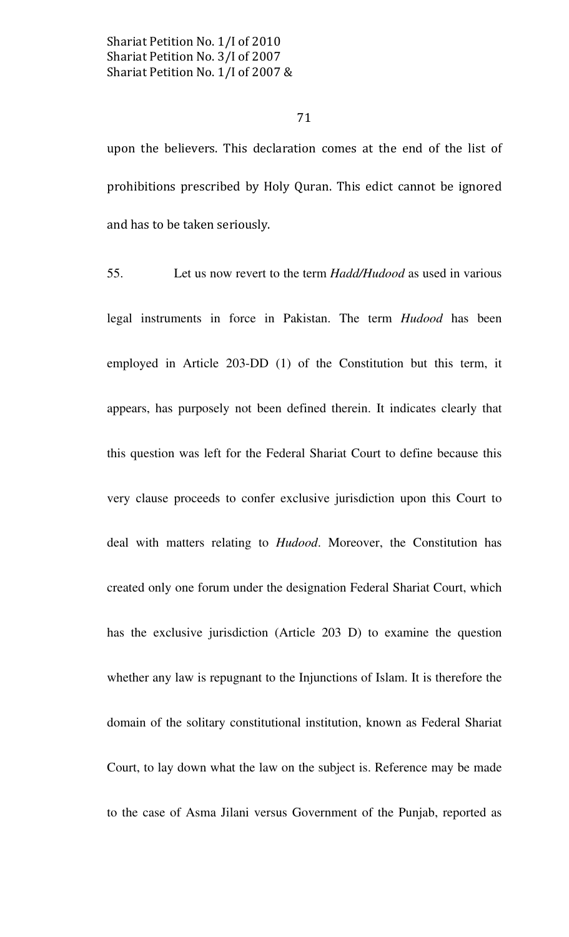71

upon the believers. This declaration comes at the end of the list of prohibitions prescribed by Holy Quran. This edict cannot be ignored and has to be taken seriously.

55. Let us now revert to the term *Hadd/Hudood* as used in various legal instruments in force in Pakistan. The term Hudood has been employed in Article 203-DD (1) of the Constitution but this term, it appears, has purposely not been defined therein. It indicates clearly that this question was left for the Federal Shariat Court to define because this very clause proceeds to confer exclusive jurisdiction upon this Court to deal with matters relating to *Hudood*. Moreover, the Constitution has created only one forum under the designation Federal Shariat Court, which has the exclusive jurisdiction (Article 203 D) to examine the question whether any law is repugnant to the Injunctions of Islam. It is therefore the domain of the solitary constitutional institution, known as Federal Shariat Court, to lay down what the law on the subject is. Reference may be made to the case of Asma Jilani versus Government of the Punjab, reported as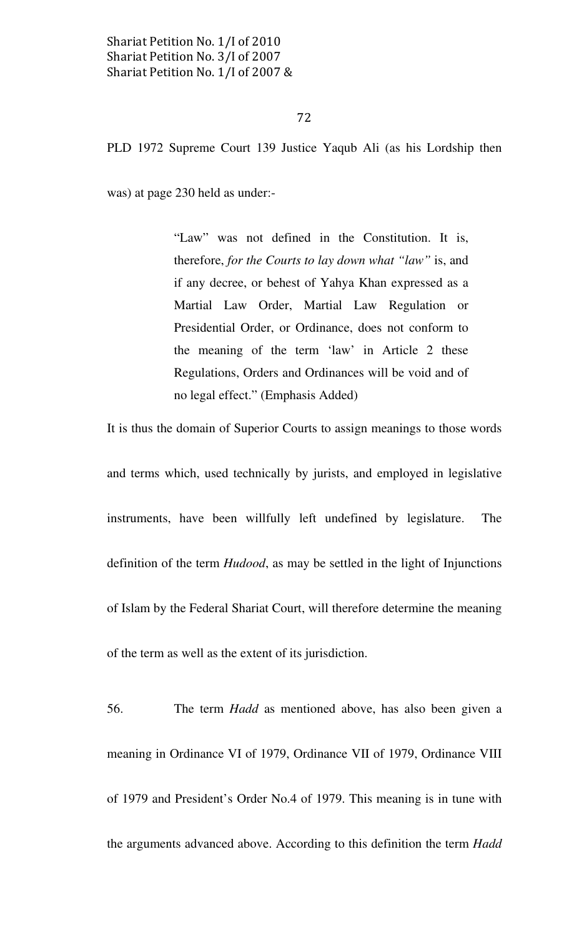## 72

PLD 1972 Supreme Court 139 Justice Yaqub Ali (as his Lordship then

was) at page 230 held as under:-

"Law" was not defined in the Constitution. It is, therefore, for the Courts to lay down what "law" is, and if any decree, or behest of Yahya Khan expressed as a Martial Law Order, Martial Law Regulation or Presidential Order, or Ordinance, does not conform to the meaning of the term 'law' in Article 2 these Regulations, Orders and Ordinances will be void and of no legal effect." (Emphasis Added)

It is thus the domain of Superior Courts to assign meanings to those words

and terms which, used technically by jurists, and employed in legislative instruments, have been willfully left undefined by legislature. The definition of the term *Hudood*, as may be settled in the light of Injunctions of Islam by the Federal Shariat Court, will therefore determine the meaning of the term as well as the extent of its jurisdiction.

56. The term Hadd as mentioned above, has also been given a meaning in Ordinance VI of 1979, Ordinance VII of 1979, Ordinance VIII of 1979 and President's Order No.4 of 1979. This meaning is in tune with the arguments advanced above. According to this definition the term Hadd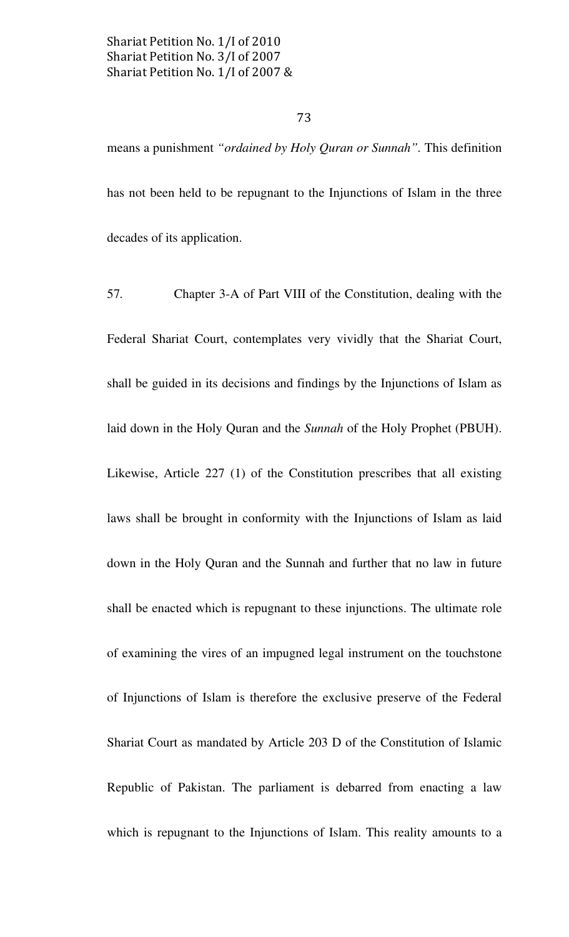# 73

means a punishment "ordained by Holy Quran or Sunnah". This definition has not been held to be repugnant to the Injunctions of Islam in the three decades of its application.

57. Chapter 3-A of Part VIII of the Constitution, dealing with the Federal Shariat Court, contemplates very vividly that the Shariat Court, shall be guided in its decisions and findings by the Injunctions of Islam as laid down in the Holy Quran and the Sunnah of the Holy Prophet (PBUH). Likewise, Article 227 (1) of the Constitution prescribes that all existing laws shall be brought in conformity with the Injunctions of Islam as laid down in the Holy Quran and the Sunnah and further that no law in future shall be enacted which is repugnant to these injunctions. The ultimate role of examining the vires of an impugned legal instrument on the touchstone of Injunctions of Islam is therefore the exclusive preserve of the Federal Shariat Court as mandated by Article 203 D of the Constitution of Islamic Republic of Pakistan. The parliament is debarred from enacting a law which is repugnant to the Injunctions of Islam. This reality amounts to a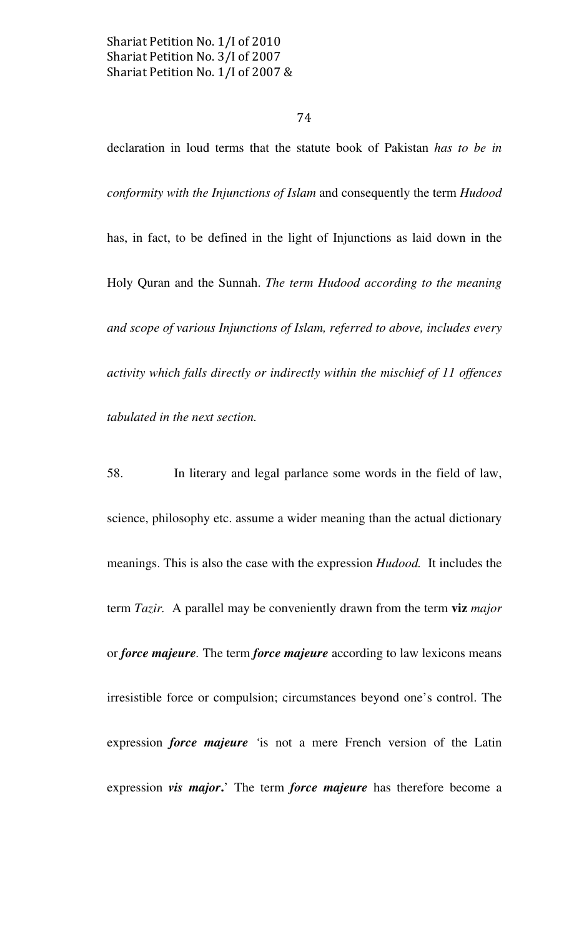# 74

declaration in loud terms that the statute book of Pakistan has to be in conformity with the Injunctions of Islam and consequently the term Hudood has, in fact, to be defined in the light of Injunctions as laid down in the Holy Quran and the Sunnah. The term Hudood according to the meaning and scope of various Injunctions of Islam, referred to above, includes every activity which falls directly or indirectly within the mischief of 11 offences tabulated in the next section.

58. In literary and legal parlance some words in the field of law, science, philosophy etc. assume a wider meaning than the actual dictionary meanings. This is also the case with the expression Hudood. It includes the term Tazir. A parallel may be conveniently drawn from the term viz major or force majeure. The term force majeure according to law lexicons means irresistible force or compulsion; circumstances beyond one's control. The expression *force majeure* 'is not a mere French version of the Latin expression vis major.' The term force majeure has therefore become a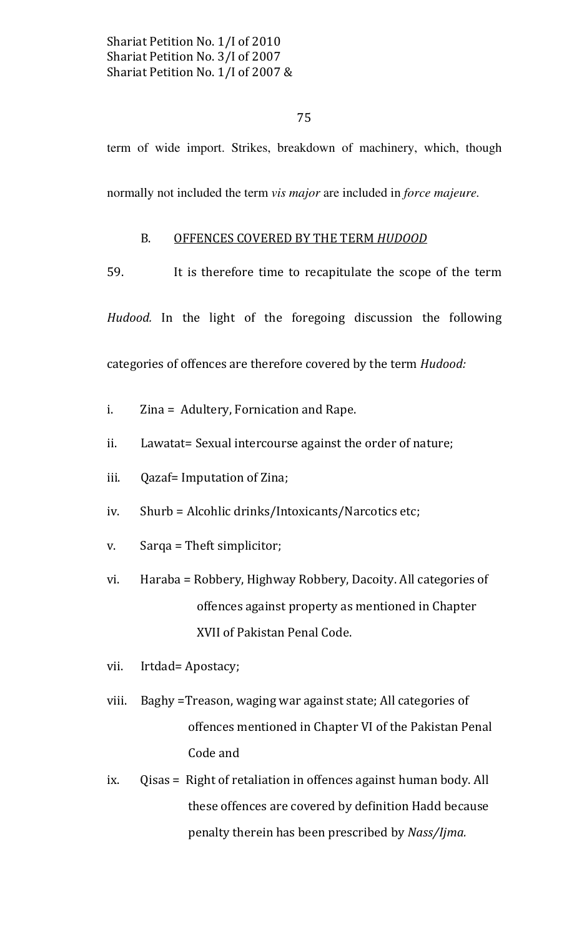75

term of wide import. Strikes, breakdown of machinery, which, though

normally not included the term *vis major* are included in *force majeure*.

# B. OFFENCES COVERED BY THE TERM HUDOOD

59. It is therefore time to recapitulate the scope of the term

Hudood. In the light of the foregoing discussion the following categories of offences are therefore covered by the term Hudood:

- i. Zina = Adultery, Fornication and Rape.
- ii. Lawatat= Sexual intercourse against the order of nature;
- iii. Qazaf= Imputation of Zina;
- iv. Shurb = Alcohlic drinks/Intoxicants/Narcotics etc;
- v. Sarqa = Theft simplicitor;
- vi. Haraba = Robbery, Highway Robbery, Dacoity. All categories of offences against property as mentioned in Chapter XVII of Pakistan Penal Code.
- vii. Irtdad= Apostacy;
- viii. Baghy = Treason, waging war against state; All categories of offences mentioned in Chapter VI of the Pakistan Penal Code and
- ix. Qisas = Right of retaliation in offences against human body. All these offences are covered by definition Hadd because penalty therein has been prescribed by Nass/Ijma.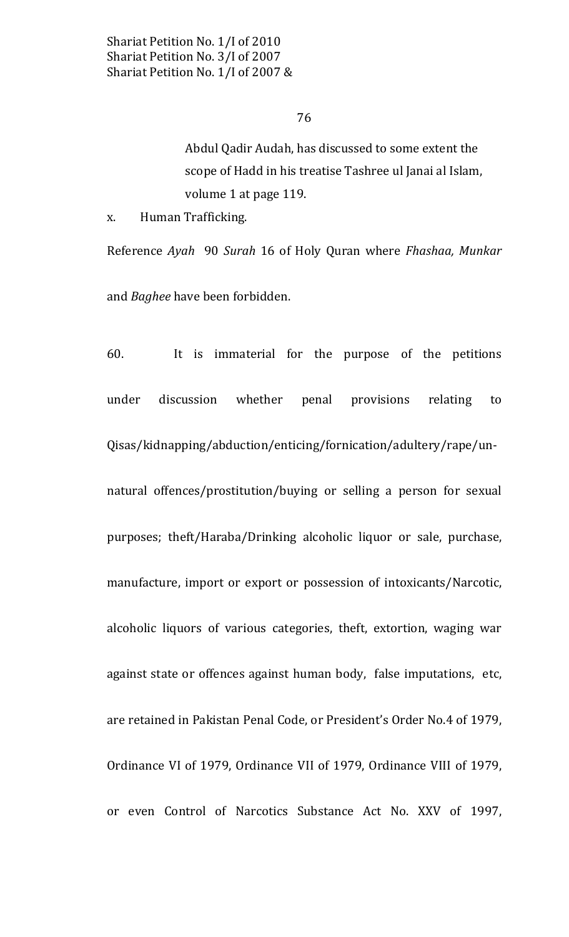Abdul Qadir Audah, has discussed to some extent the scope of Hadd in his treatise Tashree ul Janai al Islam, volume 1 at page 119.

 $X_{\bullet}$ Human Trafficking.

Reference Ayah 90 Surah 16 of Holy Quran where Fhashaa, Munkar and Baghee have been forbidden.

60. It is immaterial for the purpose of the petitions discussion under whether penal provisions relating to Qisas/kidnapping/abduction/enticing/fornication/adultery/rape/unnatural offences/prostitution/buying or selling a person for sexual purposes; theft/Haraba/Drinking alcoholic liquor or sale, purchase, manufacture, import or export or possession of intoxicants/Narcotic, alcoholic liquors of various categories, theft, extortion, waging war against state or offences against human body, false imputations, etc, are retained in Pakistan Penal Code, or President's Order No.4 of 1979, Ordinance VI of 1979, Ordinance VII of 1979, Ordinance VIII of 1979, or even Control of Narcotics Substance Act No. XXV of 1997,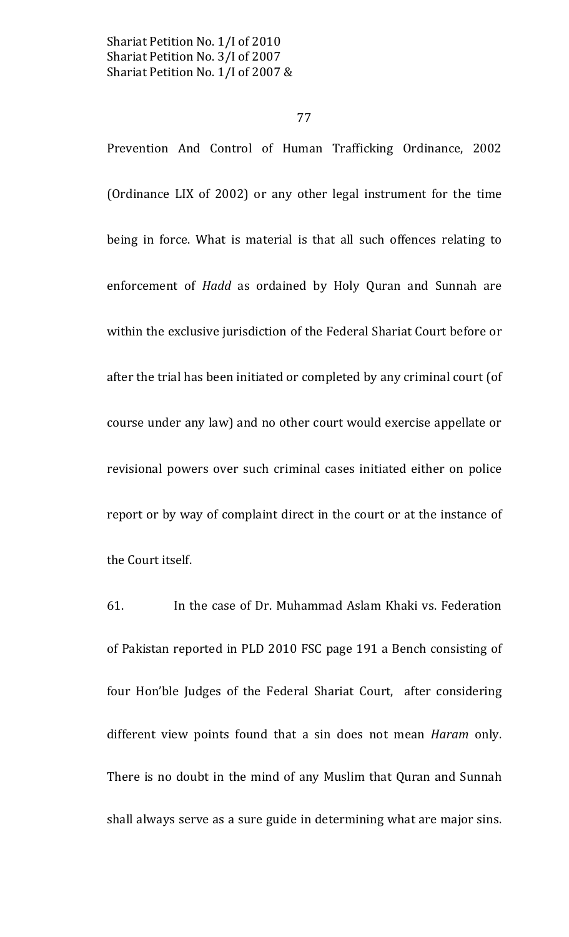Prevention And Control of Human Trafficking Ordinance, 2002 (Ordinance LIX of 2002) or any other legal instrument for the time being in force. What is material is that all such offences relating to enforcement of *Hadd* as ordained by Holy Quran and Sunnah are within the exclusive jurisdiction of the Federal Shariat Court before or after the trial has been initiated or completed by any criminal court (of course under any law) and no other court would exercise appellate or revisional powers over such criminal cases initiated either on police report or by way of complaint direct in the court or at the instance of the Court itself.

61. In the case of Dr. Muhammad Aslam Khaki vs. Federation of Pakistan reported in PLD 2010 FSC page 191 a Bench consisting of four Hon'ble Judges of the Federal Shariat Court, after considering different view points found that a sin does not mean Haram only. There is no doubt in the mind of any Muslim that Quran and Sunnah shall always serve as a sure guide in determining what are major sins.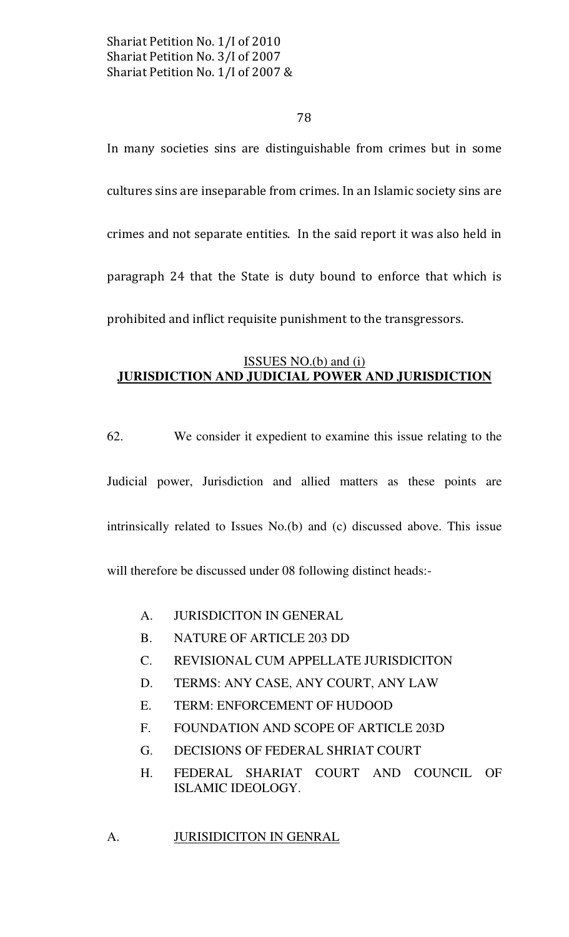78

In many societies sins are distinguishable from crimes but in some cultures sins are inseparable from crimes. In an Islamic society sins are crimes and not separate entities. In the said report it was also held in paragraph 24 that the State is duty bound to enforce that which is prohibited and inflict requisite punishment to the transgressors.

# ISSUES NO.(b) and (i) JURISDICTION AND JUDICIAL POWER AND JURISDICTION

62. We consider it expedient to examine this issue relating to the Judicial power, Jurisdiction and allied matters as these points are intrinsically related to Issues No.(b) and (c) discussed above. This issue will therefore be discussed under 08 following distinct heads:-

- A. JURISDICITON IN GENERAL
- B. NATURE OF ARTICLE 203 DD
- C. REVISIONAL CUM APPELLATE JURISDICITON
- D. TERMS: ANY CASE, ANY COURT, ANY LAW
- E. TERM: ENFORCEMENT OF HUDOOD
- F. FOUNDATION AND SCOPE OF ARTICLE 203D
- G. DECISIONS OF FEDERAL SHRIAT COURT
- H. FEDERAL SHARIAT COURT AND COUNCIL OF ISLAMIC IDEOLOGY.

A. JURISIDICITON IN GENRAL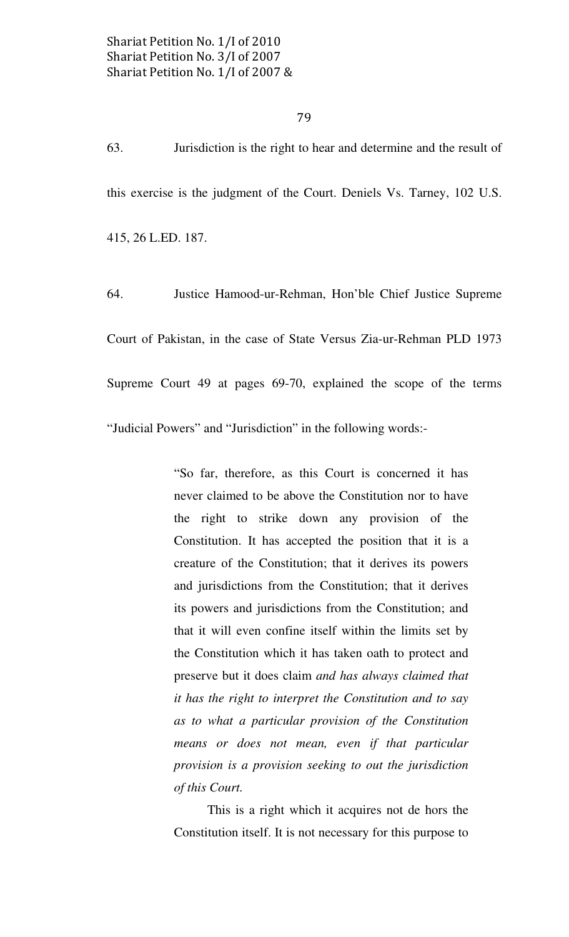63. Jurisdiction is the right to hear and determine and the result of this exercise is the judgment of the Court. Deniels Vs. Tarney, 102 U.S. 415, 26 L.ED. 187.

64. Justice Hamood-ur-Rehman, Hon'ble Chief Justice Supreme Court of Pakistan, in the case of State Versus Zia-ur-Rehman PLD 1973 Supreme Court 49 at pages 69-70, explained the scope of the terms "Judicial Powers" and "Jurisdiction" in the following words:-

> "So far, therefore, as this Court is concerned it has never claimed to be above the Constitution nor to have the right to strike down any provision of the Constitution. It has accepted the position that it is a creature of the Constitution; that it derives its powers and jurisdictions from the Constitution; that it derives its powers and jurisdictions from the Constitution; and that it will even confine itself within the limits set by the Constitution which it has taken oath to protect and preserve but it does claim and has always claimed that it has the right to interpret the Constitution and to say as to what a particular provision of the Constitution means or does not mean, even if that particular provision is a provision seeking to out the jurisdiction of this Court.

> This is a right which it acquires not de hors the Constitution itself. It is not necessary for this purpose to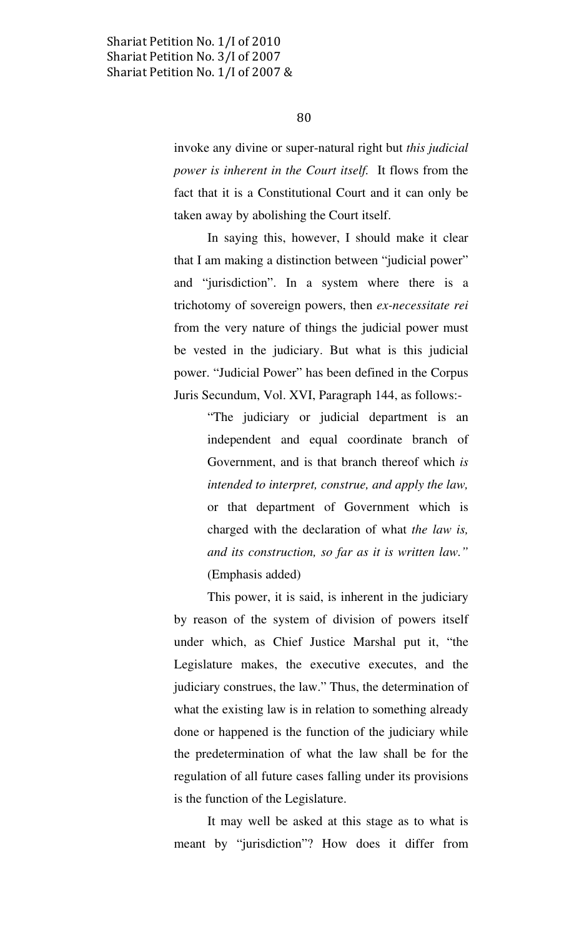invoke any divine or super-natural right but this judicial power is inherent in the Court itself. It flows from the fact that it is a Constitutional Court and it can only be taken away by abolishing the Court itself.

 In saying this, however, I should make it clear that I am making a distinction between "judicial power" and "jurisdiction". In a system where there is a trichotomy of sovereign powers, then ex-necessitate rei from the very nature of things the judicial power must be vested in the judiciary. But what is this judicial power. "Judicial Power" has been defined in the Corpus Juris Secundum, Vol. XVI, Paragraph 144, as follows:-

> "The judiciary or judicial department is an independent and equal coordinate branch of Government, and is that branch thereof which is intended to interpret, construe, and apply the law, or that department of Government which is charged with the declaration of what the law is, and its construction, so far as it is written law." (Emphasis added)

 This power, it is said, is inherent in the judiciary by reason of the system of division of powers itself under which, as Chief Justice Marshal put it, "the Legislature makes, the executive executes, and the judiciary construes, the law." Thus, the determination of what the existing law is in relation to something already done or happened is the function of the judiciary while the predetermination of what the law shall be for the regulation of all future cases falling under its provisions is the function of the Legislature.

 It may well be asked at this stage as to what is meant by "jurisdiction"? How does it differ from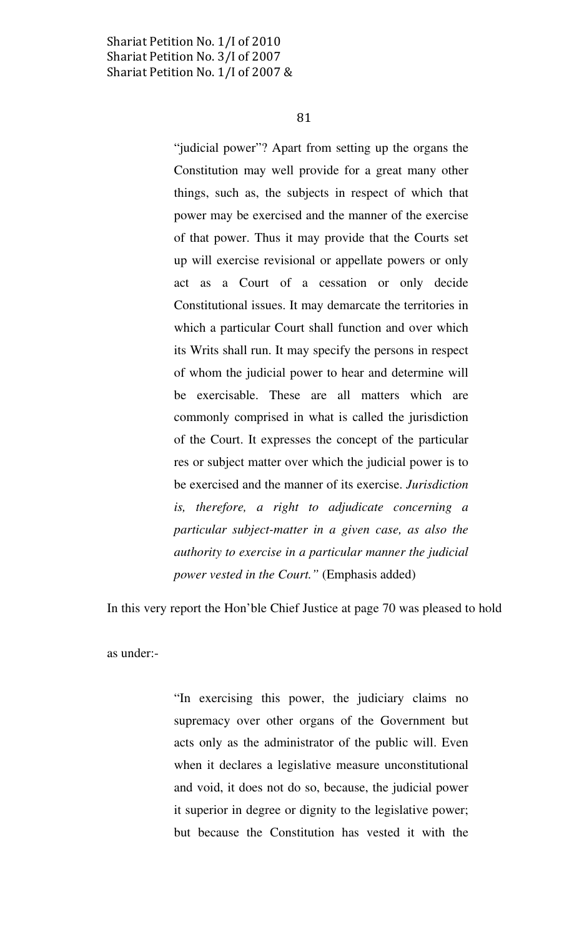81

"judicial power"? Apart from setting up the organs the Constitution may well provide for a great many other things, such as, the subjects in respect of which that power may be exercised and the manner of the exercise of that power. Thus it may provide that the Courts set up will exercise revisional or appellate powers or only act as a Court of a cessation or only decide Constitutional issues. It may demarcate the territories in which a particular Court shall function and over which its Writs shall run. It may specify the persons in respect of whom the judicial power to hear and determine will be exercisable. These are all matters which are commonly comprised in what is called the jurisdiction of the Court. It expresses the concept of the particular res or subject matter over which the judicial power is to be exercised and the manner of its exercise. Jurisdiction is, therefore, a right to adjudicate concerning a particular subject-matter in a given case, as also the authority to exercise in a particular manner the judicial power vested in the Court." (Emphasis added)

In this very report the Hon'ble Chief Justice at page 70 was pleased to hold

as under:-

"In exercising this power, the judiciary claims no supremacy over other organs of the Government but acts only as the administrator of the public will. Even when it declares a legislative measure unconstitutional and void, it does not do so, because, the judicial power it superior in degree or dignity to the legislative power; but because the Constitution has vested it with the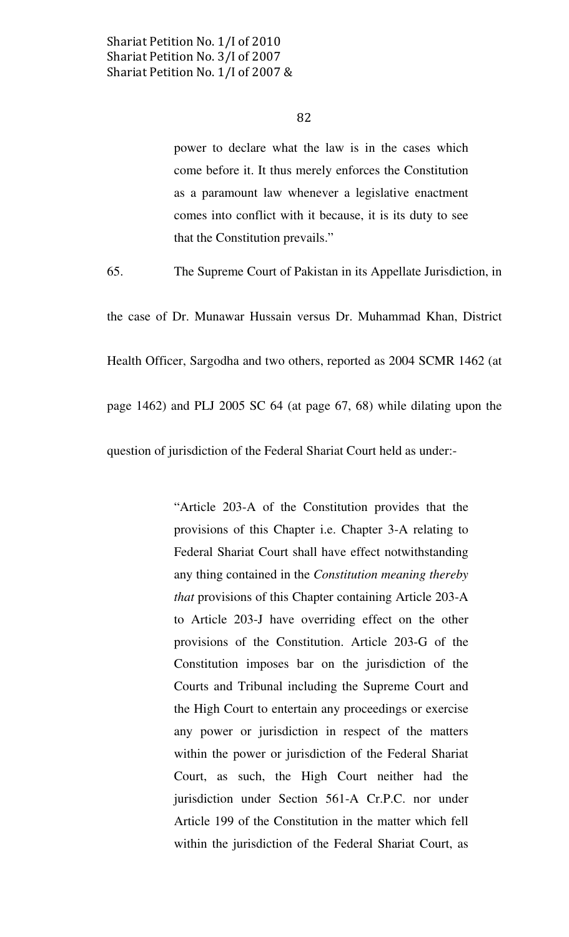power to declare what the law is in the cases which come before it. It thus merely enforces the Constitution as a paramount law whenever a legislative enactment comes into conflict with it because, it is its duty to see that the Constitution prevails."

65. The Supreme Court of Pakistan in its Appellate Jurisdiction, in

the case of Dr. Munawar Hussain versus Dr. Muhammad Khan, District Health Officer, Sargodha and two others, reported as 2004 SCMR 1462 (at page 1462) and PLJ 2005 SC 64 (at page 67, 68) while dilating upon the question of jurisdiction of the Federal Shariat Court held as under:-

> "Article 203-A of the Constitution provides that the provisions of this Chapter i.e. Chapter 3-A relating to Federal Shariat Court shall have effect notwithstanding any thing contained in the Constitution meaning thereby that provisions of this Chapter containing Article 203-A to Article 203-J have overriding effect on the other provisions of the Constitution. Article 203-G of the Constitution imposes bar on the jurisdiction of the Courts and Tribunal including the Supreme Court and the High Court to entertain any proceedings or exercise any power or jurisdiction in respect of the matters within the power or jurisdiction of the Federal Shariat Court, as such, the High Court neither had the jurisdiction under Section 561-A Cr.P.C. nor under Article 199 of the Constitution in the matter which fell within the jurisdiction of the Federal Shariat Court, as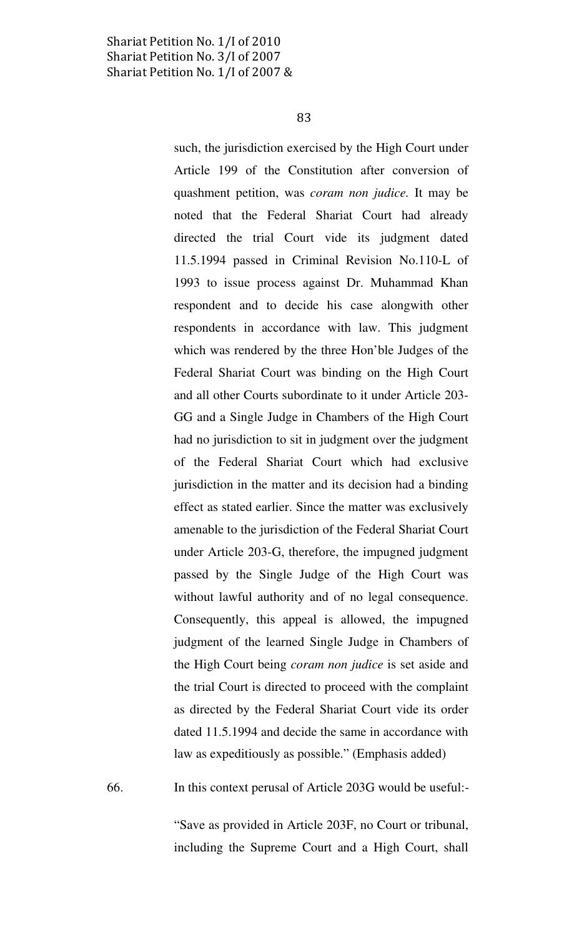83

such, the jurisdiction exercised by the High Court under Article 199 of the Constitution after conversion of quashment petition, was coram non judice. It may be noted that the Federal Shariat Court had already directed the trial Court vide its judgment dated 11.5.1994 passed in Criminal Revision No.110-L of 1993 to issue process against Dr. Muhammad Khan respondent and to decide his case alongwith other respondents in accordance with law. This judgment which was rendered by the three Hon'ble Judges of the Federal Shariat Court was binding on the High Court and all other Courts subordinate to it under Article 203- GG and a Single Judge in Chambers of the High Court had no jurisdiction to sit in judgment over the judgment of the Federal Shariat Court which had exclusive jurisdiction in the matter and its decision had a binding effect as stated earlier. Since the matter was exclusively amenable to the jurisdiction of the Federal Shariat Court under Article 203-G, therefore, the impugned judgment passed by the Single Judge of the High Court was without lawful authority and of no legal consequence. Consequently, this appeal is allowed, the impugned judgment of the learned Single Judge in Chambers of the High Court being coram non judice is set aside and the trial Court is directed to proceed with the complaint as directed by the Federal Shariat Court vide its order dated 11.5.1994 and decide the same in accordance with law as expeditiously as possible." (Emphasis added)

66. In this context perusal of Article 203G would be useful:-

"Save as provided in Article 203F, no Court or tribunal, including the Supreme Court and a High Court, shall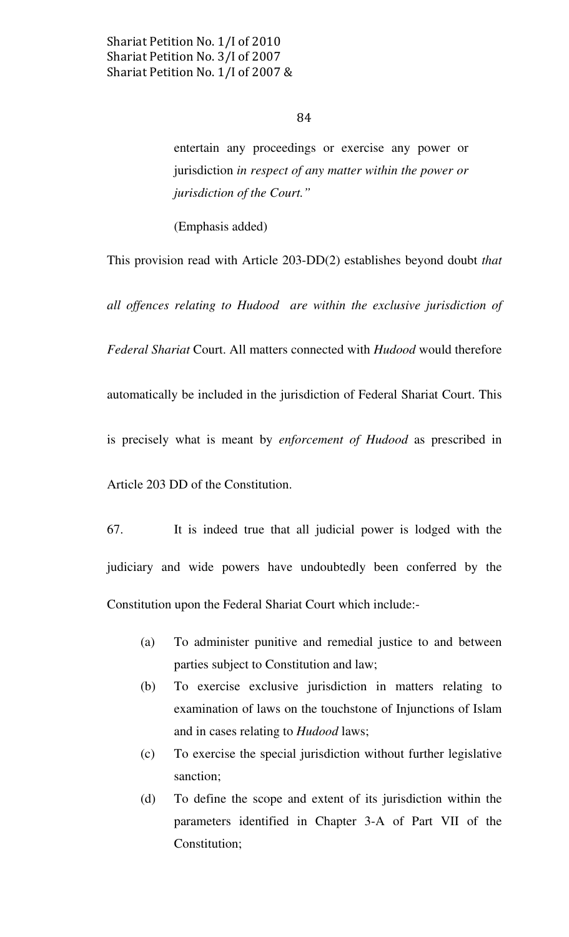entertain any proceedings or exercise any power or jurisdiction in respect of any matter within the power or jurisdiction of the Court."

(Emphasis added)

This provision read with Article 203-DD(2) establishes beyond doubt that all offences relating to Hudood are within the exclusive jurisdiction of Federal Shariat Court. All matters connected with Hudood would therefore automatically be included in the jurisdiction of Federal Shariat Court. This is precisely what is meant by enforcement of Hudood as prescribed in Article 203 DD of the Constitution.

67. It is indeed true that all judicial power is lodged with the judiciary and wide powers have undoubtedly been conferred by the Constitution upon the Federal Shariat Court which include:-

- (a) To administer punitive and remedial justice to and between parties subject to Constitution and law;
- (b) To exercise exclusive jurisdiction in matters relating to examination of laws on the touchstone of Injunctions of Islam and in cases relating to Hudood laws;
- (c) To exercise the special jurisdiction without further legislative sanction;
- (d) To define the scope and extent of its jurisdiction within the parameters identified in Chapter 3-A of Part VII of the Constitution;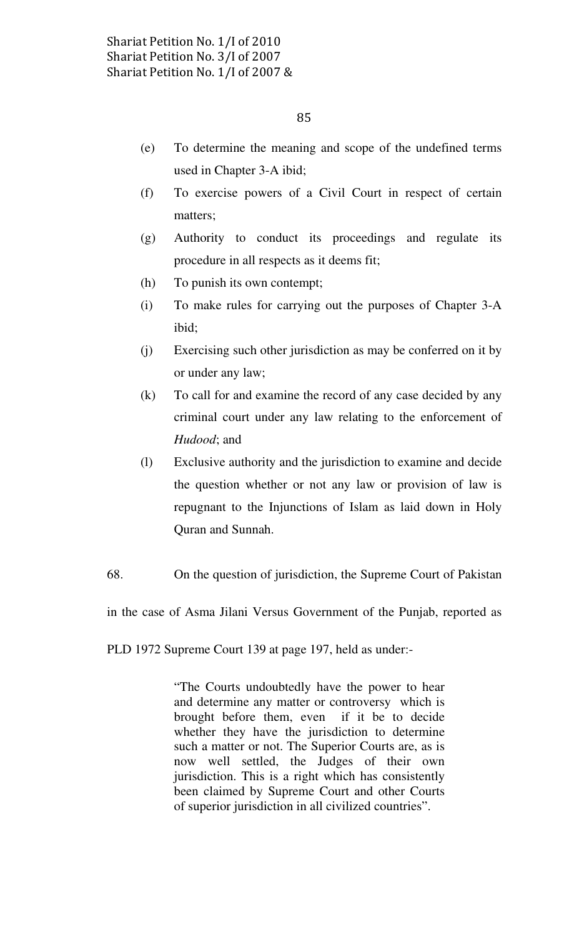- (e) To determine the meaning and scope of the undefined terms used in Chapter 3-A ibid;
- (f) To exercise powers of a Civil Court in respect of certain matters;
- (g) Authority to conduct its proceedings and regulate its procedure in all respects as it deems fit;
- (h) To punish its own contempt;
- (i) To make rules for carrying out the purposes of Chapter 3-A ibid;
- (j) Exercising such other jurisdiction as may be conferred on it by or under any law;
- (k) To call for and examine the record of any case decided by any criminal court under any law relating to the enforcement of Hudood; and
- (l) Exclusive authority and the jurisdiction to examine and decide the question whether or not any law or provision of law is repugnant to the Injunctions of Islam as laid down in Holy Quran and Sunnah.
- 68. On the question of jurisdiction, the Supreme Court of Pakistan

in the case of Asma Jilani Versus Government of the Punjab, reported as

PLD 1972 Supreme Court 139 at page 197, held as under:-

"The Courts undoubtedly have the power to hear and determine any matter or controversy which is brought before them, even if it be to decide whether they have the jurisdiction to determine such a matter or not. The Superior Courts are, as is now well settled, the Judges of their own jurisdiction. This is a right which has consistently been claimed by Supreme Court and other Courts of superior jurisdiction in all civilized countries".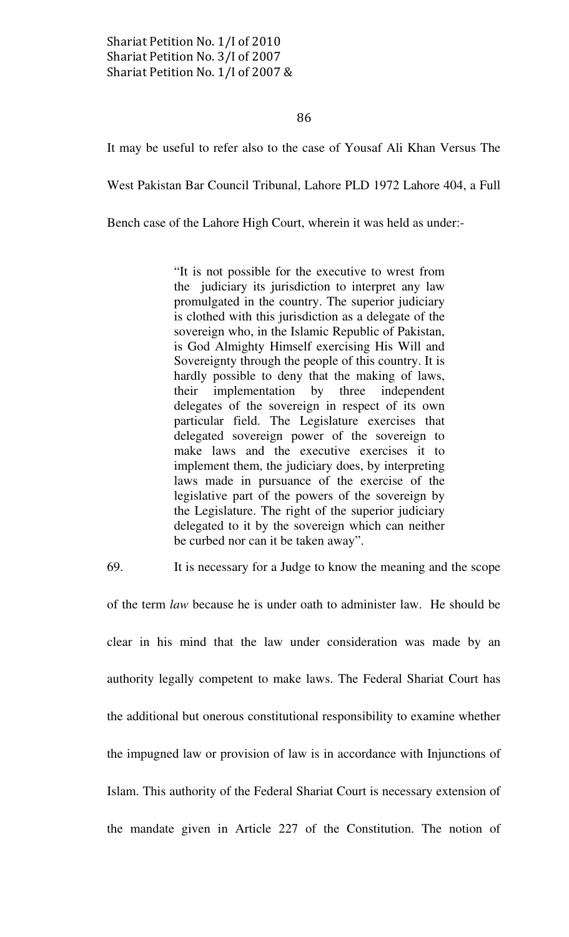86

It may be useful to refer also to the case of Yousaf Ali Khan Versus The

West Pakistan Bar Council Tribunal, Lahore PLD 1972 Lahore 404, a Full

Bench case of the Lahore High Court, wherein it was held as under:-

"It is not possible for the executive to wrest from the judiciary its jurisdiction to interpret any law promulgated in the country. The superior judiciary is clothed with this jurisdiction as a delegate of the sovereign who, in the Islamic Republic of Pakistan, is God Almighty Himself exercising His Will and Sovereignty through the people of this country. It is hardly possible to deny that the making of laws, their implementation by three independent delegates of the sovereign in respect of its own particular field. The Legislature exercises that delegated sovereign power of the sovereign to make laws and the executive exercises it to implement them, the judiciary does, by interpreting laws made in pursuance of the exercise of the legislative part of the powers of the sovereign by the Legislature. The right of the superior judiciary delegated to it by the sovereign which can neither be curbed nor can it be taken away".

69. It is necessary for a Judge to know the meaning and the scope

of the term law because he is under oath to administer law. He should be clear in his mind that the law under consideration was made by an authority legally competent to make laws. The Federal Shariat Court has the additional but onerous constitutional responsibility to examine whether the impugned law or provision of law is in accordance with Injunctions of Islam. This authority of the Federal Shariat Court is necessary extension of the mandate given in Article 227 of the Constitution. The notion of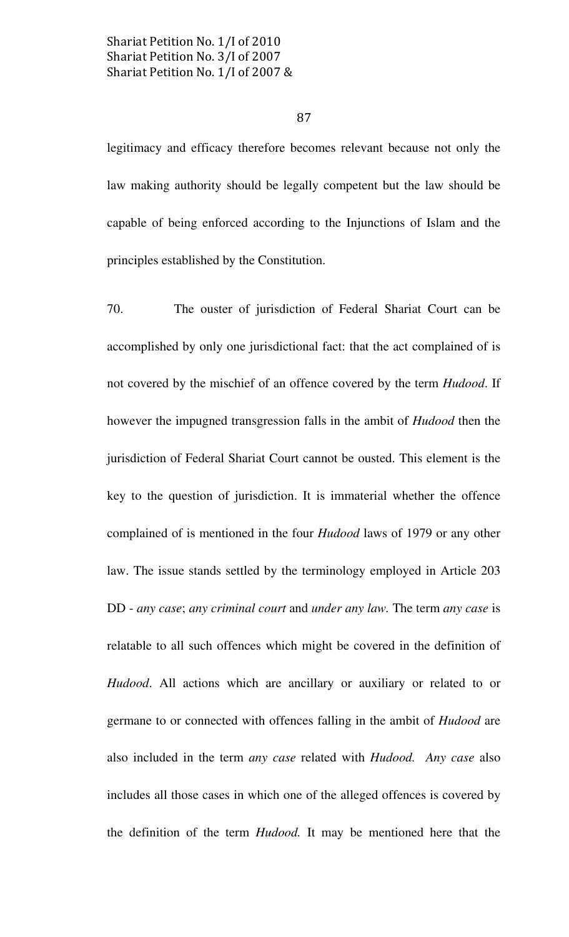87

legitimacy and efficacy therefore becomes relevant because not only the law making authority should be legally competent but the law should be capable of being enforced according to the Injunctions of Islam and the principles established by the Constitution.

70. The ouster of jurisdiction of Federal Shariat Court can be accomplished by only one jurisdictional fact: that the act complained of is not covered by the mischief of an offence covered by the term Hudood. If however the impugned transgression falls in the ambit of Hudood then the jurisdiction of Federal Shariat Court cannot be ousted. This element is the key to the question of jurisdiction. It is immaterial whether the offence complained of is mentioned in the four Hudood laws of 1979 or any other law. The issue stands settled by the terminology employed in Article 203 DD - any case; any criminal court and under any law. The term any case is relatable to all such offences which might be covered in the definition of Hudood. All actions which are ancillary or auxiliary or related to or germane to or connected with offences falling in the ambit of Hudood are also included in the term *any case* related with *Hudood. Any case* also includes all those cases in which one of the alleged offences is covered by the definition of the term Hudood. It may be mentioned here that the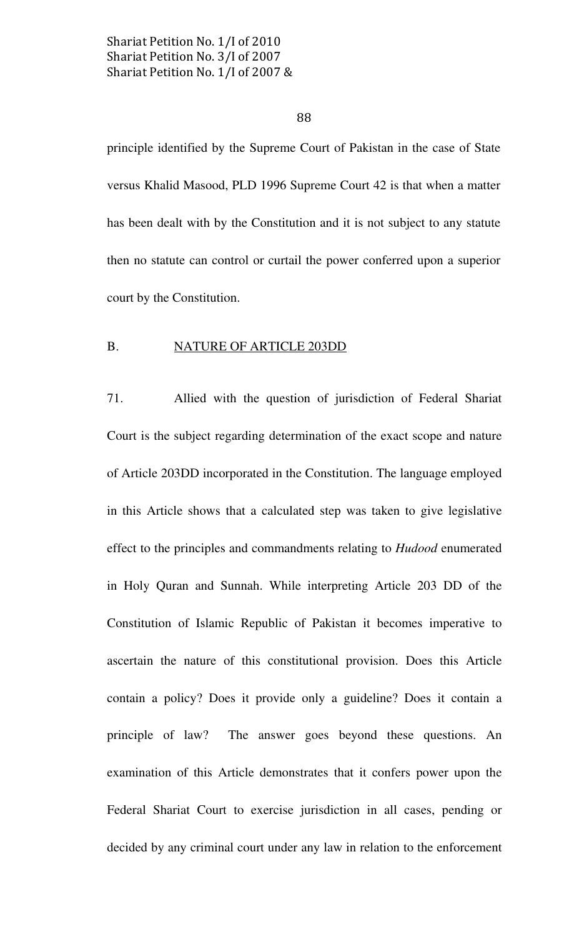### 88

principle identified by the Supreme Court of Pakistan in the case of State versus Khalid Masood, PLD 1996 Supreme Court 42 is that when a matter has been dealt with by the Constitution and it is not subject to any statute then no statute can control or curtail the power conferred upon a superior court by the Constitution.

### B. NATURE OF ARTICLE 203DD

71. Allied with the question of jurisdiction of Federal Shariat Court is the subject regarding determination of the exact scope and nature of Article 203DD incorporated in the Constitution. The language employed in this Article shows that a calculated step was taken to give legislative effect to the principles and commandments relating to Hudood enumerated in Holy Quran and Sunnah. While interpreting Article 203 DD of the Constitution of Islamic Republic of Pakistan it becomes imperative to ascertain the nature of this constitutional provision. Does this Article contain a policy? Does it provide only a guideline? Does it contain a principle of law? The answer goes beyond these questions. An examination of this Article demonstrates that it confers power upon the Federal Shariat Court to exercise jurisdiction in all cases, pending or decided by any criminal court under any law in relation to the enforcement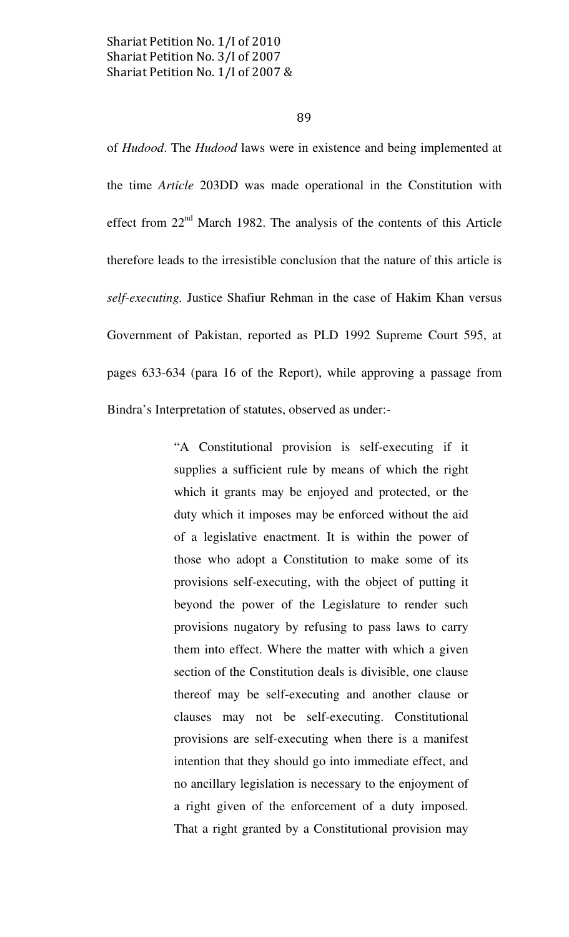89

of Hudood. The Hudood laws were in existence and being implemented at the time Article 203DD was made operational in the Constitution with effect from 22<sup>nd</sup> March 1982. The analysis of the contents of this Article therefore leads to the irresistible conclusion that the nature of this article is self-executing. Justice Shafiur Rehman in the case of Hakim Khan versus Government of Pakistan, reported as PLD 1992 Supreme Court 595, at pages 633-634 (para 16 of the Report), while approving a passage from Bindra's Interpretation of statutes, observed as under:-

> "A Constitutional provision is self-executing if it supplies a sufficient rule by means of which the right which it grants may be enjoyed and protected, or the duty which it imposes may be enforced without the aid of a legislative enactment. It is within the power of those who adopt a Constitution to make some of its provisions self-executing, with the object of putting it beyond the power of the Legislature to render such provisions nugatory by refusing to pass laws to carry them into effect. Where the matter with which a given section of the Constitution deals is divisible, one clause thereof may be self-executing and another clause or clauses may not be self-executing. Constitutional provisions are self-executing when there is a manifest intention that they should go into immediate effect, and no ancillary legislation is necessary to the enjoyment of a right given of the enforcement of a duty imposed. That a right granted by a Constitutional provision may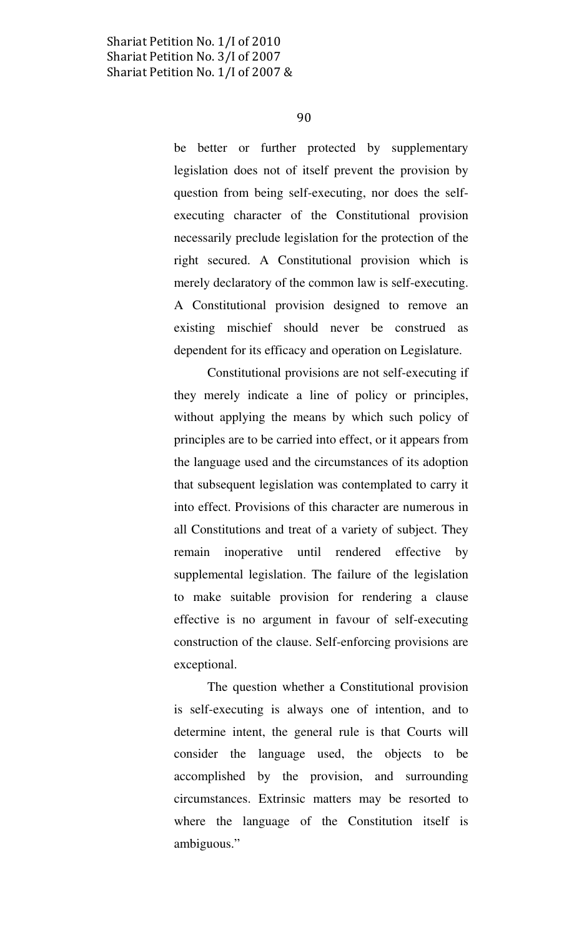be better or further protected by supplementary legislation does not of itself prevent the provision by question from being self-executing, nor does the selfexecuting character of the Constitutional provision necessarily preclude legislation for the protection of the right secured. A Constitutional provision which is merely declaratory of the common law is self-executing. A Constitutional provision designed to remove an existing mischief should never be construed as dependent for its efficacy and operation on Legislature.

Constitutional provisions are not self-executing if they merely indicate a line of policy or principles, without applying the means by which such policy of principles are to be carried into effect, or it appears from the language used and the circumstances of its adoption that subsequent legislation was contemplated to carry it into effect. Provisions of this character are numerous in all Constitutions and treat of a variety of subject. They remain inoperative until rendered effective by supplemental legislation. The failure of the legislation to make suitable provision for rendering a clause effective is no argument in favour of self-executing construction of the clause. Self-enforcing provisions are exceptional.

The question whether a Constitutional provision is self-executing is always one of intention, and to determine intent, the general rule is that Courts will consider the language used, the objects to be accomplished by the provision, and surrounding circumstances. Extrinsic matters may be resorted to where the language of the Constitution itself is ambiguous."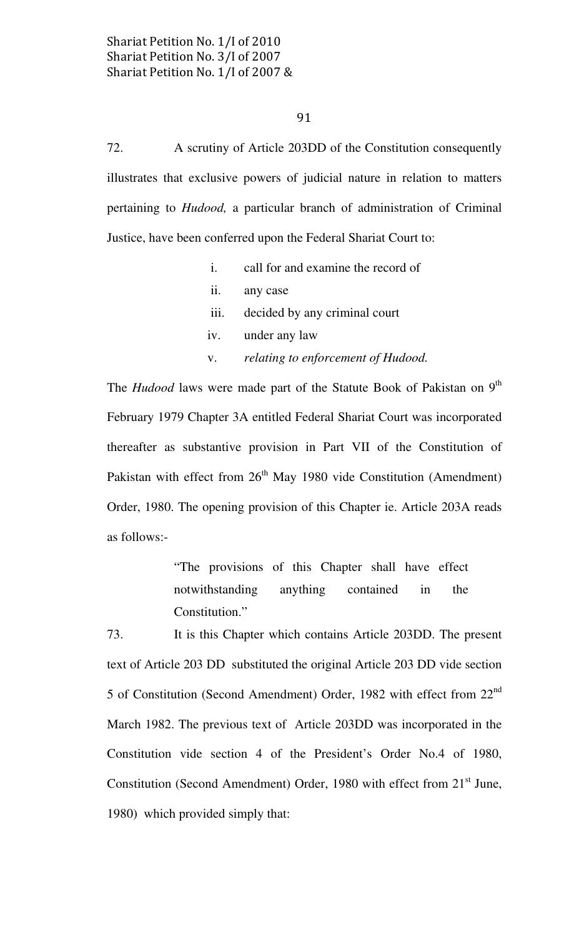72. A scrutiny of Article 203DD of the Constitution consequently illustrates that exclusive powers of judicial nature in relation to matters pertaining to Hudood, a particular branch of administration of Criminal Justice, have been conferred upon the Federal Shariat Court to:

- i. call for and examine the record of ii. any case iii. decided by any criminal court
- 
- iv. under any law
- v. relating to enforcement of Hudood.

The *Hudood* laws were made part of the Statute Book of Pakistan on 9<sup>th</sup> February 1979 Chapter 3A entitled Federal Shariat Court was incorporated thereafter as substantive provision in Part VII of the Constitution of Pakistan with effect from  $26<sup>th</sup>$  May 1980 vide Constitution (Amendment) Order, 1980. The opening provision of this Chapter ie. Article 203A reads as follows:-

> "The provisions of this Chapter shall have effect notwithstanding anything contained in the Constitution."

73. It is this Chapter which contains Article 203DD. The present text of Article 203 DD substituted the original Article 203 DD vide section 5 of Constitution (Second Amendment) Order, 1982 with effect from  $22<sup>nd</sup>$ March 1982. The previous text of Article 203DD was incorporated in the Constitution vide section 4 of the President's Order No.4 of 1980, Constitution (Second Amendment) Order, 1980 with effect from  $21<sup>st</sup>$  June, 1980) which provided simply that: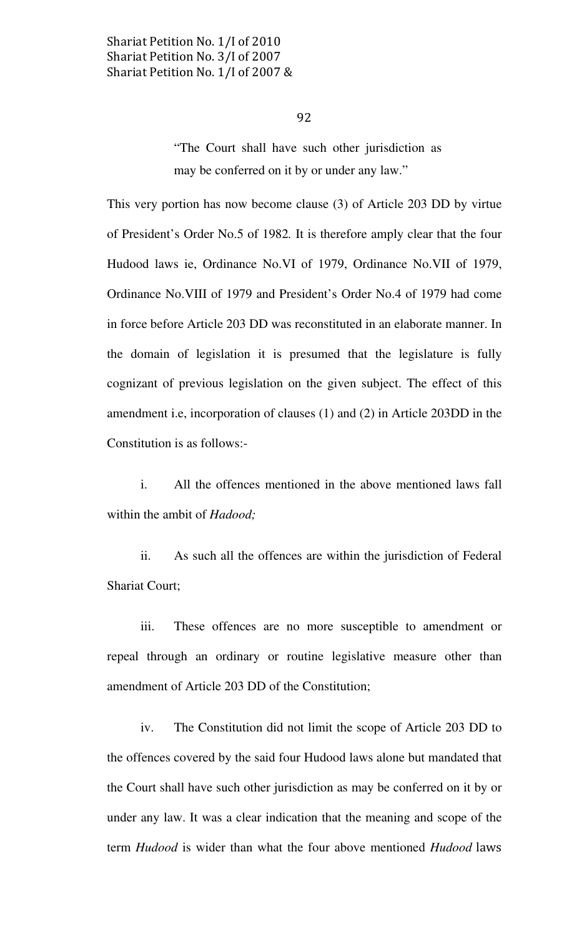"The Court shall have such other jurisdiction as may be conferred on it by or under any law."

This very portion has now become clause (3) of Article 203 DD by virtue of President's Order No.5 of 1982. It is therefore amply clear that the four Hudood laws ie, Ordinance No.VI of 1979, Ordinance No.VII of 1979, Ordinance No.VIII of 1979 and President's Order No.4 of 1979 had come in force before Article 203 DD was reconstituted in an elaborate manner. In the domain of legislation it is presumed that the legislature is fully cognizant of previous legislation on the given subject. The effect of this amendment i.e, incorporation of clauses (1) and (2) in Article 203DD in the Constitution is as follows:-

 i. All the offences mentioned in the above mentioned laws fall within the ambit of *Hadood*;

 ii. As such all the offences are within the jurisdiction of Federal Shariat Court;

 iii. These offences are no more susceptible to amendment or repeal through an ordinary or routine legislative measure other than amendment of Article 203 DD of the Constitution;

 iv. The Constitution did not limit the scope of Article 203 DD to the offences covered by the said four Hudood laws alone but mandated that the Court shall have such other jurisdiction as may be conferred on it by or under any law. It was a clear indication that the meaning and scope of the term Hudood is wider than what the four above mentioned Hudood laws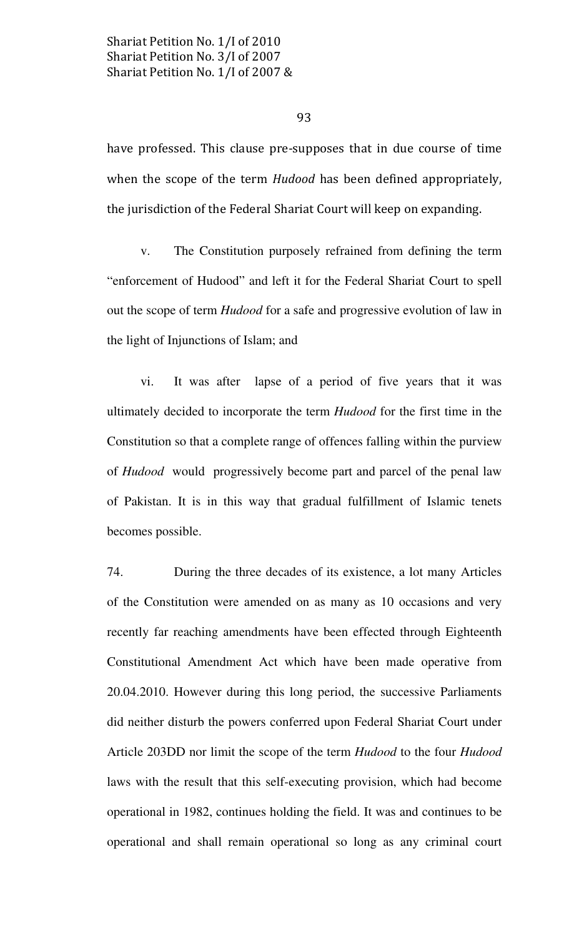93

have professed. This clause pre-supposes that in due course of time when the scope of the term Hudood has been defined appropriately, the jurisdiction of the Federal Shariat Court will keep on expanding.

 v. The Constitution purposely refrained from defining the term "enforcement of Hudood" and left it for the Federal Shariat Court to spell out the scope of term Hudood for a safe and progressive evolution of law in the light of Injunctions of Islam; and

 vi. It was after lapse of a period of five years that it was ultimately decided to incorporate the term Hudood for the first time in the Constitution so that a complete range of offences falling within the purview of Hudood would progressively become part and parcel of the penal law of Pakistan. It is in this way that gradual fulfillment of Islamic tenets becomes possible.

74. During the three decades of its existence, a lot many Articles of the Constitution were amended on as many as 10 occasions and very recently far reaching amendments have been effected through Eighteenth Constitutional Amendment Act which have been made operative from 20.04.2010. However during this long period, the successive Parliaments did neither disturb the powers conferred upon Federal Shariat Court under Article 203DD nor limit the scope of the term Hudood to the four Hudood laws with the result that this self-executing provision, which had become operational in 1982, continues holding the field. It was and continues to be operational and shall remain operational so long as any criminal court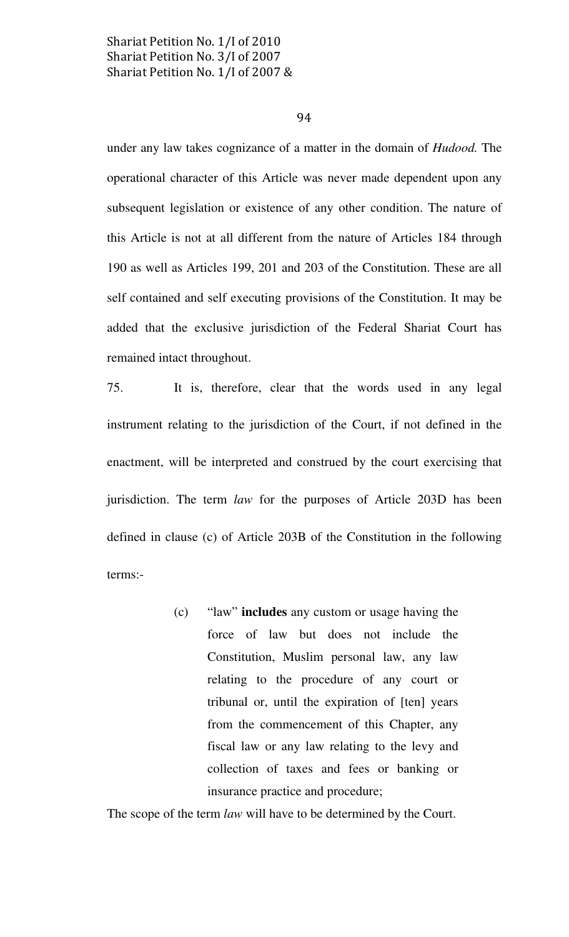94

under any law takes cognizance of a matter in the domain of Hudood. The operational character of this Article was never made dependent upon any subsequent legislation or existence of any other condition. The nature of this Article is not at all different from the nature of Articles 184 through 190 as well as Articles 199, 201 and 203 of the Constitution. These are all self contained and self executing provisions of the Constitution. It may be added that the exclusive jurisdiction of the Federal Shariat Court has remained intact throughout.

75. It is, therefore, clear that the words used in any legal instrument relating to the jurisdiction of the Court, if not defined in the enactment, will be interpreted and construed by the court exercising that jurisdiction. The term *law* for the purposes of Article 203D has been defined in clause (c) of Article 203B of the Constitution in the following terms:-

> (c) "law" includes any custom or usage having the force of law but does not include the Constitution, Muslim personal law, any law relating to the procedure of any court or tribunal or, until the expiration of [ten] years from the commencement of this Chapter, any fiscal law or any law relating to the levy and collection of taxes and fees or banking or insurance practice and procedure;

The scope of the term *law* will have to be determined by the Court.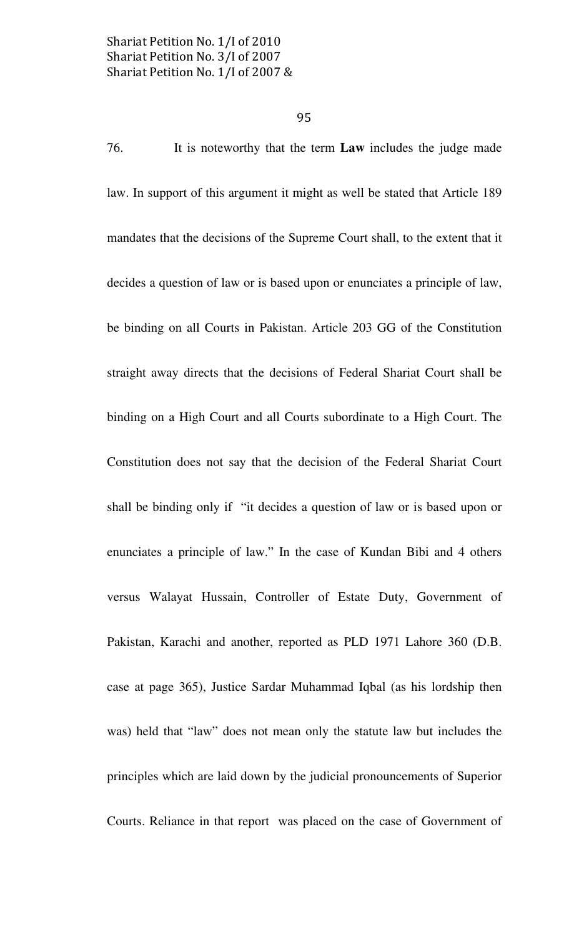76. It is noteworthy that the term Law includes the judge made law. In support of this argument it might as well be stated that Article 189 mandates that the decisions of the Supreme Court shall, to the extent that it decides a question of law or is based upon or enunciates a principle of law, be binding on all Courts in Pakistan. Article 203 GG of the Constitution straight away directs that the decisions of Federal Shariat Court shall be binding on a High Court and all Courts subordinate to a High Court. The Constitution does not say that the decision of the Federal Shariat Court shall be binding only if "it decides a question of law or is based upon or enunciates a principle of law." In the case of Kundan Bibi and 4 others versus Walayat Hussain, Controller of Estate Duty, Government of Pakistan, Karachi and another, reported as PLD 1971 Lahore 360 (D.B. case at page 365), Justice Sardar Muhammad Iqbal (as his lordship then was) held that "law" does not mean only the statute law but includes the principles which are laid down by the judicial pronouncements of Superior Courts. Reliance in that report was placed on the case of Government of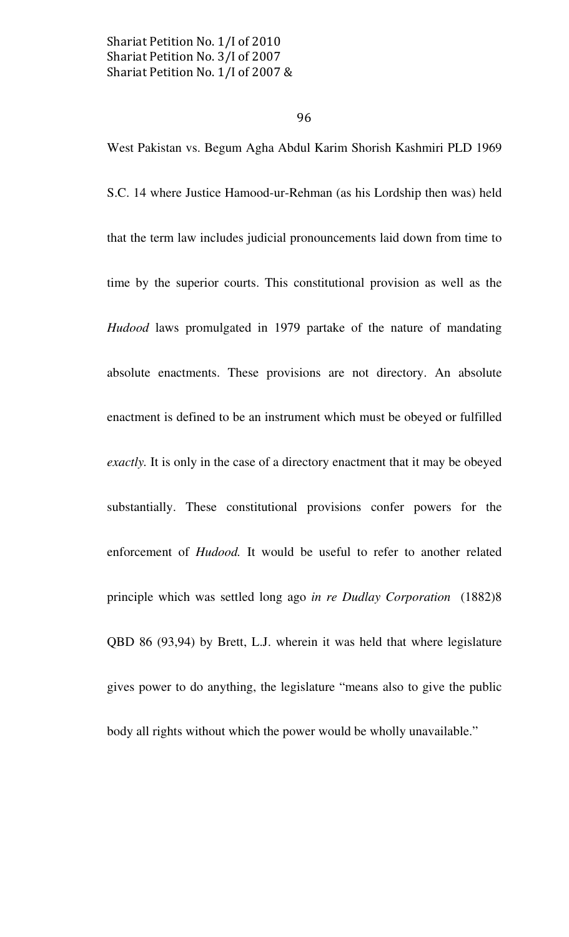# 96

West Pakistan vs. Begum Agha Abdul Karim Shorish Kashmiri PLD 1969 S.C. 14 where Justice Hamood-ur-Rehman (as his Lordship then was) held that the term law includes judicial pronouncements laid down from time to time by the superior courts. This constitutional provision as well as the Hudood laws promulgated in 1979 partake of the nature of mandating absolute enactments. These provisions are not directory. An absolute enactment is defined to be an instrument which must be obeyed or fulfilled exactly. It is only in the case of a directory enactment that it may be obeyed substantially. These constitutional provisions confer powers for the enforcement of Hudood. It would be useful to refer to another related principle which was settled long ago in re Dudlay Corporation (1882)8 QBD 86 (93,94) by Brett, L.J. wherein it was held that where legislature gives power to do anything, the legislature "means also to give the public body all rights without which the power would be wholly unavailable."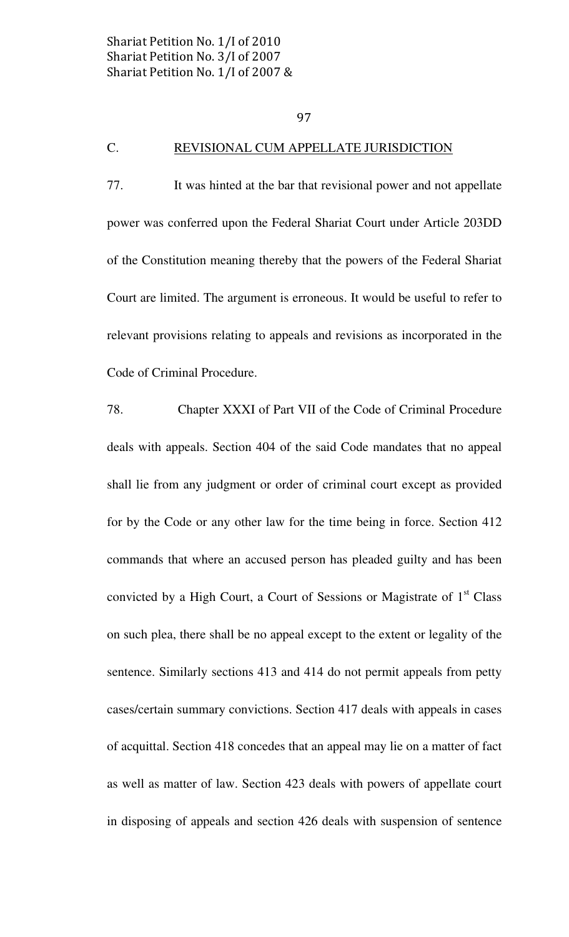# C. REVISIONAL CUM APPELLATE JURISDICTION

77. It was hinted at the bar that revisional power and not appellate power was conferred upon the Federal Shariat Court under Article 203DD of the Constitution meaning thereby that the powers of the Federal Shariat Court are limited. The argument is erroneous. It would be useful to refer to relevant provisions relating to appeals and revisions as incorporated in the Code of Criminal Procedure.

78. Chapter XXXI of Part VII of the Code of Criminal Procedure deals with appeals. Section 404 of the said Code mandates that no appeal shall lie from any judgment or order of criminal court except as provided for by the Code or any other law for the time being in force. Section 412 commands that where an accused person has pleaded guilty and has been convicted by a High Court, a Court of Sessions or Magistrate of  $1<sup>st</sup>$  Class on such plea, there shall be no appeal except to the extent or legality of the sentence. Similarly sections 413 and 414 do not permit appeals from petty cases/certain summary convictions. Section 417 deals with appeals in cases of acquittal. Section 418 concedes that an appeal may lie on a matter of fact as well as matter of law. Section 423 deals with powers of appellate court in disposing of appeals and section 426 deals with suspension of sentence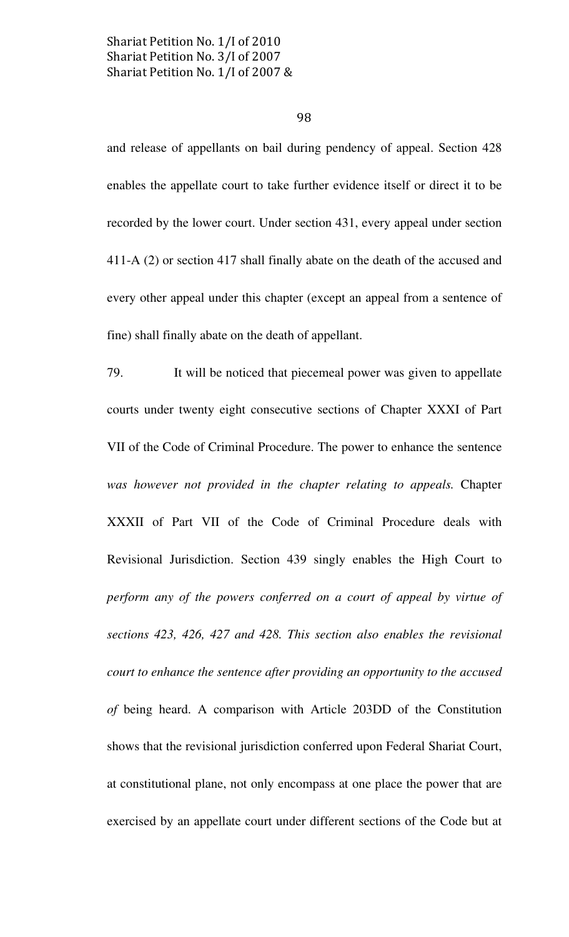98

and release of appellants on bail during pendency of appeal. Section 428 enables the appellate court to take further evidence itself or direct it to be recorded by the lower court. Under section 431, every appeal under section 411-A (2) or section 417 shall finally abate on the death of the accused and every other appeal under this chapter (except an appeal from a sentence of fine) shall finally abate on the death of appellant.

79. It will be noticed that piecemeal power was given to appellate courts under twenty eight consecutive sections of Chapter XXXI of Part VII of the Code of Criminal Procedure. The power to enhance the sentence was however not provided in the chapter relating to appeals. Chapter XXXII of Part VII of the Code of Criminal Procedure deals with Revisional Jurisdiction. Section 439 singly enables the High Court to perform any of the powers conferred on a court of appeal by virtue of sections 423, 426, 427 and 428. This section also enables the revisional court to enhance the sentence after providing an opportunity to the accused of being heard. A comparison with Article 203DD of the Constitution shows that the revisional jurisdiction conferred upon Federal Shariat Court, at constitutional plane, not only encompass at one place the power that are exercised by an appellate court under different sections of the Code but at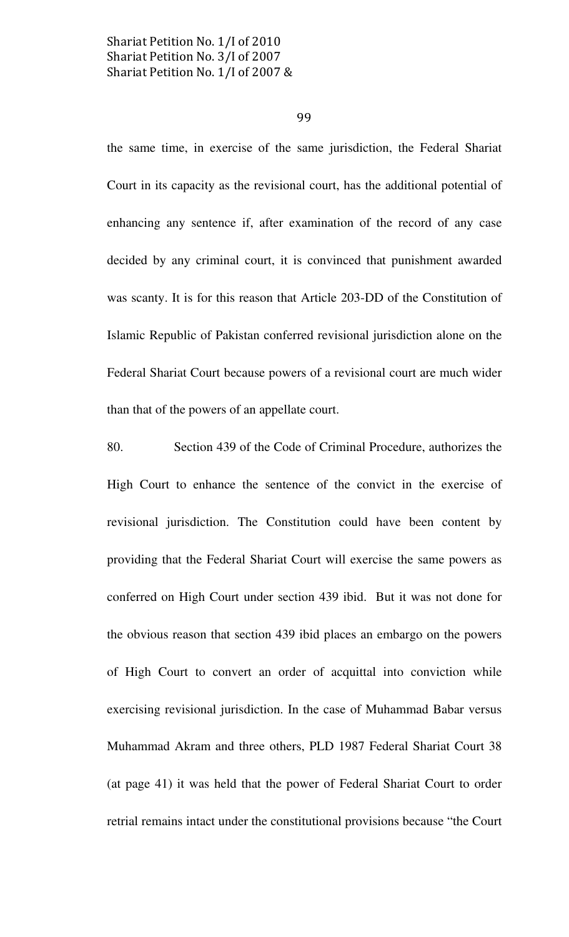99

the same time, in exercise of the same jurisdiction, the Federal Shariat Court in its capacity as the revisional court, has the additional potential of enhancing any sentence if, after examination of the record of any case decided by any criminal court, it is convinced that punishment awarded was scanty. It is for this reason that Article 203-DD of the Constitution of Islamic Republic of Pakistan conferred revisional jurisdiction alone on the Federal Shariat Court because powers of a revisional court are much wider than that of the powers of an appellate court.

80. Section 439 of the Code of Criminal Procedure, authorizes the High Court to enhance the sentence of the convict in the exercise of revisional jurisdiction. The Constitution could have been content by providing that the Federal Shariat Court will exercise the same powers as conferred on High Court under section 439 ibid. But it was not done for the obvious reason that section 439 ibid places an embargo on the powers of High Court to convert an order of acquittal into conviction while exercising revisional jurisdiction. In the case of Muhammad Babar versus Muhammad Akram and three others, PLD 1987 Federal Shariat Court 38 (at page 41) it was held that the power of Federal Shariat Court to order retrial remains intact under the constitutional provisions because "the Court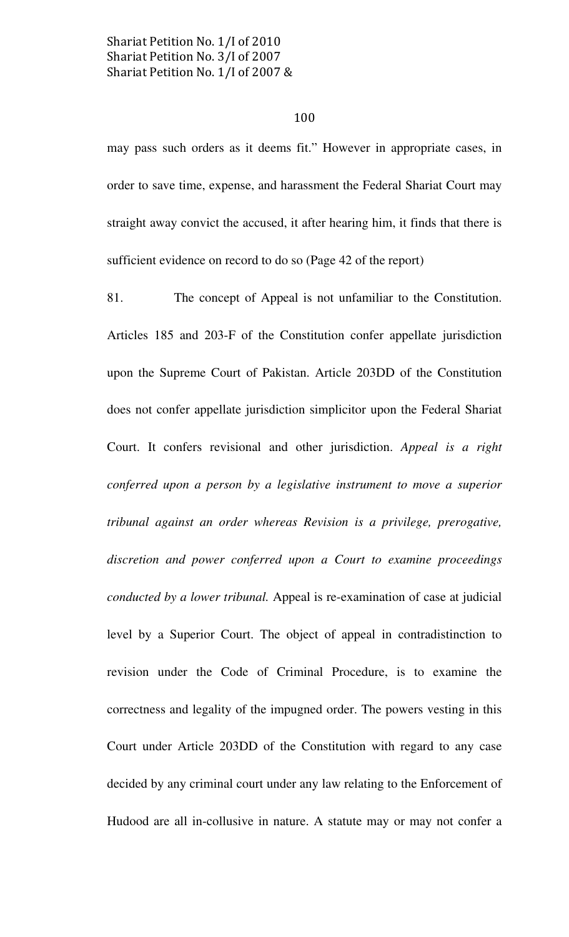### 100

may pass such orders as it deems fit." However in appropriate cases, in order to save time, expense, and harassment the Federal Shariat Court may straight away convict the accused, it after hearing him, it finds that there is sufficient evidence on record to do so (Page 42 of the report)

81. The concept of Appeal is not unfamiliar to the Constitution. Articles 185 and 203-F of the Constitution confer appellate jurisdiction upon the Supreme Court of Pakistan. Article 203DD of the Constitution does not confer appellate jurisdiction simplicitor upon the Federal Shariat Court. It confers revisional and other jurisdiction. Appeal is a right conferred upon a person by a legislative instrument to move a superior tribunal against an order whereas Revision is a privilege, prerogative, discretion and power conferred upon a Court to examine proceedings conducted by a lower tribunal. Appeal is re-examination of case at judicial level by a Superior Court. The object of appeal in contradistinction to revision under the Code of Criminal Procedure, is to examine the correctness and legality of the impugned order. The powers vesting in this Court under Article 203DD of the Constitution with regard to any case decided by any criminal court under any law relating to the Enforcement of Hudood are all in-collusive in nature. A statute may or may not confer a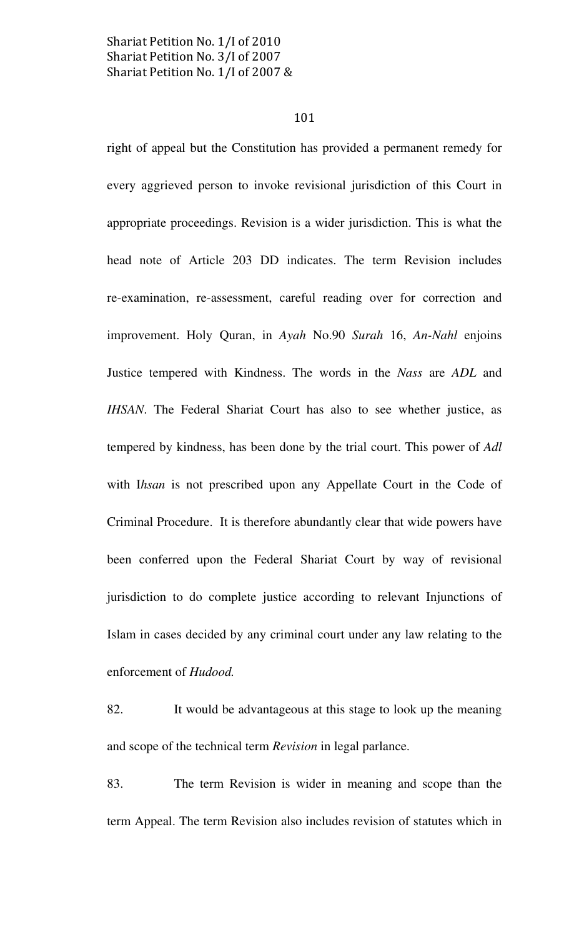#### 101

right of appeal but the Constitution has provided a permanent remedy for every aggrieved person to invoke revisional jurisdiction of this Court in appropriate proceedings. Revision is a wider jurisdiction. This is what the head note of Article 203 DD indicates. The term Revision includes re-examination, re-assessment, careful reading over for correction and improvement. Holy Quran, in Ayah No.90 Surah 16, An-Nahl enjoins Justice tempered with Kindness. The words in the Nass are ADL and IHSAN. The Federal Shariat Court has also to see whether justice, as tempered by kindness, has been done by the trial court. This power of Adl with Ihsan is not prescribed upon any Appellate Court in the Code of Criminal Procedure. It is therefore abundantly clear that wide powers have been conferred upon the Federal Shariat Court by way of revisional jurisdiction to do complete justice according to relevant Injunctions of Islam in cases decided by any criminal court under any law relating to the enforcement of Hudood.

82. It would be advantageous at this stage to look up the meaning and scope of the technical term Revision in legal parlance.

83. The term Revision is wider in meaning and scope than the term Appeal. The term Revision also includes revision of statutes which in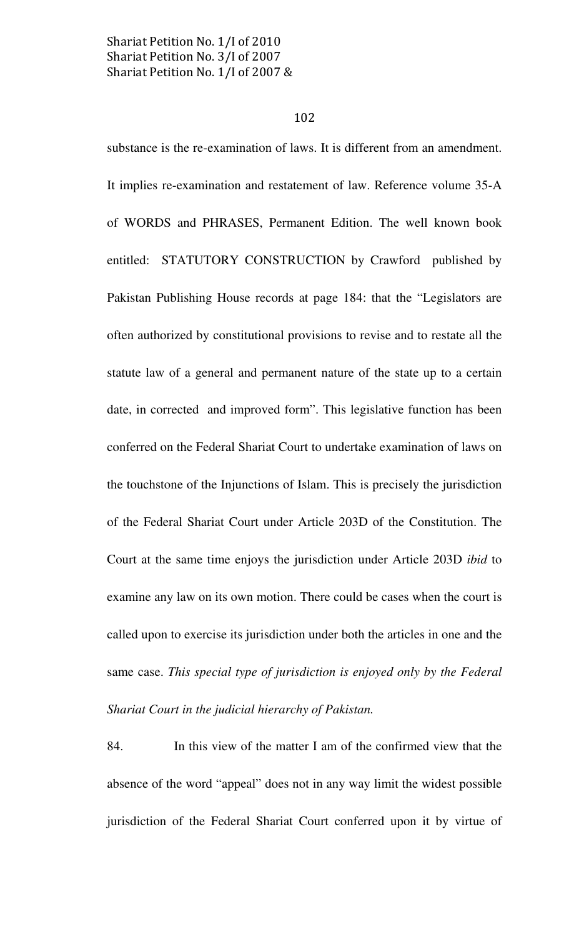#### 102

substance is the re-examination of laws. It is different from an amendment. It implies re-examination and restatement of law. Reference volume 35-A of WORDS and PHRASES, Permanent Edition. The well known book entitled: STATUTORY CONSTRUCTION by Crawford published by Pakistan Publishing House records at page 184: that the "Legislators are often authorized by constitutional provisions to revise and to restate all the statute law of a general and permanent nature of the state up to a certain date, in corrected and improved form". This legislative function has been conferred on the Federal Shariat Court to undertake examination of laws on the touchstone of the Injunctions of Islam. This is precisely the jurisdiction of the Federal Shariat Court under Article 203D of the Constitution. The Court at the same time enjoys the jurisdiction under Article 203D ibid to examine any law on its own motion. There could be cases when the court is called upon to exercise its jurisdiction under both the articles in one and the same case. This special type of jurisdiction is enjoyed only by the Federal Shariat Court in the judicial hierarchy of Pakistan.

84. In this view of the matter I am of the confirmed view that the absence of the word "appeal" does not in any way limit the widest possible jurisdiction of the Federal Shariat Court conferred upon it by virtue of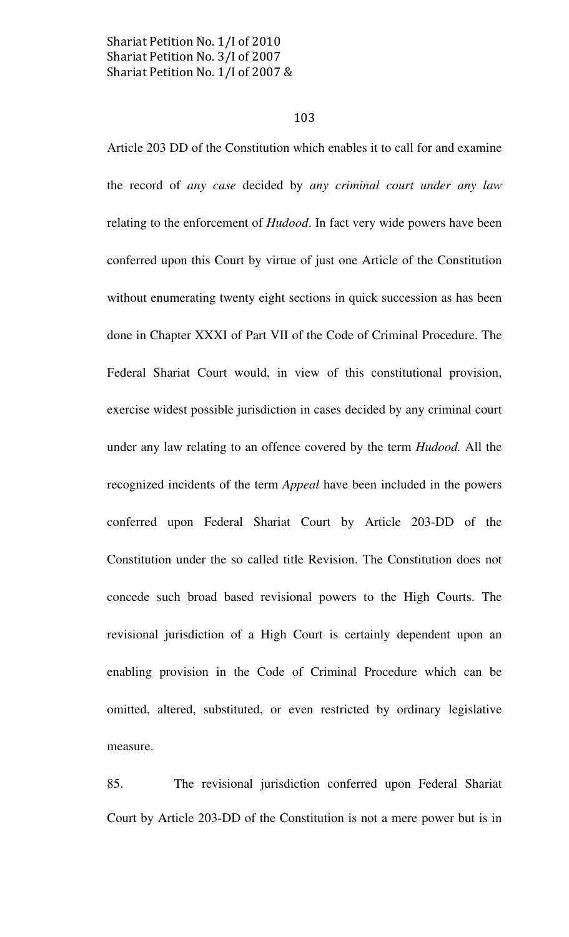#### 103

Article 203 DD of the Constitution which enables it to call for and examine the record of any case decided by any criminal court under any law relating to the enforcement of *Hudood*. In fact very wide powers have been conferred upon this Court by virtue of just one Article of the Constitution without enumerating twenty eight sections in quick succession as has been done in Chapter XXXI of Part VII of the Code of Criminal Procedure. The Federal Shariat Court would, in view of this constitutional provision, exercise widest possible jurisdiction in cases decided by any criminal court under any law relating to an offence covered by the term Hudood. All the recognized incidents of the term Appeal have been included in the powers conferred upon Federal Shariat Court by Article 203-DD of the Constitution under the so called title Revision. The Constitution does not concede such broad based revisional powers to the High Courts. The revisional jurisdiction of a High Court is certainly dependent upon an enabling provision in the Code of Criminal Procedure which can be omitted, altered, substituted, or even restricted by ordinary legislative measure.

85. The revisional jurisdiction conferred upon Federal Shariat Court by Article 203-DD of the Constitution is not a mere power but is in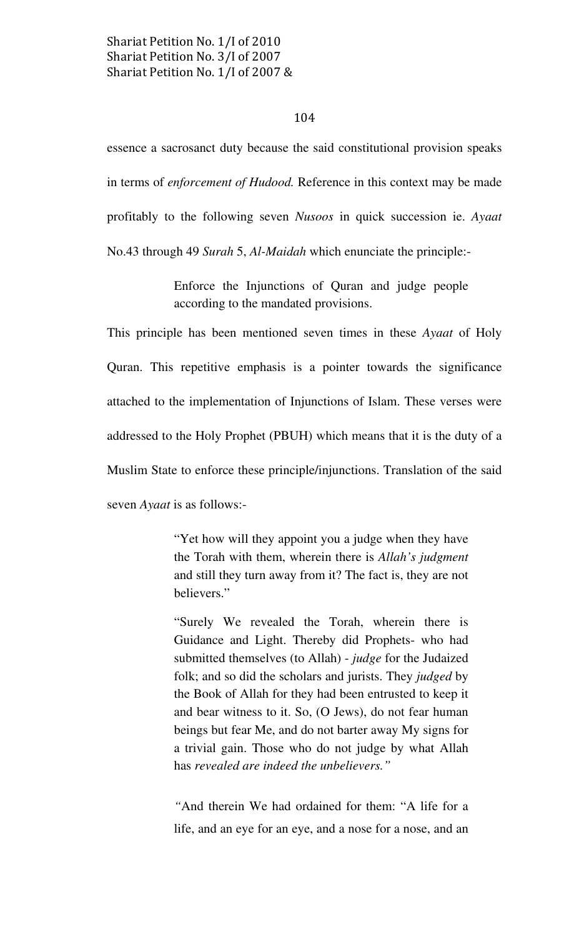#### 104

essence a sacrosanct duty because the said constitutional provision speaks in terms of enforcement of Hudood. Reference in this context may be made profitably to the following seven Nusoos in quick succession ie. Ayaat No.43 through 49 Surah 5, Al-Maidah which enunciate the principle:-

> Enforce the Injunctions of Quran and judge people according to the mandated provisions.

This principle has been mentioned seven times in these Ayaat of Holy Quran. This repetitive emphasis is a pointer towards the significance attached to the implementation of Injunctions of Islam. These verses were addressed to the Holy Prophet (PBUH) which means that it is the duty of a Muslim State to enforce these principle/injunctions. Translation of the said seven *Ayaat* is as follows:-

> "Yet how will they appoint you a judge when they have the Torah with them, wherein there is Allah's judgment and still they turn away from it? The fact is, they are not believers."

> "Surely We revealed the Torah, wherein there is Guidance and Light. Thereby did Prophets- who had submitted themselves (to Allah) - judge for the Judaized folk; and so did the scholars and jurists. They *judged* by the Book of Allah for they had been entrusted to keep it and bear witness to it. So, (O Jews), do not fear human beings but fear Me, and do not barter away My signs for a trivial gain. Those who do not judge by what Allah has revealed are indeed the unbelievers."

> "And therein We had ordained for them: "A life for a life, and an eye for an eye, and a nose for a nose, and an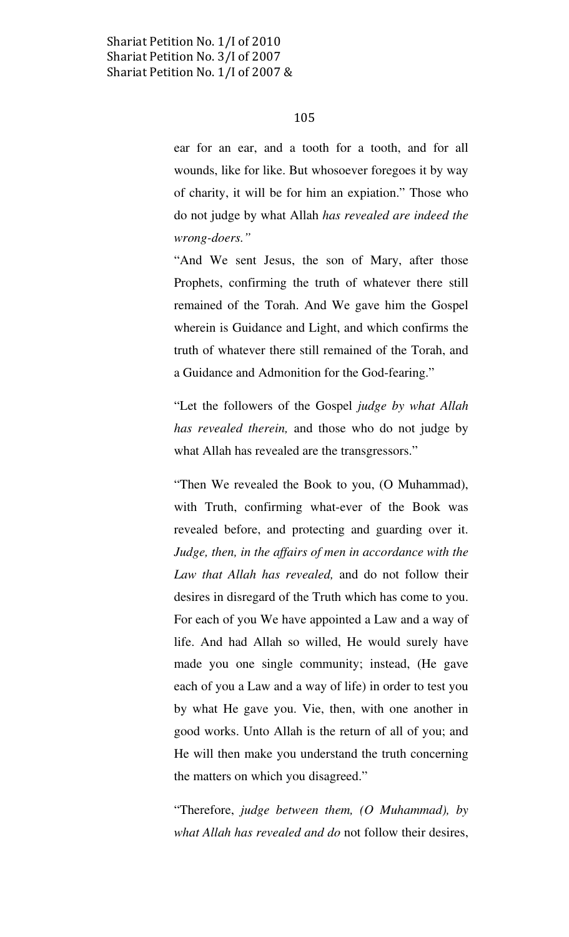ear for an ear, and a tooth for a tooth, and for all wounds, like for like. But whosoever foregoes it by way of charity, it will be for him an expiation." Those who do not judge by what Allah has revealed are indeed the wrong-doers."

"And We sent Jesus, the son of Mary, after those Prophets, confirming the truth of whatever there still remained of the Torah. And We gave him the Gospel wherein is Guidance and Light, and which confirms the truth of whatever there still remained of the Torah, and a Guidance and Admonition for the God-fearing."

"Let the followers of the Gospel judge by what Allah has revealed therein, and those who do not judge by what Allah has revealed are the transgressors."

"Then We revealed the Book to you, (O Muhammad), with Truth, confirming what-ever of the Book was revealed before, and protecting and guarding over it. Judge, then, in the affairs of men in accordance with the Law that Allah has revealed, and do not follow their desires in disregard of the Truth which has come to you. For each of you We have appointed a Law and a way of life. And had Allah so willed, He would surely have made you one single community; instead, (He gave each of you a Law and a way of life) in order to test you by what He gave you. Vie, then, with one another in good works. Unto Allah is the return of all of you; and He will then make you understand the truth concerning the matters on which you disagreed."

"Therefore, judge between them,  $(O$  Muhammad), by what Allah has revealed and do not follow their desires,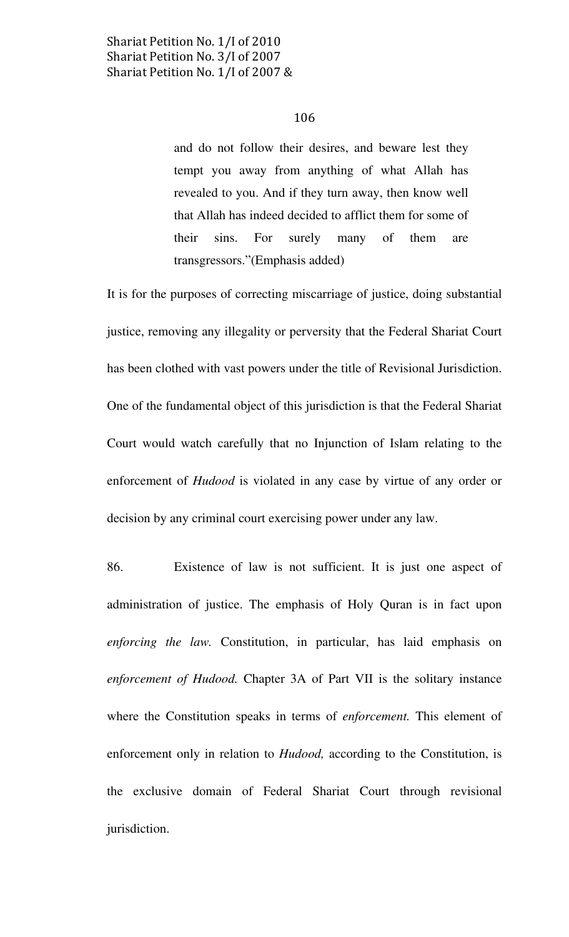and do not follow their desires, and beware lest they tempt you away from anything of what Allah has revealed to you. And if they turn away, then know well that Allah has indeed decided to afflict them for some of their sins. For surely many of them are transgressors."(Emphasis added)

It is for the purposes of correcting miscarriage of justice, doing substantial justice, removing any illegality or perversity that the Federal Shariat Court has been clothed with vast powers under the title of Revisional Jurisdiction. One of the fundamental object of this jurisdiction is that the Federal Shariat Court would watch carefully that no Injunction of Islam relating to the enforcement of Hudood is violated in any case by virtue of any order or decision by any criminal court exercising power under any law.

86. Existence of law is not sufficient. It is just one aspect of administration of justice. The emphasis of Holy Quran is in fact upon enforcing the law. Constitution, in particular, has laid emphasis on enforcement of Hudood. Chapter 3A of Part VII is the solitary instance where the Constitution speaks in terms of *enforcement*. This element of enforcement only in relation to *Hudood*, according to the Constitution, is the exclusive domain of Federal Shariat Court through revisional jurisdiction.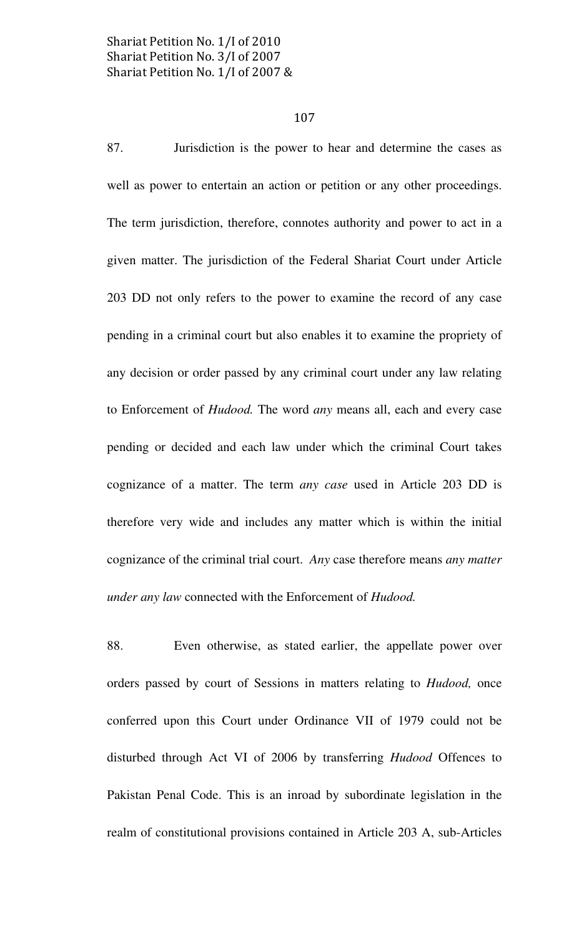#### 107

87. Jurisdiction is the power to hear and determine the cases as well as power to entertain an action or petition or any other proceedings. The term jurisdiction, therefore, connotes authority and power to act in a given matter. The jurisdiction of the Federal Shariat Court under Article 203 DD not only refers to the power to examine the record of any case pending in a criminal court but also enables it to examine the propriety of any decision or order passed by any criminal court under any law relating to Enforcement of Hudood. The word any means all, each and every case pending or decided and each law under which the criminal Court takes cognizance of a matter. The term any case used in Article 203 DD is therefore very wide and includes any matter which is within the initial cognizance of the criminal trial court. Any case therefore means any matter under any law connected with the Enforcement of Hudood.

88. Even otherwise, as stated earlier, the appellate power over orders passed by court of Sessions in matters relating to Hudood, once conferred upon this Court under Ordinance VII of 1979 could not be disturbed through Act VI of 2006 by transferring Hudood Offences to Pakistan Penal Code. This is an inroad by subordinate legislation in the realm of constitutional provisions contained in Article 203 A, sub-Articles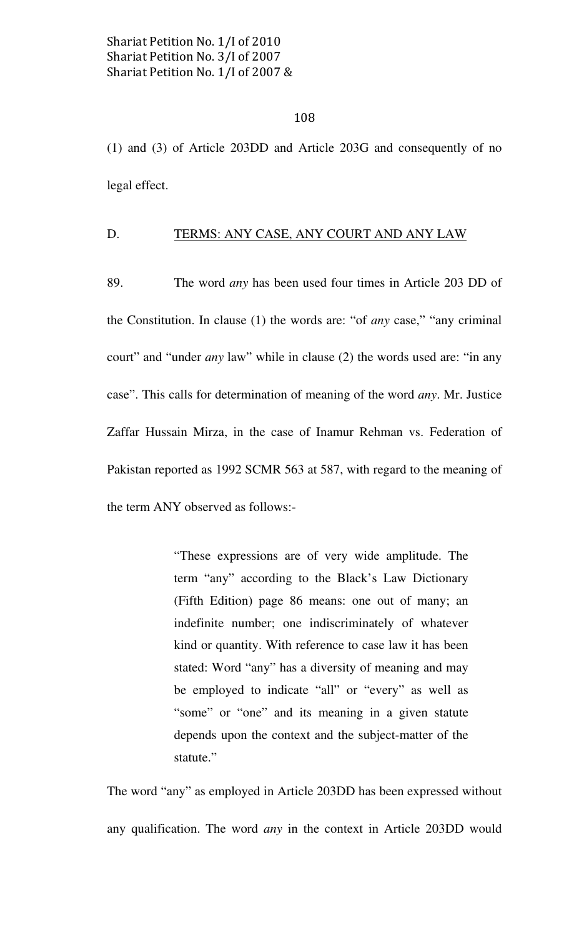(1) and (3) of Article 203DD and Article 203G and consequently of no legal effect.

# D. TERMS: ANY CASE, ANY COURT AND ANY LAW

89. The word any has been used four times in Article 203 DD of the Constitution. In clause (1) the words are: "of any case," "any criminal court" and "under any law" while in clause (2) the words used are: "in any case". This calls for determination of meaning of the word any. Mr. Justice Zaffar Hussain Mirza, in the case of Inamur Rehman vs. Federation of Pakistan reported as 1992 SCMR 563 at 587, with regard to the meaning of the term ANY observed as follows:-

> "These expressions are of very wide amplitude. The term "any" according to the Black's Law Dictionary (Fifth Edition) page 86 means: one out of many; an indefinite number; one indiscriminately of whatever kind or quantity. With reference to case law it has been stated: Word "any" has a diversity of meaning and may be employed to indicate "all" or "every" as well as "some" or "one" and its meaning in a given statute depends upon the context and the subject-matter of the statute."

The word "any" as employed in Article 203DD has been expressed without any qualification. The word any in the context in Article 203DD would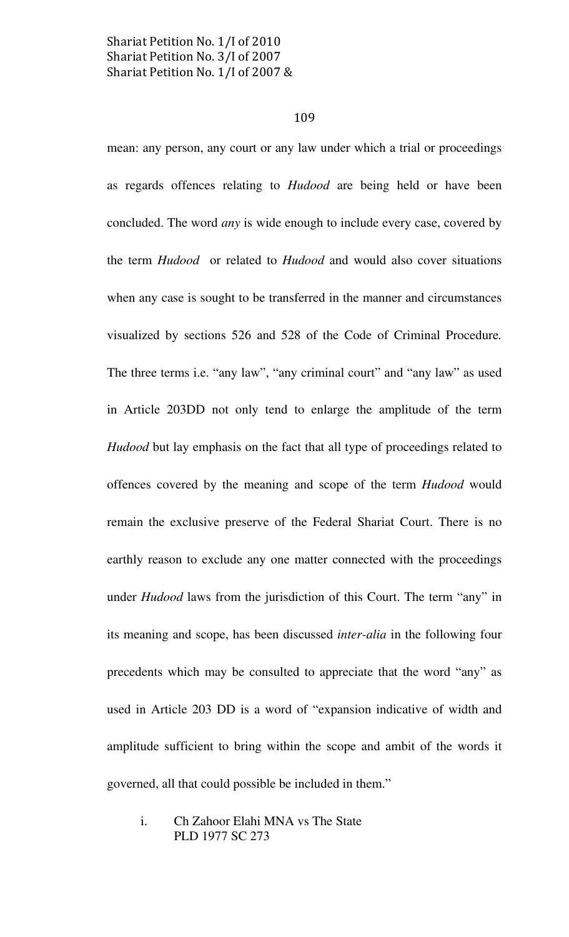### 109

mean: any person, any court or any law under which a trial or proceedings as regards offences relating to Hudood are being held or have been concluded. The word any is wide enough to include every case, covered by the term Hudood or related to Hudood and would also cover situations when any case is sought to be transferred in the manner and circumstances visualized by sections 526 and 528 of the Code of Criminal Procedure. The three terms i.e. "any law", "any criminal court" and "any law" as used in Article 203DD not only tend to enlarge the amplitude of the term Hudood but lay emphasis on the fact that all type of proceedings related to offences covered by the meaning and scope of the term Hudood would remain the exclusive preserve of the Federal Shariat Court. There is no earthly reason to exclude any one matter connected with the proceedings under Hudood laws from the jurisdiction of this Court. The term "any" in its meaning and scope, has been discussed inter-alia in the following four precedents which may be consulted to appreciate that the word "any" as used in Article 203 DD is a word of "expansion indicative of width and amplitude sufficient to bring within the scope and ambit of the words it governed, all that could possible be included in them."

 i. Ch Zahoor Elahi MNA vs The State PLD 1977 SC 273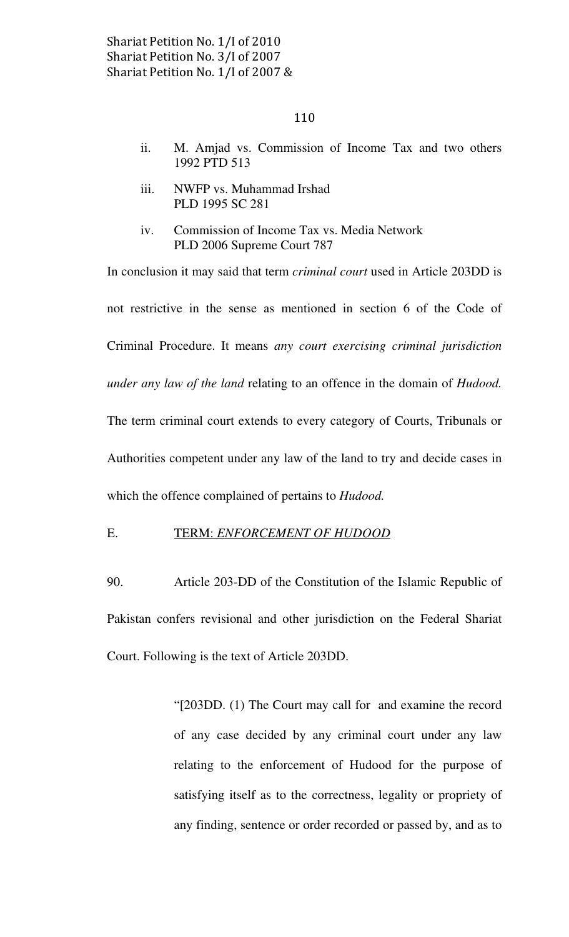- ii. M. Amjad vs. Commission of Income Tax and two others 1992 PTD 513
- iii. NWFP vs. Muhammad Irshad PLD 1995 SC 281
- iv. Commission of Income Tax vs. Media Network PLD 2006 Supreme Court 787

In conclusion it may said that term criminal court used in Article 203DD is not restrictive in the sense as mentioned in section 6 of the Code of Criminal Procedure. It means any court exercising criminal jurisdiction under any law of the land relating to an offence in the domain of Hudood. The term criminal court extends to every category of Courts, Tribunals or Authorities competent under any law of the land to try and decide cases in which the offence complained of pertains to *Hudood*.

# E. TERM: ENFORCEMENT OF HUDOOD

90. Article 203-DD of the Constitution of the Islamic Republic of Pakistan confers revisional and other jurisdiction on the Federal Shariat Court. Following is the text of Article 203DD.

> "[203DD. (1) The Court may call for and examine the record of any case decided by any criminal court under any law relating to the enforcement of Hudood for the purpose of satisfying itself as to the correctness, legality or propriety of any finding, sentence or order recorded or passed by, and as to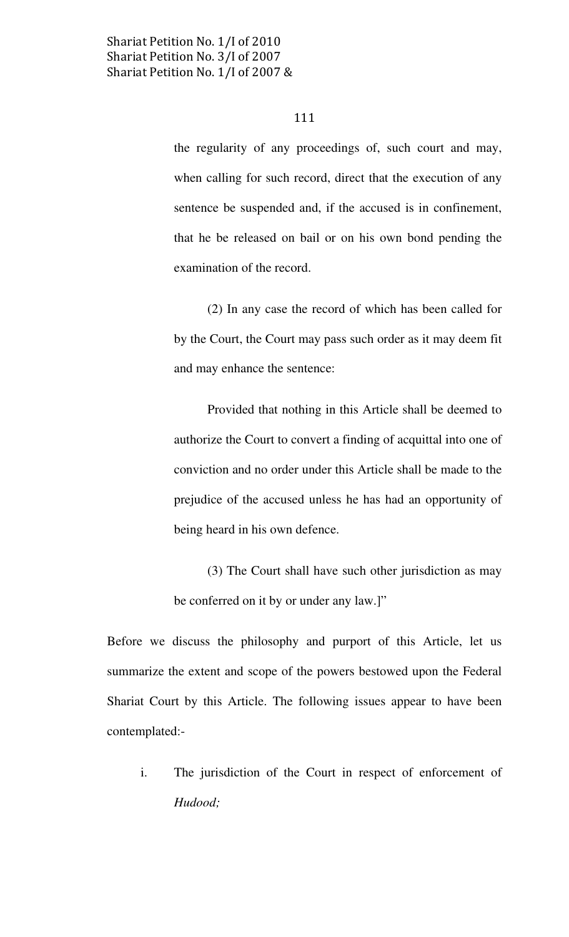the regularity of any proceedings of, such court and may, when calling for such record, direct that the execution of any sentence be suspended and, if the accused is in confinement, that he be released on bail or on his own bond pending the examination of the record.

 (2) In any case the record of which has been called for by the Court, the Court may pass such order as it may deem fit and may enhance the sentence:

 Provided that nothing in this Article shall be deemed to authorize the Court to convert a finding of acquittal into one of conviction and no order under this Article shall be made to the prejudice of the accused unless he has had an opportunity of being heard in his own defence.

 (3) The Court shall have such other jurisdiction as may be conferred on it by or under any law.]"

Before we discuss the philosophy and purport of this Article, let us summarize the extent and scope of the powers bestowed upon the Federal Shariat Court by this Article. The following issues appear to have been contemplated:-

i. The jurisdiction of the Court in respect of enforcement of Hudood;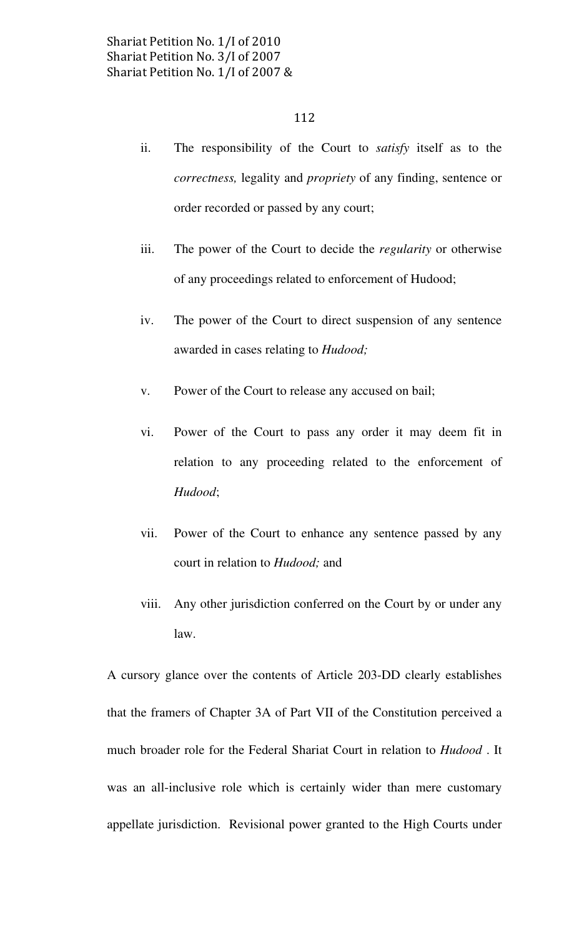- ii. The responsibility of the Court to satisfy itself as to the correctness, legality and propriety of any finding, sentence or order recorded or passed by any court;
- iii. The power of the Court to decide the regularity or otherwise of any proceedings related to enforcement of Hudood;
- iv. The power of the Court to direct suspension of any sentence awarded in cases relating to *Hudood*;
- v. Power of the Court to release any accused on bail;
- vi. Power of the Court to pass any order it may deem fit in relation to any proceeding related to the enforcement of Hudood;
- vii. Power of the Court to enhance any sentence passed by any court in relation to Hudood; and
- viii. Any other jurisdiction conferred on the Court by or under any law.

A cursory glance over the contents of Article 203-DD clearly establishes that the framers of Chapter 3A of Part VII of the Constitution perceived a much broader role for the Federal Shariat Court in relation to Hudood . It was an all-inclusive role which is certainly wider than mere customary appellate jurisdiction. Revisional power granted to the High Courts under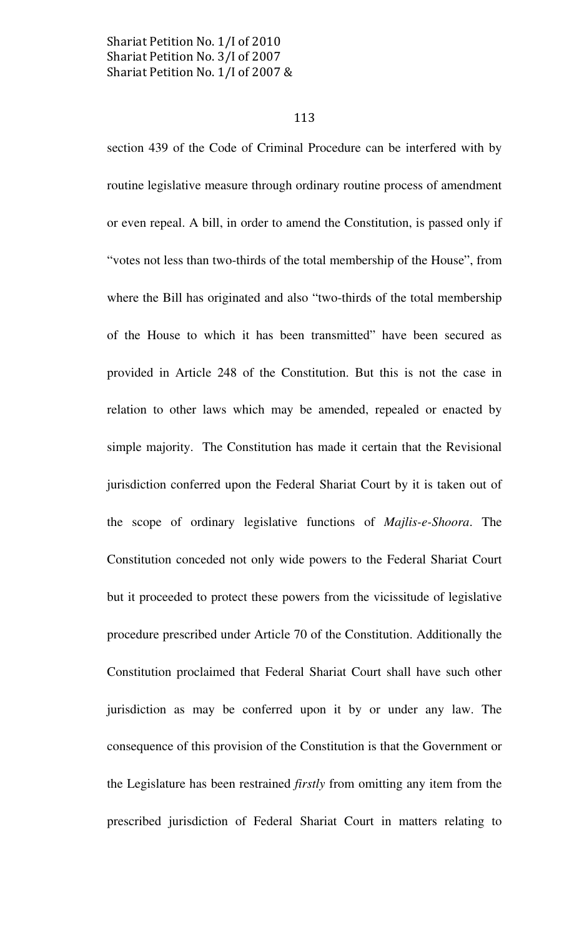### 113

section 439 of the Code of Criminal Procedure can be interfered with by routine legislative measure through ordinary routine process of amendment or even repeal. A bill, in order to amend the Constitution, is passed only if "votes not less than two-thirds of the total membership of the House", from where the Bill has originated and also "two-thirds of the total membership of the House to which it has been transmitted" have been secured as provided in Article 248 of the Constitution. But this is not the case in relation to other laws which may be amended, repealed or enacted by simple majority. The Constitution has made it certain that the Revisional jurisdiction conferred upon the Federal Shariat Court by it is taken out of the scope of ordinary legislative functions of Majlis-e-Shoora. The Constitution conceded not only wide powers to the Federal Shariat Court but it proceeded to protect these powers from the vicissitude of legislative procedure prescribed under Article 70 of the Constitution. Additionally the Constitution proclaimed that Federal Shariat Court shall have such other jurisdiction as may be conferred upon it by or under any law. The consequence of this provision of the Constitution is that the Government or the Legislature has been restrained firstly from omitting any item from the prescribed jurisdiction of Federal Shariat Court in matters relating to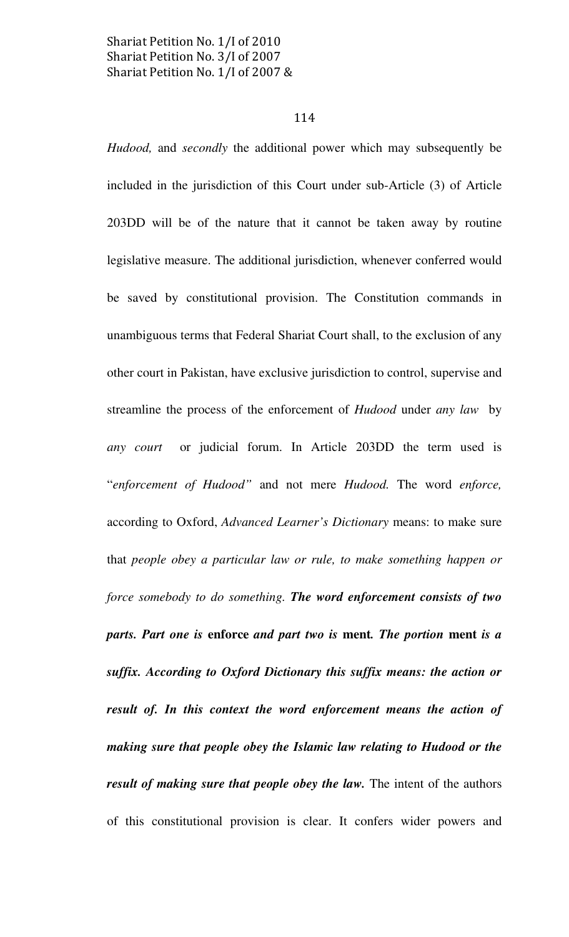### 114

Hudood, and secondly the additional power which may subsequently be included in the jurisdiction of this Court under sub-Article (3) of Article 203DD will be of the nature that it cannot be taken away by routine legislative measure. The additional jurisdiction, whenever conferred would be saved by constitutional provision. The Constitution commands in unambiguous terms that Federal Shariat Court shall, to the exclusion of any other court in Pakistan, have exclusive jurisdiction to control, supervise and streamline the process of the enforcement of Hudood under any law by any court or judicial forum. In Article 203DD the term used is "enforcement of Hudood" and not mere Hudood. The word enforce, according to Oxford, Advanced Learner's Dictionary means: to make sure that people obey a particular law or rule, to make something happen or force somebody to do something. The word enforcement consists of two parts. Part one is enforce and part two is ment. The portion ment is a suffix. According to Oxford Dictionary this suffix means: the action or result of. In this context the word enforcement means the action of making sure that people obey the Islamic law relating to Hudood or the result of making sure that people obey the law. The intent of the authors of this constitutional provision is clear. It confers wider powers and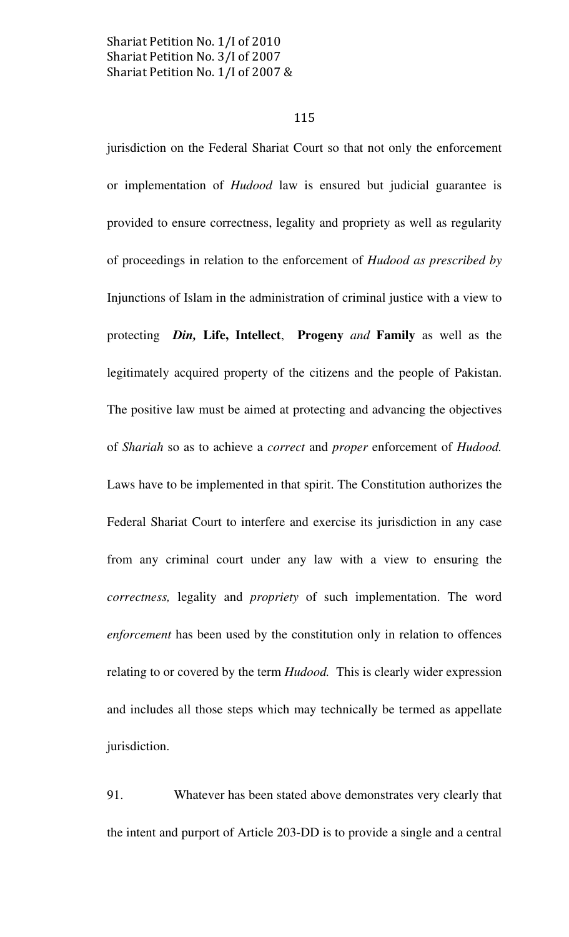### 115

jurisdiction on the Federal Shariat Court so that not only the enforcement or implementation of Hudood law is ensured but judicial guarantee is provided to ensure correctness, legality and propriety as well as regularity of proceedings in relation to the enforcement of Hudood as prescribed by Injunctions of Islam in the administration of criminal justice with a view to protecting *Din*, Life, Intellect, Progeny and Family as well as the legitimately acquired property of the citizens and the people of Pakistan. The positive law must be aimed at protecting and advancing the objectives of Shariah so as to achieve a correct and proper enforcement of Hudood. Laws have to be implemented in that spirit. The Constitution authorizes the Federal Shariat Court to interfere and exercise its jurisdiction in any case from any criminal court under any law with a view to ensuring the correctness, legality and propriety of such implementation. The word enforcement has been used by the constitution only in relation to offences relating to or covered by the term *Hudood*. This is clearly wider expression and includes all those steps which may technically be termed as appellate jurisdiction.

91. Whatever has been stated above demonstrates very clearly that the intent and purport of Article 203-DD is to provide a single and a central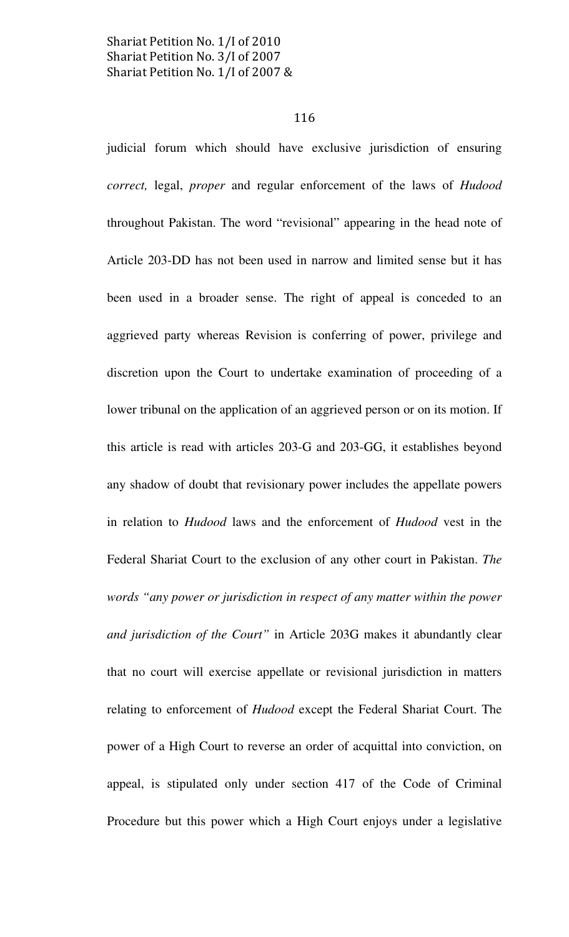### 116

judicial forum which should have exclusive jurisdiction of ensuring correct, legal, proper and regular enforcement of the laws of Hudood throughout Pakistan. The word "revisional" appearing in the head note of Article 203-DD has not been used in narrow and limited sense but it has been used in a broader sense. The right of appeal is conceded to an aggrieved party whereas Revision is conferring of power, privilege and discretion upon the Court to undertake examination of proceeding of a lower tribunal on the application of an aggrieved person or on its motion. If this article is read with articles 203-G and 203-GG, it establishes beyond any shadow of doubt that revisionary power includes the appellate powers in relation to Hudood laws and the enforcement of Hudood vest in the Federal Shariat Court to the exclusion of any other court in Pakistan. The words "any power or jurisdiction in respect of any matter within the power and jurisdiction of the Court" in Article 203G makes it abundantly clear that no court will exercise appellate or revisional jurisdiction in matters relating to enforcement of Hudood except the Federal Shariat Court. The power of a High Court to reverse an order of acquittal into conviction, on appeal, is stipulated only under section 417 of the Code of Criminal Procedure but this power which a High Court enjoys under a legislative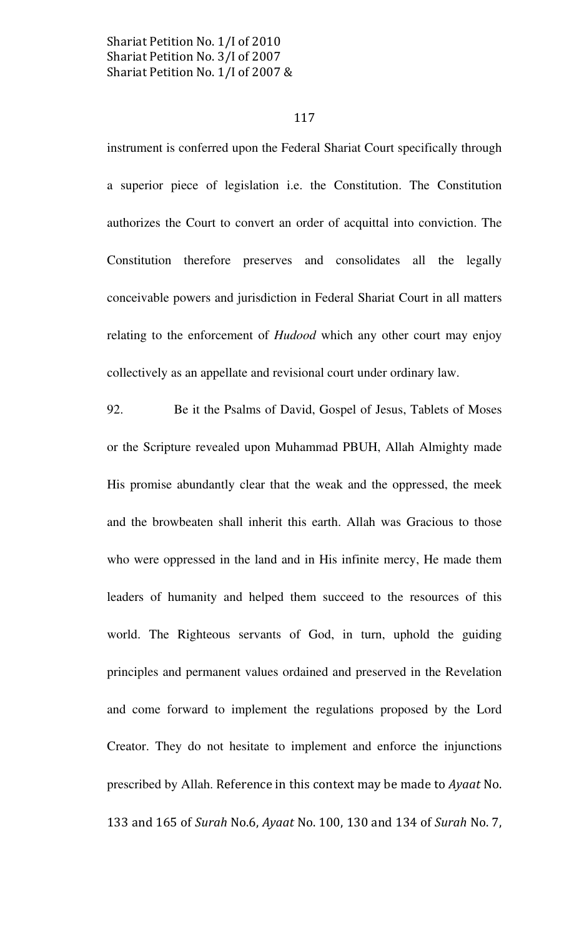### 117

instrument is conferred upon the Federal Shariat Court specifically through a superior piece of legislation i.e. the Constitution. The Constitution authorizes the Court to convert an order of acquittal into conviction. The Constitution therefore preserves and consolidates all the legally conceivable powers and jurisdiction in Federal Shariat Court in all matters relating to the enforcement of *Hudood* which any other court may enjoy collectively as an appellate and revisional court under ordinary law.

92. Be it the Psalms of David, Gospel of Jesus, Tablets of Moses or the Scripture revealed upon Muhammad PBUH, Allah Almighty made His promise abundantly clear that the weak and the oppressed, the meek and the browbeaten shall inherit this earth. Allah was Gracious to those who were oppressed in the land and in His infinite mercy, He made them leaders of humanity and helped them succeed to the resources of this world. The Righteous servants of God, in turn, uphold the guiding principles and permanent values ordained and preserved in the Revelation and come forward to implement the regulations proposed by the Lord Creator. They do not hesitate to implement and enforce the injunctions prescribed by Allah. Reference in this context may be made to Ayaat No. 133 and 165 of Surah No.6, Ayaat No. 100, 130 and 134 of Surah No. 7,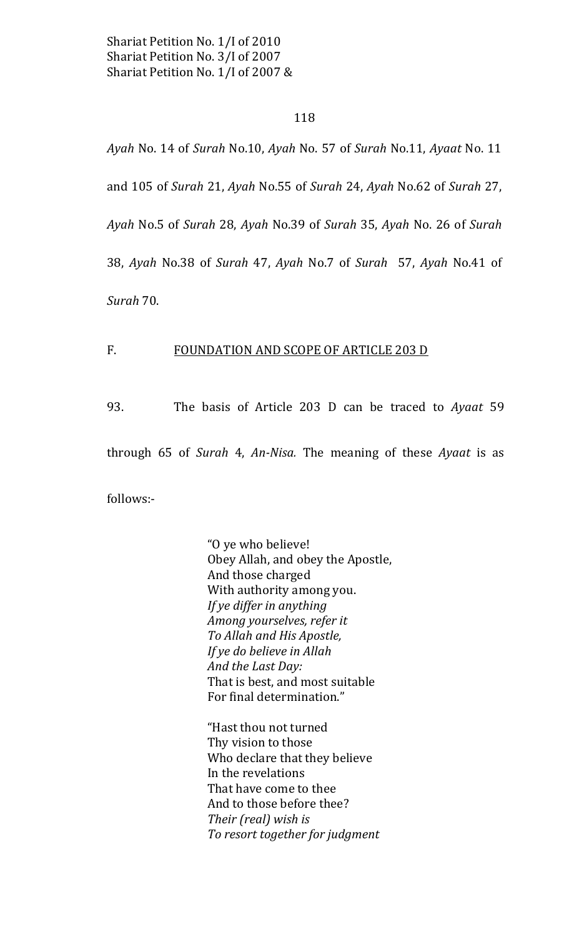### 118

Ayah No. 14 of Surah No.10, Ayah No. 57 of Surah No.11, Ayaat No. 11 and 105 of Surah 21, Ayah No.55 of Surah 24, Ayah No.62 of Surah 27, Ayah No.5 of Surah 28, Ayah No.39 of Surah 35, Ayah No. 26 of Surah 38, Ayah No.38 of Surah 47, Ayah No.7 of Surah 57, Ayah No.41 of Surah 70.

### $F_{\cdot}$ **FOUNDATION AND SCOPE OF ARTICLE 203 D**

93. The basis of Article 203 D can be traced to Ayaat 59

through 65 of Surah 4, An-Nisa. The meaning of these Ayaat is as

follows:-

"O ye who believe! Obey Allah, and obey the Apostle, And those charged With authority among you. If ye differ in anything Among yourselves, refer it To Allah and His Apostle, If ye do believe in Allah And the Last Day: That is best, and most suitable For final determination."

"Hast thou not turned Thy vision to those Who declare that they believe In the revelations That have come to thee And to those before thee? Their (real) wish is To resort together for judgment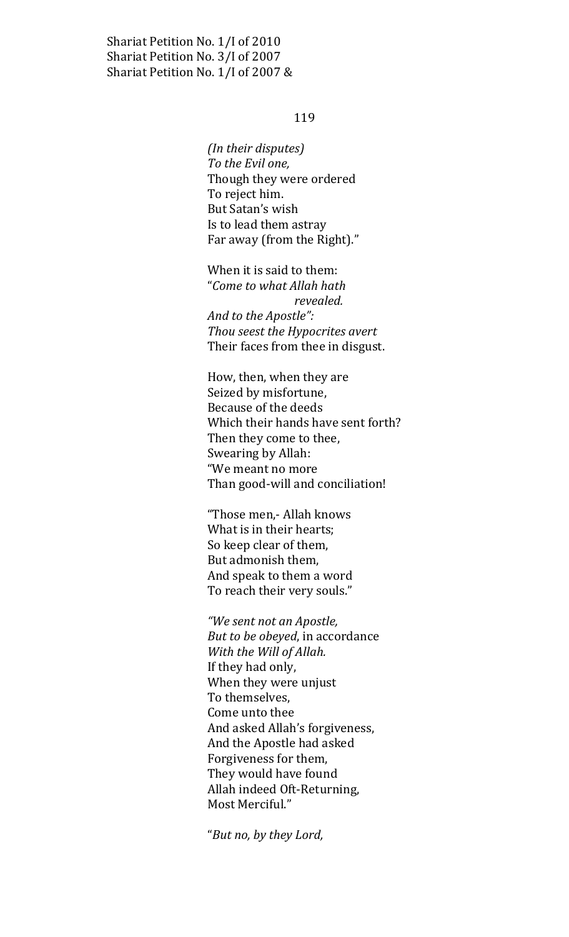### 119

(In their disputes) To the Evil one, Though they were ordered To reject him. But Satan's wish Is to lead them astray Far away (from the Right)."

When it is said to them: "Come to what Allah hath revealed. And to the Apostle": Thou seest the Hypocrites avert Their faces from thee in disgust.

How, then, when they are Seized by misfortune, Because of the deeds Which their hands have sent forth? Then they come to thee, Swearing by Allah: "We meant no more Than good-will and conciliation!

"Those men,- Allah knows" What is in their hearts; So keep clear of them, But admonish them, And speak to them a word To reach their very souls."

"We sent not an Apostle, But to be obeyed, in accordance With the Will of Allah. If they had only, When they were unjust To themselves, Come unto thee And asked Allah's forgiveness, And the Apostle had asked Forgiveness for them, They would have found Allah indeed Oft-Returning, Most Merciful."

"But no, by they Lord,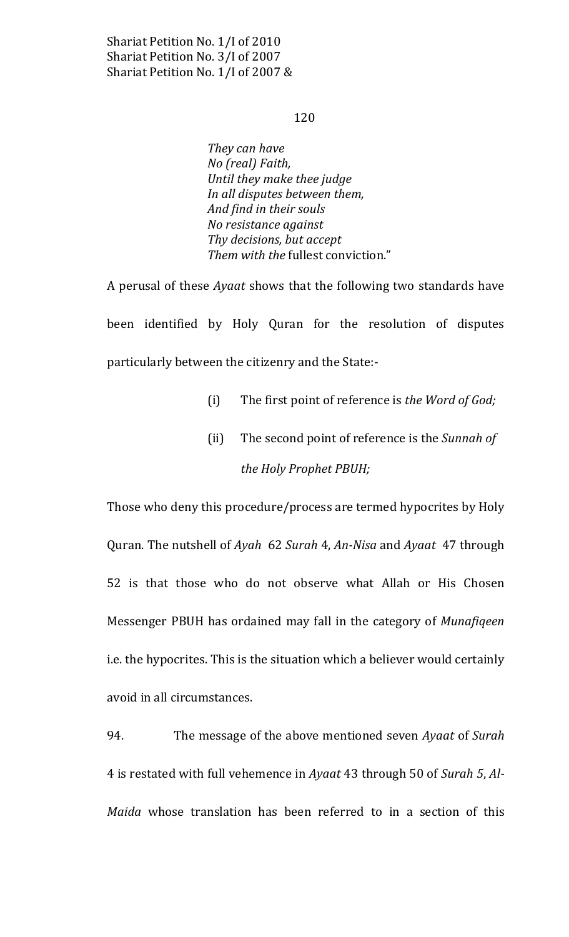### 120

They can have No (real) Faith, Until they make thee judge In all disputes between them, And find in their souls No resistance against Thy decisions, but accept Them with the fullest conviction."

A perusal of these *Ayaat* shows that the following two standards have been identified by Holy Quran for the resolution of disputes particularly between the citizenry and the State:-

- $(i)$ The first point of reference is the Word of God;
- The second point of reference is the Sunnah of  $(ii)$ the Holy Prophet PBUH;

Those who deny this procedure/process are termed hypocrites by Holy Quran. The nutshell of Ayah 62 Surah 4, An-Nisa and Ayaat 47 through 52 is that those who do not observe what Allah or His Chosen Messenger PBUH has ordained may fall in the category of Munafigeen i.e. the hypocrites. This is the situation which a believer would certainly avoid in all circumstances.

94. The message of the above mentioned seven Ayaat of Surah 4 is restated with full vehemence in Ayaat 43 through 50 of Surah 5, Al-Maida whose translation has been referred to in a section of this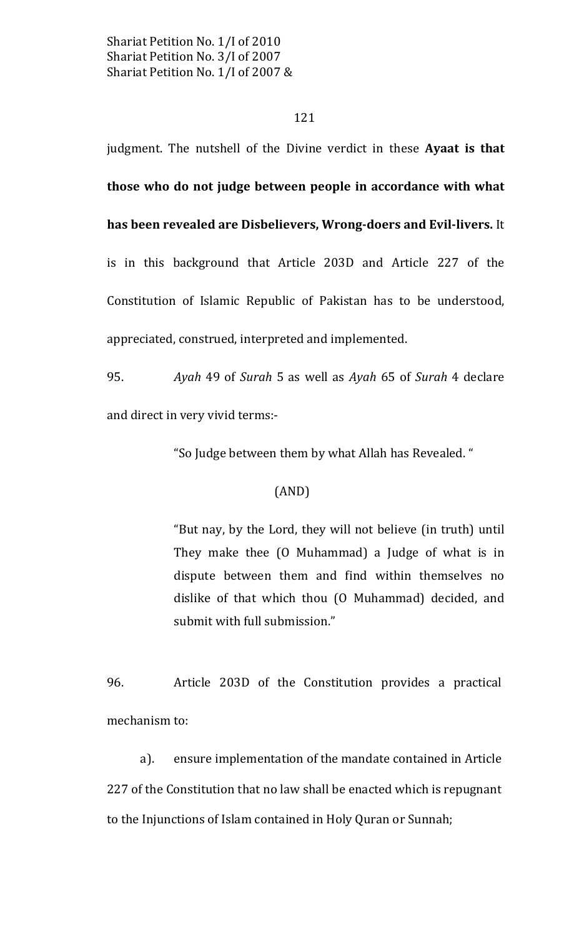### 121

judgment. The nutshell of the Divine verdict in these Ayaat is that those who do not judge between people in accordance with what has been revealed are Disbelievers, Wrong-doers and Evil-livers. It is in this background that Article 203D and Article 227 of the Constitution of Islamic Republic of Pakistan has to be understood, appreciated, construed, interpreted and implemented.

95. Ayah 49 of Surah 5 as well as Ayah 65 of Surah 4 declare and direct in very vivid terms:-

"So Judge between them by what Allah has Revealed."

# $(AND)$

"But nay, by the Lord, they will not believe (in truth) until They make thee (O Muhammad) a Judge of what is in dispute between them and find within themselves no dislike of that which thou (O Muhammad) decided, and submit with full submission."

96. Article 203D of the Constitution provides a practical mechanism to:

a). ensure implementation of the mandate contained in Article 227 of the Constitution that no law shall be enacted which is repugnant to the Injunctions of Islam contained in Holy Quran or Sunnah;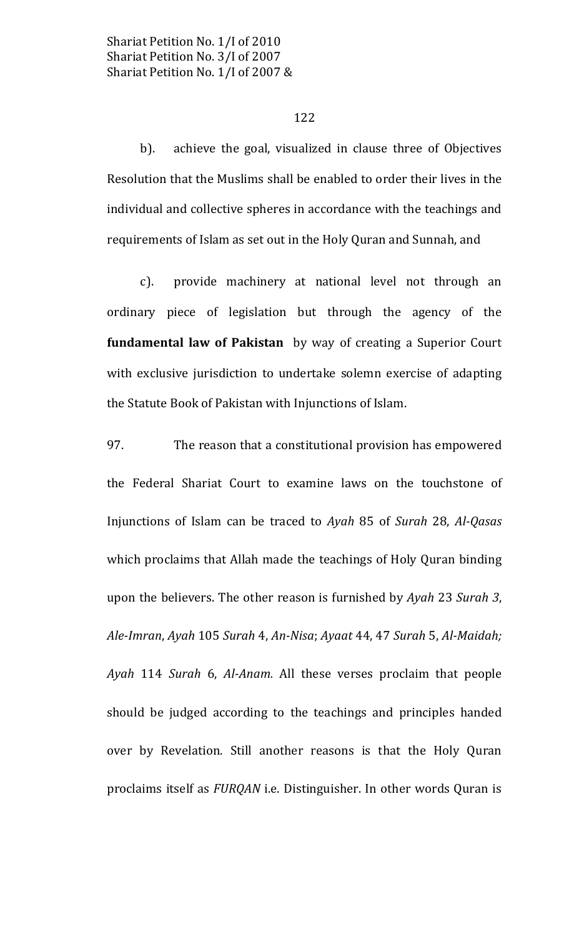### 122

achieve the goal, visualized in clause three of Objectives  $b$ ). Resolution that the Muslims shall be enabled to order their lives in the individual and collective spheres in accordance with the teachings and requirements of Islam as set out in the Holy Quran and Sunnah, and

 $c$ ). provide machinery at national level not through an ordinary piece of legislation but through the agency of the fundamental law of Pakistan by way of creating a Superior Court with exclusive jurisdiction to undertake solemn exercise of adapting the Statute Book of Pakistan with Injunctions of Islam.

97. The reason that a constitutional provision has empowered the Federal Shariat Court to examine laws on the touchstone of Injunctions of Islam can be traced to Ayah 85 of Surah 28, Al-Qasas which proclaims that Allah made the teachings of Holy Quran binding upon the believers. The other reason is furnished by Ayah 23 Surah 3, Ale-Imran, Ayah 105 Surah 4, An-Nisa; Ayaat 44, 47 Surah 5, Al-Maidah; Ayah 114 Surah 6, Al-Anam. All these verses proclaim that people should be judged according to the teachings and principles handed over by Revelation. Still another reasons is that the Holy Quran proclaims itself as FURQAN i.e. Distinguisher. In other words Quran is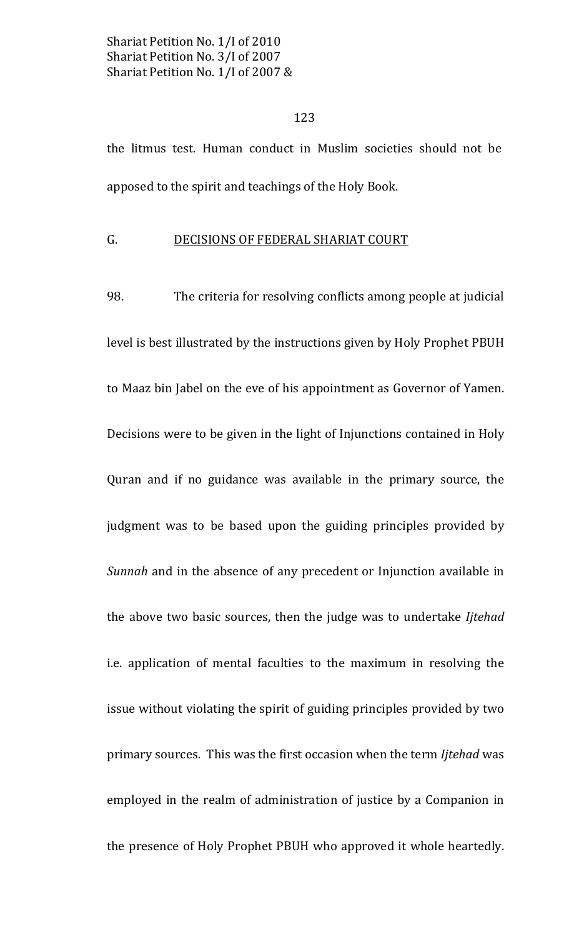### 123

the litmus test. Human conduct in Muslim societies should not be apposed to the spirit and teachings of the Holy Book.

#### $G_{\cdot}$ DECISIONS OF FEDERAL SHARIAT COURT

98. The criteria for resolving conflicts among people at judicial level is best illustrated by the instructions given by Holy Prophet PBUH to Maaz bin Jabel on the eve of his appointment as Governor of Yamen. Decisions were to be given in the light of Injunctions contained in Holy Quran and if no guidance was available in the primary source, the judgment was to be based upon the guiding principles provided by Sunnah and in the absence of any precedent or Injunction available in the above two basic sources, then the judge was to undertake Ijtehad i.e. application of mental faculties to the maximum in resolving the issue without violating the spirit of guiding principles provided by two primary sources. This was the first occasion when the term *litehad* was employed in the realm of administration of justice by a Companion in the presence of Holy Prophet PBUH who approved it whole heartedly.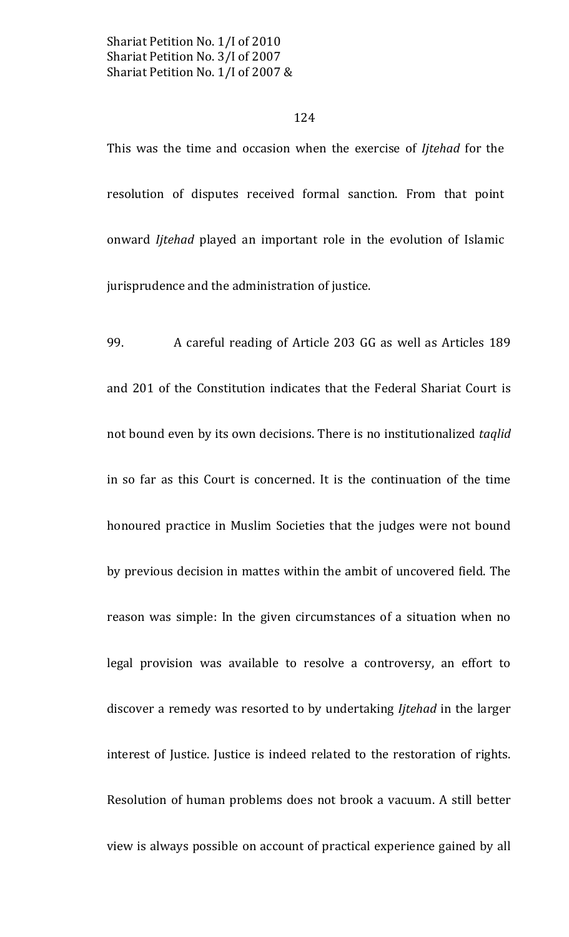# 124

This was the time and occasion when the exercise of *litehad* for the resolution of disputes received formal sanction. From that point onward *litehad* played an important role in the evolution of Islamic jurisprudence and the administration of justice.

99. A careful reading of Article 203 GG as well as Articles 189 and 201 of the Constitution indicates that the Federal Shariat Court is not bound even by its own decisions. There is no institutionalized taglid in so far as this Court is concerned. It is the continuation of the time honoured practice in Muslim Societies that the judges were not bound by previous decision in mattes within the ambit of uncovered field. The reason was simple: In the given circumstances of a situation when no legal provision was available to resolve a controversy, an effort to discover a remedy was resorted to by undertaking *litehad* in the larger interest of Justice. Justice is indeed related to the restoration of rights. Resolution of human problems does not brook a vacuum. A still better view is always possible on account of practical experience gained by all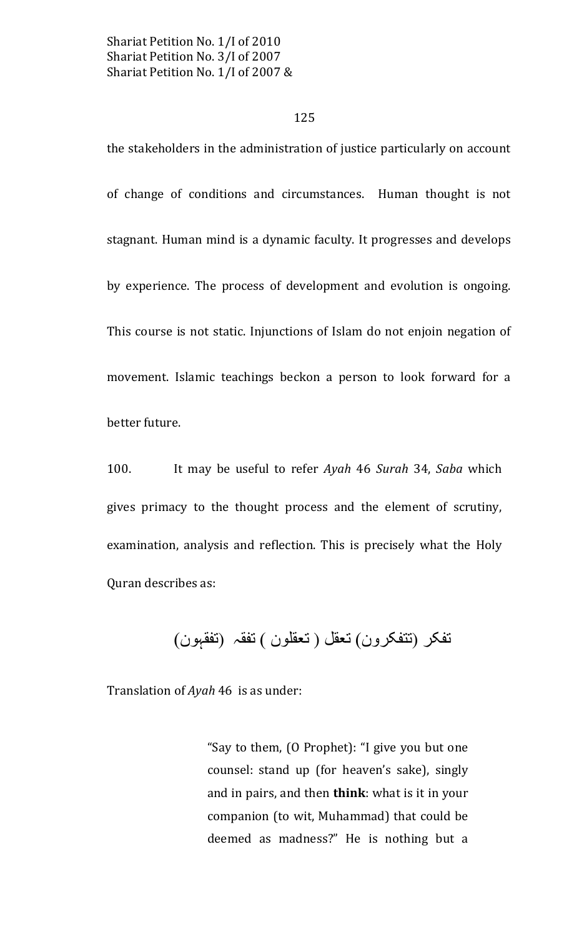### 125

the stakeholders in the administration of justice particularly on account of change of conditions and circumstances. Human thought is not stagnant. Human mind is a dynamic faculty. It progresses and develops by experience. The process of development and evolution is ongoing. This course is not static. Injunctions of Islam do not enjoin negation of movement. Islamic teachings beckon a person to look forward for a better future.

100. It may be useful to refer Ayah 46 Surah 34, Saba which gives primacy to the thought process and the element of scrutiny, examination, analysis and reflection. This is precisely what the Holy Quran describes as:

تفكر (تتفكرون) تعقل (تعقلون ) تفقه (تفقبون)

Translation of Ayah 46 is as under:

"Say to them, (O Prophet): "I give you but one counsel: stand up (for heaven's sake), singly and in pairs, and then **think**: what is it in your companion (to wit, Muhammad) that could be deemed as madness?" He is nothing but a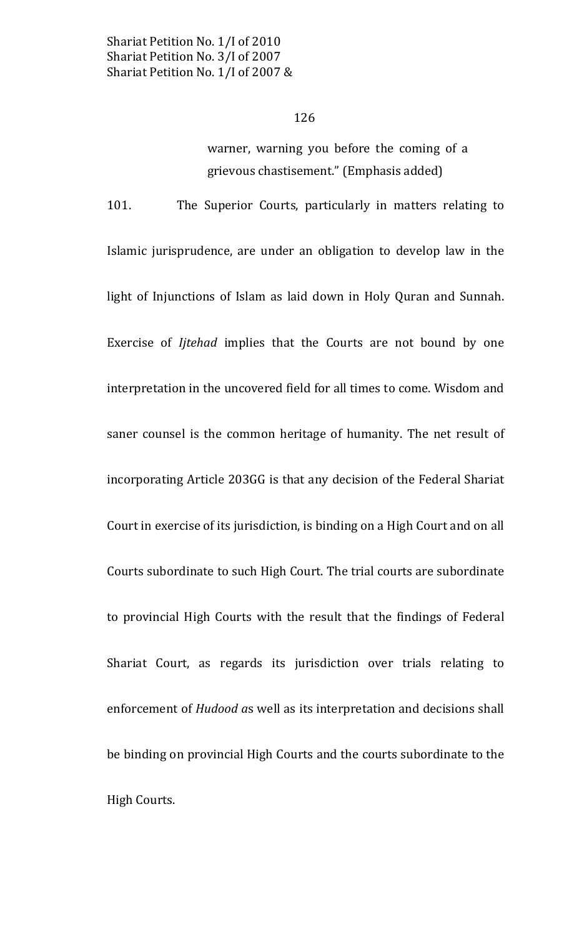warner, warning you before the coming of a grievous chastisement." (Emphasis added)

The Superior Courts, particularly in matters relating to 101. Islamic jurisprudence, are under an obligation to develop law in the light of Injunctions of Islam as laid down in Holy Quran and Sunnah. Exercise of *litehad* implies that the Courts are not bound by one interpretation in the uncovered field for all times to come. Wisdom and saner counsel is the common heritage of humanity. The net result of incorporating Article 203GG is that any decision of the Federal Shariat Court in exercise of its jurisdiction, is binding on a High Court and on all Courts subordinate to such High Court. The trial courts are subordinate to provincial High Courts with the result that the findings of Federal Shariat Court, as regards its jurisdiction over trials relating to enforcement of *Hudood as* well as its interpretation and decisions shall be binding on provincial High Courts and the courts subordinate to the High Courts.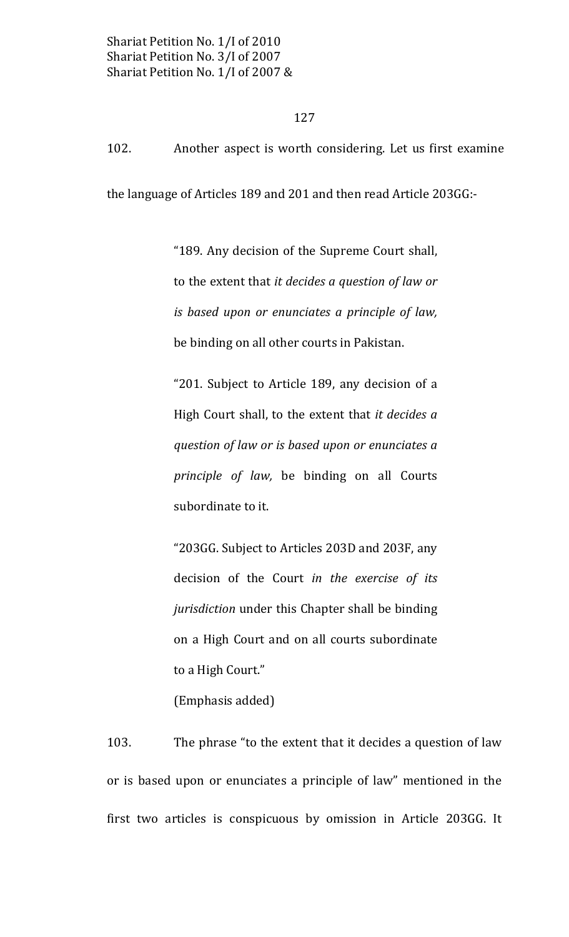127

102. Another aspect is worth considering. Let us first examine

the language of Articles 189 and 201 and then read Article 203GG:-

"189. Any decision of the Supreme Court shall, to the extent that it decides a question of law or is based upon or enunciates a principle of law, be binding on all other courts in Pakistan.

"201. Subject to Article 189, any decision of a High Court shall, to the extent that it decides a question of law or is based upon or enunciates a principle of law, be binding on all Courts subordinate to it.

"203GG. Subject to Articles 203D and 203F, any decision of the Court in the exercise of its *jurisdiction* under this Chapter shall be binding on a High Court and on all courts subordinate to a High Court."

(Emphasis added)

103. The phrase "to the extent that it decides a question of law or is based upon or enunciates a principle of law" mentioned in the first two articles is conspicuous by omission in Article 203GG. It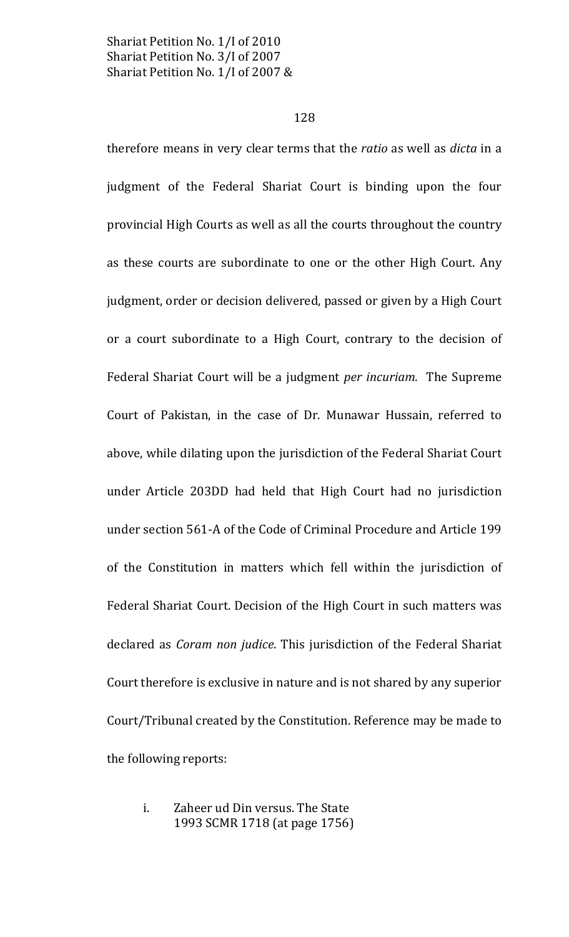### 128

therefore means in very clear terms that the ratio as well as dicta in a judgment of the Federal Shariat Court is binding upon the four provincial High Courts as well as all the courts throughout the country as these courts are subordinate to one or the other High Court. Any judgment, order or decision delivered, passed or given by a High Court or a court subordinate to a High Court, contrary to the decision of Federal Shariat Court will be a judgment *per incuriam*. The Supreme Court of Pakistan, in the case of Dr. Munawar Hussain, referred to above, while dilating upon the jurisdiction of the Federal Shariat Court under Article 203DD had held that High Court had no jurisdiction under section 561-A of the Code of Criminal Procedure and Article 199 of the Constitution in matters which fell within the jurisdiction of Federal Shariat Court. Decision of the High Court in such matters was declared as Coram non judice. This jurisdiction of the Federal Shariat Court therefore is exclusive in nature and is not shared by any superior Court/Tribunal created by the Constitution. Reference may be made to the following reports:

### Zaheer ud Din versus. The State i. 1993 SCMR 1718 (at page 1756)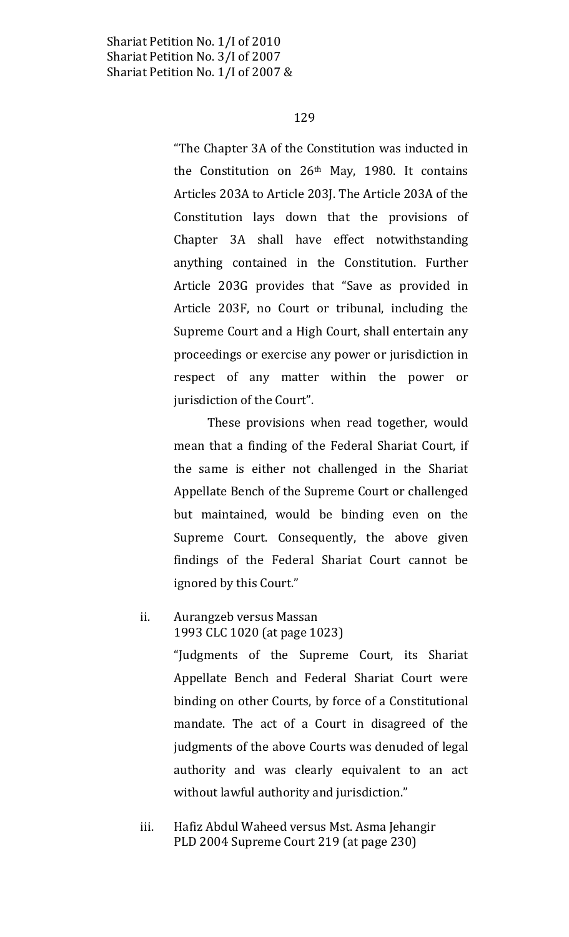### 129

"The Chapter 3A of the Constitution was inducted in the Constitution on 26<sup>th</sup> May, 1980. It contains Articles 203A to Article 203J. The Article 203A of the Constitution lays down that the provisions of Chapter 3A shall have effect notwithstanding anything contained in the Constitution. Further Article 203G provides that "Save as provided in Article 203F, no Court or tribunal, including the Supreme Court and a High Court, shall entertain any proceedings or exercise any power or jurisdiction in respect of any matter within the power or jurisdiction of the Court".

These provisions when read together, would mean that a finding of the Federal Shariat Court, if the same is either not challenged in the Shariat Appellate Bench of the Supreme Court or challenged but maintained, would be binding even on the Supreme Court. Consequently, the above given findings of the Federal Shariat Court cannot be ignored by this Court."

### Aurangzeb versus Massan ii. 1993 CLC 1020 (at page 1023)

"Judgments of the Supreme Court, its Shariat Appellate Bench and Federal Shariat Court were binding on other Courts, by force of a Constitutional mandate. The act of a Court in disagreed of the judgments of the above Courts was denuded of legal authority and was clearly equivalent to an act without lawful authority and jurisdiction."

iii. Hafiz Abdul Waheed versus Mst. Asma Jehangir PLD 2004 Supreme Court 219 (at page 230)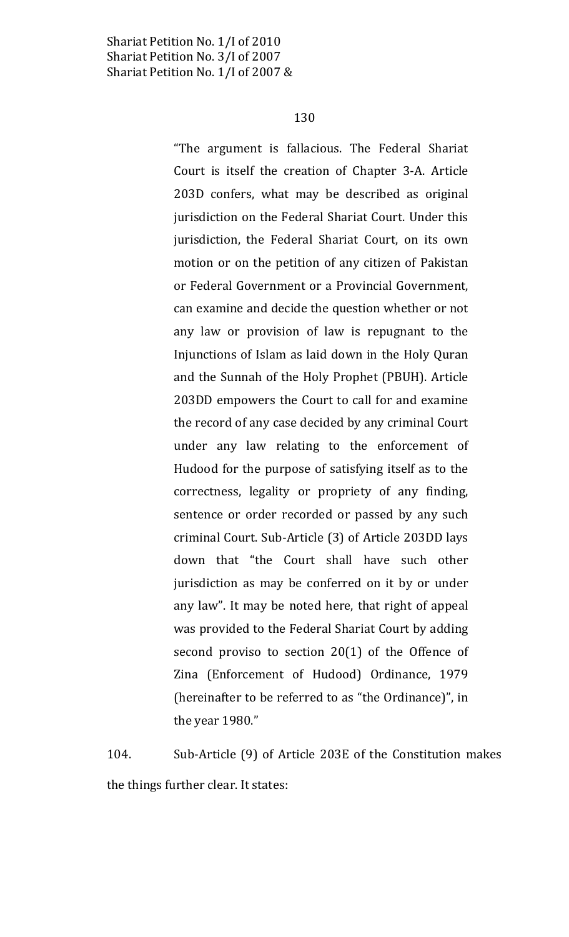"The argument is fallacious. The Federal Shariat Court is itself the creation of Chapter 3-A. Article 203D confers, what may be described as original jurisdiction on the Federal Shariat Court. Under this jurisdiction, the Federal Shariat Court, on its own motion or on the petition of any citizen of Pakistan or Federal Government or a Provincial Government, can examine and decide the question whether or not any law or provision of law is repugnant to the Injunctions of Islam as laid down in the Holy Quran and the Sunnah of the Holy Prophet (PBUH). Article 203DD empowers the Court to call for and examine the record of any case decided by any criminal Court under any law relating to the enforcement of Hudood for the purpose of satisfying itself as to the correctness, legality or propriety of any finding, sentence or order recorded or passed by any such criminal Court. Sub-Article (3) of Article 203DD lays down that "the Court shall have such other jurisdiction as may be conferred on it by or under any law". It may be noted here, that right of appeal was provided to the Federal Shariat Court by adding second proviso to section  $20(1)$  of the Offence of Zina (Enforcement of Hudood) Ordinance, 1979 (hereinafter to be referred to as "the Ordinance)", in the year 1980."

104. Sub-Article (9) of Article 203E of the Constitution makes the things further clear. It states: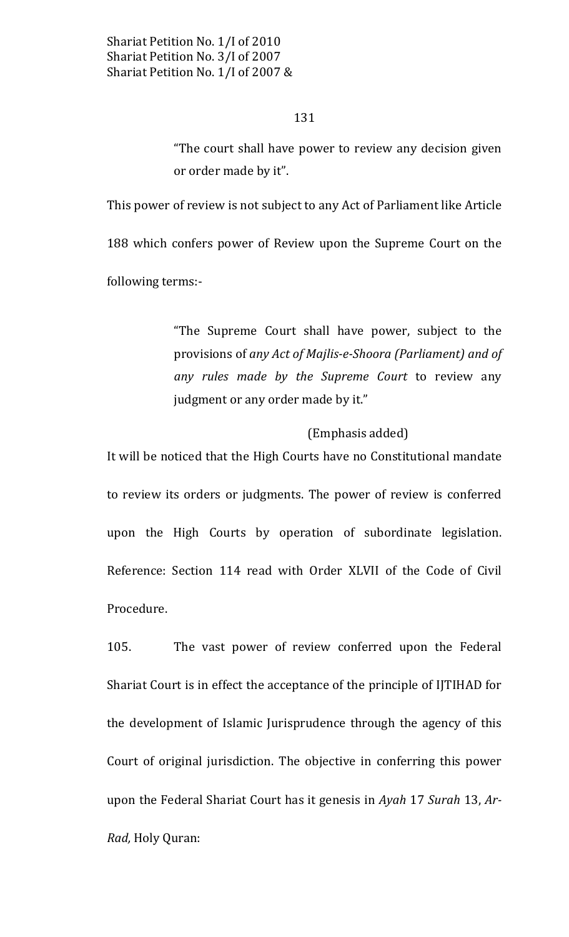"The court shall have power to review any decision given or order made by it".

This power of review is not subject to any Act of Parliament like Article 188 which confers power of Review upon the Supreme Court on the following terms:-

> "The Supreme Court shall have power, subject to the provisions of any Act of Majlis-e-Shoora (Parliament) and of any rules made by the Supreme Court to review any judgment or any order made by it."

# (Emphasis added)

It will be noticed that the High Courts have no Constitutional mandate to review its orders or judgments. The power of review is conferred upon the High Courts by operation of subordinate legislation. Reference: Section 114 read with Order XLVII of the Code of Civil Procedure.

105. The vast power of review conferred upon the Federal Shariat Court is in effect the acceptance of the principle of IJTIHAD for the development of Islamic Jurisprudence through the agency of this Court of original jurisdiction. The objective in conferring this power upon the Federal Shariat Court has it genesis in Ayah 17 Surah 13, Ar-Rad, Holy Quran: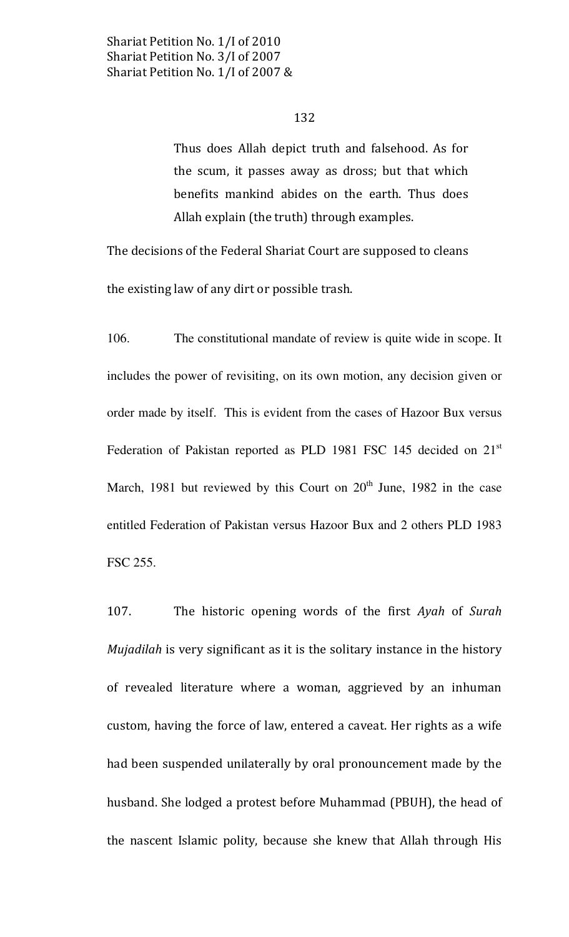Thus does Allah depict truth and falsehood. As for the scum, it passes away as dross; but that which benefits mankind abides on the earth. Thus does Allah explain (the truth) through examples.

The decisions of the Federal Shariat Court are supposed to cleans

the existing law of any dirt or possible trash.

106. The constitutional mandate of review is quite wide in scope. It includes the power of revisiting, on its own motion, any decision given or order made by itself. This is evident from the cases of Hazoor Bux versus Federation of Pakistan reported as PLD 1981 FSC 145 decided on 21<sup>st</sup> March, 1981 but reviewed by this Court on 20<sup>th</sup> June, 1982 in the case entitled Federation of Pakistan versus Hazoor Bux and 2 others PLD 1983 FSC 255.

107. The historic opening words of the first Ayah of Surah *Mujadilah* is very significant as it is the solitary instance in the history of revealed literature where a woman, aggrieved by an inhuman custom, having the force of law, entered a caveat. Her rights as a wife had been suspended unilaterally by oral pronouncement made by the husband. She lodged a protest before Muhammad (PBUH), the head of the nascent Islamic polity, because she knew that Allah through His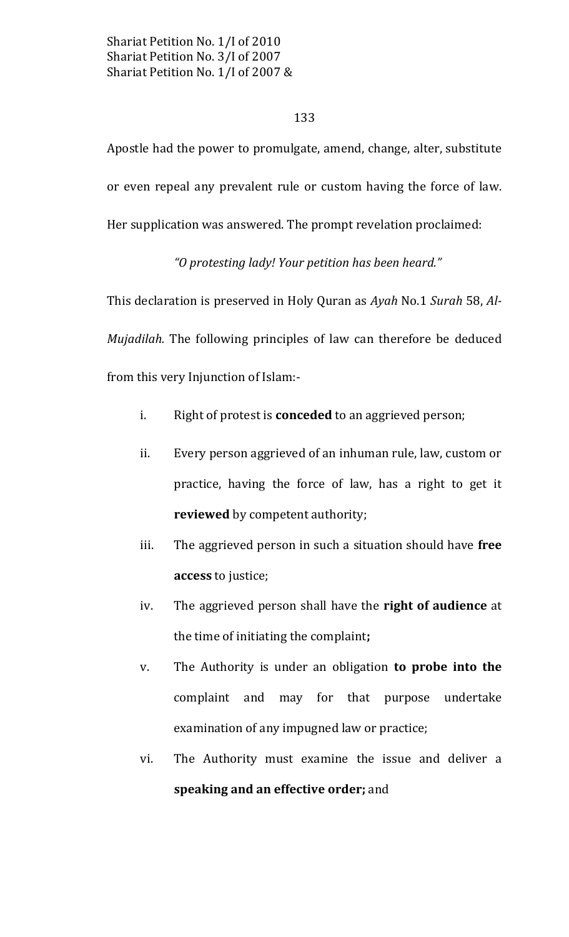## 133

Apostle had the power to promulgate, amend, change, alter, substitute or even repeal any prevalent rule or custom having the force of law. Her supplication was answered. The prompt revelation proclaimed:

"O protesting lady! Your petition has been heard."

This declaration is preserved in Holy Quran as Ayah No.1 Surah 58, Al-Mujadilah. The following principles of law can therefore be deduced from this very Injunction of Islam:-

- Right of protest is **conceded** to an aggrieved person; i.
- Every person aggrieved of an inhuman rule, law, custom or ii. practice, having the force of law, has a right to get it reviewed by competent authority;
- The aggrieved person in such a situation should have free iii. access to justice;
- The aggrieved person shall have the right of audience at  $iv$ the time of initiating the complaint;
- The Authority is under an obligation to probe into the V. complaint and may for that purpose undertake examination of any impugned law or practice;
- The Authority must examine the issue and deliver a vi. speaking and an effective order; and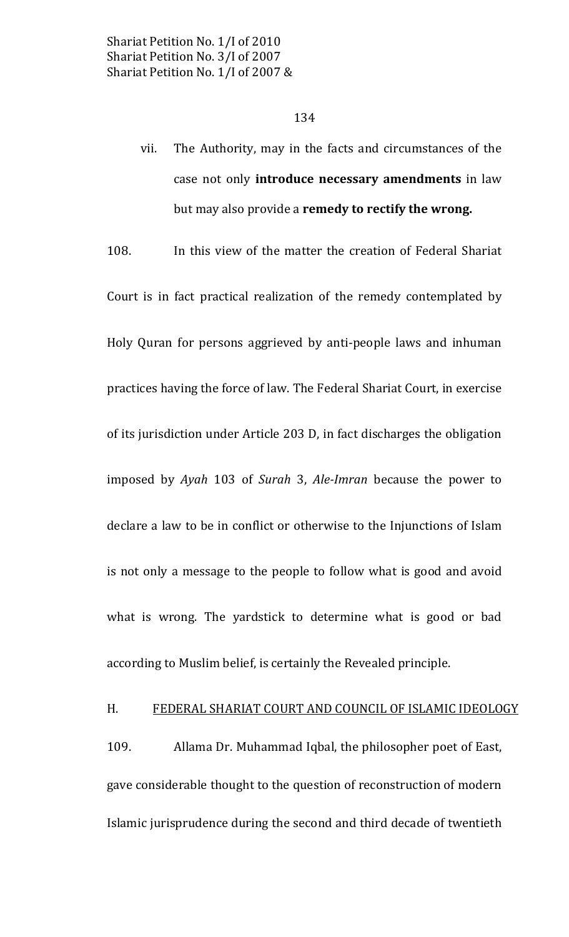The Authority, may in the facts and circumstances of the vii. case not only **introduce necessary amendments** in law but may also provide a remedy to rectify the wrong.

108. In this view of the matter the creation of Federal Shariat Court is in fact practical realization of the remedy contemplated by Holy Quran for persons aggrieved by anti-people laws and inhuman practices having the force of law. The Federal Shariat Court, in exercise of its jurisdiction under Article 203 D, in fact discharges the obligation imposed by Ayah 103 of Surah 3, Ale-Imran because the power to declare a law to be in conflict or otherwise to the Injunctions of Islam is not only a message to the people to follow what is good and avoid what is wrong. The yardstick to determine what is good or bad according to Muslim belief, is certainly the Revealed principle.

#### H. FEDERAL SHARIAT COURT AND COUNCIL OF ISLAMIC IDEOLOGY

109. Allama Dr. Muhammad Iqbal, the philosopher poet of East, gave considerable thought to the question of reconstruction of modern Islamic jurisprudence during the second and third decade of twentieth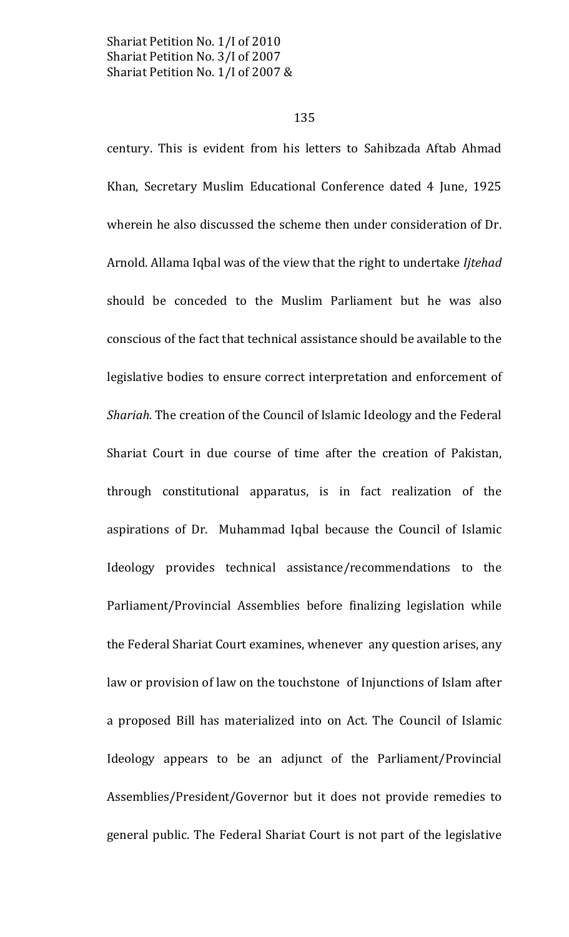135

century. This is evident from his letters to Sahibzada Aftab Ahmad Khan, Secretary Muslim Educational Conference dated 4 June, 1925 wherein he also discussed the scheme then under consideration of Dr. Arnold. Allama Iqbal was of the view that the right to undertake Ijtehad should be conceded to the Muslim Parliament but he was also conscious of the fact that technical assistance should be available to the legislative bodies to ensure correct interpretation and enforcement of Shariah. The creation of the Council of Islamic Ideology and the Federal Shariat Court in due course of time after the creation of Pakistan, through constitutional apparatus, is in fact realization of the aspirations of Dr. Muhammad Iqbal because the Council of Islamic Ideology provides technical assistance/recommendations to the Parliament/Provincial Assemblies before finalizing legislation while the Federal Shariat Court examines, whenever any question arises, any law or provision of law on the touchstone of Injunctions of Islam after a proposed Bill has materialized into on Act. The Council of Islamic Ideology appears to be an adjunct of the Parliament/Provincial Assemblies/President/Governor but it does not provide remedies to general public. The Federal Shariat Court is not part of the legislative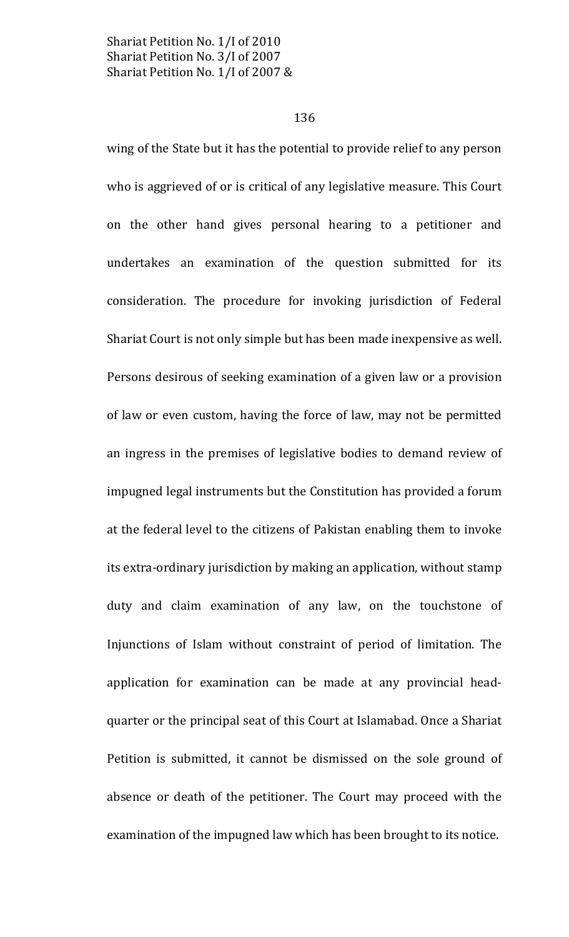### 136

wing of the State but it has the potential to provide relief to any person who is aggrieved of or is critical of any legislative measure. This Court on the other hand gives personal hearing to a petitioner and undertakes an examination of the question submitted for its consideration. The procedure for invoking jurisdiction of Federal Shariat Court is not only simple but has been made inexpensive as well. Persons desirous of seeking examination of a given law or a provision of law or even custom, having the force of law, may not be permitted an ingress in the premises of legislative bodies to demand review of impugned legal instruments but the Constitution has provided a forum at the federal level to the citizens of Pakistan enabling them to invoke its extra-ordinary jurisdiction by making an application, without stamp duty and claim examination of any law, on the touchstone of Injunctions of Islam without constraint of period of limitation. The application for examination can be made at any provincial headquarter or the principal seat of this Court at Islamabad. Once a Shariat Petition is submitted, it cannot be dismissed on the sole ground of absence or death of the petitioner. The Court may proceed with the examination of the impugned law which has been brought to its notice.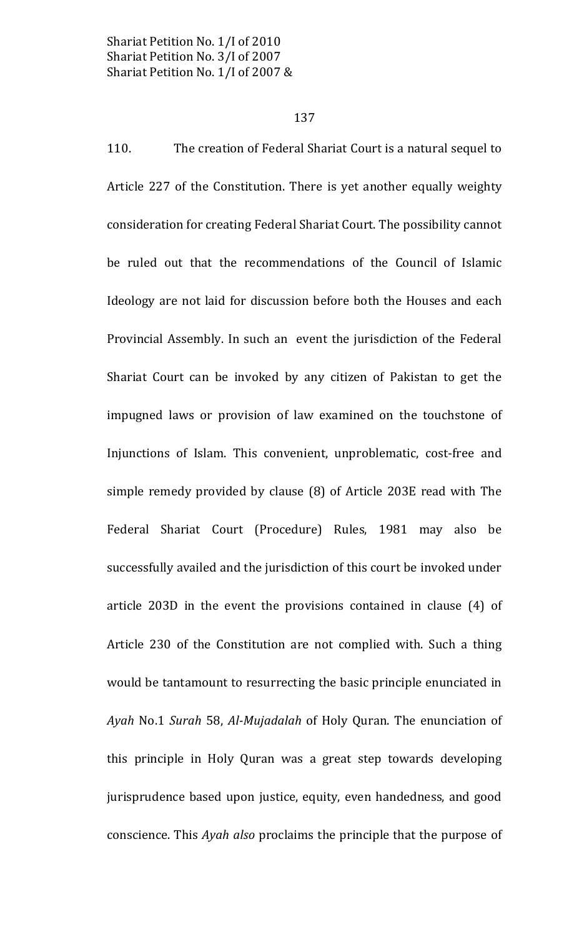### 137

110. The creation of Federal Shariat Court is a natural sequel to Article 227 of the Constitution. There is yet another equally weighty consideration for creating Federal Shariat Court. The possibility cannot be ruled out that the recommendations of the Council of Islamic Ideology are not laid for discussion before both the Houses and each Provincial Assembly. In such an event the jurisdiction of the Federal Shariat Court can be invoked by any citizen of Pakistan to get the impugned laws or provision of law examined on the touchstone of Injunctions of Islam. This convenient, unproblematic, cost-free and simple remedy provided by clause (8) of Article 203E read with The Federal Shariat Court (Procedure) Rules, 1981 may also be successfully availed and the jurisdiction of this court be invoked under article 203D in the event the provisions contained in clause (4) of Article 230 of the Constitution are not complied with. Such a thing would be tantamount to resurrecting the basic principle enunciated in Ayah No.1 Surah 58, Al-Mujadalah of Holy Quran. The enunciation of this principle in Holy Quran was a great step towards developing jurisprudence based upon justice, equity, even handedness, and good conscience. This Ayah also proclaims the principle that the purpose of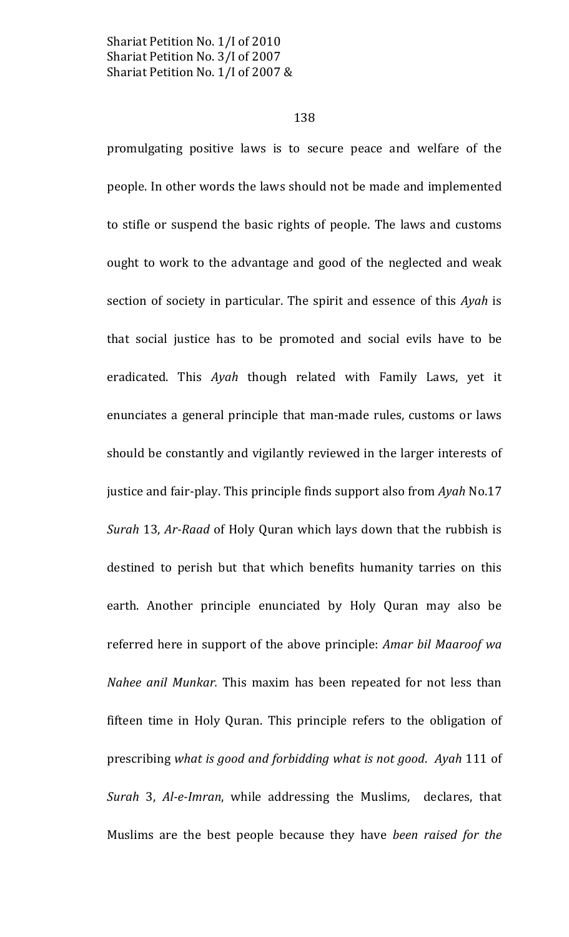### 138

promulgating positive laws is to secure peace and welfare of the people. In other words the laws should not be made and implemented to stifle or suspend the basic rights of people. The laws and customs ought to work to the advantage and good of the neglected and weak section of society in particular. The spirit and essence of this Ayah is that social justice has to be promoted and social evils have to be eradicated. This Ayah though related with Family Laws, yet it enunciates a general principle that man-made rules, customs or laws should be constantly and vigilantly reviewed in the larger interests of justice and fair-play. This principle finds support also from Ayah No.17 Surah 13, Ar-Raad of Holy Quran which lays down that the rubbish is destined to perish but that which benefits humanity tarries on this earth. Another principle enunciated by Holy Quran may also be referred here in support of the above principle: Amar bil Maaroof wa Nahee anil Munkar. This maxim has been repeated for not less than fifteen time in Holy Quran. This principle refers to the obligation of prescribing what is good and forbidding what is not good. Ayah 111 of Surah 3, Al-e-Imran, while addressing the Muslims, declares, that Muslims are the best people because they have been raised for the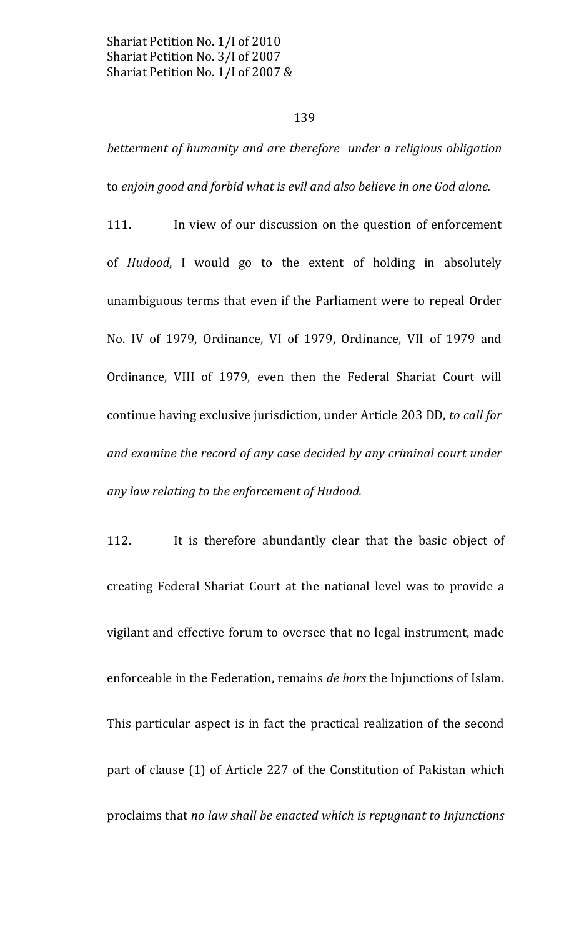### 139

betterment of humanity and are therefore under a religious obligation to enjoin good and forbid what is evil and also believe in one God alone.

111. In view of our discussion on the question of enforcement of Hudood, I would go to the extent of holding in absolutely unambiguous terms that even if the Parliament were to repeal Order No. IV of 1979, Ordinance, VI of 1979, Ordinance, VII of 1979 and Ordinance, VIII of 1979, even then the Federal Shariat Court will continue having exclusive jurisdiction, under Article 203 DD, to call for and examine the record of any case decided by any criminal court under any law relating to the enforcement of Hudood.

112. It is therefore abundantly clear that the basic object of creating Federal Shariat Court at the national level was to provide a vigilant and effective forum to oversee that no legal instrument, made enforceable in the Federation, remains de hors the Injunctions of Islam. This particular aspect is in fact the practical realization of the second part of clause (1) of Article 227 of the Constitution of Pakistan which proclaims that no law shall be enacted which is repugnant to Injunctions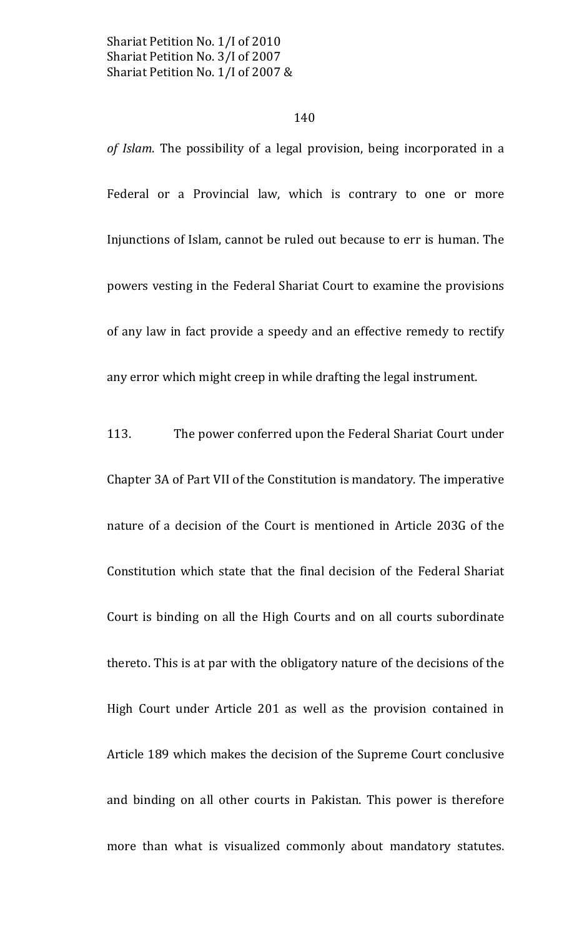### 140

of Islam. The possibility of a legal provision, being incorporated in a Federal or a Provincial law, which is contrary to one or more Injunctions of Islam, cannot be ruled out because to err is human. The powers vesting in the Federal Shariat Court to examine the provisions of any law in fact provide a speedy and an effective remedy to rectify any error which might creep in while drafting the legal instrument.

113. The power conferred upon the Federal Shariat Court under Chapter 3A of Part VII of the Constitution is mandatory. The imperative nature of a decision of the Court is mentioned in Article 203G of the Constitution which state that the final decision of the Federal Shariat Court is binding on all the High Courts and on all courts subordinate thereto. This is at par with the obligatory nature of the decisions of the High Court under Article 201 as well as the provision contained in Article 189 which makes the decision of the Supreme Court conclusive and binding on all other courts in Pakistan. This power is therefore more than what is visualized commonly about mandatory statutes.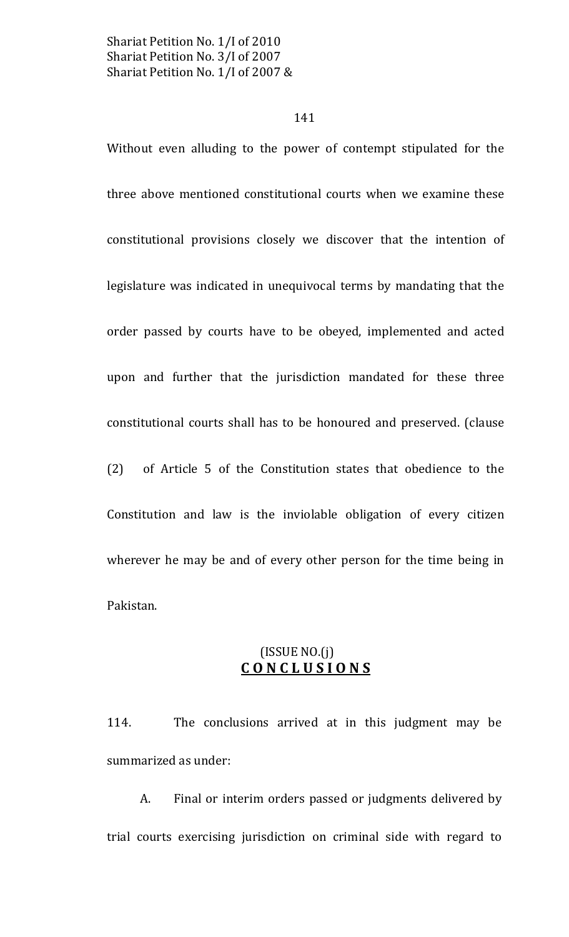### 141

Without even alluding to the power of contempt stipulated for the three above mentioned constitutional courts when we examine these constitutional provisions closely we discover that the intention of legislature was indicated in unequivocal terms by mandating that the order passed by courts have to be obeyed, implemented and acted upon and further that the jurisdiction mandated for these three constitutional courts shall has to be honoured and preserved. (clause  $(2)$ of Article 5 of the Constitution states that obedience to the Constitution and law is the inviolable obligation of every citizen wherever he may be and of every other person for the time being in Pakistan.

# $(ISSUE NO.(j))$ CONCLUSIONS

114. The conclusions arrived at in this judgment may be summarized as under:

A. Final or interim orders passed or judgments delivered by trial courts exercising jurisdiction on criminal side with regard to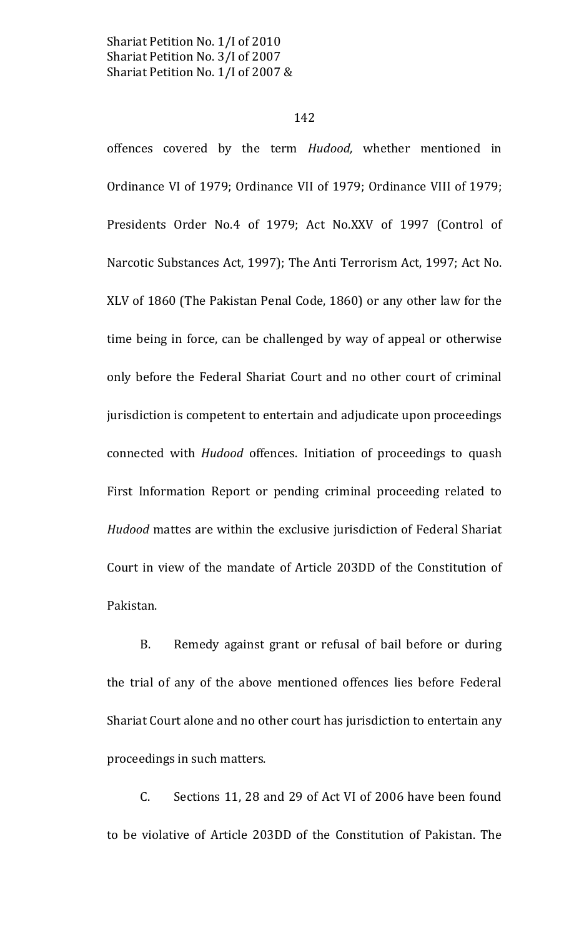### 142

offences covered by the term Hudood, whether mentioned in Ordinance VI of 1979; Ordinance VII of 1979; Ordinance VIII of 1979; Presidents Order No.4 of 1979; Act No.XXV of 1997 (Control of Narcotic Substances Act, 1997); The Anti Terrorism Act, 1997; Act No. XLV of 1860 (The Pakistan Penal Code, 1860) or any other law for the time being in force, can be challenged by way of appeal or otherwise only before the Federal Shariat Court and no other court of criminal jurisdiction is competent to entertain and adjudicate upon proceedings connected with *Hudood* offences. Initiation of proceedings to quash First Information Report or pending criminal proceeding related to Hudood mattes are within the exclusive jurisdiction of Federal Shariat Court in view of the mandate of Article 203DD of the Constitution of Pakistan.

**B.** Remedy against grant or refusal of bail before or during the trial of any of the above mentioned offences lies before Federal Shariat Court alone and no other court has jurisdiction to entertain any proceedings in such matters.

C. Sections 11, 28 and 29 of Act VI of 2006 have been found to be violative of Article 203DD of the Constitution of Pakistan. The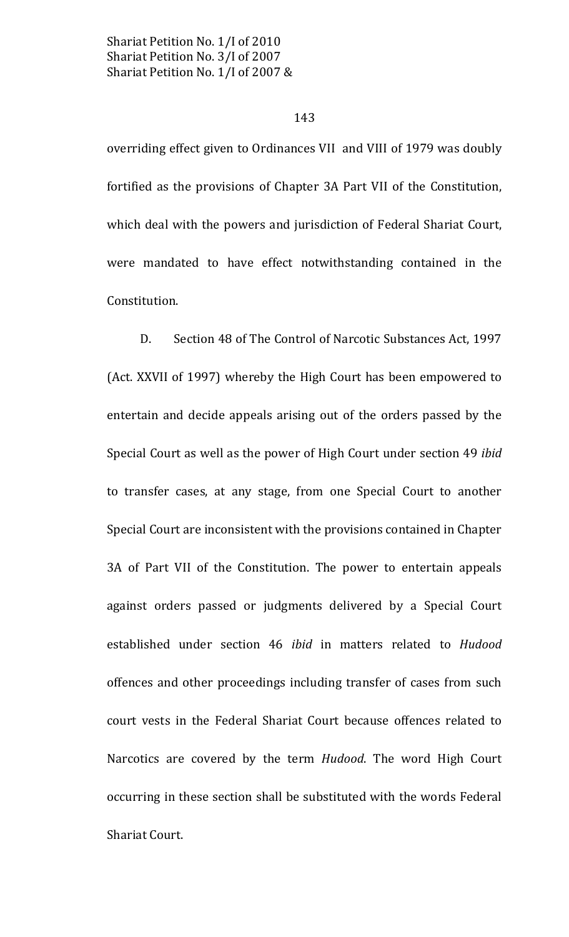### 143

overriding effect given to Ordinances VII and VIII of 1979 was doubly fortified as the provisions of Chapter 3A Part VII of the Constitution, which deal with the powers and jurisdiction of Federal Shariat Court, were mandated to have effect notwithstanding contained in the Constitution.

Section 48 of The Control of Narcotic Substances Act, 1997  $D<sub>1</sub>$ (Act. XXVII of 1997) whereby the High Court has been empowered to entertain and decide appeals arising out of the orders passed by the Special Court as well as the power of High Court under section 49 ibid to transfer cases, at any stage, from one Special Court to another Special Court are inconsistent with the provisions contained in Chapter 3A of Part VII of the Constitution. The power to entertain appeals against orders passed or judgments delivered by a Special Court established under section 46 ibid in matters related to Hudood offences and other proceedings including transfer of cases from such court vests in the Federal Shariat Court because offences related to Narcotics are covered by the term Hudood. The word High Court occurring in these section shall be substituted with the words Federal Shariat Court.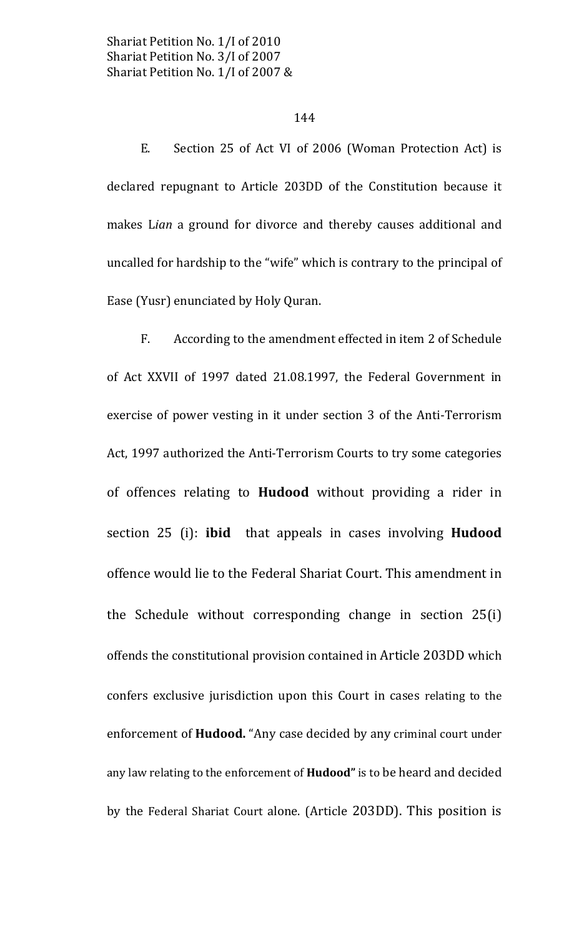### 144

E. Section 25 of Act VI of 2006 (Woman Protection Act) is declared repugnant to Article 203DD of the Constitution because it makes Lian a ground for divorce and thereby causes additional and uncalled for hardship to the "wife" which is contrary to the principal of Ease (Yusr) enunciated by Holy Quran.

According to the amendment effected in item 2 of Schedule  $F_{\cdot}$ of Act XXVII of 1997 dated 21.08.1997, the Federal Government in exercise of power vesting in it under section 3 of the Anti-Terrorism Act, 1997 authorized the Anti-Terrorism Courts to try some categories of offences relating to **Hudood** without providing a rider in section 25 (i): **ibid** that appeals in cases involving **Hudood** offence would lie to the Federal Shariat Court. This amendment in the Schedule without corresponding change in section 25(i) offends the constitutional provision contained in Article 203DD which confers exclusive jurisdiction upon this Court in cases relating to the enforcement of **Hudood.** "Any case decided by any criminal court under any law relating to the enforcement of Hudood" is to be heard and decided by the Federal Shariat Court alone. (Article 203DD). This position is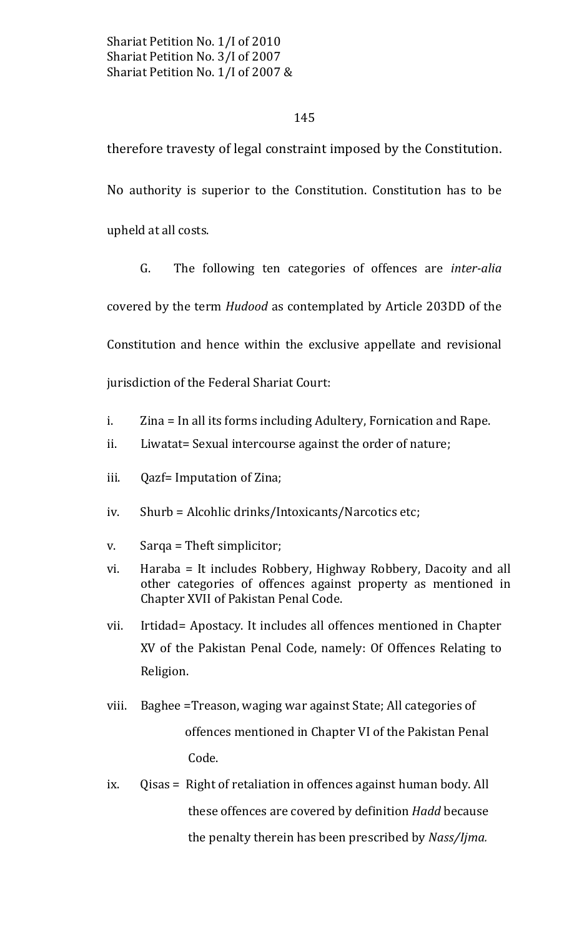# 145

therefore travesty of legal constraint imposed by the Constitution. No authority is superior to the Constitution. Constitution has to be upheld at all costs.

G. The following ten categories of offences are inter-alia covered by the term *Hudood* as contemplated by Article 203DD of the Constitution and hence within the exclusive appellate and revisional jurisdiction of the Federal Shariat Court:

i. Zina = In all its forms including Adultery, Fornication and Rape.

- $ii.$ Liwatat= Sexual intercourse against the order of nature;
- Qazf= Imputation of Zina; iii.
- Shurb = Alcohlic drinks/Intoxicants/Narcotics etc; iv.
- Sarqa = Theft simplicitor; V.
- Haraba = It includes Robbery, Highway Robbery, Dacoity and all vi. other categories of offences against property as mentioned in Chapter XVII of Pakistan Penal Code.
- Irtidad= Apostacy. It includes all offences mentioned in Chapter vii. XV of the Pakistan Penal Code, namely: Of Offences Relating to Religion.
- Baghee = Treason, waging war against State; All categories of viii. offences mentioned in Chapter VI of the Pakistan Penal Code.
- ix. Qisas = Right of retaliation in offences against human body. All these offences are covered by definition Hadd because the penalty therein has been prescribed by Nass/Ijma.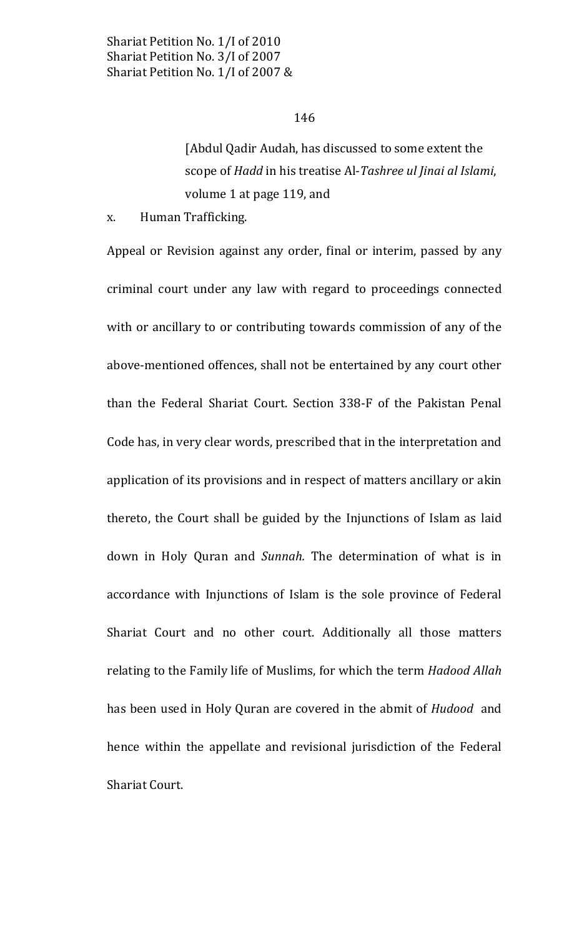[Abdul Qadir Audah, has discussed to some extent the scope of Hadd in his treatise Al-Tashree ul Jinai al Islami, volume 1 at page 119, and

X. Human Trafficking.

Appeal or Revision against any order, final or interim, passed by any criminal court under any law with regard to proceedings connected with or ancillary to or contributing towards commission of any of the above-mentioned offences, shall not be entertained by any court other than the Federal Shariat Court. Section 338-F of the Pakistan Penal Code has, in very clear words, prescribed that in the interpretation and application of its provisions and in respect of matters ancillary or akin thereto, the Court shall be guided by the Injunctions of Islam as laid down in Holy Quran and Sunnah. The determination of what is in accordance with Injunctions of Islam is the sole province of Federal Shariat Court and no other court. Additionally all those matters relating to the Family life of Muslims, for which the term Hadood Allah has been used in Holy Quran are covered in the abmit of *Hudood* and hence within the appellate and revisional jurisdiction of the Federal Shariat Court.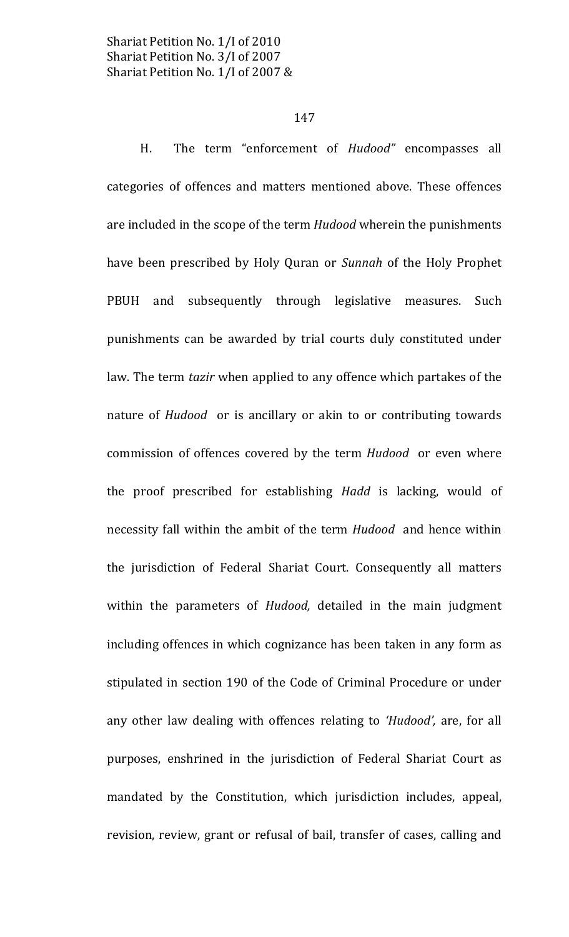#### 147

H. The term "enforcement of Hudood" encompasses all categories of offences and matters mentioned above. These offences are included in the scope of the term *Hudood* wherein the punishments have been prescribed by Holy Quran or Sunnah of the Holy Prophet PBUH and subsequently through legislative measures. Such punishments can be awarded by trial courts duly constituted under law. The term *tazir* when applied to any offence which partakes of the nature of *Hudood* or is ancillary or akin to or contributing towards commission of offences covered by the term Hudood or even where the proof prescribed for establishing Hadd is lacking, would of necessity fall within the ambit of the term *Hudood* and hence within the jurisdiction of Federal Shariat Court. Consequently all matters within the parameters of *Hudood*, detailed in the main judgment including offences in which cognizance has been taken in any form as stipulated in section 190 of the Code of Criminal Procedure or under any other law dealing with offences relating to 'Hudood', are, for all purposes, enshrined in the jurisdiction of Federal Shariat Court as mandated by the Constitution, which jurisdiction includes, appeal, revision, review, grant or refusal of bail, transfer of cases, calling and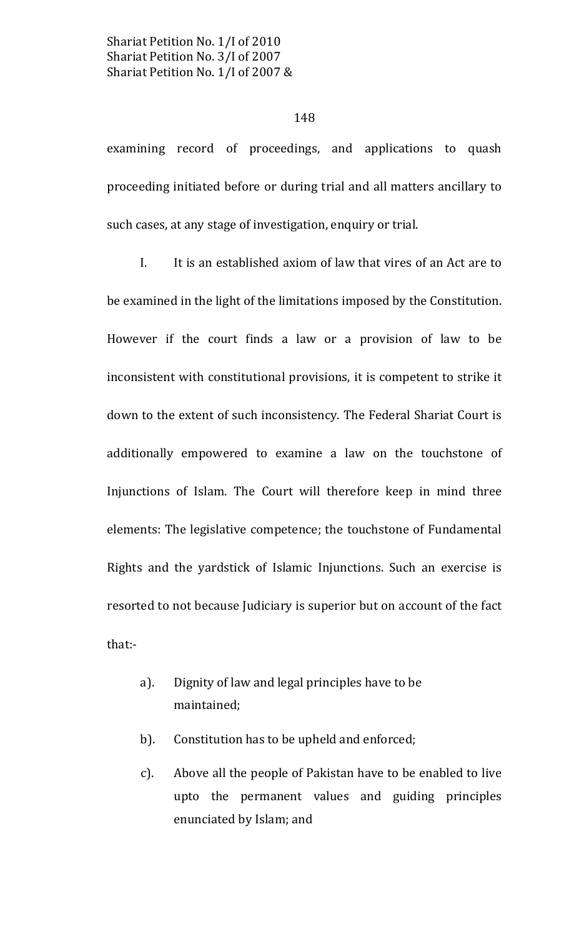### 148

examining record of proceedings, and applications to quash proceeding initiated before or during trial and all matters ancillary to such cases, at any stage of investigation, enquiry or trial.

 $\mathbf{I}$ . It is an established axiom of law that vires of an Act are to be examined in the light of the limitations imposed by the Constitution. However if the court finds a law or a provision of law to be inconsistent with constitutional provisions, it is competent to strike it down to the extent of such inconsistency. The Federal Shariat Court is additionally empowered to examine a law on the touchstone of Injunctions of Islam. The Court will therefore keep in mind three elements: The legislative competence; the touchstone of Fundamental Rights and the yardstick of Islamic Injunctions. Such an exercise is resorted to not because Judiciary is superior but on account of the fact that:-

- Dignity of law and legal principles have to be  $a$ ). maintained;
- $b$ ). Constitution has to be upheld and enforced;
- Above all the people of Pakistan have to be enabled to live  $\mathcal{C}$ ). upto the permanent values and guiding principles enunciated by Islam; and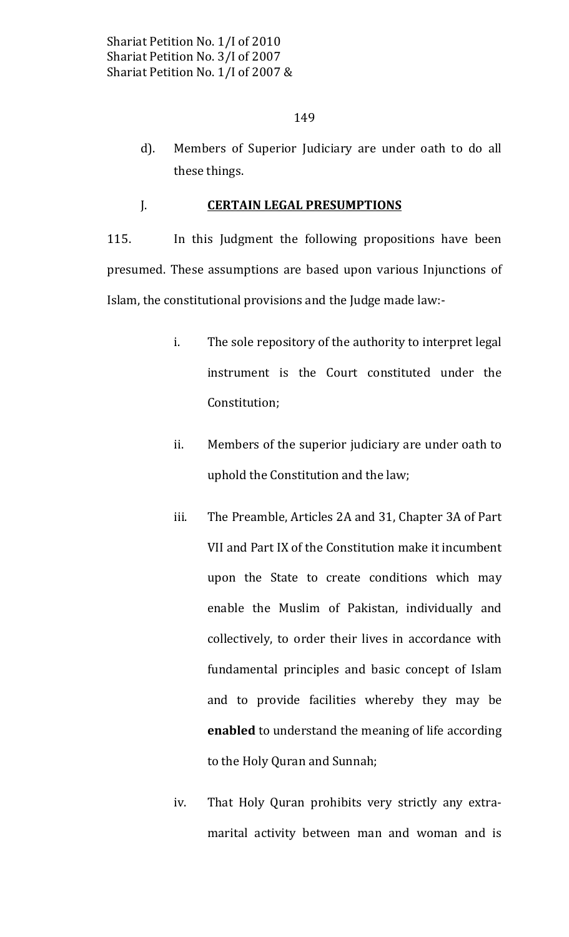$d$ ). Members of Superior Judiciary are under oath to do all these things.

#### **CERTAIN LEGAL PRESUMPTIONS** J.

115. In this Judgment the following propositions have been presumed. These assumptions are based upon various Injunctions of Islam, the constitutional provisions and the Judge made law:-

- i. The sole repository of the authority to interpret legal instrument is the Court constituted under the Constitution;
- Members of the superior judiciary are under oath to ii. uphold the Constitution and the law;
- iii. The Preamble, Articles 2A and 31, Chapter 3A of Part VII and Part IX of the Constitution make it incumbent upon the State to create conditions which may enable the Muslim of Pakistan, individually and collectively, to order their lives in accordance with fundamental principles and basic concept of Islam and to provide facilities whereby they may be enabled to understand the meaning of life according to the Holy Quran and Sunnah;
- iv. That Holy Quran prohibits very strictly any extramarital activity between man and woman and is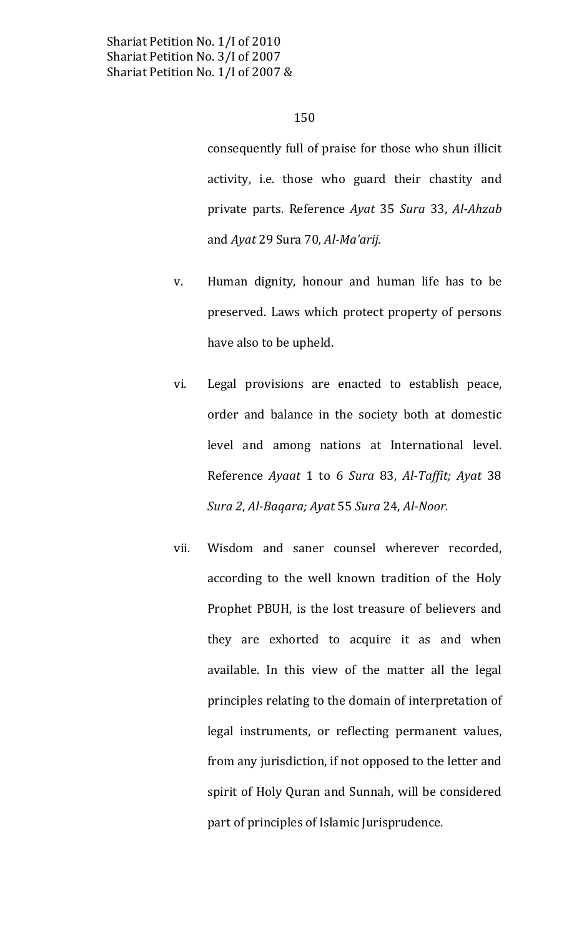consequently full of praise for those who shun illicit activity, i.e. those who guard their chastity and private parts. Reference Ayat 35 Sura 33, Al-Ahzab and Ayat 29 Sura 70, Al-Ma'arij.

- Human dignity, honour and human life has to be V. preserved. Laws which protect property of persons have also to be upheld.
- vi. Legal provisions are enacted to establish peace, order and balance in the society both at domestic level and among nations at International level. Reference Ayaat 1 to 6 Sura 83, Al-Taffit; Ayat 38 Sura 2, Al-Bagara; Ayat 55 Sura 24, Al-Noor.
- Wisdom and saner counsel wherever recorded, vii. according to the well known tradition of the Holy Prophet PBUH, is the lost treasure of believers and they are exhorted to acquire it as and when available. In this view of the matter all the legal principles relating to the domain of interpretation of legal instruments, or reflecting permanent values, from any jurisdiction, if not opposed to the letter and spirit of Holy Quran and Sunnah, will be considered part of principles of Islamic Jurisprudence.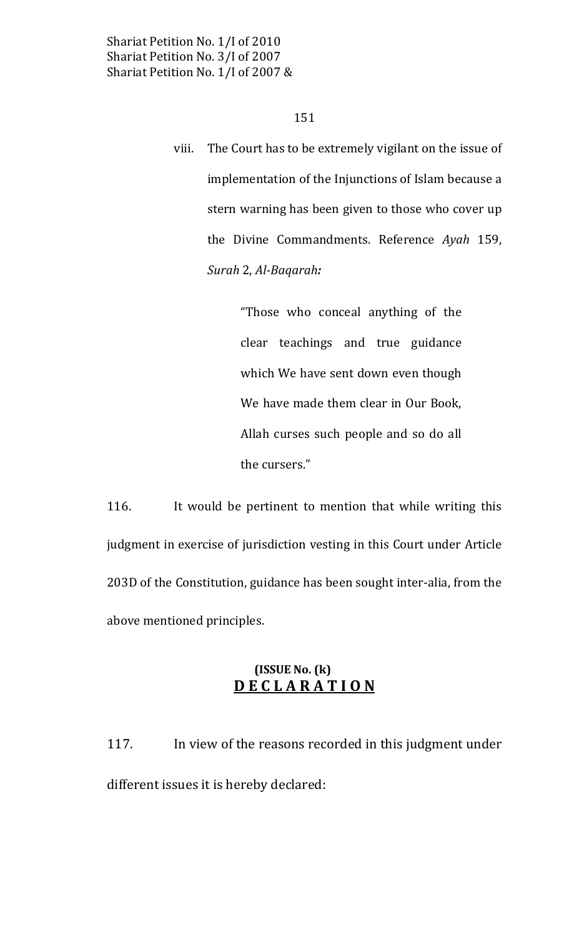151

The Court has to be extremely vigilant on the issue of viii. implementation of the Injunctions of Islam because a stern warning has been given to those who cover up the Divine Commandments. Reference Ayah 159, Surah 2, Al-Bagarah:

> "Those who conceal anything of the clear teachings and true guidance which We have sent down even though We have made them clear in Our Book, Allah curses such people and so do all the cursers."

116. It would be pertinent to mention that while writing this judgment in exercise of jurisdiction vesting in this Court under Article 203D of the Constitution, guidance has been sought inter-alia, from the above mentioned principles.

# $(ISSUE No. (k))$ **DECLARATION**

117. In view of the reasons recorded in this judgment under different issues it is hereby declared: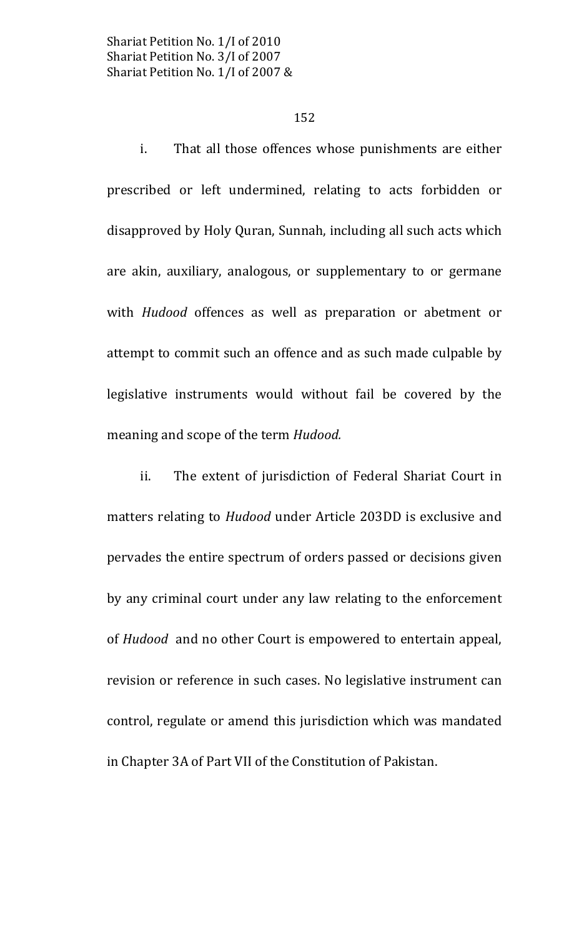#### 152

i. That all those offences whose punishments are either prescribed or left undermined, relating to acts forbidden or disapproved by Holy Quran, Sunnah, including all such acts which are akin, auxiliary, analogous, or supplementary to or germane with *Hudood* offences as well as preparation or abetment or attempt to commit such an offence and as such made culpable by legislative instruments would without fail be covered by the meaning and scope of the term Hudood.

ii. The extent of jurisdiction of Federal Shariat Court in matters relating to *Hudood* under Article 203DD is exclusive and pervades the entire spectrum of orders passed or decisions given by any criminal court under any law relating to the enforcement of *Hudood* and no other Court is empowered to entertain appeal, revision or reference in such cases. No legislative instrument can control, regulate or amend this jurisdiction which was mandated in Chapter 3A of Part VII of the Constitution of Pakistan.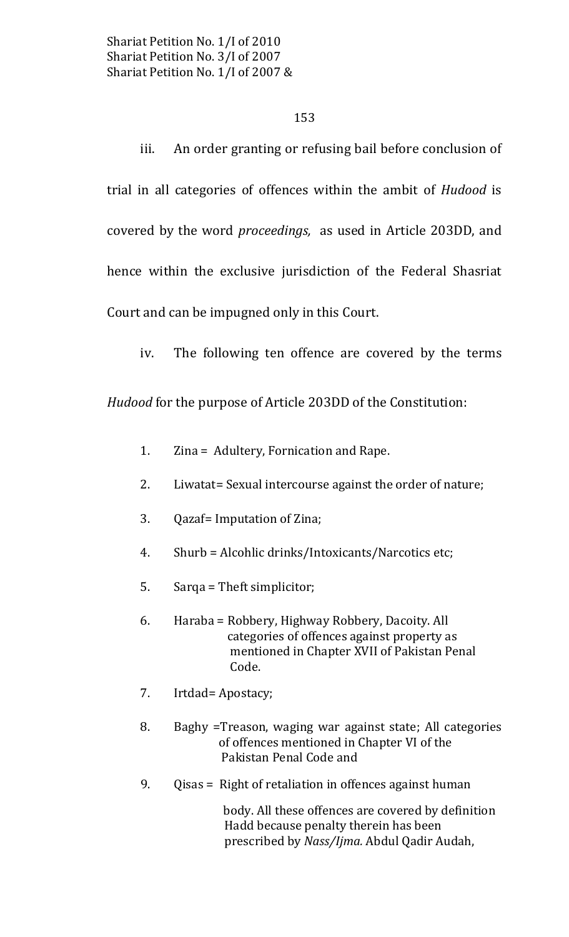# 153

iii. An order granting or refusing bail before conclusion of trial in all categories of offences within the ambit of *Hudood* is covered by the word *proceedings*, as used in Article 203DD, and hence within the exclusive jurisdiction of the Federal Shasriat Court and can be impugned only in this Court.

iv. The following ten offence are covered by the terms

Hudood for the purpose of Article 203DD of the Constitution:

- 1. Zina = Adultery, Fornication and Rape.
- $2.$ Liwatat= Sexual intercourse against the order of nature;
- 3. Qazaf= Imputation of Zina;
- 4. Shurb = Alcohlic drinks/Intoxicants/Narcotics etc;
- 5. Sarqa = Theft simplicitor;
- 6. Haraba = Robbery, Highway Robbery, Dacoity. All categories of offences against property as mentioned in Chapter XVII of Pakistan Penal Code.
- 7. Irtdad= Apostacy;
- Baghy = Treason, waging war against state; All categories 8. of offences mentioned in Chapter VI of the Pakistan Penal Code and
- 9. Qisas = Right of retaliation in offences against human

body. All these offences are covered by definition Hadd because penalty therein has been prescribed by Nass/Ijma. Abdul Qadir Audah,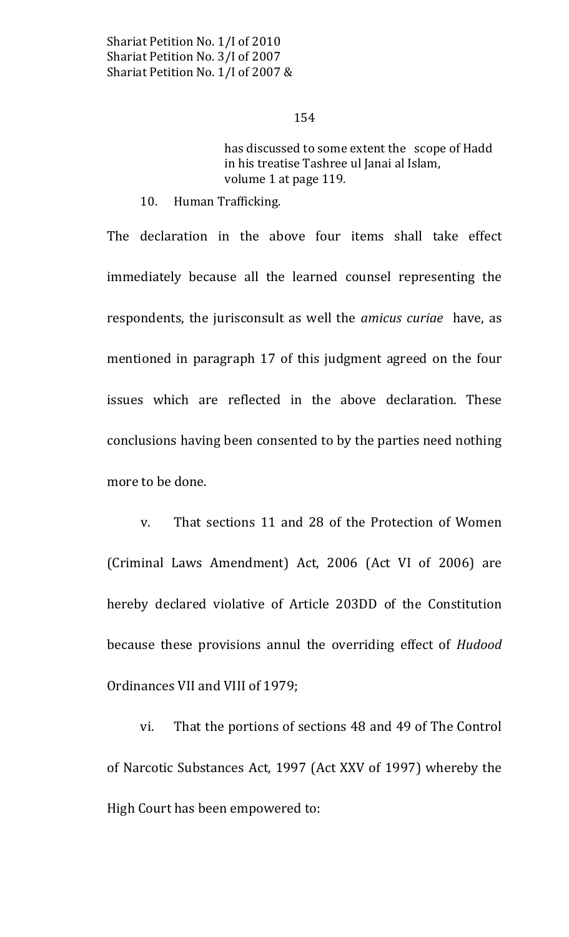has discussed to some extent the scope of Hadd in his treatise Tashree ul Janai al Islam, volume 1 at page 119.

 $10.$ Human Trafficking.

The declaration in the above four items shall take effect immediately because all the learned counsel representing the respondents, the jurisconsult as well the *amicus curiae* have, as mentioned in paragraph 17 of this judgment agreed on the four issues which are reflected in the above declaration. These conclusions having been consented to by the parties need nothing more to be done.

That sections 11 and 28 of the Protection of Women V. (Criminal Laws Amendment) Act, 2006 (Act VI of 2006) are hereby declared violative of Article 203DD of the Constitution because these provisions annul the overriding effect of Hudood Ordinances VII and VIII of 1979;

That the portions of sections 48 and 49 of The Control vi. of Narcotic Substances Act, 1997 (Act XXV of 1997) whereby the High Court has been empowered to: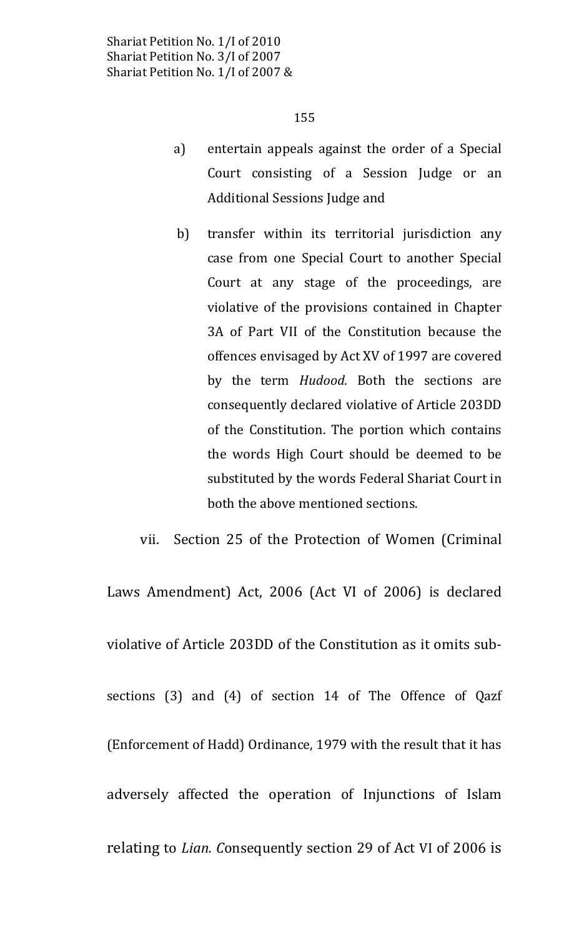- entertain appeals against the order of a Special a) Court consisting of a Session Judge or an Additional Sessions Judge and
- transfer within its territorial jurisdiction any b) case from one Special Court to another Special Court at any stage of the proceedings, are violative of the provisions contained in Chapter 3A of Part VII of the Constitution because the offences envisaged by Act XV of 1997 are covered by the term *Hudood*. Both the sections are consequently declared violative of Article 203DD of the Constitution. The portion which contains the words High Court should be deemed to be substituted by the words Federal Shariat Court in both the above mentioned sections.

Section 25 of the Protection of Women (Criminal vii.

Laws Amendment) Act, 2006 (Act VI of 2006) is declared violative of Article 203DD of the Constitution as it omits subsections (3) and (4) of section 14 of The Offence of Qazf (Enforcement of Hadd) Ordinance, 1979 with the result that it has adversely affected the operation of Injunctions of Islam relating to Lian. Consequently section 29 of Act VI of 2006 is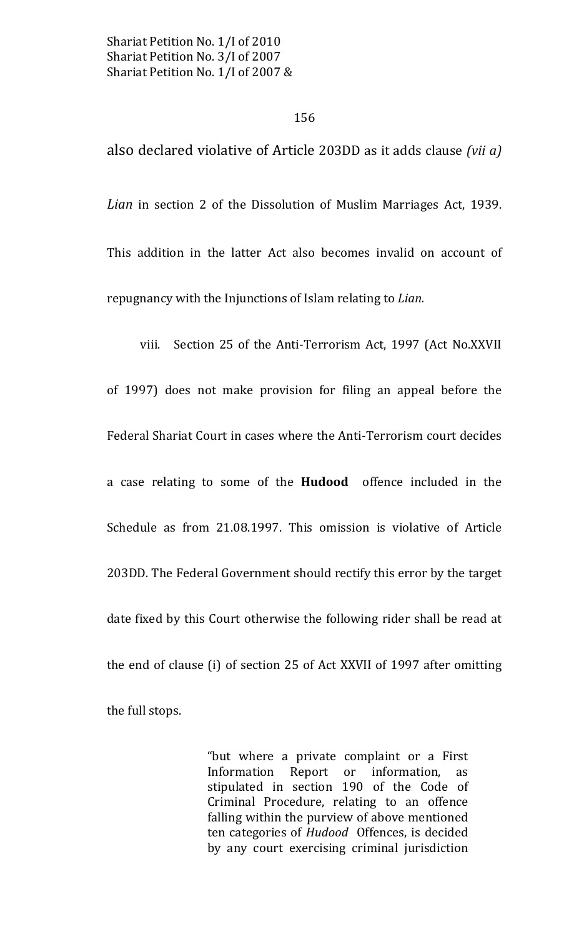also declared violative of Article 203DD as it adds clause (vii a)

Lian in section 2 of the Dissolution of Muslim Marriages Act, 1939. This addition in the latter Act also becomes invalid on account of repugnancy with the Injunctions of Islam relating to Lian.

viii. Section 25 of the Anti-Terrorism Act, 1997 (Act No.XXVII of 1997) does not make provision for filing an appeal before the Federal Shariat Court in cases where the Anti-Terrorism court decides a case relating to some of the Hudood offence included in the Schedule as from 21.08.1997. This omission is violative of Article 203DD. The Federal Government should rectify this error by the target date fixed by this Court otherwise the following rider shall be read at the end of clause (i) of section 25 of Act XXVII of 1997 after omitting the full stops.

> "but where a private complaint or a First Information Report or information, as stipulated in section 190 of the Code of Criminal Procedure, relating to an offence falling within the purview of above mentioned ten categories of Hudood Offences, is decided by any court exercising criminal jurisdiction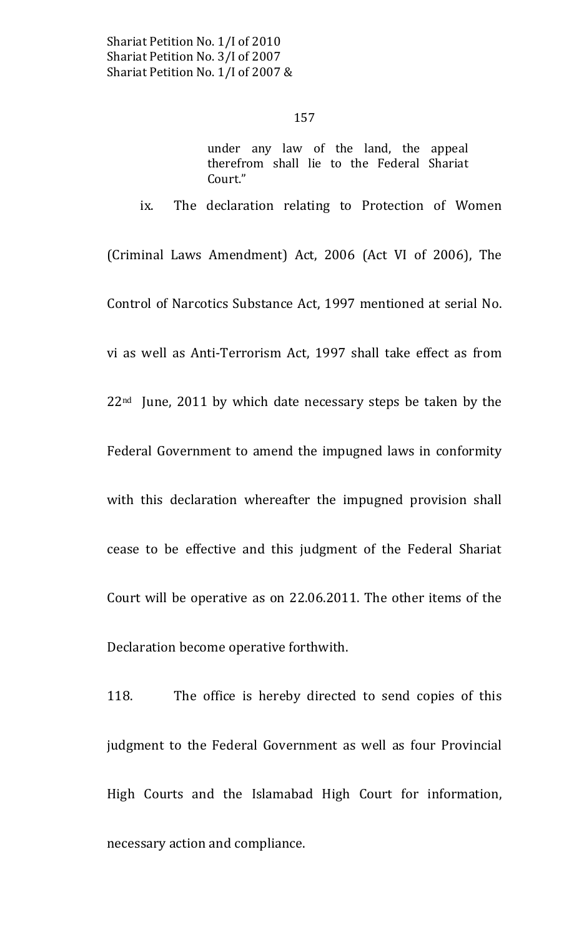ix.

### 157

under any law of the land, the appeal therefrom shall lie to the Federal Shariat Court."

The declaration relating to Protection of Women

(Criminal Laws Amendment) Act, 2006 (Act VI of 2006), The Control of Narcotics Substance Act, 1997 mentioned at serial No. vi as well as Anti-Terrorism Act, 1997 shall take effect as from  $22<sup>nd</sup>$  June, 2011 by which date necessary steps be taken by the Federal Government to amend the impugned laws in conformity with this declaration whereafter the impugned provision shall cease to be effective and this judgment of the Federal Shariat Court will be operative as on 22.06.2011. The other items of the Declaration become operative forthwith.

118. The office is hereby directed to send copies of this judgment to the Federal Government as well as four Provincial High Courts and the Islamabad High Court for information, necessary action and compliance.